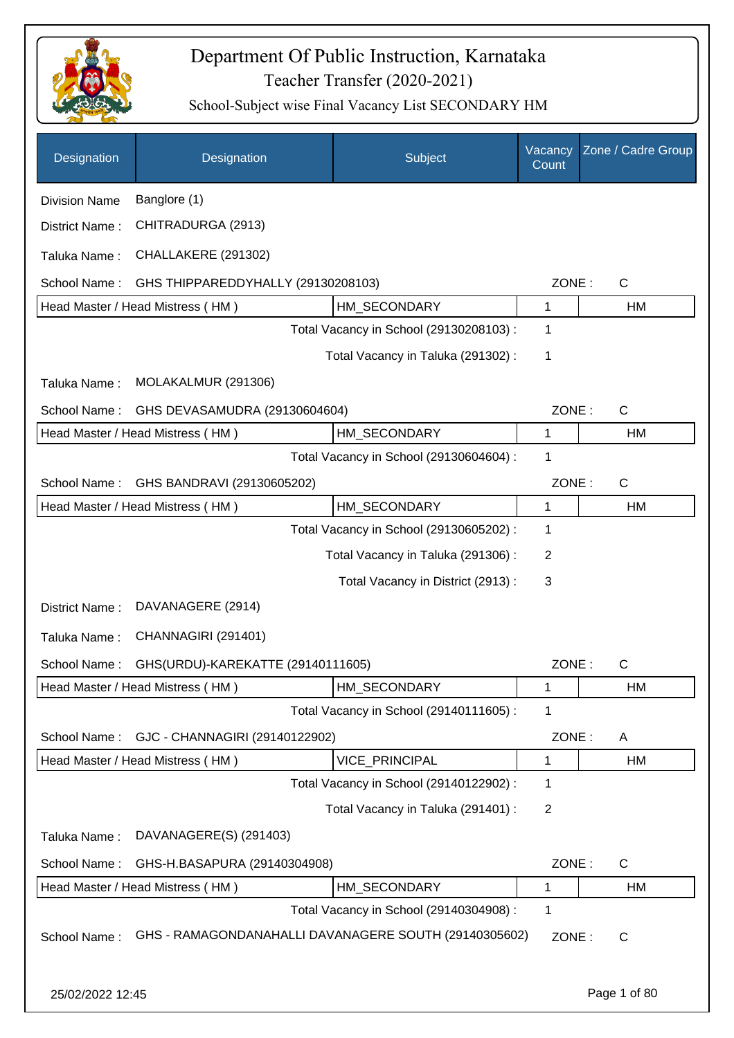

| Designation          | Designation                        | Subject                                               | Vacancy<br>Count | Zone / Cadre Group |
|----------------------|------------------------------------|-------------------------------------------------------|------------------|--------------------|
| <b>Division Name</b> | Banglore (1)                       |                                                       |                  |                    |
| District Name:       | CHITRADURGA (2913)                 |                                                       |                  |                    |
| Taluka Name:         | CHALLAKERE (291302)                |                                                       |                  |                    |
| School Name:         | GHS THIPPAREDDYHALLY (29130208103) |                                                       | ZONE:            | $\mathsf{C}$       |
|                      | Head Master / Head Mistress (HM)   | HM_SECONDARY                                          | 1                | <b>HM</b>          |
|                      |                                    | Total Vacancy in School (29130208103) :               | 1                |                    |
|                      |                                    | Total Vacancy in Taluka (291302):                     | 1                |                    |
| Taluka Name:         | MOLAKALMUR (291306)                |                                                       |                  |                    |
| School Name:         | GHS DEVASAMUDRA (29130604604)      |                                                       | ZONE:            | C                  |
|                      | Head Master / Head Mistress (HM)   | HM_SECONDARY                                          | 1                | <b>HM</b>          |
|                      |                                    | Total Vacancy in School (29130604604) :               | 1                |                    |
| School Name:         | GHS BANDRAVI (29130605202)         |                                                       | ZONE:            | $\mathsf{C}$       |
|                      | Head Master / Head Mistress (HM)   | HM_SECONDARY                                          | 1                | <b>HM</b>          |
|                      |                                    | Total Vacancy in School (29130605202) :               | 1                |                    |
|                      |                                    | Total Vacancy in Taluka (291306):                     | 2                |                    |
|                      |                                    | Total Vacancy in District (2913) :                    | 3                |                    |
| District Name:       | DAVANAGERE (2914)                  |                                                       |                  |                    |
| Taluka Name:         | CHANNAGIRI (291401)                |                                                       |                  |                    |
| School Name:         | GHS(URDU)-KAREKATTE (29140111605)  |                                                       | ZONE:            | $\mathsf{C}$       |
|                      | Head Master / Head Mistress (HM)   | HM_SECONDARY                                          | 1                | HM                 |
|                      |                                    | Total Vacancy in School (29140111605) :               | 1                |                    |
| School Name:         | GJC - CHANNAGIRI (29140122902)     |                                                       | ZONE:            | A                  |
|                      | Head Master / Head Mistress (HM)   | VICE_PRINCIPAL                                        | 1                | HM                 |
|                      |                                    | Total Vacancy in School (29140122902) :               | 1                |                    |
|                      |                                    | Total Vacancy in Taluka (291401) :                    | 2                |                    |
| Taluka Name:         | DAVANAGERE(S) (291403)             |                                                       |                  |                    |
| School Name:         | GHS-H.BASAPURA (29140304908)       |                                                       | ZONE:            | $\mathsf{C}$       |
|                      | Head Master / Head Mistress (HM)   | HM SECONDARY                                          | 1                | HM                 |
|                      |                                    | Total Vacancy in School (29140304908) :               | 1                |                    |
| School Name:         |                                    | GHS - RAMAGONDANAHALLI DAVANAGERE SOUTH (29140305602) | ZONE:            | C                  |
| 25/02/2022 12:45     |                                    |                                                       |                  | Page 1 of 80       |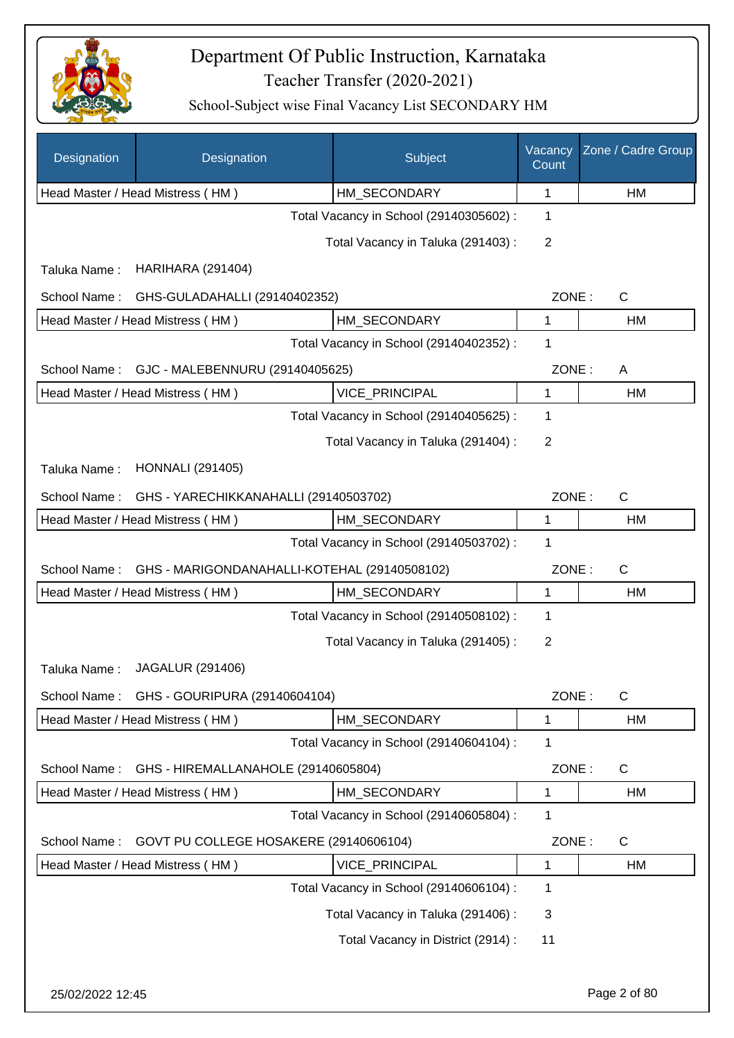

| Designation  | Designation                                      | Subject                                 | Vacancy<br>Count | Zone / Cadre Group |
|--------------|--------------------------------------------------|-----------------------------------------|------------------|--------------------|
|              | Head Master / Head Mistress (HM)                 | HM_SECONDARY                            | 1                | HM                 |
|              |                                                  | Total Vacancy in School (29140305602) : | 1                |                    |
|              |                                                  | Total Vacancy in Taluka (291403):       | 2                |                    |
| Taluka Name: | <b>HARIHARA (291404)</b>                         |                                         |                  |                    |
| School Name: | GHS-GULADAHALLI (29140402352)                    |                                         | ZONE:            | $\mathsf{C}$       |
|              | Head Master / Head Mistress (HM)<br>HM_SECONDARY |                                         |                  | HM                 |
|              |                                                  | Total Vacancy in School (29140402352) : | 1                |                    |
| School Name: | GJC - MALEBENNURU (29140405625)                  |                                         | ZONE:            | A                  |
|              | Head Master / Head Mistress (HM)                 | <b>VICE PRINCIPAL</b>                   | $\mathbf{1}$     | HM                 |
|              |                                                  | Total Vacancy in School (29140405625) : | 1                |                    |
|              |                                                  | Total Vacancy in Taluka (291404) :      | 2                |                    |
| Taluka Name: | <b>HONNALI</b> (291405)                          |                                         |                  |                    |
| School Name: | GHS - YARECHIKKANAHALLI (29140503702)            |                                         | ZONE:            | $\mathsf{C}$       |
|              | Head Master / Head Mistress (HM)                 | HM_SECONDARY                            | $\mathbf 1$      | HM                 |
|              |                                                  | Total Vacancy in School (29140503702) : | 1                |                    |
| School Name: | GHS - MARIGONDANAHALLI-KOTEHAL (29140508102)     |                                         | ZONE:            | C                  |
|              | Head Master / Head Mistress (HM)                 | HM_SECONDARY                            | 1                | HM                 |
|              |                                                  | Total Vacancy in School (29140508102) : | 1                |                    |
|              |                                                  | Total Vacancy in Taluka (291405):       | $\overline{2}$   |                    |
| Taluka Name: | <b>JAGALUR (291406)</b>                          |                                         |                  |                    |
| School Name: | GHS - GOURIPURA (29140604104)                    |                                         | ZONE:            | $\mathsf{C}$       |
|              | Head Master / Head Mistress (HM)                 | HM_SECONDARY                            | 1                | HM                 |
|              |                                                  | Total Vacancy in School (29140604104) : | 1                |                    |
| School Name: | GHS - HIREMALLANAHOLE (29140605804)              |                                         | ZONE:            | C                  |
|              | Head Master / Head Mistress (HM)                 | HM_SECONDARY                            | 1                | HM                 |
|              |                                                  | Total Vacancy in School (29140605804) : | 1                |                    |
| School Name: | GOVT PU COLLEGE HOSAKERE (29140606104)           |                                         | ZONE:            | C                  |
|              | Head Master / Head Mistress (HM)                 | VICE_PRINCIPAL                          | 1                | HM                 |
|              |                                                  | Total Vacancy in School (29140606104) : | 1                |                    |
|              |                                                  | Total Vacancy in Taluka (291406):       | 3                |                    |
|              |                                                  | Total Vacancy in District (2914) :      | 11               |                    |
|              |                                                  |                                         |                  |                    |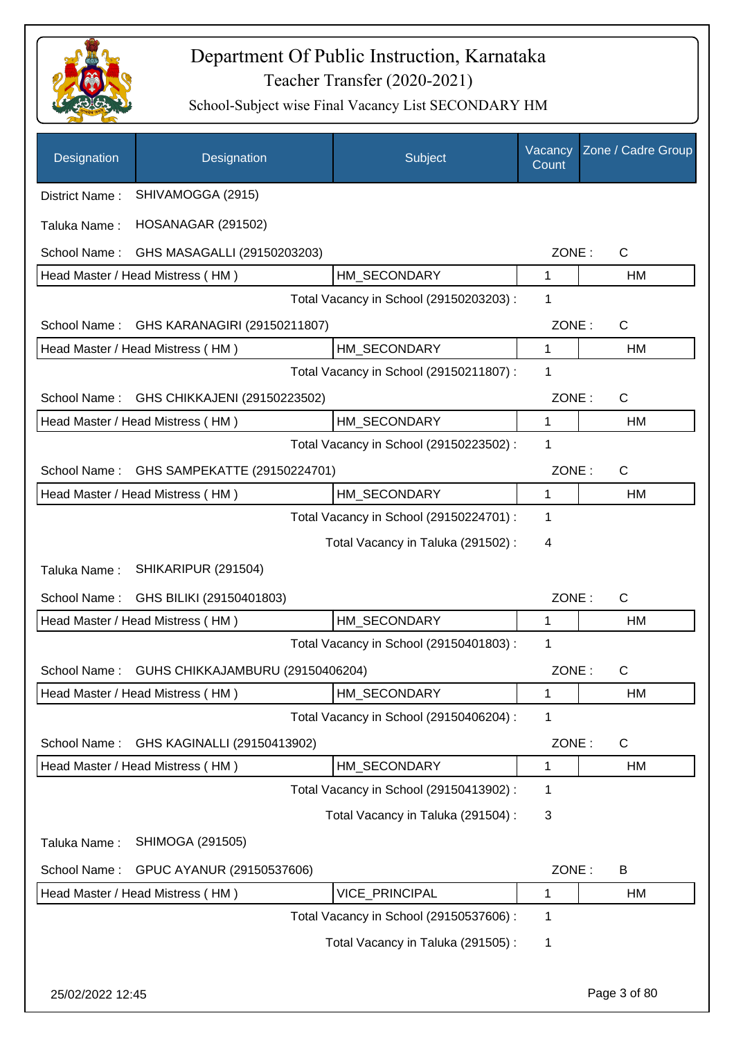

| Designation      | Designation                      | Subject                                 | Vacancy<br>Count | Zone / Cadre Group |
|------------------|----------------------------------|-----------------------------------------|------------------|--------------------|
| District Name:   | SHIVAMOGGA (2915)                |                                         |                  |                    |
| Taluka Name:     | HOSANAGAR (291502)               |                                         |                  |                    |
| School Name:     | GHS MASAGALLI (29150203203)      |                                         | ZONE:            | $\mathsf{C}$       |
|                  | Head Master / Head Mistress (HM) | HM SECONDARY                            | 1                | HM                 |
|                  |                                  | Total Vacancy in School (29150203203) : | 1                |                    |
| School Name:     | GHS KARANAGIRI (29150211807)     |                                         | ZONE:            | $\mathsf{C}$       |
|                  | Head Master / Head Mistress (HM) | HM_SECONDARY                            | 1                | HM                 |
|                  |                                  | Total Vacancy in School (29150211807) : | 1                |                    |
| School Name:     | GHS CHIKKAJENI (29150223502)     |                                         | ZONE:            | $\mathsf{C}$       |
|                  | Head Master / Head Mistress (HM) | HM_SECONDARY                            | $\mathbf{1}$     | HM                 |
|                  |                                  | Total Vacancy in School (29150223502) : | 1                |                    |
| School Name:     | GHS SAMPEKATTE (29150224701)     |                                         | ZONE:            | $\mathsf{C}$       |
|                  | Head Master / Head Mistress (HM) | HM_SECONDARY                            | 1                | HM                 |
|                  |                                  | Total Vacancy in School (29150224701) : | 1                |                    |
|                  |                                  | Total Vacancy in Taluka (291502) :      | 4                |                    |
| Taluka Name:     | SHIKARIPUR (291504)              |                                         |                  |                    |
| School Name:     | GHS BILIKI (29150401803)         |                                         | ZONE:            | $\mathsf{C}$       |
|                  | Head Master / Head Mistress (HM) | HM_SECONDARY                            | 1                | HM                 |
|                  |                                  | Total Vacancy in School (29150401803) : | 1                |                    |
| School Name:     | GUHS CHIKKAJAMBURU (29150406204) |                                         | ZONE:            | C                  |
|                  | Head Master / Head Mistress (HM) | HM_SECONDARY                            | 1                | HM                 |
|                  |                                  | Total Vacancy in School (29150406204) : | 1                |                    |
| School Name:     | GHS KAGINALLI (29150413902)      |                                         | ZONE:            | $\mathsf{C}$       |
|                  | Head Master / Head Mistress (HM) | HM_SECONDARY                            | 1                | HM                 |
|                  |                                  | Total Vacancy in School (29150413902) : | 1                |                    |
|                  |                                  | Total Vacancy in Taluka (291504) :      | 3                |                    |
| Taluka Name:     | SHIMOGA (291505)                 |                                         |                  |                    |
| School Name:     | GPUC AYANUR (29150537606)        |                                         | ZONE:            | B                  |
|                  | Head Master / Head Mistress (HM) | VICE_PRINCIPAL                          | 1                | HM                 |
|                  |                                  | Total Vacancy in School (29150537606) : | 1                |                    |
|                  |                                  | Total Vacancy in Taluka (291505):       | 1                |                    |
|                  |                                  |                                         |                  |                    |
| 25/02/2022 12:45 |                                  |                                         |                  | Page 3 of 80       |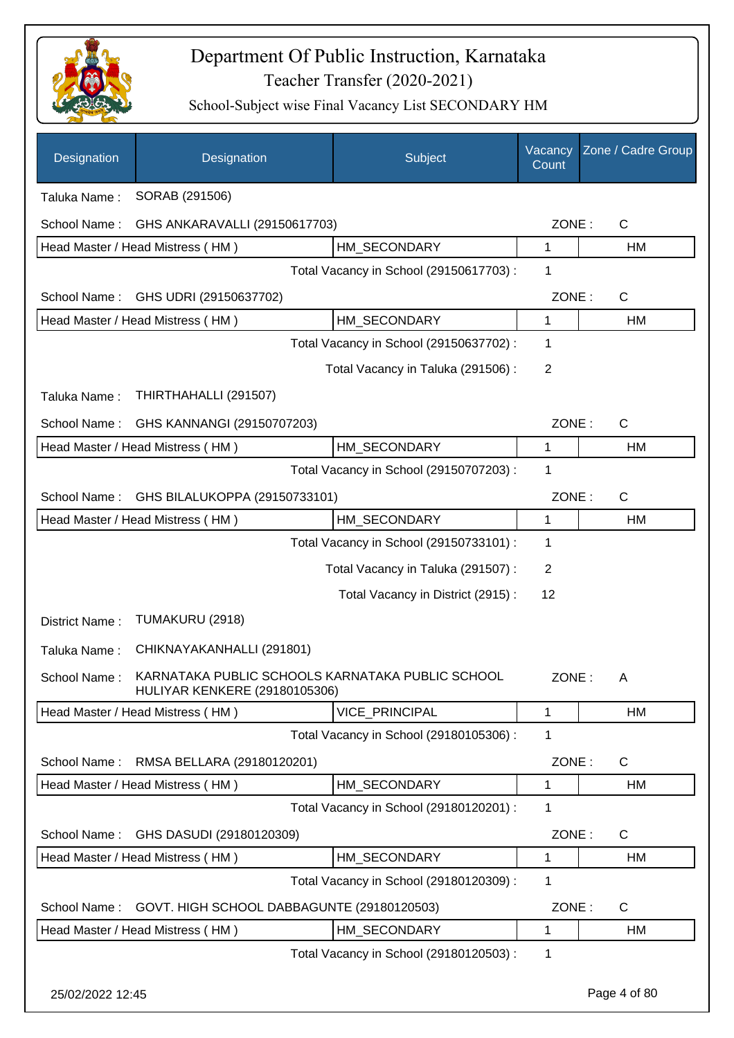

| Designation      | Designation                                                                              | Subject                                 | Vacancy<br>Count | Zone / Cadre Group |
|------------------|------------------------------------------------------------------------------------------|-----------------------------------------|------------------|--------------------|
| Taluka Name:     | SORAB (291506)                                                                           |                                         |                  |                    |
| School Name:     | GHS ANKARAVALLI (29150617703)                                                            |                                         | ZONE:            | C                  |
|                  | Head Master / Head Mistress (HM)                                                         | HM SECONDARY                            | 1                | HM                 |
|                  |                                                                                          | Total Vacancy in School (29150617703) : | 1                |                    |
| School Name:     | GHS UDRI (29150637702)                                                                   |                                         | ZONE:            | C                  |
|                  | Head Master / Head Mistress (HM)                                                         | HM_SECONDARY                            | 1                | HM                 |
|                  |                                                                                          | Total Vacancy in School (29150637702) : | 1                |                    |
|                  |                                                                                          | Total Vacancy in Taluka (291506):       | $\overline{2}$   |                    |
| Taluka Name:     | THIRTHAHALLI (291507)                                                                    |                                         |                  |                    |
| School Name:     | GHS KANNANGI (29150707203)                                                               |                                         | ZONE:            | C                  |
|                  | Head Master / Head Mistress (HM)                                                         | HM_SECONDARY                            | 1                | HM                 |
|                  |                                                                                          | Total Vacancy in School (29150707203) : | 1                |                    |
| School Name:     | GHS BILALUKOPPA (29150733101)                                                            |                                         | ZONE:            | $\mathsf{C}$       |
|                  | Head Master / Head Mistress (HM)                                                         | HM_SECONDARY                            | 1                | HM                 |
|                  |                                                                                          | Total Vacancy in School (29150733101) : | 1                |                    |
|                  |                                                                                          | Total Vacancy in Taluka (291507) :      | $\overline{2}$   |                    |
|                  |                                                                                          | Total Vacancy in District (2915):       | 12               |                    |
| District Name:   | TUMAKURU (2918)                                                                          |                                         |                  |                    |
| Taluka Name:     | CHIKNAYAKANHALLI (291801)                                                                |                                         |                  |                    |
| School Name:     | KARNATAKA PUBLIC SCHOOLS KARNATAKA PUBLIC SCHOOL<br><b>HULIYAR KENKERE (29180105306)</b> |                                         | ZONE :           | А                  |
|                  | Head Master / Head Mistress (HM)                                                         | <b>VICE PRINCIPAL</b>                   | 1                | HM                 |
|                  |                                                                                          | Total Vacancy in School (29180105306) : | 1                |                    |
| School Name:     | RMSA BELLARA (29180120201)                                                               |                                         | ZONE:            | C                  |
|                  | Head Master / Head Mistress (HM)                                                         | HM_SECONDARY                            | 1                | HM                 |
|                  |                                                                                          | Total Vacancy in School (29180120201) : | 1                |                    |
| School Name:     | GHS DASUDI (29180120309)                                                                 |                                         | ZONE:            | C                  |
|                  | Head Master / Head Mistress (HM)                                                         | HM_SECONDARY                            | 1                | HM                 |
|                  |                                                                                          | Total Vacancy in School (29180120309) : | 1                |                    |
| School Name:     | GOVT. HIGH SCHOOL DABBAGUNTE (29180120503)                                               |                                         | ZONE:            | C                  |
|                  | Head Master / Head Mistress (HM)                                                         | HM_SECONDARY                            | 1                | HM                 |
|                  |                                                                                          | Total Vacancy in School (29180120503) : | 1                |                    |
| 25/02/2022 12:45 |                                                                                          |                                         |                  | Page 4 of 80       |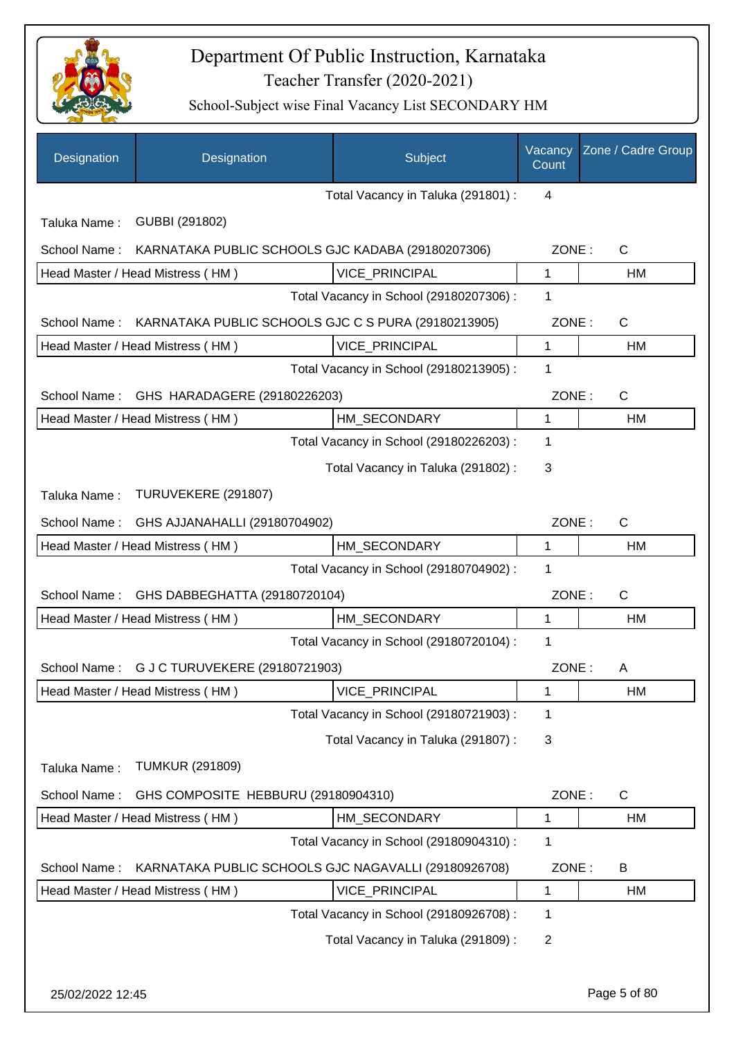

| Designation                      | Designation                                          | Subject                                 | Vacancy<br>Count | Zone / Cadre Group |
|----------------------------------|------------------------------------------------------|-----------------------------------------|------------------|--------------------|
|                                  |                                                      | Total Vacancy in Taluka (291801) :      | 4                |                    |
| Taluka Name:                     | GUBBI (291802)                                       |                                         |                  |                    |
| School Name:                     | KARNATAKA PUBLIC SCHOOLS GJC KADABA (29180207306)    |                                         | ZONE:            | $\mathsf{C}$       |
| Head Master / Head Mistress (HM) |                                                      | VICE_PRINCIPAL                          | 1                | НM                 |
|                                  |                                                      | Total Vacancy in School (29180207306) : | 1                |                    |
| School Name:                     | KARNATAKA PUBLIC SCHOOLS GJC C S PURA (29180213905)  |                                         | ZONE:            | $\mathsf{C}$       |
| Head Master / Head Mistress (HM) |                                                      | <b>VICE PRINCIPAL</b>                   | 1                | HM                 |
|                                  |                                                      | Total Vacancy in School (29180213905) : | 1                |                    |
| School Name:                     | GHS HARADAGERE (29180226203)                         |                                         | ZONE:            | C                  |
| Head Master / Head Mistress (HM) |                                                      | HM SECONDARY                            | $\mathbf{1}$     | HM                 |
|                                  |                                                      | Total Vacancy in School (29180226203) : | 1                |                    |
|                                  |                                                      | Total Vacancy in Taluka (291802):       | 3                |                    |
| Taluka Name:                     | TURUVEKERE (291807)                                  |                                         |                  |                    |
| School Name:                     | GHS AJJANAHALLI (29180704902)                        |                                         | ZONE:            | $\mathsf{C}$       |
| Head Master / Head Mistress (HM) |                                                      | HM_SECONDARY                            | $\mathbf{1}$     | <b>HM</b>          |
|                                  |                                                      | Total Vacancy in School (29180704902) : | 1                |                    |
| School Name:                     | GHS DABBEGHATTA (29180720104)                        |                                         | ZONE:            | $\mathsf{C}$       |
| Head Master / Head Mistress (HM) |                                                      | HM_SECONDARY                            | 1                | HM                 |
|                                  |                                                      | Total Vacancy in School (29180720104) : | 1                |                    |
| School Name:                     | G J C TURUVEKERE (29180721903)                       |                                         | ZONE:            | A                  |
| Head Master / Head Mistress (HM) |                                                      | VICE_PRINCIPAL                          | 1                | HM                 |
|                                  |                                                      | Total Vacancy in School (29180721903) : | 1                |                    |
|                                  |                                                      | Total Vacancy in Taluka (291807) :      | 3                |                    |
| Taluka Name:                     | <b>TUMKUR (291809)</b>                               |                                         |                  |                    |
| School Name:                     | GHS COMPOSITE HEBBURU (29180904310)                  |                                         | ZONE:            | $\mathsf{C}$       |
| Head Master / Head Mistress (HM) |                                                      | HM_SECONDARY                            | 1                | HM                 |
|                                  |                                                      | Total Vacancy in School (29180904310) : | 1                |                    |
| School Name:                     | KARNATAKA PUBLIC SCHOOLS GJC NAGAVALLI (29180926708) |                                         | ZONE:            | B                  |
| Head Master / Head Mistress (HM) |                                                      | VICE_PRINCIPAL                          | 1                | HM                 |
|                                  |                                                      | Total Vacancy in School (29180926708) : | 1                |                    |
|                                  |                                                      | Total Vacancy in Taluka (291809):       | $\overline{c}$   |                    |
|                                  |                                                      |                                         |                  |                    |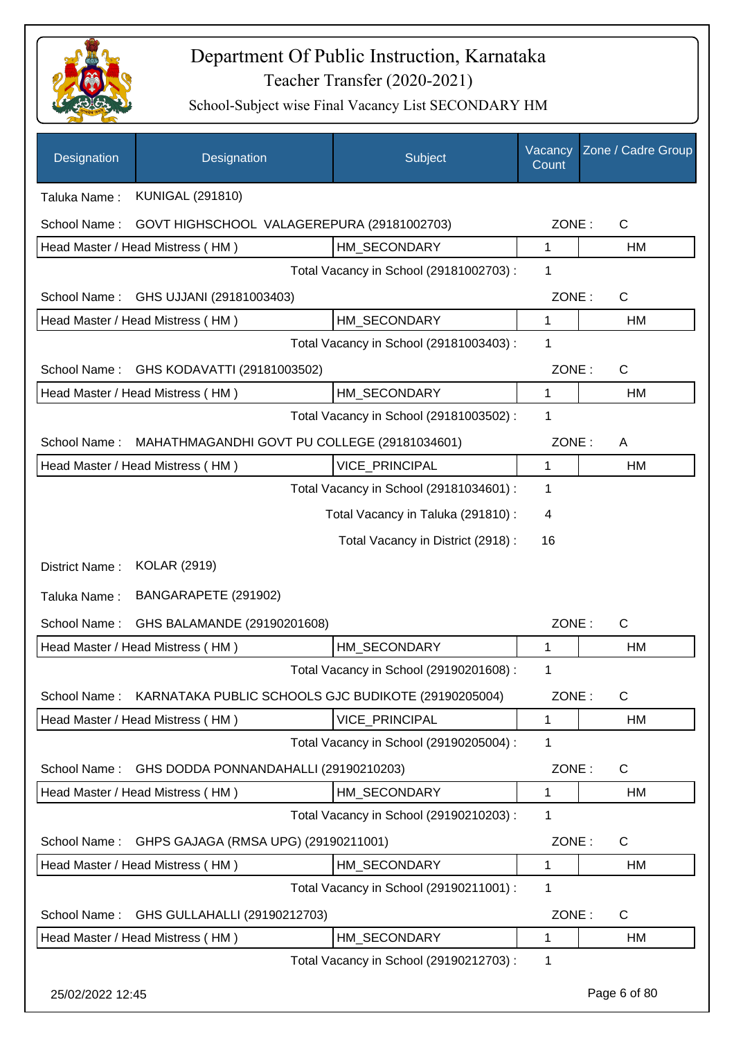

| Designation      | Designation                                         | Subject                                 | Vacancy<br>Count | Zone / Cadre Group |
|------------------|-----------------------------------------------------|-----------------------------------------|------------------|--------------------|
| Taluka Name:     | <b>KUNIGAL (291810)</b>                             |                                         |                  |                    |
| School Name:     | GOVT HIGHSCHOOL VALAGEREPURA (29181002703)          |                                         | ZONE:            | $\mathsf{C}$       |
|                  | Head Master / Head Mistress (HM)                    | HM SECONDARY                            | 1                | HM                 |
|                  |                                                     | Total Vacancy in School (29181002703) : | 1                |                    |
| School Name:     | GHS UJJANI (29181003403)                            |                                         | ZONE:            | $\mathsf{C}$       |
|                  | Head Master / Head Mistress (HM)                    | HM SECONDARY                            | 1                | HM                 |
|                  |                                                     | Total Vacancy in School (29181003403) : | 1                |                    |
| School Name:     | GHS KODAVATTI (29181003502)                         |                                         | ZONE:            | $\mathsf{C}$       |
|                  | Head Master / Head Mistress (HM)                    | HM_SECONDARY                            | $\mathbf{1}$     | HM                 |
|                  |                                                     | Total Vacancy in School (29181003502) : | 1                |                    |
| School Name:     | MAHATHMAGANDHI GOVT PU COLLEGE (29181034601)        |                                         | ZONE:            | A                  |
|                  | Head Master / Head Mistress (HM)                    | VICE_PRINCIPAL                          | 1                | <b>HM</b>          |
|                  |                                                     | Total Vacancy in School (29181034601) : | 1                |                    |
|                  |                                                     | Total Vacancy in Taluka (291810) :      | 4                |                    |
|                  |                                                     | Total Vacancy in District (2918) :      | 16               |                    |
| District Name:   | <b>KOLAR (2919)</b>                                 |                                         |                  |                    |
| Taluka Name:     | BANGARAPETE (291902)                                |                                         |                  |                    |
| School Name:     | GHS BALAMANDE (29190201608)                         |                                         | ZONE:            | $\mathsf{C}$       |
|                  | Head Master / Head Mistress (HM)                    | HM SECONDARY                            | 1                | HM                 |
|                  |                                                     | Total Vacancy in School (29190201608) : | 1                |                    |
| School Name:     | KARNATAKA PUBLIC SCHOOLS GJC BUDIKOTE (29190205004) |                                         | ZONE:            | $\mathsf{C}$       |
|                  | Head Master / Head Mistress (HM)                    | <b>VICE PRINCIPAL</b>                   | $\mathbf{1}$     | HM                 |
|                  |                                                     | Total Vacancy in School (29190205004) : | 1                |                    |
| School Name:     | GHS DODDA PONNANDAHALLI (29190210203)               |                                         | ZONE:            | $\mathsf{C}$       |
|                  | Head Master / Head Mistress (HM)                    | HM_SECONDARY                            | 1                | HM                 |
|                  |                                                     | Total Vacancy in School (29190210203):  | 1                |                    |
| School Name:     | GHPS GAJAGA (RMSA UPG) (29190211001)                |                                         | ZONE:            | C                  |
|                  | Head Master / Head Mistress (HM)                    | HM_SECONDARY                            | 1                | HM                 |
|                  |                                                     | Total Vacancy in School (29190211001) : | 1                |                    |
| School Name:     | GHS GULLAHALLI (29190212703)                        |                                         | ZONE:            | C                  |
|                  | Head Master / Head Mistress (HM)                    | HM_SECONDARY                            | 1                | HM                 |
|                  |                                                     | Total Vacancy in School (29190212703) : | 1                |                    |
| 25/02/2022 12:45 |                                                     |                                         |                  | Page 6 of 80       |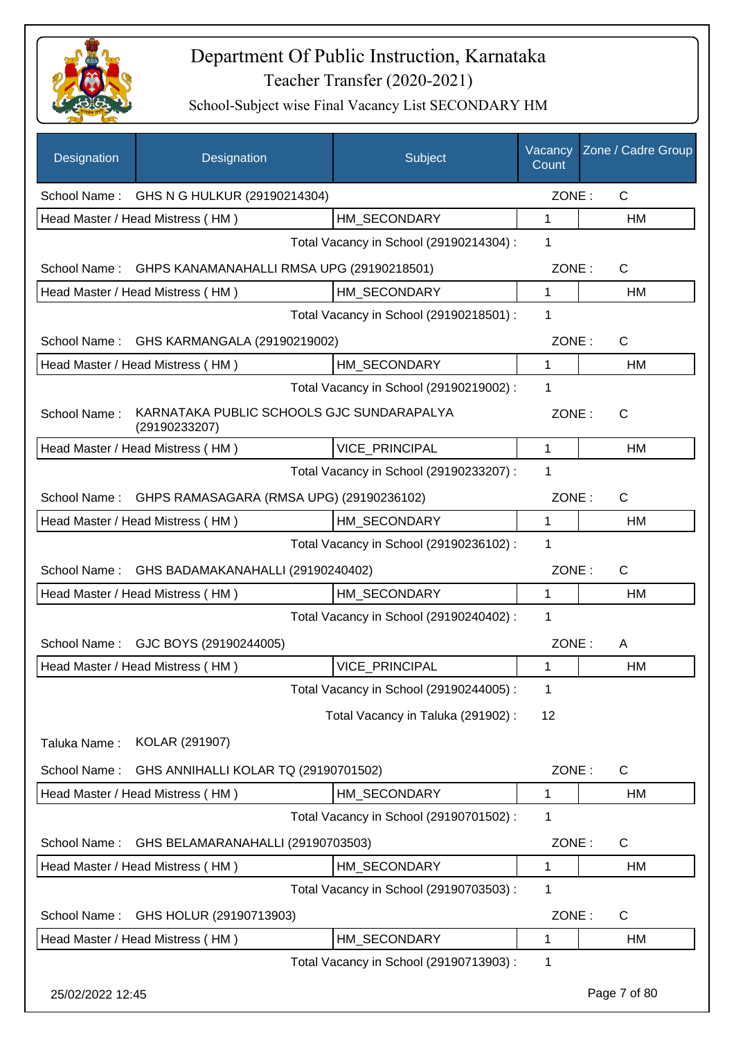

| Designation      | Designation                                                | Subject                                 | Vacancy<br>Count | Zone / Cadre Group |
|------------------|------------------------------------------------------------|-----------------------------------------|------------------|--------------------|
|                  | School Name: GHS N G HULKUR (29190214304)                  |                                         | ZONE:            | $\mathsf{C}$       |
|                  | Head Master / Head Mistress (HM)                           | HM SECONDARY                            | $\mathbf{1}$     | HM                 |
|                  |                                                            | Total Vacancy in School (29190214304) : | 1                |                    |
|                  | School Name: GHPS KANAMANAHALLI RMSA UPG (29190218501)     |                                         | ZONE:            | $\mathsf{C}$       |
|                  | Head Master / Head Mistress (HM)                           | HM SECONDARY                            | 1                | HM                 |
|                  |                                                            | Total Vacancy in School (29190218501) : | 1                |                    |
| School Name:     | GHS KARMANGALA (29190219002)                               |                                         | ZONE:            | $\mathsf{C}$       |
|                  | Head Master / Head Mistress (HM)                           | HM_SECONDARY                            | $\mathbf{1}$     | <b>HM</b>          |
|                  |                                                            | Total Vacancy in School (29190219002) : | 1                |                    |
| School Name:     | KARNATAKA PUBLIC SCHOOLS GJC SUNDARAPALYA<br>(29190233207) |                                         | ZONE:            | C                  |
|                  | Head Master / Head Mistress (HM)                           | <b>VICE PRINCIPAL</b>                   | $\mathbf 1$      | <b>HM</b>          |
|                  |                                                            | Total Vacancy in School (29190233207) : | 1                |                    |
| School Name:     | GHPS RAMASAGARA (RMSA UPG) (29190236102)                   |                                         | ZONE:            | C                  |
|                  | Head Master / Head Mistress (HM)                           | HM_SECONDARY                            | 1                | HM                 |
|                  |                                                            | Total Vacancy in School (29190236102) : | 1                |                    |
| School Name:     | GHS BADAMAKANAHALLI (29190240402)                          |                                         | ZONE:            | $\mathsf{C}$       |
|                  | Head Master / Head Mistress (HM)                           | HM_SECONDARY                            | 1                | HM                 |
|                  |                                                            | Total Vacancy in School (29190240402) : | 1                |                    |
|                  | School Name: GJC BOYS (29190244005)                        |                                         | ZONE:            | A                  |
|                  | Head Master / Head Mistress (HM)                           | VICE_PRINCIPAL                          | 1                | <b>HM</b>          |
|                  |                                                            | Total Vacancy in School (29190244005) : | 1                |                    |
|                  |                                                            | Total Vacancy in Taluka (291902) :      | 12               |                    |
| Taluka Name:     | KOLAR (291907)                                             |                                         |                  |                    |
| School Name:     | GHS ANNIHALLI KOLAR TQ (29190701502)                       |                                         | ZONE:            | $\mathsf{C}$       |
|                  | Head Master / Head Mistress (HM)                           | HM_SECONDARY                            | 1                | HM                 |
|                  |                                                            | Total Vacancy in School (29190701502) : | 1                |                    |
| School Name:     | GHS BELAMARANAHALLI (29190703503)                          |                                         | ZONE:            | $\mathsf{C}$       |
|                  | Head Master / Head Mistress (HM)                           | HM_SECONDARY                            | 1                | HM                 |
|                  |                                                            | Total Vacancy in School (29190703503) : | 1                |                    |
| School Name:     | GHS HOLUR (29190713903)                                    |                                         | ZONE:            | $\mathsf{C}$       |
|                  | Head Master / Head Mistress (HM)                           | HM_SECONDARY                            | 1                | HM                 |
|                  |                                                            | Total Vacancy in School (29190713903) : | 1                |                    |
| 25/02/2022 12:45 |                                                            |                                         |                  | Page 7 of 80       |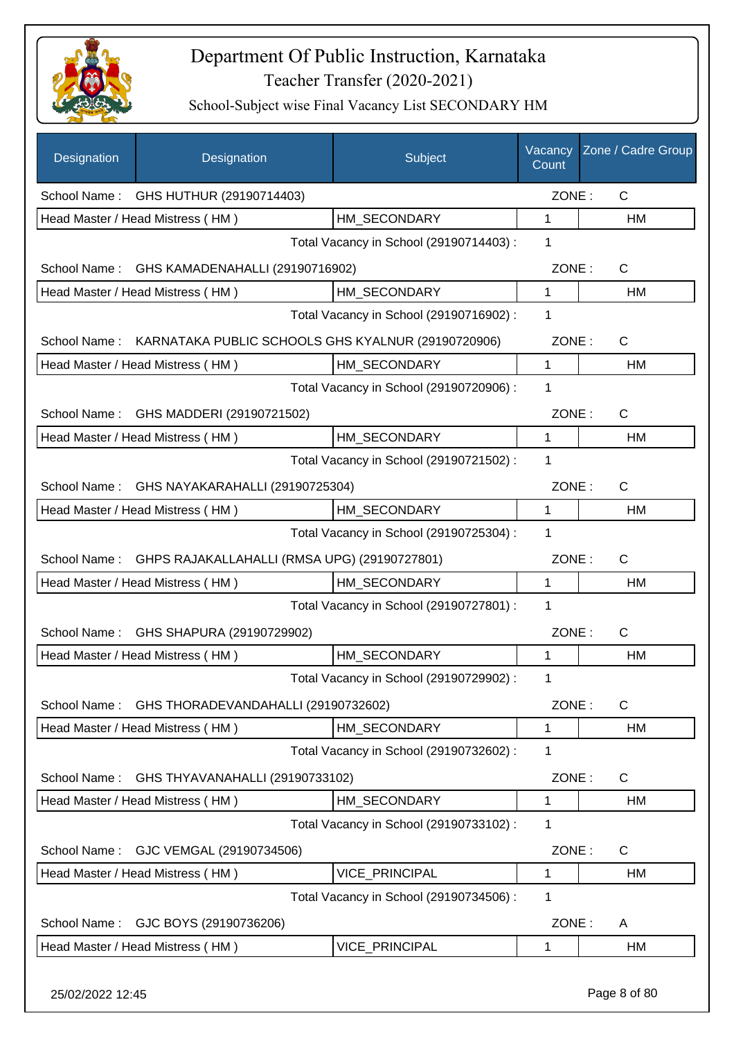

| Designation      | Designation                                      | Subject                                                         | Vacancy<br>Count | Zone / Cadre Group |
|------------------|--------------------------------------------------|-----------------------------------------------------------------|------------------|--------------------|
|                  | School Name: GHS HUTHUR (29190714403)            |                                                                 | ZONE:            | $\mathsf{C}$       |
|                  | Head Master / Head Mistress (HM)                 | HM SECONDARY                                                    | 1                | HM                 |
|                  |                                                  | Total Vacancy in School (29190714403) :                         | 1                |                    |
|                  | School Name: GHS KAMADENAHALLI (29190716902)     |                                                                 | ZONE:            | $\mathsf{C}$       |
|                  | Head Master / Head Mistress (HM)                 | HM SECONDARY                                                    | 1                | HM                 |
|                  |                                                  | Total Vacancy in School (29190716902) :                         | 1                |                    |
|                  |                                                  | School Name: KARNATAKA PUBLIC SCHOOLS GHS KYALNUR (29190720906) | ZONE:            | $\mathsf{C}$       |
|                  | Head Master / Head Mistress (HM)                 | HM_SECONDARY                                                    | $\mathbf{1}$     | HM                 |
|                  |                                                  | Total Vacancy in School (29190720906) :                         | 1                |                    |
| School Name:     | GHS MADDERI (29190721502)                        |                                                                 | ZONE:            | $\mathsf{C}$       |
|                  | Head Master / Head Mistress (HM)                 | HM_SECONDARY                                                    | $\mathbf{1}$     | HM                 |
|                  |                                                  | Total Vacancy in School (29190721502) :                         | 1                |                    |
|                  | School Name: GHS NAYAKARAHALLI (29190725304)     |                                                                 | ZONE:            | $\mathsf{C}$       |
|                  | Head Master / Head Mistress (HM)                 | HM_SECONDARY                                                    | 1                | HM                 |
|                  |                                                  | Total Vacancy in School (29190725304) :                         | 1                |                    |
| School Name:     | GHPS RAJAKALLAHALLI (RMSA UPG) (29190727801)     |                                                                 | ZONE:            | $\mathsf{C}$       |
|                  | Head Master / Head Mistress (HM)                 | HM_SECONDARY                                                    | 1                | HM                 |
|                  |                                                  | Total Vacancy in School (29190727801) :                         | 1                |                    |
| School Name:     | GHS SHAPURA (29190729902)                        |                                                                 | ZONE:            | $\mathsf{C}$       |
|                  | Head Master / Head Mistress (HM)                 | HM SECONDARY                                                    | 1                | <b>HM</b>          |
|                  |                                                  | Total Vacancy in School (29190729902) :                         | 1                |                    |
|                  | School Name: GHS THORADEVANDAHALLI (29190732602) |                                                                 | ZONE:            | $\mathsf{C}$       |
|                  | Head Master / Head Mistress (HM)                 | HM_SECONDARY                                                    | 1                | HM                 |
|                  |                                                  | Total Vacancy in School (29190732602) :                         | 1                |                    |
| School Name:     | GHS THYAVANAHALLI (29190733102)                  |                                                                 | ZONE:            | $\mathsf{C}$       |
|                  | Head Master / Head Mistress (HM)                 | HM_SECONDARY                                                    | 1                | HM                 |
|                  |                                                  | Total Vacancy in School (29190733102) :                         | 1                |                    |
| School Name:     | GJC VEMGAL (29190734506)                         |                                                                 | ZONE:            | $\mathsf{C}$       |
|                  | Head Master / Head Mistress (HM)                 | VICE_PRINCIPAL                                                  | 1                | HM                 |
|                  |                                                  | Total Vacancy in School (29190734506) :                         | 1                |                    |
| School Name:     | GJC BOYS (29190736206)                           |                                                                 | ZONE:            | A                  |
|                  | Head Master / Head Mistress (HM)                 | VICE_PRINCIPAL                                                  | 1                | HM                 |
| 25/02/2022 12:45 |                                                  |                                                                 |                  | Page 8 of 80       |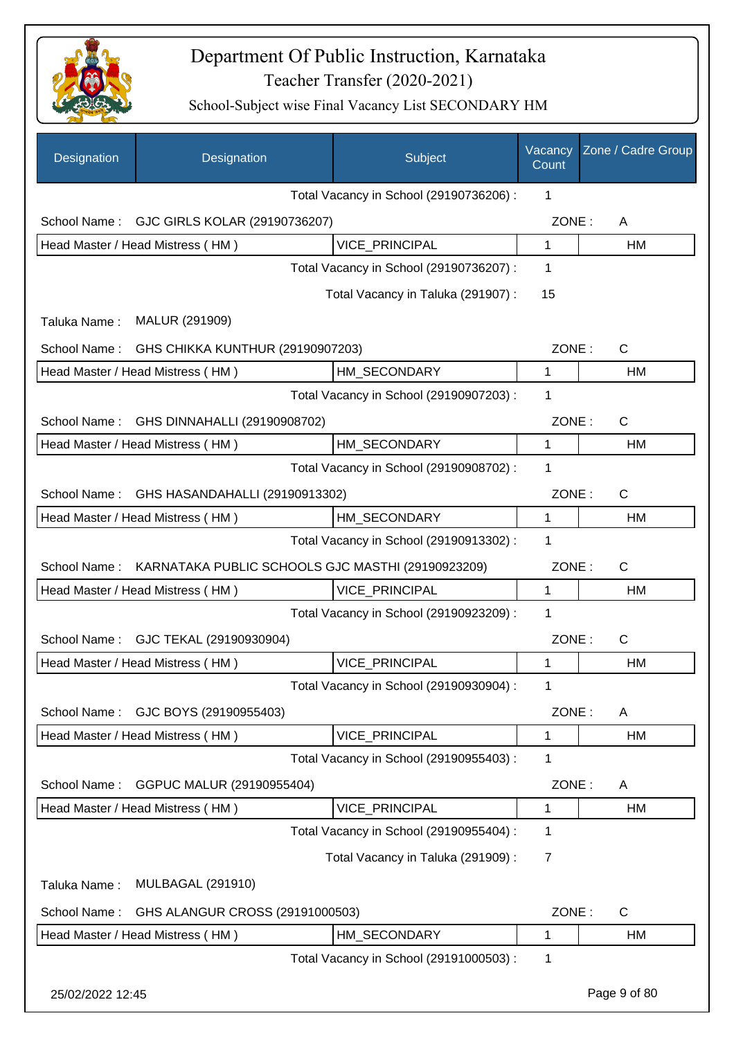

| Designation      | Designation                                       | Subject                                 | Vacancy<br>Count | Zone / Cadre Group |
|------------------|---------------------------------------------------|-----------------------------------------|------------------|--------------------|
|                  |                                                   | Total Vacancy in School (29190736206) : | $\mathbf 1$      |                    |
| School Name:     | GJC GIRLS KOLAR (29190736207)                     |                                         | ZONE:            | A                  |
|                  | Head Master / Head Mistress (HM)                  | VICE_PRINCIPAL                          | 1                | HM                 |
|                  |                                                   | Total Vacancy in School (29190736207) : | 1                |                    |
|                  |                                                   | Total Vacancy in Taluka (291907) :      | 15               |                    |
| Taluka Name:     | MALUR (291909)                                    |                                         |                  |                    |
| School Name:     | GHS CHIKKA KUNTHUR (29190907203)                  |                                         | ZONE:            | $\mathsf{C}$       |
|                  | Head Master / Head Mistress (HM)                  | HM_SECONDARY                            | 1                | HM                 |
|                  |                                                   | Total Vacancy in School (29190907203) : | 1                |                    |
| School Name:     | GHS DINNAHALLI (29190908702)                      |                                         | ZONE:            | $\mathsf{C}$       |
|                  | Head Master / Head Mistress (HM)                  | HM_SECONDARY                            | 1                | HM                 |
|                  |                                                   | Total Vacancy in School (29190908702) : | 1                |                    |
| School Name:     | GHS HASANDAHALLI (29190913302)                    |                                         | ZONE:            | $\mathsf{C}$       |
|                  | Head Master / Head Mistress (HM)                  | HM_SECONDARY                            | 1                | <b>HM</b>          |
|                  |                                                   | Total Vacancy in School (29190913302) : | 1                |                    |
| School Name:     | KARNATAKA PUBLIC SCHOOLS GJC MASTHI (29190923209) |                                         | ZONE:            | $\mathsf{C}$       |
|                  | Head Master / Head Mistress (HM)                  | <b>VICE PRINCIPAL</b>                   | 1                | HM                 |
|                  |                                                   | Total Vacancy in School (29190923209) : | 1                |                    |
| School Name:     | GJC TEKAL (29190930904)                           |                                         | ZONE:            | $\mathsf{C}$       |
|                  | Head Master / Head Mistress (HM)                  | VICE_PRINCIPAL                          | 1                | <b>HM</b>          |
|                  |                                                   | Total Vacancy in School (29190930904) : | 1                |                    |
| School Name:     | GJC BOYS (29190955403)                            |                                         | ZONE:            | A                  |
|                  | Head Master / Head Mistress (HM)                  | VICE_PRINCIPAL                          | 1                | HM                 |
|                  |                                                   | Total Vacancy in School (29190955403) : | 1                |                    |
| School Name:     | GGPUC MALUR (29190955404)                         |                                         | ZONE:            | A                  |
|                  | Head Master / Head Mistress (HM)                  | VICE_PRINCIPAL                          | 1                | HM                 |
|                  |                                                   | Total Vacancy in School (29190955404) : | 1                |                    |
|                  |                                                   | Total Vacancy in Taluka (291909):       | 7                |                    |
| Taluka Name:     | <b>MULBAGAL (291910)</b>                          |                                         |                  |                    |
| School Name:     | GHS ALANGUR CROSS (29191000503)                   |                                         | ZONE:            | C                  |
|                  | Head Master / Head Mistress (HM)                  | HM_SECONDARY                            | 1                | HM                 |
|                  |                                                   | Total Vacancy in School (29191000503) : | 1                |                    |
| 25/02/2022 12:45 |                                                   |                                         |                  | Page 9 of 80       |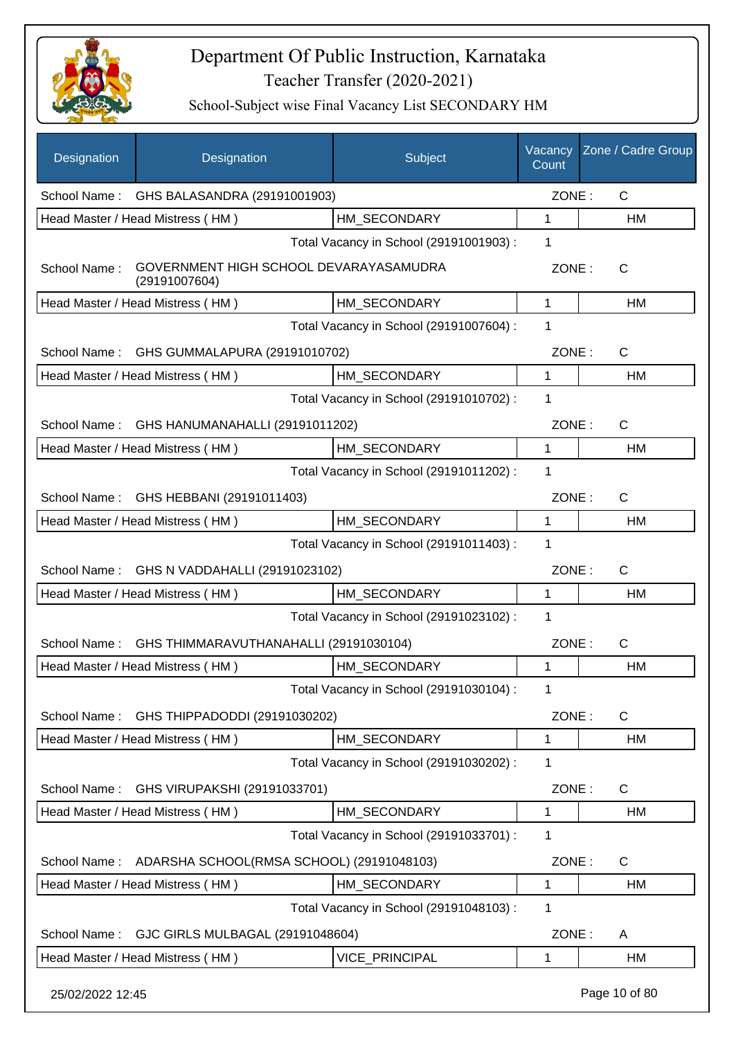

| Designation      | Designation                                             | Subject                                 | Vacancy<br>Count | Zone / Cadre Group |
|------------------|---------------------------------------------------------|-----------------------------------------|------------------|--------------------|
|                  | School Name: GHS BALASANDRA (29191001903)               |                                         | ZONE:            | $\mathsf{C}$       |
|                  | Head Master / Head Mistress (HM)                        | HM SECONDARY                            | 1                | HM                 |
|                  |                                                         | Total Vacancy in School (29191001903) : | 1                |                    |
| School Name:     | GOVERNMENT HIGH SCHOOL DEVARAYASAMUDRA<br>(29191007604) |                                         | ZONE:            | C                  |
|                  | Head Master / Head Mistress (HM)                        | HM_SECONDARY                            | 1                | HM                 |
|                  |                                                         | Total Vacancy in School (29191007604) : | 1                |                    |
| School Name:     | GHS GUMMALAPURA (29191010702)                           |                                         | ZONE:            | $\mathsf{C}$       |
|                  | Head Master / Head Mistress (HM)                        | HM_SECONDARY                            | $\mathbf 1$      | HM                 |
|                  |                                                         | Total Vacancy in School (29191010702) : | 1                |                    |
| School Name:     | GHS HANUMANAHALLI (29191011202)                         |                                         | ZONE:            | $\mathsf{C}$       |
|                  | Head Master / Head Mistress (HM)                        | HM SECONDARY                            | 1                | <b>HM</b>          |
|                  |                                                         | Total Vacancy in School (29191011202) : | 1                |                    |
|                  | School Name: GHS HEBBANI (29191011403)                  |                                         | ZONE:            | C                  |
|                  | Head Master / Head Mistress (HM)                        | HM_SECONDARY                            | 1                | HM                 |
|                  |                                                         | Total Vacancy in School (29191011403) : | 1                |                    |
|                  | School Name: GHS N VADDAHALLI (29191023102)             |                                         | ZONE:            | $\mathsf{C}$       |
|                  | Head Master / Head Mistress (HM)                        | HM_SECONDARY                            | 1                | HM                 |
|                  |                                                         | Total Vacancy in School (29191023102) : | 1                |                    |
| School Name:     | GHS THIMMARAVUTHANAHALLI (29191030104)                  |                                         | ZONE:            | C                  |
|                  | Head Master / Head Mistress (HM)                        | HM SECONDARY                            | 1                | <b>HM</b>          |
|                  |                                                         | Total Vacancy in School (29191030104) : | 1                |                    |
|                  |                                                         |                                         |                  |                    |
| School Name:     | GHS THIPPADODDI (29191030202)                           |                                         | ZONE:            | C                  |
|                  | Head Master / Head Mistress (HM)                        | HM_SECONDARY                            | 1                | HM                 |
|                  |                                                         | Total Vacancy in School (29191030202) : | 1                |                    |
| School Name:     | GHS VIRUPAKSHI (29191033701)                            |                                         | ZONE:            | C                  |
|                  | Head Master / Head Mistress (HM)                        | HM_SECONDARY                            | 1                | HM                 |
|                  |                                                         | Total Vacancy in School (29191033701) : | 1                |                    |
| School Name:     | ADARSHA SCHOOL(RMSA SCHOOL) (29191048103)               |                                         | ZONE:            | C                  |
|                  | Head Master / Head Mistress (HM)                        | HM SECONDARY                            | 1                | HM                 |
|                  |                                                         | Total Vacancy in School (29191048103) : | 1                |                    |
| School Name:     | GJC GIRLS MULBAGAL (29191048604)                        |                                         | ZONE:            | A                  |
|                  | Head Master / Head Mistress (HM)                        | VICE_PRINCIPAL                          | 1                | HM                 |
| 25/02/2022 12:45 |                                                         |                                         |                  | Page 10 of 80      |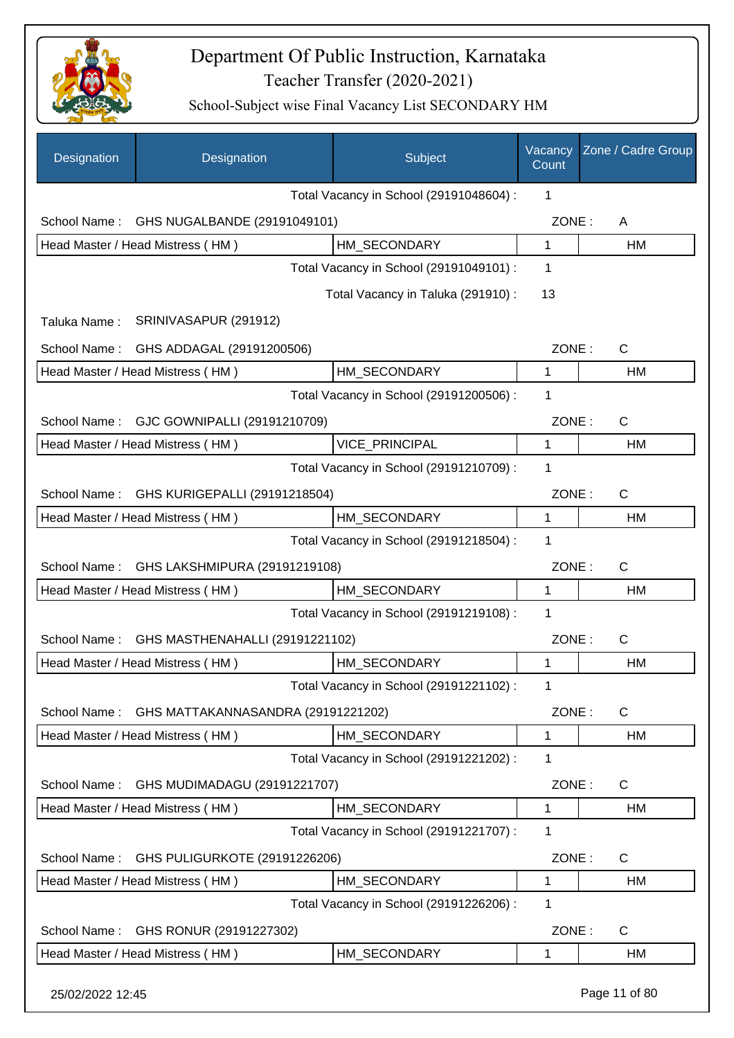

| Designation      | Designation                        | Subject                                 | Vacancy<br>Count | Zone / Cadre Group |
|------------------|------------------------------------|-----------------------------------------|------------------|--------------------|
|                  |                                    | Total Vacancy in School (29191048604) : | 1                |                    |
| School Name:     | GHS NUGALBANDE (29191049101)       |                                         | ZONE:            | A                  |
|                  | Head Master / Head Mistress (HM)   | HM SECONDARY                            | 1                | HM                 |
|                  |                                    | Total Vacancy in School (29191049101) : | 1                |                    |
|                  |                                    | Total Vacancy in Taluka (291910) :      | 13               |                    |
| Taluka Name:     | SRINIVASAPUR (291912)              |                                         |                  |                    |
| School Name:     | GHS ADDAGAL (29191200506)          |                                         | ZONE:            | $\mathsf{C}$       |
|                  | Head Master / Head Mistress (HM)   | HM_SECONDARY                            | 1                | HM                 |
|                  |                                    | Total Vacancy in School (29191200506) : | 1                |                    |
| School Name:     | GJC GOWNIPALLI (29191210709)       |                                         | ZONE:            | $\mathsf{C}$       |
|                  | Head Master / Head Mistress (HM)   | VICE_PRINCIPAL                          | 1                | HM                 |
|                  |                                    | Total Vacancy in School (29191210709) : | 1                |                    |
| School Name:     | GHS KURIGEPALLI (29191218504)      |                                         | ZONE:            | $\mathsf{C}$       |
|                  | Head Master / Head Mistress (HM)   | HM_SECONDARY                            | $\mathbf 1$      | HM                 |
|                  |                                    | Total Vacancy in School (29191218504) : | 1                |                    |
| School Name:     | GHS LAKSHMIPURA (29191219108)      |                                         | ZONE:            | $\mathsf{C}$       |
|                  | Head Master / Head Mistress (HM)   | HM_SECONDARY                            | 1                | HM                 |
|                  |                                    | Total Vacancy in School (29191219108) : | 1                |                    |
| School Name:     | GHS MASTHENAHALLI (29191221102)    |                                         | ZONE:            | $\mathsf{C}$       |
|                  | Head Master / Head Mistress (HM)   | HM_SECONDARY                            | 1                | HM                 |
|                  |                                    | Total Vacancy in School (29191221102) : | 1                |                    |
| School Name:     | GHS MATTAKANNASANDRA (29191221202) |                                         | ZONE:            | C                  |
|                  | Head Master / Head Mistress (HM)   | HM_SECONDARY                            | $\mathbf 1$      | HM                 |
|                  |                                    | Total Vacancy in School (29191221202) : | 1                |                    |
| School Name:     | GHS MUDIMADAGU (29191221707)       |                                         | ZONE:            | C                  |
|                  | Head Master / Head Mistress (HM)   | HM_SECONDARY                            | 1                | HM                 |
|                  |                                    | Total Vacancy in School (29191221707) : | 1                |                    |
| School Name:     | GHS PULIGURKOTE (29191226206)      |                                         | ZONE:            | $\mathsf{C}$       |
|                  | Head Master / Head Mistress (HM)   | HM_SECONDARY                            | $\mathbf 1$      | HM                 |
|                  |                                    | Total Vacancy in School (29191226206) : | 1                |                    |
| School Name:     | GHS RONUR (29191227302)            |                                         | ZONE:            | $\mathsf{C}$       |
|                  | Head Master / Head Mistress (HM)   | HM_SECONDARY                            | 1                | HM                 |
| 25/02/2022 12:45 |                                    |                                         |                  | Page 11 of 80      |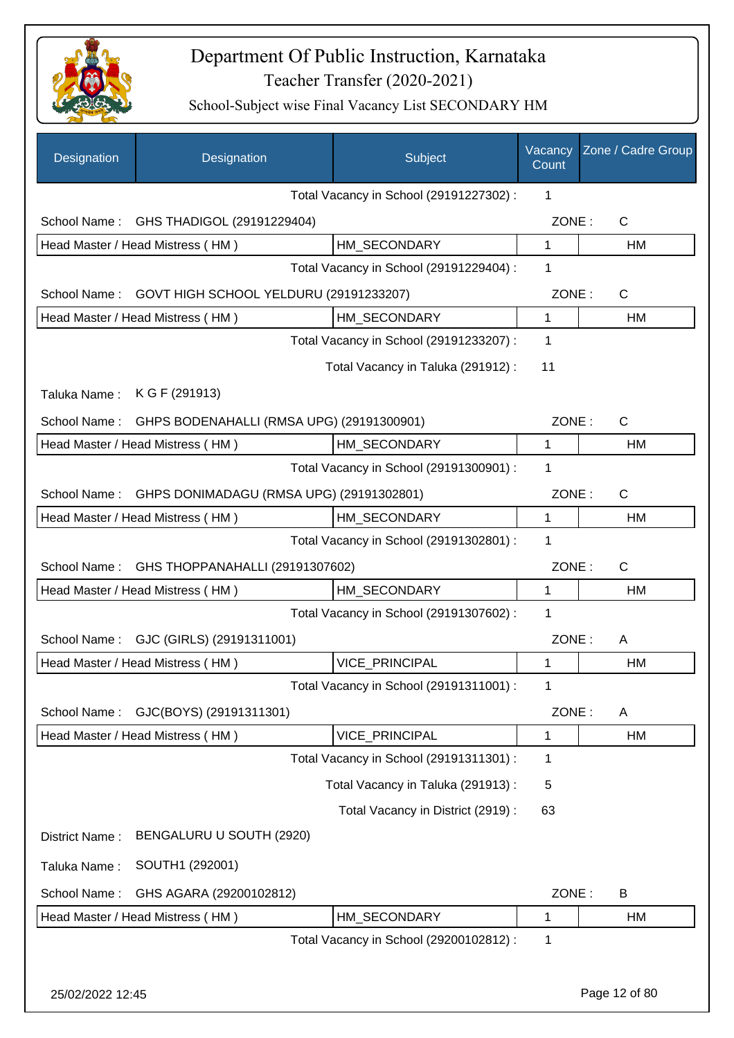

| Designation                 | Designation                               | Subject                                 | Vacancy<br>Count | Zone / Cadre Group |
|-----------------------------|-------------------------------------------|-----------------------------------------|------------------|--------------------|
|                             |                                           | Total Vacancy in School (29191227302) : | 1                |                    |
| School Name:                | GHS THADIGOL (29191229404)                |                                         | ZONE:            | C                  |
|                             | Head Master / Head Mistress (HM)          | HM SECONDARY                            | 1                | HM                 |
|                             |                                           | Total Vacancy in School (29191229404) : | 1                |                    |
| School Name:                | GOVT HIGH SCHOOL YELDURU (29191233207)    |                                         | ZONE:            | $\mathsf{C}$       |
|                             | Head Master / Head Mistress (HM)          | HM SECONDARY                            | 1                | HM                 |
|                             |                                           | Total Vacancy in School (29191233207) : | 1                |                    |
|                             |                                           | Total Vacancy in Taluka (291912):       | 11               |                    |
| Taluka Name: K G F (291913) |                                           |                                         |                  |                    |
| School Name:                | GHPS BODENAHALLI (RMSA UPG) (29191300901) |                                         | ZONE:            | $\mathsf{C}$       |
|                             | Head Master / Head Mistress (HM)          | HM SECONDARY                            | 1                | <b>HM</b>          |
|                             |                                           | Total Vacancy in School (29191300901) : | 1                |                    |
| School Name:                | GHPS DONIMADAGU (RMSA UPG) (29191302801)  |                                         | ZONE:            | $\mathsf{C}$       |
|                             | Head Master / Head Mistress (HM)          | HM_SECONDARY                            | 1                | HM                 |
|                             |                                           | Total Vacancy in School (29191302801) : | 1                |                    |
| School Name:                | GHS THOPPANAHALLI (29191307602)           |                                         | ZONE:            | $\mathsf{C}$       |
|                             | Head Master / Head Mistress (HM)          | HM_SECONDARY                            | 1                | HM                 |
|                             |                                           | Total Vacancy in School (29191307602) : | 1                |                    |
| School Name:                | GJC (GIRLS) (29191311001)                 |                                         | ZONE:            | A                  |
|                             | Head Master / Head Mistress (HM)          | <b>VICE PRINCIPAL</b>                   | 1                | <b>HM</b>          |
|                             |                                           | Total Vacancy in School (29191311001) : | 1                |                    |
| School Name:                | GJC(BOYS) (29191311301)                   |                                         | ZONE:            | A                  |
|                             | Head Master / Head Mistress (HM)          | VICE_PRINCIPAL                          | 1                | HM                 |
|                             |                                           | Total Vacancy in School (29191311301) : | 1                |                    |
|                             |                                           | Total Vacancy in Taluka (291913):       | 5                |                    |
|                             |                                           | Total Vacancy in District (2919) :      | 63               |                    |
| District Name:              | BENGALURU U SOUTH (2920)                  |                                         |                  |                    |
| Taluka Name:                | SOUTH1 (292001)                           |                                         |                  |                    |
| School Name:                | GHS AGARA (29200102812)                   |                                         | ZONE:            | B                  |
|                             | Head Master / Head Mistress (HM)          | HM_SECONDARY                            | 1                | HM                 |
|                             |                                           | Total Vacancy in School (29200102812) : | 1                |                    |
|                             |                                           |                                         |                  |                    |
| 25/02/2022 12:45            |                                           |                                         |                  | Page 12 of 80      |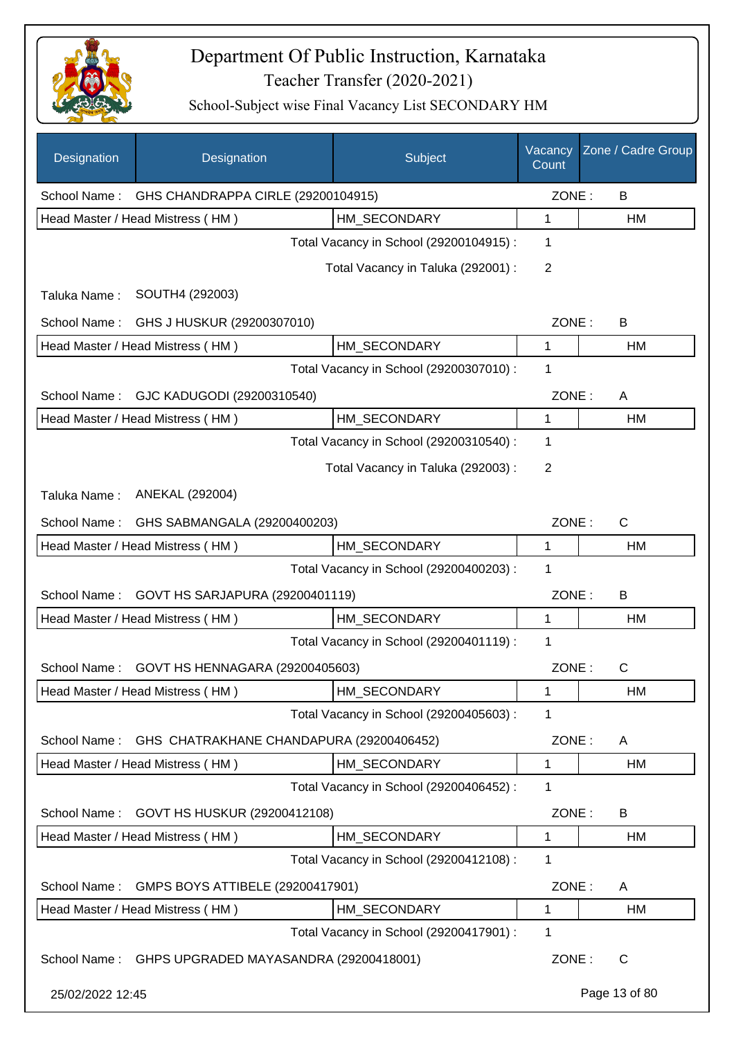

| Designation      | Designation                              | Subject                                 | Vacancy<br>Count | Zone / Cadre Group |
|------------------|------------------------------------------|-----------------------------------------|------------------|--------------------|
| School Name:     | GHS CHANDRAPPA CIRLE (29200104915)       |                                         | ZONE:            | B                  |
|                  | Head Master / Head Mistress (HM)         | HM SECONDARY                            | 1                | НM                 |
|                  |                                          | Total Vacancy in School (29200104915) : | 1                |                    |
|                  |                                          | Total Vacancy in Taluka (292001) :      | 2                |                    |
| Taluka Name:     | SOUTH4 (292003)                          |                                         |                  |                    |
| School Name:     | GHS J HUSKUR (29200307010)               |                                         | ZONE:            | B                  |
|                  | Head Master / Head Mistress (HM)         | HM_SECONDARY                            | 1                | НM                 |
|                  |                                          | Total Vacancy in School (29200307010) : | 1                |                    |
| School Name:     | GJC KADUGODI (29200310540)               |                                         | ZONE:            | A                  |
|                  | Head Master / Head Mistress (HM)         | HM_SECONDARY                            | 1                | НM                 |
|                  |                                          | Total Vacancy in School (29200310540) : | 1                |                    |
|                  |                                          | Total Vacancy in Taluka (292003) :      | 2                |                    |
| Taluka Name:     | ANEKAL (292004)                          |                                         |                  |                    |
| School Name:     | GHS SABMANGALA (29200400203)             |                                         | ZONE:            | C                  |
|                  | Head Master / Head Mistress (HM)         | HM SECONDARY                            | 1                | НM                 |
|                  |                                          | Total Vacancy in School (29200400203) : | 1                |                    |
| School Name:     | GOVT HS SARJAPURA (29200401119)          |                                         | ZONE:            | B                  |
|                  | Head Master / Head Mistress (HM)         | HM SECONDARY                            | 1                | HM                 |
|                  |                                          | Total Vacancy in School (29200401119) : | 1                |                    |
| School Name:     | GOVT HS HENNAGARA (29200405603)          |                                         | ZONE:            | $\mathsf{C}$       |
|                  | Head Master / Head Mistress (HM)         | HM_SECONDARY                            | 1                | HM                 |
|                  |                                          | Total Vacancy in School (29200405603) : | 1                |                    |
| School Name:     | GHS CHATRAKHANE CHANDAPURA (29200406452) |                                         | ZONE:            | A                  |
|                  | Head Master / Head Mistress (HM)         | HM_SECONDARY                            | 1                | <b>HM</b>          |
|                  |                                          | Total Vacancy in School (29200406452) : | 1                |                    |
| School Name:     | GOVT HS HUSKUR (29200412108)             |                                         | ZONE:            | B                  |
|                  | Head Master / Head Mistress (HM)         | HM_SECONDARY                            | 1                | HM                 |
|                  |                                          | Total Vacancy in School (29200412108) : | 1                |                    |
| School Name:     | GMPS BOYS ATTIBELE (29200417901)         |                                         | ZONE:            | A                  |
|                  | Head Master / Head Mistress (HM)         | HM_SECONDARY                            | 1                | HM                 |
|                  |                                          | Total Vacancy in School (29200417901) : | 1                |                    |
| School Name:     | GHPS UPGRADED MAYASANDRA (29200418001)   |                                         | ZONE:            | C                  |
| 25/02/2022 12:45 |                                          |                                         |                  | Page 13 of 80      |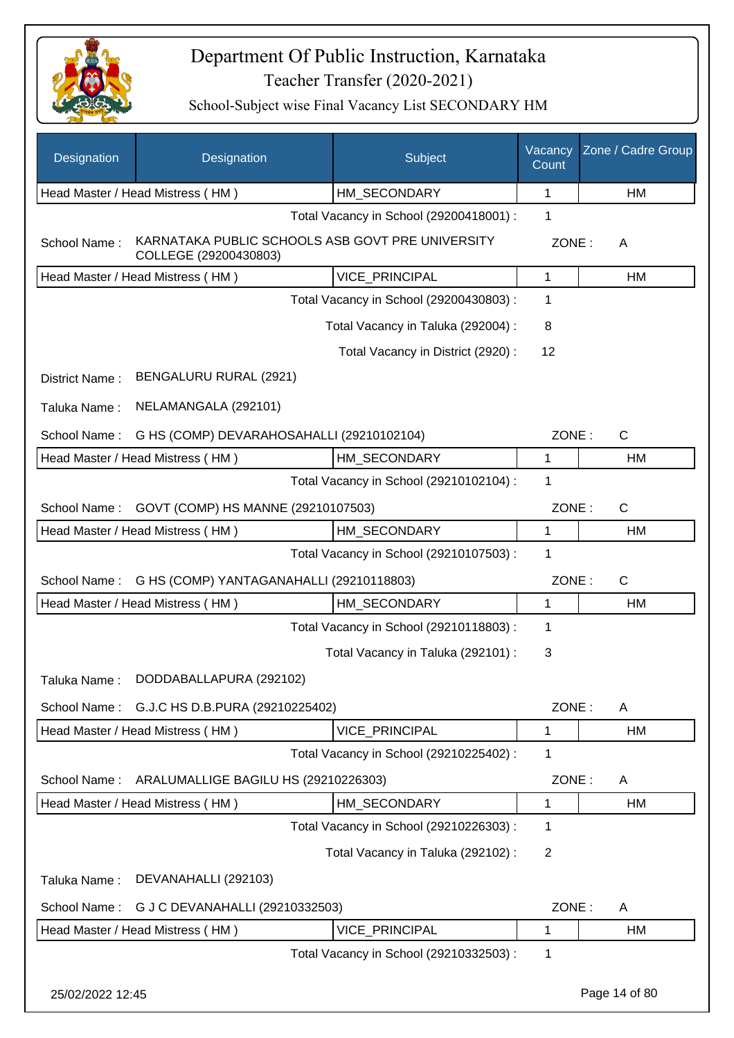

| Designation      | Designation                                                               | Subject                                 | Vacancy<br>Count | Zone / Cadre Group |
|------------------|---------------------------------------------------------------------------|-----------------------------------------|------------------|--------------------|
|                  | Head Master / Head Mistress (HM)                                          | HM_SECONDARY                            | 1                | HM                 |
|                  |                                                                           | Total Vacancy in School (29200418001) : | 1                |                    |
| School Name:     | KARNATAKA PUBLIC SCHOOLS ASB GOVT PRE UNIVERSITY<br>COLLEGE (29200430803) |                                         | ZONE:            | A                  |
|                  | Head Master / Head Mistress (HM)                                          | VICE_PRINCIPAL                          | $\mathbf{1}$     | HM                 |
|                  |                                                                           | Total Vacancy in School (29200430803) : | 1                |                    |
|                  |                                                                           | Total Vacancy in Taluka (292004) :      | 8                |                    |
|                  |                                                                           | Total Vacancy in District (2920) :      | 12               |                    |
| District Name:   | BENGALURU RURAL (2921)                                                    |                                         |                  |                    |
| Taluka Name:     | NELAMANGALA (292101)                                                      |                                         |                  |                    |
| School Name:     | G HS (COMP) DEVARAHOSAHALLI (29210102104)                                 |                                         | ZONE:            | C                  |
|                  | Head Master / Head Mistress (HM)                                          | HM SECONDARY                            | 1                | HM                 |
|                  |                                                                           | Total Vacancy in School (29210102104) : | 1                |                    |
| School Name:     | GOVT (COMP) HS MANNE (29210107503)                                        |                                         | ZONE:            | $\mathsf{C}$       |
|                  | Head Master / Head Mistress (HM)                                          | HM SECONDARY                            | $\mathbf{1}$     | HM                 |
|                  |                                                                           | Total Vacancy in School (29210107503) : | 1                |                    |
| School Name:     | G HS (COMP) YANTAGANAHALLI (29210118803)                                  |                                         | ZONE:            | C                  |
|                  | Head Master / Head Mistress (HM)                                          | HM_SECONDARY                            | $\mathbf{1}$     | HM                 |
|                  |                                                                           | Total Vacancy in School (29210118803) : | 1                |                    |
|                  |                                                                           | Total Vacancy in Taluka (292101) :      | 3                |                    |
| Taluka Name:     | DODDABALLAPURA (292102)                                                   |                                         |                  |                    |
| School Name:     | G.J.C HS D.B.PURA (29210225402)                                           |                                         | ZONE:            | A                  |
|                  | Head Master / Head Mistress (HM)                                          | <b>VICE PRINCIPAL</b>                   | 1                | HM                 |
|                  |                                                                           | Total Vacancy in School (29210225402) : | 1                |                    |
| School Name:     | ARALUMALLIGE BAGILU HS (29210226303)                                      |                                         | ZONE:            | A                  |
|                  | Head Master / Head Mistress (HM)                                          | HM_SECONDARY                            | 1                | HM                 |
|                  |                                                                           | Total Vacancy in School (29210226303) : | 1                |                    |
|                  |                                                                           | Total Vacancy in Taluka (292102) :      | $\overline{2}$   |                    |
| Taluka Name:     | DEVANAHALLI (292103)                                                      |                                         |                  |                    |
| School Name:     | G J C DEVANAHALLI (29210332503)                                           |                                         | ZONE:            | A                  |
|                  | Head Master / Head Mistress (HM)                                          | VICE_PRINCIPAL                          | 1                | HM                 |
|                  |                                                                           | Total Vacancy in School (29210332503) : | 1                |                    |
| 25/02/2022 12:45 |                                                                           |                                         |                  | Page 14 of 80      |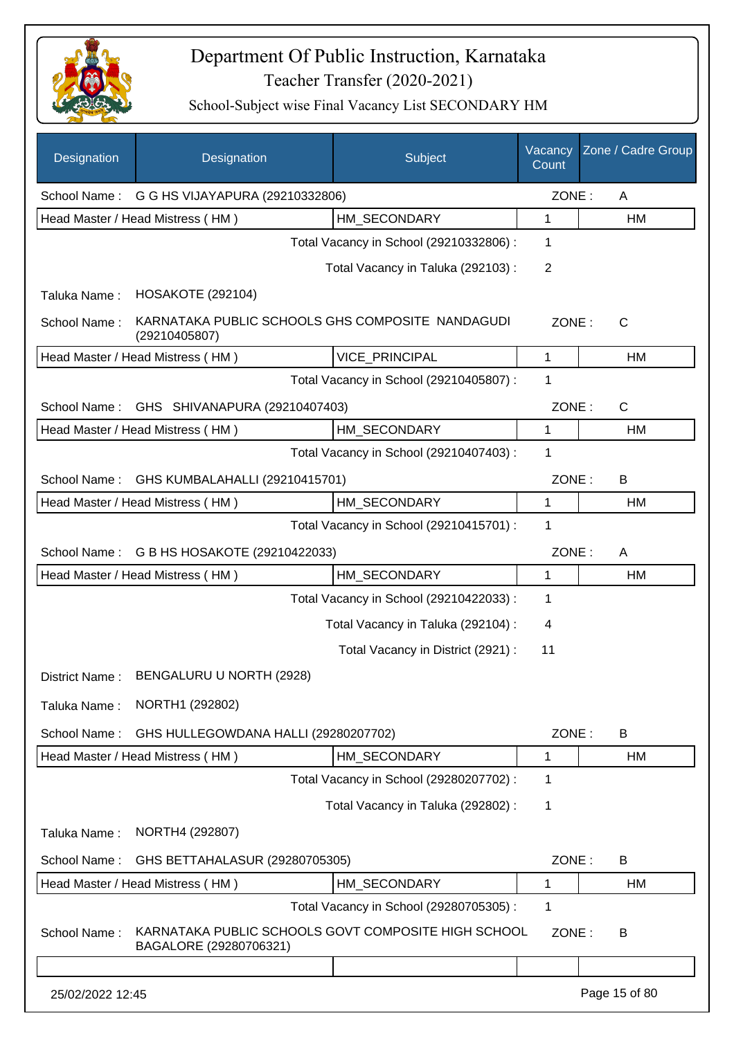

| Designation      | Designation                                                                   | Subject                                 | Vacancy<br>Count | Zone / Cadre Group |
|------------------|-------------------------------------------------------------------------------|-----------------------------------------|------------------|--------------------|
|                  | School Name: G G HS VIJAYAPURA (29210332806)                                  |                                         | ZONE:            | A                  |
|                  | Head Master / Head Mistress (HM)                                              | HM SECONDARY                            | 1                | HM                 |
|                  |                                                                               | Total Vacancy in School (29210332806) : | 1                |                    |
|                  |                                                                               | Total Vacancy in Taluka (292103):       | $\overline{2}$   |                    |
| Taluka Name:     | <b>HOSAKOTE (292104)</b>                                                      |                                         |                  |                    |
| School Name:     | KARNATAKA PUBLIC SCHOOLS GHS COMPOSITE NANDAGUDI<br>(29210405807)             |                                         | ZONE:            | $\mathsf{C}$       |
|                  | Head Master / Head Mistress (HM)                                              | VICE_PRINCIPAL                          | 1                | HM                 |
|                  |                                                                               | Total Vacancy in School (29210405807) : | 1                |                    |
| School Name:     | GHS SHIVANAPURA (29210407403)                                                 |                                         | ZONE:            | $\mathsf{C}$       |
|                  | Head Master / Head Mistress (HM)                                              | HM SECONDARY                            | 1                | HM                 |
|                  |                                                                               | Total Vacancy in School (29210407403) : | 1                |                    |
| School Name:     | GHS KUMBALAHALLI (29210415701)                                                |                                         | ZONE:            | B                  |
|                  | Head Master / Head Mistress (HM)                                              | HM SECONDARY                            | 1                | HM                 |
|                  |                                                                               | Total Vacancy in School (29210415701) : | 1                |                    |
| School Name:     | G B HS HOSAKOTE (29210422033)                                                 |                                         | ZONE:            | A                  |
|                  | Head Master / Head Mistress (HM)                                              | HM SECONDARY                            | 1                | HM                 |
|                  |                                                                               | Total Vacancy in School (29210422033) : | 1                |                    |
|                  |                                                                               | Total Vacancy in Taluka (292104) :      | 4                |                    |
|                  |                                                                               | Total Vacancy in District (2921) :      | 11               |                    |
| District Name:   | BENGALURU U NORTH (2928)                                                      |                                         |                  |                    |
| Taluka Name:     | NORTH1 (292802)                                                               |                                         |                  |                    |
| School Name:     | GHS HULLEGOWDANA HALLI (29280207702)                                          |                                         | ZONE:            | B                  |
|                  | Head Master / Head Mistress (HM)                                              | HM_SECONDARY                            | 1                | HM                 |
|                  |                                                                               | Total Vacancy in School (29280207702) : | 1                |                    |
|                  |                                                                               | Total Vacancy in Taluka (292802) :      | 1                |                    |
| Taluka Name:     | NORTH4 (292807)                                                               |                                         |                  |                    |
| School Name:     | GHS BETTAHALASUR (29280705305)                                                |                                         | ZONE:            | B                  |
|                  | Head Master / Head Mistress (HM)                                              | HM_SECONDARY                            | 1                | HM                 |
|                  |                                                                               | Total Vacancy in School (29280705305) : | 1                |                    |
| School Name:     | KARNATAKA PUBLIC SCHOOLS GOVT COMPOSITE HIGH SCHOOL<br>BAGALORE (29280706321) |                                         | ZONE:            | B                  |
|                  |                                                                               |                                         |                  |                    |
| 25/02/2022 12:45 |                                                                               |                                         |                  | Page 15 of 80      |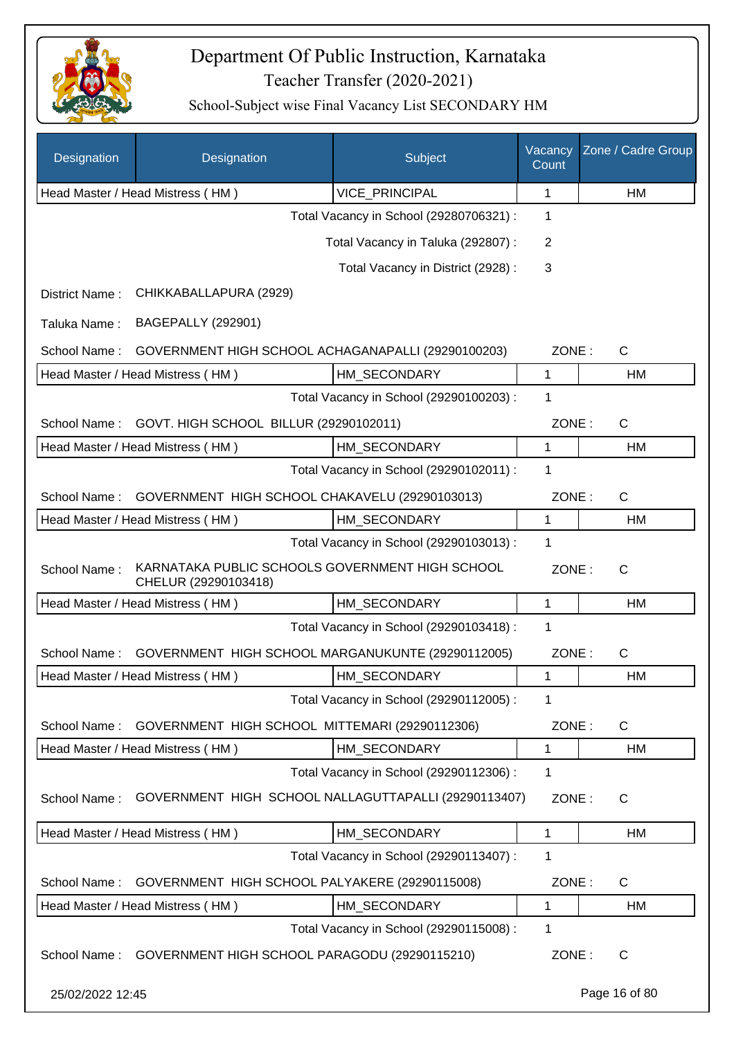

| Designation      | Designation                                                             | Subject                                 | Vacancy<br>Count | Zone / Cadre Group |
|------------------|-------------------------------------------------------------------------|-----------------------------------------|------------------|--------------------|
|                  | Head Master / Head Mistress (HM)                                        | VICE_PRINCIPAL                          | 1                | HM                 |
|                  |                                                                         | Total Vacancy in School (29280706321) : | 1                |                    |
|                  |                                                                         | Total Vacancy in Taluka (292807) :      | $\overline{2}$   |                    |
|                  |                                                                         | Total Vacancy in District (2928) :      | 3                |                    |
| District Name:   | CHIKKABALLAPURA (2929)                                                  |                                         |                  |                    |
| Taluka Name:     | <b>BAGEPALLY (292901)</b>                                               |                                         |                  |                    |
| School Name:     | GOVERNMENT HIGH SCHOOL ACHAGANAPALLI (29290100203)                      |                                         | ZONE:            | C                  |
|                  | Head Master / Head Mistress (HM)                                        | HM SECONDARY                            | 1                | HM                 |
|                  |                                                                         | Total Vacancy in School (29290100203) : | 1                |                    |
| School Name:     | GOVT. HIGH SCHOOL BILLUR (29290102011)                                  |                                         | ZONE:            | $\mathsf C$        |
|                  | Head Master / Head Mistress (HM)                                        | HM_SECONDARY                            | 1                | HM                 |
|                  |                                                                         | Total Vacancy in School (29290102011) : | 1                |                    |
| School Name:     | GOVERNMENT HIGH SCHOOL CHAKAVELU (29290103013)                          |                                         | ZONE:            | C                  |
|                  | Head Master / Head Mistress (HM)                                        | HM_SECONDARY                            | 1                | HM                 |
|                  |                                                                         | Total Vacancy in School (29290103013) : | 1                |                    |
| School Name:     | KARNATAKA PUBLIC SCHOOLS GOVERNMENT HIGH SCHOOL<br>CHELUR (29290103418) |                                         | ZONE:            | $\mathsf{C}$       |
|                  | Head Master / Head Mistress (HM)                                        | HM_SECONDARY                            | 1                | HM                 |
|                  |                                                                         | Total Vacancy in School (29290103418) : | 1                |                    |
| School Name:     | GOVERNMENT HIGH SCHOOL MARGANUKUNTE (29290112005)                       |                                         | ZONE:            | $\mathsf C$        |
|                  | Head Master / Head Mistress (HM)                                        | HM SECONDARY                            | 1                | HM                 |
|                  |                                                                         | Total Vacancy in School (29290112005) : | 1                |                    |
| School Name:     | GOVERNMENT HIGH SCHOOL MITTEMARI (29290112306)                          |                                         | ZONE:            | C                  |
|                  | Head Master / Head Mistress (HM)                                        | HM_SECONDARY                            | 1                | HM                 |
|                  |                                                                         | Total Vacancy in School (29290112306) : | 1                |                    |
| School Name:     | GOVERNMENT HIGH SCHOOL NALLAGUTTAPALLI (29290113407)                    |                                         | ZONE:            | С                  |
|                  | Head Master / Head Mistress (HM)                                        | HM_SECONDARY                            | 1                | HM                 |
|                  |                                                                         | Total Vacancy in School (29290113407) : | 1                |                    |
| School Name:     | GOVERNMENT HIGH SCHOOL PALYAKERE (29290115008)                          |                                         | ZONE:            | C                  |
|                  | Head Master / Head Mistress (HM)                                        | HM_SECONDARY                            | $\mathbf{1}$     | HM                 |
|                  |                                                                         | Total Vacancy in School (29290115008) : | 1                |                    |
| School Name:     | GOVERNMENT HIGH SCHOOL PARAGODU (29290115210)                           |                                         | ZONE:            | C                  |
| 25/02/2022 12:45 |                                                                         |                                         |                  | Page 16 of 80      |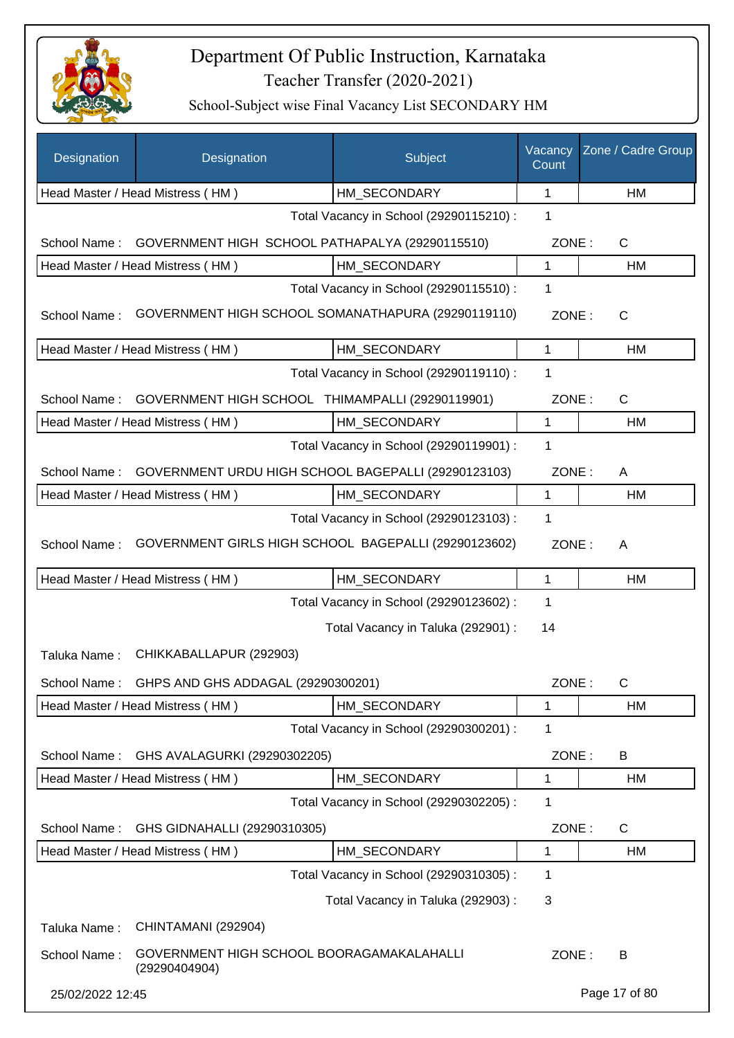

| Designation      | Designation                                                | Subject                                 | Vacancy<br>Count | Zone / Cadre Group |
|------------------|------------------------------------------------------------|-----------------------------------------|------------------|--------------------|
|                  | Head Master / Head Mistress (HM)                           | HM_SECONDARY                            | 1                | HM                 |
|                  |                                                            | Total Vacancy in School (29290115210) : | $\mathbf 1$      |                    |
| School Name:     | GOVERNMENT HIGH SCHOOL PATHAPALYA (29290115510)            |                                         | ZONE:            | $\mathsf{C}$       |
|                  | Head Master / Head Mistress (HM)                           | HM SECONDARY                            | 1                | HM                 |
|                  |                                                            | Total Vacancy in School (29290115510) : | $\mathbf 1$      |                    |
| School Name:     | GOVERNMENT HIGH SCHOOL SOMANATHAPURA (29290119110)         |                                         | ZONE:            | C                  |
|                  | Head Master / Head Mistress (HM)                           | HM_SECONDARY                            | $\mathbf{1}$     | <b>HM</b>          |
|                  |                                                            | Total Vacancy in School (29290119110) : | 1                |                    |
| School Name:     | GOVERNMENT HIGH SCHOOL THIMAMPALLI (29290119901)           |                                         | ZONE:            | C                  |
|                  | Head Master / Head Mistress (HM)                           | HM_SECONDARY                            | $\mathbf{1}$     | HM                 |
|                  |                                                            | Total Vacancy in School (29290119901) : | 1                |                    |
| School Name:     | GOVERNMENT URDU HIGH SCHOOL BAGEPALLI (29290123103)        |                                         | ZONE:            | A                  |
|                  | Head Master / Head Mistress (HM)                           | HM_SECONDARY                            | 1                | HM                 |
|                  |                                                            | Total Vacancy in School (29290123103) : | $\mathbf 1$      |                    |
| School Name:     | GOVERNMENT GIRLS HIGH SCHOOL BAGEPALLI (29290123602)       |                                         | ZONE:            | A                  |
|                  | Head Master / Head Mistress (HM)                           | HM_SECONDARY                            | $\mathbf{1}$     | HM                 |
|                  |                                                            | Total Vacancy in School (29290123602) : | $\mathbf{1}$     |                    |
|                  |                                                            | Total Vacancy in Taluka (292901) :      | 14               |                    |
| Taluka Name:     | CHIKKABALLAPUR (292903)                                    |                                         |                  |                    |
|                  | School Name: GHPS AND GHS ADDAGAL (29290300201)            |                                         | ZONE:            | С                  |
|                  | Head Master / Head Mistress (HM)                           | HM_SECONDARY                            | 1                | HM                 |
|                  |                                                            | Total Vacancy in School (29290300201) : | $\mathbf 1$      |                    |
| School Name:     | GHS AVALAGURKI (29290302205)                               |                                         | ZONE:            | B                  |
|                  | Head Master / Head Mistress (HM)                           | HM_SECONDARY                            | 1                | HM                 |
|                  |                                                            | Total Vacancy in School (29290302205) : | 1                |                    |
| School Name:     | GHS GIDNAHALLI (29290310305)                               |                                         | ZONE:            | C                  |
|                  | Head Master / Head Mistress (HM)                           | HM_SECONDARY                            | 1                | HM                 |
|                  |                                                            | Total Vacancy in School (29290310305) : | 1                |                    |
|                  |                                                            | Total Vacancy in Taluka (292903) :      | 3                |                    |
| Taluka Name:     | CHINTAMANI (292904)                                        |                                         |                  |                    |
| School Name:     | GOVERNMENT HIGH SCHOOL BOORAGAMAKALAHALLI<br>(29290404904) |                                         | ZONE:            | B                  |
| 25/02/2022 12:45 |                                                            |                                         |                  | Page 17 of 80      |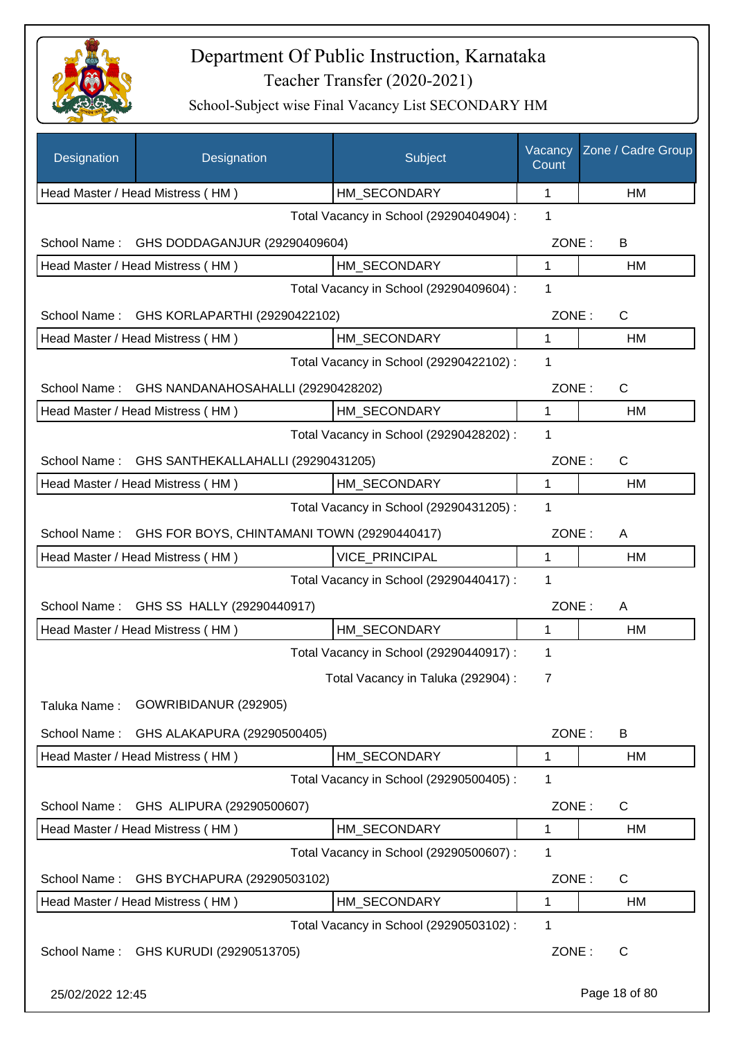

| Designation                                                 | Designation                                | Subject                                                 | Vacancy<br>Count | Zone / Cadre Group |
|-------------------------------------------------------------|--------------------------------------------|---------------------------------------------------------|------------------|--------------------|
|                                                             | Head Master / Head Mistress (HM)           | HM_SECONDARY                                            | 1                | НM                 |
|                                                             |                                            | Total Vacancy in School (29290404904) :                 | 1                |                    |
| School Name:                                                | GHS DODDAGANJUR (29290409604)              |                                                         | ZONE:            | B                  |
|                                                             | Head Master / Head Mistress (HM)           | HM SECONDARY                                            | 1                | HM                 |
|                                                             |                                            | Total Vacancy in School (29290409604) :                 | 1                |                    |
|                                                             | School Name: GHS KORLAPARTHI (29290422102) |                                                         | ZONE:            | $\mathsf{C}$       |
|                                                             | Head Master / Head Mistress (HM)           | HM SECONDARY                                            | 1                | <b>HM</b>          |
|                                                             |                                            | Total Vacancy in School (29290422102) :                 | 1                |                    |
| School Name:                                                | GHS NANDANAHOSAHALLI (29290428202)         |                                                         | ZONE:            | C                  |
|                                                             | Head Master / Head Mistress (HM)           | HM_SECONDARY                                            | $\mathbf 1$      | HM                 |
|                                                             |                                            | Total Vacancy in School (29290428202) :                 | 1                |                    |
| School Name:                                                | GHS SANTHEKALLAHALLI (29290431205)         |                                                         | ZONE:            | C                  |
|                                                             | Head Master / Head Mistress (HM)           | HM SECONDARY                                            | 1                | HM                 |
|                                                             |                                            | Total Vacancy in School (29290431205) :                 | 1                |                    |
| GHS FOR BOYS, CHINTAMANI TOWN (29290440417)<br>School Name: | ZONE:                                      | A                                                       |                  |                    |
|                                                             | Head Master / Head Mistress (HM)           | VICE_PRINCIPAL                                          | 1                | HM                 |
|                                                             |                                            | Total Vacancy in School (29290440417) :                 | 1                |                    |
| School Name:                                                | GHS SS HALLY (29290440917)                 |                                                         | ZONE:            | A                  |
|                                                             | Head Master / Head Mistress (HM)           | HM SECONDARY                                            | 1                | НM                 |
|                                                             |                                            | Total Vacancy in School (29290440917) :                 | 1                |                    |
|                                                             |                                            | Total Vacancy in Taluka (292904) :                      | 7                |                    |
| Taluka Name:                                                | GOWRIBIDANUR (292905)                      |                                                         |                  |                    |
| School Name:                                                |                                            |                                                         | ZONE:            |                    |
|                                                             | GHS ALAKAPURA (29290500405)                |                                                         |                  | B                  |
|                                                             | Head Master / Head Mistress (HM)           | HM_SECONDARY<br>Total Vacancy in School (29290500405) : | 1<br>1           | HM                 |
|                                                             |                                            |                                                         |                  |                    |
| School Name:                                                | GHS ALIPURA (29290500607)                  |                                                         | ZONE:            | C                  |
|                                                             | Head Master / Head Mistress (HM)           | HM_SECONDARY                                            | 1                | НM                 |
|                                                             |                                            | Total Vacancy in School (29290500607) :                 | 1                |                    |
| School Name:                                                | GHS BYCHAPURA (29290503102)                |                                                         | ZONE:            | C                  |
|                                                             | Head Master / Head Mistress (HM)           | HM_SECONDARY                                            | 1                | НM                 |
|                                                             |                                            | Total Vacancy in School (29290503102) :                 | 1                |                    |
|                                                             | School Name: GHS KURUDI (29290513705)      |                                                         | ZONE:            | C                  |
| 25/02/2022 12:45                                            |                                            |                                                         |                  | Page 18 of 80      |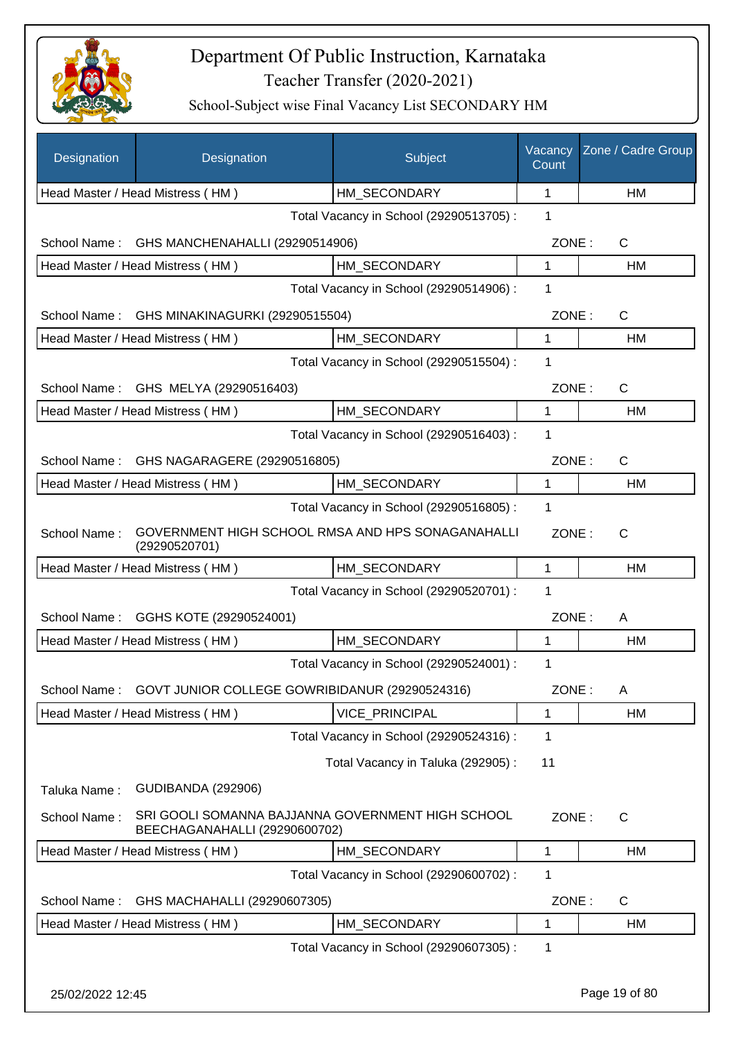

| Designation      | Designation                                    | Subject                                           | Vacancy<br>Count | Zone / Cadre Group |
|------------------|------------------------------------------------|---------------------------------------------------|------------------|--------------------|
|                  | Head Master / Head Mistress (HM)               | HM_SECONDARY                                      | 1                | HM                 |
|                  |                                                | Total Vacancy in School (29290513705) :           | 1                |                    |
| School Name:     | GHS MANCHENAHALLI (29290514906)                |                                                   | ZONE:            | C                  |
|                  | Head Master / Head Mistress (HM)               | HM SECONDARY                                      | 1                | НM                 |
|                  |                                                | Total Vacancy in School (29290514906) :           | 1                |                    |
| School Name:     | GHS MINAKINAGURKI (29290515504)                |                                                   | ZONE:            | C                  |
|                  | Head Master / Head Mistress (HM)               | HM SECONDARY                                      | 1                | НM                 |
|                  |                                                | Total Vacancy in School (29290515504) :           | 1                |                    |
|                  | School Name: GHS MELYA (29290516403)           |                                                   | ZONE:            | C                  |
|                  | Head Master / Head Mistress (HM)               | HM SECONDARY                                      | 1                | HM                 |
|                  |                                                | Total Vacancy in School (29290516403) :           | 1                |                    |
|                  | School Name: GHS NAGARAGERE (29290516805)      |                                                   | ZONE:            | C                  |
|                  | Head Master / Head Mistress (HM)               | HM SECONDARY                                      | 1                | НM                 |
|                  |                                                | Total Vacancy in School (29290516805) :           | 1                |                    |
| School Name:     | (29290520701)                                  | GOVERNMENT HIGH SCHOOL RMSA AND HPS SONAGANAHALLI | ZONE:            | C                  |
|                  | Head Master / Head Mistress (HM)               | HM SECONDARY                                      | $\mathbf{1}$     | HM                 |
|                  |                                                | Total Vacancy in School (29290520701) :           | 1                |                    |
| School Name:     | GGHS KOTE (29290524001)                        |                                                   | ZONE:            | A                  |
|                  | Head Master / Head Mistress (HM)               | HM_SECONDARY                                      | 1                | HM                 |
|                  |                                                | Total Vacancy in School (29290524001) :           | 1                |                    |
| School Name:     | GOVT JUNIOR COLLEGE GOWRIBIDANUR (29290524316) |                                                   | ZONE:            | A                  |
|                  | Head Master / Head Mistress (HM)               | <b>VICE PRINCIPAL</b>                             | 1                | HM                 |
|                  |                                                | Total Vacancy in School (29290524316) :           | 1                |                    |
|                  |                                                | Total Vacancy in Taluka (292905):                 | 11               |                    |
| Taluka Name:     | <b>GUDIBANDA (292906)</b>                      |                                                   |                  |                    |
| School Name:     | BEECHAGANAHALLI (29290600702)                  | SRI GOOLI SOMANNA BAJJANNA GOVERNMENT HIGH SCHOOL | ZONE:            | C                  |
|                  | Head Master / Head Mistress (HM)               | HM_SECONDARY                                      | $\mathbf{1}$     | HM                 |
|                  |                                                | Total Vacancy in School (29290600702) :           | 1                |                    |
| School Name:     | GHS MACHAHALLI (29290607305)                   |                                                   | ZONE:            | $\mathsf C$        |
|                  | Head Master / Head Mistress (HM)               | HM_SECONDARY                                      | 1                | HM                 |
|                  |                                                | Total Vacancy in School (29290607305) :           | 1                |                    |
| 25/02/2022 12:45 |                                                |                                                   |                  | Page 19 of 80      |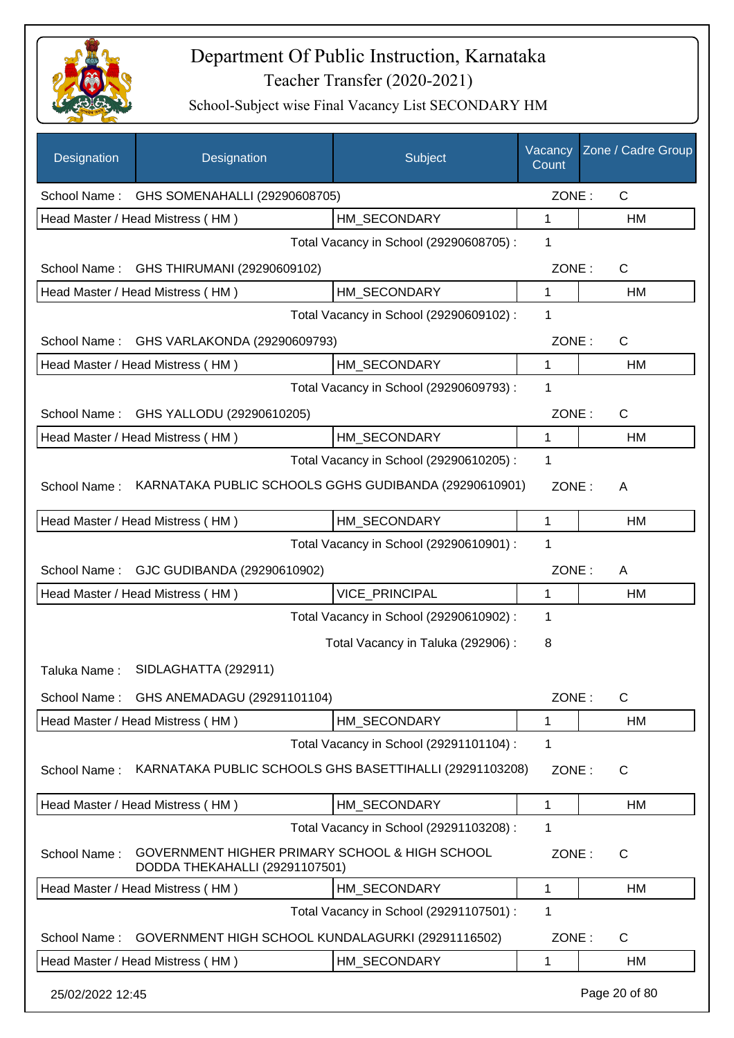

| Designation      | Designation                                                                      | Subject                                 | Vacancy<br>Count | Zone / Cadre Group |
|------------------|----------------------------------------------------------------------------------|-----------------------------------------|------------------|--------------------|
| School Name:     | GHS SOMENAHALLI (29290608705)                                                    |                                         | ZONE:            | $\mathsf{C}$       |
|                  | Head Master / Head Mistress (HM)                                                 | HM SECONDARY                            | 1                | HM                 |
|                  |                                                                                  | Total Vacancy in School (29290608705) : | 1                |                    |
| School Name:     | GHS THIRUMANI (29290609102)                                                      |                                         | ZONE:            | $\mathsf{C}$       |
|                  | Head Master / Head Mistress (HM)                                                 | HM SECONDARY                            | 1                | HM                 |
|                  |                                                                                  | Total Vacancy in School (29290609102) : | 1                |                    |
|                  | School Name: GHS VARLAKONDA (29290609793)                                        |                                         | ZONE:            | $\mathsf{C}$       |
|                  | Head Master / Head Mistress (HM)                                                 | HM_SECONDARY                            | 1                | HM                 |
|                  |                                                                                  | Total Vacancy in School (29290609793) : | 1                |                    |
| School Name:     | GHS YALLODU (29290610205)                                                        |                                         | ZONE:            | $\mathsf{C}$       |
|                  | Head Master / Head Mistress (HM)                                                 | HM_SECONDARY                            | 1                | HM                 |
|                  |                                                                                  | Total Vacancy in School (29290610205) : | 1                |                    |
| School Name:     | KARNATAKA PUBLIC SCHOOLS GGHS GUDIBANDA (29290610901)                            |                                         | ZONE:            | A                  |
|                  | Head Master / Head Mistress (HM)                                                 | HM_SECONDARY                            | 1                | HM                 |
|                  |                                                                                  | Total Vacancy in School (29290610901) : | 1                |                    |
| School Name:     | GJC GUDIBANDA (29290610902)                                                      |                                         | ZONE:            | A                  |
|                  | Head Master / Head Mistress (HM)                                                 | VICE_PRINCIPAL                          | 1                | HM                 |
|                  |                                                                                  | Total Vacancy in School (29290610902) : | 1                |                    |
|                  |                                                                                  | Total Vacancy in Taluka (292906) :      | 8                |                    |
| Taluka Name:     | SIDLAGHATTA (292911)                                                             |                                         |                  |                    |
| School Name:     | GHS ANEMADAGU (29291101104)                                                      |                                         | ZONE:            | C                  |
|                  | Head Master / Head Mistress (HM)                                                 | HM_SECONDARY                            | 1                | HM                 |
|                  |                                                                                  | Total Vacancy in School (29291101104) : | 1                |                    |
| School Name:     | KARNATAKA PUBLIC SCHOOLS GHS BASETTIHALLI (29291103208)                          |                                         | ZONE:            | $\mathsf{C}$       |
|                  | Head Master / Head Mistress (HM)                                                 | HM_SECONDARY                            | 1                | HM                 |
|                  |                                                                                  | Total Vacancy in School (29291103208) : | 1                |                    |
| School Name:     | GOVERNMENT HIGHER PRIMARY SCHOOL & HIGH SCHOOL<br>DODDA THEKAHALLI (29291107501) |                                         | ZONE:            | C                  |
|                  | Head Master / Head Mistress (HM)                                                 | HM_SECONDARY                            | 1                | HM                 |
|                  |                                                                                  | Total Vacancy in School (29291107501) : | 1                |                    |
| School Name:     | GOVERNMENT HIGH SCHOOL KUNDALAGURKI (29291116502)                                |                                         | ZONE:            | C                  |
|                  | Head Master / Head Mistress (HM)                                                 | HM_SECONDARY                            | 1                | HM                 |
| 25/02/2022 12:45 |                                                                                  |                                         |                  | Page 20 of 80      |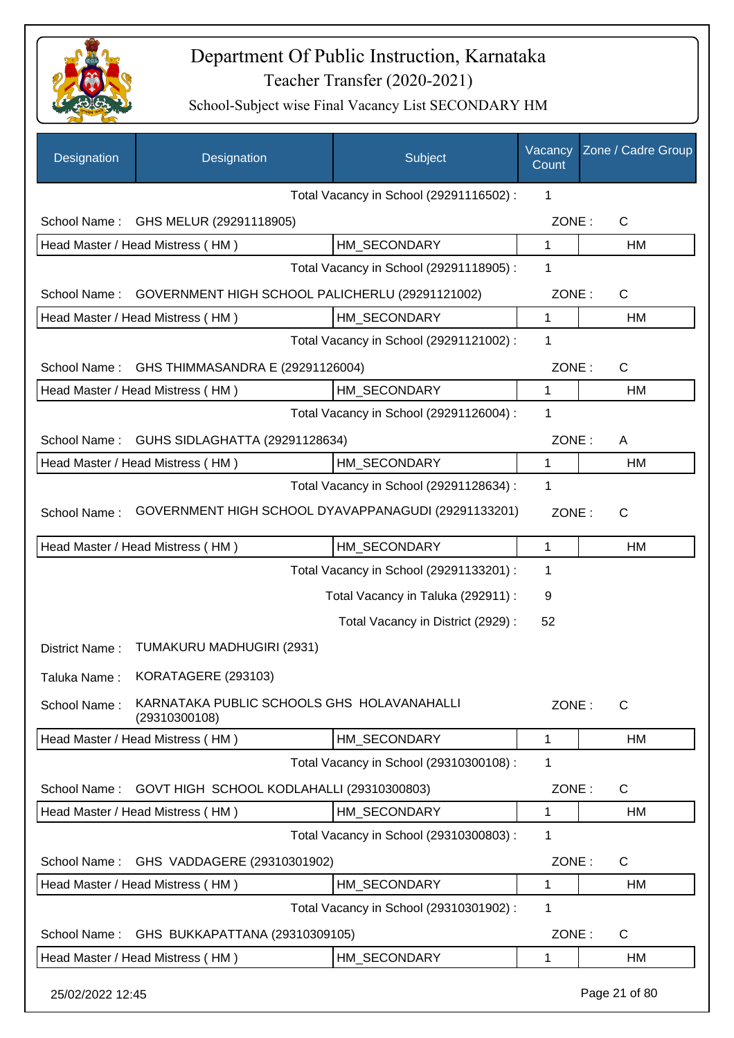

| Designation      | Designation                                                 | Subject                                 | Vacancy<br>Count | Zone / Cadre Group |
|------------------|-------------------------------------------------------------|-----------------------------------------|------------------|--------------------|
|                  |                                                             | Total Vacancy in School (29291116502) : | 1                |                    |
|                  | School Name: GHS MELUR (29291118905)                        |                                         | ZONE:            | $\mathsf C$        |
|                  | Head Master / Head Mistress (HM)                            | HM SECONDARY                            | $\mathbf{1}$     | HM                 |
|                  |                                                             | Total Vacancy in School (29291118905) : | 1                |                    |
| School Name:     | GOVERNMENT HIGH SCHOOL PALICHERLU (29291121002)             |                                         | ZONE:            | $\mathsf C$        |
|                  | Head Master / Head Mistress (HM)                            | HM_SECONDARY                            | 1                | HM                 |
|                  |                                                             | Total Vacancy in School (29291121002) : | 1                |                    |
| School Name:     | GHS THIMMASANDRA E (29291126004)                            |                                         | ZONE:            | $\mathsf C$        |
|                  | Head Master / Head Mistress (HM)                            | HM SECONDARY                            | $\mathbf{1}$     | HM                 |
|                  |                                                             | Total Vacancy in School (29291126004) : | 1                |                    |
| School Name:     | GUHS SIDLAGHATTA (29291128634)                              |                                         | ZONE:            | Α                  |
|                  | Head Master / Head Mistress (HM)                            | HM_SECONDARY                            | $\mathbf{1}$     | HM                 |
|                  |                                                             | Total Vacancy in School (29291128634) : | 1                |                    |
| School Name:     | GOVERNMENT HIGH SCHOOL DYAVAPPANAGUDI (29291133201)         |                                         | ZONE:            | $\mathsf{C}$       |
|                  | Head Master / Head Mistress (HM)                            | HM_SECONDARY                            | 1                | HM                 |
|                  |                                                             | Total Vacancy in School (29291133201) : | 1                |                    |
|                  |                                                             | Total Vacancy in Taluka (292911) :      | 9                |                    |
|                  |                                                             | Total Vacancy in District (2929) :      | 52               |                    |
| District Name:   | TUMAKURU MADHUGIRI (2931)                                   |                                         |                  |                    |
|                  | Taluka Name: KORATAGERE (293103)                            |                                         |                  |                    |
| School Name:     | KARNATAKA PUBLIC SCHOOLS GHS HOLAVANAHALLI<br>(29310300108) |                                         | ZONE:            | $\mathsf{C}$       |
|                  | Head Master / Head Mistress (HM)                            | HM_SECONDARY                            | 1                | HM                 |
|                  |                                                             | Total Vacancy in School (29310300108) : | 1                |                    |
| School Name:     | GOVT HIGH SCHOOL KODLAHALLI (29310300803)                   |                                         | ZONE:            | C                  |
|                  | Head Master / Head Mistress (HM)                            | HM_SECONDARY                            | $\mathbf{1}$     | HM                 |
|                  |                                                             | Total Vacancy in School (29310300803) : | 1                |                    |
| School Name:     | GHS VADDAGERE (29310301902)                                 |                                         | ZONE:            | $\mathsf C$        |
|                  | Head Master / Head Mistress (HM)                            | HM_SECONDARY                            | 1                | HM                 |
|                  |                                                             | Total Vacancy in School (29310301902) : | 1                |                    |
| School Name:     | GHS BUKKAPATTANA (29310309105)                              |                                         | ZONE:            | $\mathsf C$        |
|                  | Head Master / Head Mistress (HM)                            | HM_SECONDARY                            | 1                | НM                 |
| 25/02/2022 12:45 |                                                             |                                         |                  | Page 21 of 80      |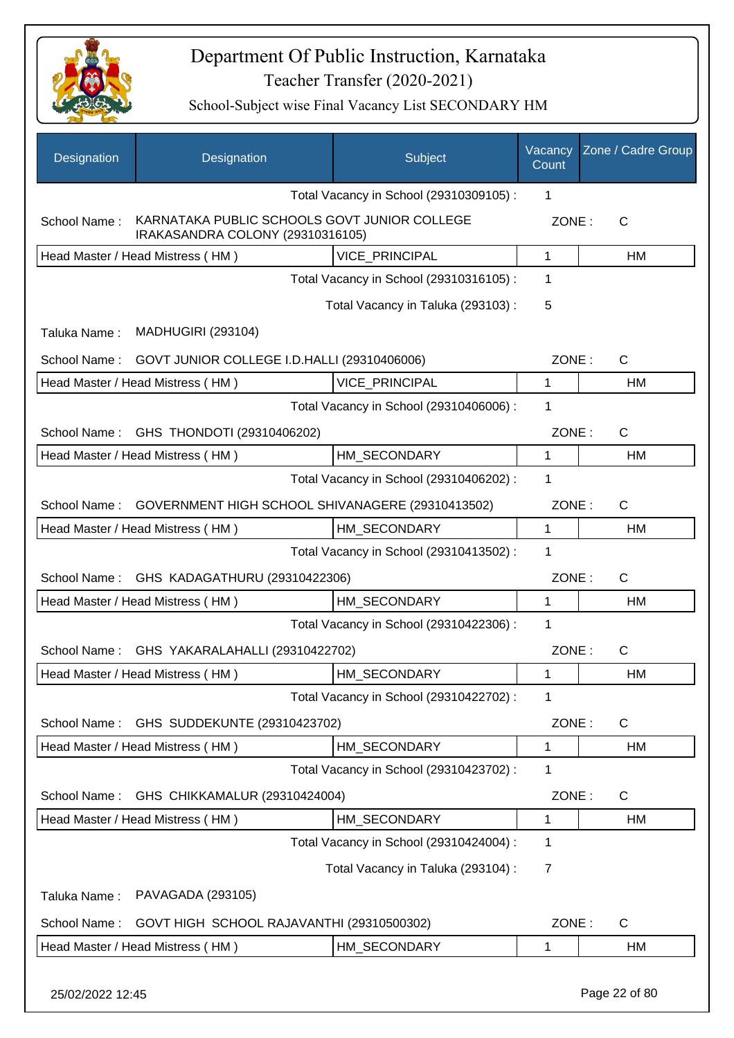

| Designation      | Designation                                                                      | Subject                                 | Vacancy<br>Count | Zone / Cadre Group |
|------------------|----------------------------------------------------------------------------------|-----------------------------------------|------------------|--------------------|
|                  |                                                                                  | Total Vacancy in School (29310309105) : | 1                |                    |
| School Name:     | KARNATAKA PUBLIC SCHOOLS GOVT JUNIOR COLLEGE<br>IRAKASANDRA COLONY (29310316105) |                                         | ZONE:            | $\mathsf{C}$       |
|                  | Head Master / Head Mistress (HM)                                                 | <b>VICE PRINCIPAL</b>                   | 1                | HM                 |
|                  |                                                                                  | Total Vacancy in School (29310316105) : | 1                |                    |
|                  |                                                                                  | Total Vacancy in Taluka (293103):       | 5                |                    |
| Taluka Name:     | <b>MADHUGIRI (293104)</b>                                                        |                                         |                  |                    |
| School Name:     | GOVT JUNIOR COLLEGE I.D.HALLI (29310406006)                                      |                                         | ZONE:            | $\mathsf{C}$       |
|                  | Head Master / Head Mistress (HM)                                                 | <b>VICE PRINCIPAL</b>                   | $\mathbf{1}$     | HM                 |
|                  |                                                                                  | Total Vacancy in School (29310406006) : | 1                |                    |
| School Name:     | GHS THONDOTI (29310406202)                                                       |                                         | ZONE:            | $\mathsf{C}$       |
|                  | Head Master / Head Mistress (HM)                                                 | HM SECONDARY                            | 1                | HM                 |
|                  |                                                                                  | Total Vacancy in School (29310406202) : | 1                |                    |
| School Name:     | GOVERNMENT HIGH SCHOOL SHIVANAGERE (29310413502)                                 |                                         | ZONE:            | C                  |
|                  | Head Master / Head Mistress (HM)                                                 | HM SECONDARY                            | 1                | HM                 |
|                  |                                                                                  | Total Vacancy in School (29310413502) : | 1                |                    |
|                  | School Name: GHS KADAGATHURU (29310422306)                                       |                                         | ZONE:            | $\mathsf{C}$       |
|                  | Head Master / Head Mistress (HM)                                                 | HM SECONDARY                            | $\mathbf{1}$     | HM                 |
|                  |                                                                                  | Total Vacancy in School (29310422306) : | 1                |                    |
|                  | School Name: GHS YAKARALAHALLI (29310422702)                                     |                                         | ZONE:            | $\mathsf{C}$       |
|                  | Head Master / Head Mistress (HM)                                                 | HM_SECONDARY                            | 1                | HM                 |
|                  |                                                                                  | Total Vacancy in School (29310422702) : | 1                |                    |
| School Name:     | GHS SUDDEKUNTE (29310423702)                                                     |                                         | ZONE:            | $\mathsf{C}$       |
|                  | Head Master / Head Mistress (HM)                                                 | HM_SECONDARY                            | 1                | HM                 |
|                  |                                                                                  | Total Vacancy in School (29310423702) : | 1                |                    |
| School Name:     | GHS CHIKKAMALUR (29310424004)                                                    |                                         | ZONE:            | C                  |
|                  | Head Master / Head Mistress (HM)                                                 | HM_SECONDARY                            | 1                | HM                 |
|                  |                                                                                  | Total Vacancy in School (29310424004) : | 1                |                    |
|                  |                                                                                  | Total Vacancy in Taluka (293104) :      | $\overline{7}$   |                    |
| Taluka Name:     | PAVAGADA (293105)                                                                |                                         |                  |                    |
| School Name:     | GOVT HIGH SCHOOL RAJAVANTHI (29310500302)                                        |                                         | ZONE:            | $\mathsf{C}$       |
|                  | Head Master / Head Mistress (HM)                                                 | HM_SECONDARY                            | 1                | HM                 |
| 25/02/2022 12:45 |                                                                                  |                                         |                  | Page 22 of 80      |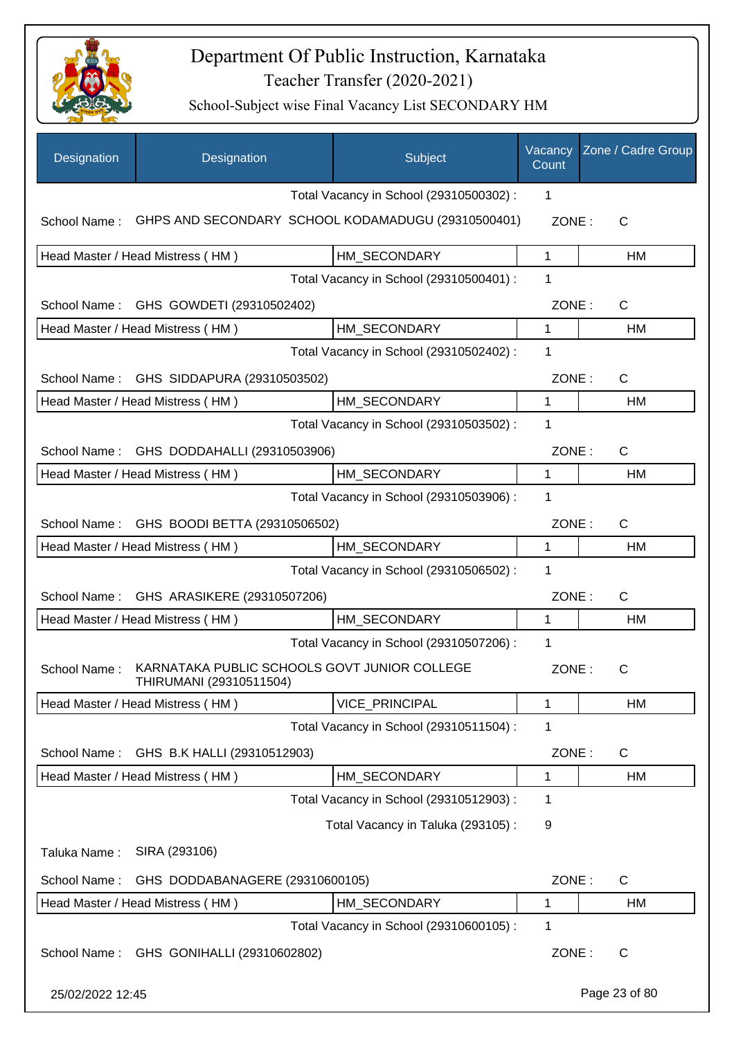

| Designation                                   | Designation                                                             |  | Subject                                            | Vacancy<br>Count | Zone / Cadre Group |
|-----------------------------------------------|-------------------------------------------------------------------------|--|----------------------------------------------------|------------------|--------------------|
|                                               |                                                                         |  | Total Vacancy in School (29310500302) :            | 1                |                    |
| School Name:                                  |                                                                         |  | GHPS AND SECONDARY SCHOOL KODAMADUGU (29310500401) | ZONE:            | C                  |
|                                               | Head Master / Head Mistress (HM)                                        |  | HM_SECONDARY                                       | 1                | HM                 |
|                                               |                                                                         |  | Total Vacancy in School (29310500401) :            | 1                |                    |
|                                               | School Name: GHS GOWDETI (29310502402)                                  |  |                                                    | ZONE:            | $\mathsf{C}$       |
|                                               | Head Master / Head Mistress (HM)                                        |  | HM_SECONDARY                                       | 1                | <b>HM</b>          |
|                                               |                                                                         |  | Total Vacancy in School (29310502402) :            | 1                |                    |
|                                               | School Name: GHS SIDDAPURA (29310503502)                                |  |                                                    | ZONE:            | $\mathsf{C}$       |
|                                               | Head Master / Head Mistress (HM)                                        |  | HM_SECONDARY                                       | 1                | <b>HM</b>          |
|                                               |                                                                         |  | Total Vacancy in School (29310503502) :            | 1                |                    |
| GHS DODDAHALLI (29310503906)<br>School Name:  |                                                                         |  | ZONE:                                              | $\mathsf{C}$     |                    |
|                                               | Head Master / Head Mistress (HM)                                        |  | HM_SECONDARY                                       | $\mathbf 1$      | HM                 |
|                                               |                                                                         |  | Total Vacancy in School (29310503906) :            | 1                |                    |
| GHS BOODI BETTA (29310506502)<br>School Name: |                                                                         |  | ZONE:                                              | $\mathsf{C}$     |                    |
|                                               | Head Master / Head Mistress (HM)                                        |  | HM_SECONDARY                                       | 1                | <b>HM</b>          |
|                                               |                                                                         |  | Total Vacancy in School (29310506502) :            | 1                |                    |
| School Name:<br>GHS ARASIKERE (29310507206)   |                                                                         |  | ZONE:                                              | $\mathsf{C}$     |                    |
|                                               | Head Master / Head Mistress (HM)                                        |  | HM SECONDARY                                       | 1                | HM                 |
|                                               |                                                                         |  | Total Vacancy in School (29310507206) :            | 1                |                    |
| School Name:                                  | KARNATAKA PUBLIC SCHOOLS GOVT JUNIOR COLLEGE<br>THIRUMANI (29310511504) |  |                                                    | ZONE:            | С                  |
|                                               | Head Master / Head Mistress (HM)                                        |  | <b>VICE PRINCIPAL</b>                              | 1                | HM                 |
|                                               |                                                                         |  | Total Vacancy in School (29310511504) :            | 1                |                    |
| School Name:                                  | GHS B.K HALLI (29310512903)                                             |  |                                                    | ZONE:            | C                  |
|                                               | Head Master / Head Mistress (HM)                                        |  | HM_SECONDARY                                       | 1                | <b>HM</b>          |
|                                               |                                                                         |  | Total Vacancy in School (29310512903) :            | 1                |                    |
|                                               |                                                                         |  | Total Vacancy in Taluka (293105):                  | 9                |                    |
| Taluka Name:                                  | SIRA (293106)                                                           |  |                                                    |                  |                    |
| School Name:                                  | GHS DODDABANAGERE (29310600105)                                         |  |                                                    | ZONE:            | C                  |
|                                               | Head Master / Head Mistress (HM)                                        |  | HM_SECONDARY                                       | 1                | HM                 |
|                                               |                                                                         |  | Total Vacancy in School (29310600105) :            | 1                |                    |
| School Name:                                  | GHS GONIHALLI (29310602802)                                             |  |                                                    | ZONE:            | C                  |
| 25/02/2022 12:45                              |                                                                         |  |                                                    |                  | Page 23 of 80      |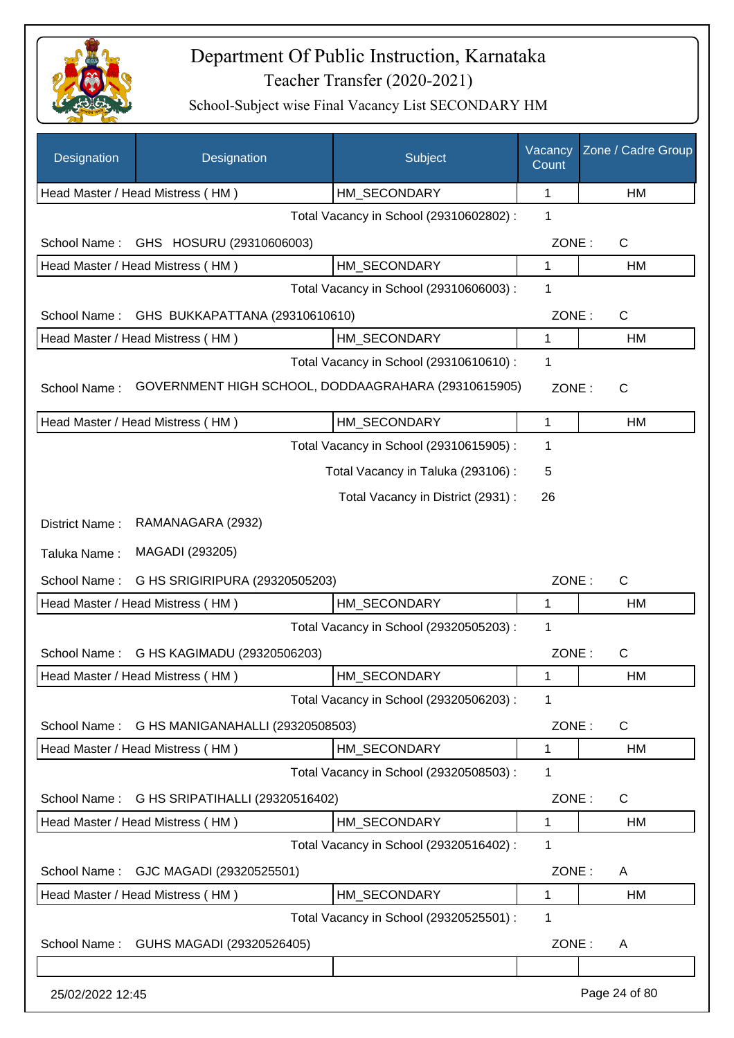

| Designation                                    | Designation                                         | Subject                                 | Vacancy<br>Count | Zone / Cadre Group    |
|------------------------------------------------|-----------------------------------------------------|-----------------------------------------|------------------|-----------------------|
|                                                | Head Master / Head Mistress (HM)                    | HM_SECONDARY                            | 1                | HM                    |
|                                                |                                                     | Total Vacancy in School (29310602802) : | 1                |                       |
| School Name:                                   | GHS HOSURU (29310606003)                            |                                         | ZONE:            | C                     |
|                                                | Head Master / Head Mistress (HM)                    | HM SECONDARY                            | 1                | HM                    |
|                                                |                                                     | Total Vacancy in School (29310606003) : | 1                |                       |
| School Name:                                   | GHS BUKKAPATTANA (29310610610)                      |                                         | ZONE:            | $\mathsf{C}$          |
|                                                | Head Master / Head Mistress (HM)                    | HM SECONDARY                            | 1                | HM                    |
|                                                |                                                     | Total Vacancy in School (29310610610) : | 1                |                       |
| School Name:                                   | GOVERNMENT HIGH SCHOOL, DODDAAGRAHARA (29310615905) |                                         | ZONE:            | $\mathsf{C}$          |
|                                                | Head Master / Head Mistress (HM)                    | HM_SECONDARY                            | 1                | HM                    |
|                                                |                                                     | Total Vacancy in School (29310615905) : | 1                |                       |
|                                                |                                                     | Total Vacancy in Taluka (293106):       | 5                |                       |
|                                                |                                                     | Total Vacancy in District (2931) :      | 26               |                       |
| District Name:                                 | RAMANAGARA (2932)                                   |                                         |                  |                       |
| Taluka Name:                                   | MAGADI (293205)                                     |                                         |                  |                       |
| School Name:<br>G HS SRIGIRIPURA (29320505203) |                                                     |                                         |                  | $\mathsf{C}$<br>ZONE: |
|                                                | Head Master / Head Mistress (HM)                    | HM_SECONDARY                            | 1                | HM                    |
|                                                |                                                     | Total Vacancy in School (29320505203) : | 1                |                       |
| School Name:                                   | G HS KAGIMADU (29320506203)                         |                                         | ZONE:            | C                     |
|                                                | Head Master / Head Mistress (HM)                    | HM SECONDARY                            | 1                | HM                    |
|                                                |                                                     | Total Vacancy in School (29320506203) : | 1                |                       |
| School Name:                                   | G HS MANIGANAHALLI (29320508503)                    |                                         | ZONE:            | C                     |
|                                                | Head Master / Head Mistress (HM)                    | HM_SECONDARY                            | 1                | HM                    |
|                                                |                                                     | Total Vacancy in School (29320508503) : | 1                |                       |
| School Name:                                   | G HS SRIPATIHALLI (29320516402)                     |                                         | ZONE:            | C                     |
|                                                | Head Master / Head Mistress (HM)                    | HM_SECONDARY                            | 1                | HM                    |
|                                                |                                                     | Total Vacancy in School (29320516402) : | 1                |                       |
| School Name:                                   | GJC MAGADI (29320525501)                            |                                         | ZONE:            | A                     |
|                                                | Head Master / Head Mistress (HM)                    | HM SECONDARY                            | 1                | HM                    |
|                                                |                                                     | Total Vacancy in School (29320525501) : | 1                |                       |
| School Name:                                   | GUHS MAGADI (29320526405)                           |                                         | ZONE:            | A                     |
| 25/02/2022 12:45                               |                                                     |                                         |                  | Page 24 of 80         |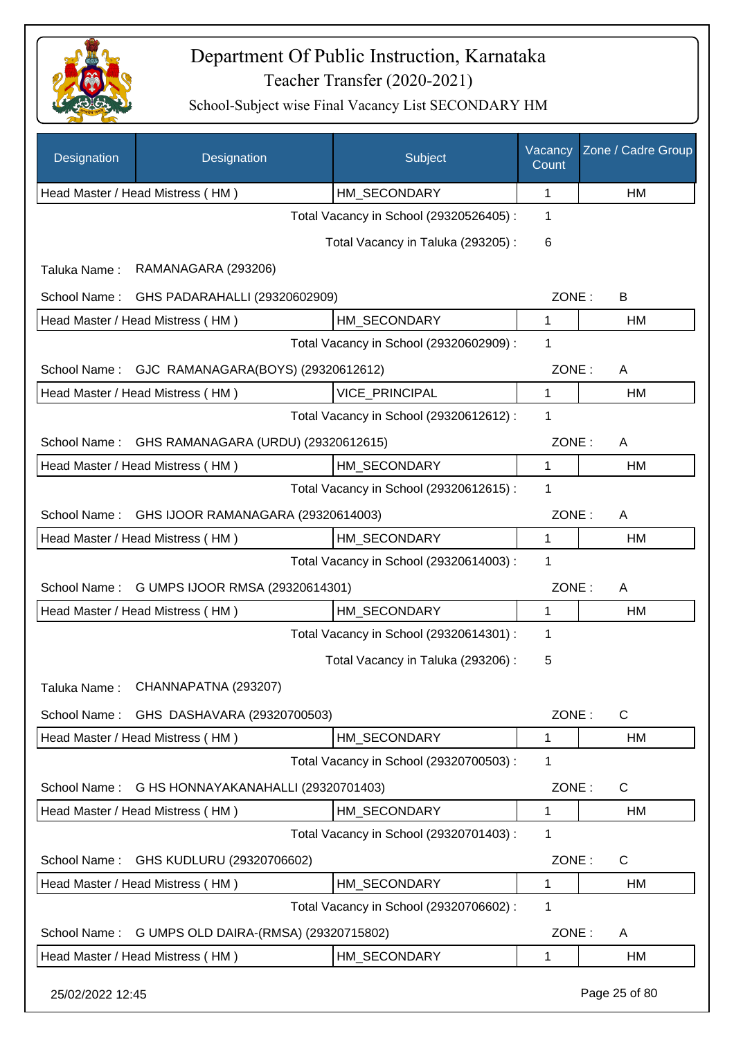

| Designation      | Designation                           | Subject                                 | Vacancy<br>Count | Zone / Cadre Group |
|------------------|---------------------------------------|-----------------------------------------|------------------|--------------------|
|                  | Head Master / Head Mistress (HM)      | HM_SECONDARY                            | 1                | HM                 |
|                  |                                       | Total Vacancy in School (29320526405) : | 1                |                    |
|                  |                                       | Total Vacancy in Taluka (293205):       | 6                |                    |
| Taluka Name:     | RAMANAGARA (293206)                   |                                         |                  |                    |
| School Name:     | GHS PADARAHALLI (29320602909)         |                                         | ZONE:            | В                  |
|                  | Head Master / Head Mistress (HM)      | HM_SECONDARY                            | $\mathbf{1}$     | HM                 |
|                  |                                       | Total Vacancy in School (29320602909) : | 1                |                    |
| School Name:     | GJC RAMANAGARA(BOYS) (29320612612)    |                                         | ZONE:            | Α                  |
|                  | Head Master / Head Mistress (HM)      | <b>VICE PRINCIPAL</b>                   | $\mathbf{1}$     | HM                 |
|                  |                                       | Total Vacancy in School (29320612612) : | 1                |                    |
| School Name:     | GHS RAMANAGARA (URDU) (29320612615)   |                                         | ZONE:            | A                  |
|                  | Head Master / Head Mistress (HM)      | HM_SECONDARY                            | 1                | HM                 |
|                  |                                       | Total Vacancy in School (29320612615) : | 1                |                    |
| School Name:     | GHS IJOOR RAMANAGARA (29320614003)    |                                         | ZONE:            | Α                  |
|                  | Head Master / Head Mistress (HM)      | HM_SECONDARY                            | 1                | HM                 |
|                  |                                       | Total Vacancy in School (29320614003) : | 1                |                    |
| School Name:     | G UMPS IJOOR RMSA (29320614301)       |                                         | ZONE:            | Α                  |
|                  | Head Master / Head Mistress (HM)      | HM_SECONDARY                            | 1                | НM                 |
|                  |                                       | Total Vacancy in School (29320614301) : | 1                |                    |
|                  |                                       | Total Vacancy in Taluka (293206) :      | 5                |                    |
| Taluka Name:     | CHANNAPATNA (293207)                  |                                         |                  |                    |
| School Name:     | GHS DASHAVARA (29320700503)           |                                         | ZONE:            | C                  |
|                  | Head Master / Head Mistress (HM)      | HM_SECONDARY                            | 1                | НM                 |
|                  |                                       | Total Vacancy in School (29320700503) : | 1                |                    |
| School Name:     | G HS HONNAYAKANAHALLI (29320701403)   |                                         | ZONE:            | C                  |
|                  | Head Master / Head Mistress (HM)      | HM_SECONDARY                            | 1                | HM                 |
|                  |                                       | Total Vacancy in School (29320701403) : | 1                |                    |
| School Name:     | GHS KUDLURU (29320706602)             |                                         | ZONE:            | C                  |
|                  | Head Master / Head Mistress (HM)      | HM_SECONDARY                            | 1                | HM                 |
|                  |                                       | Total Vacancy in School (29320706602) : | 1                |                    |
| School Name:     | G UMPS OLD DAIRA-(RMSA) (29320715802) |                                         | ZONE:            | A                  |
|                  | Head Master / Head Mistress (HM)      | HM_SECONDARY                            | 1                | HM                 |
| 25/02/2022 12:45 |                                       |                                         |                  | Page 25 of 80      |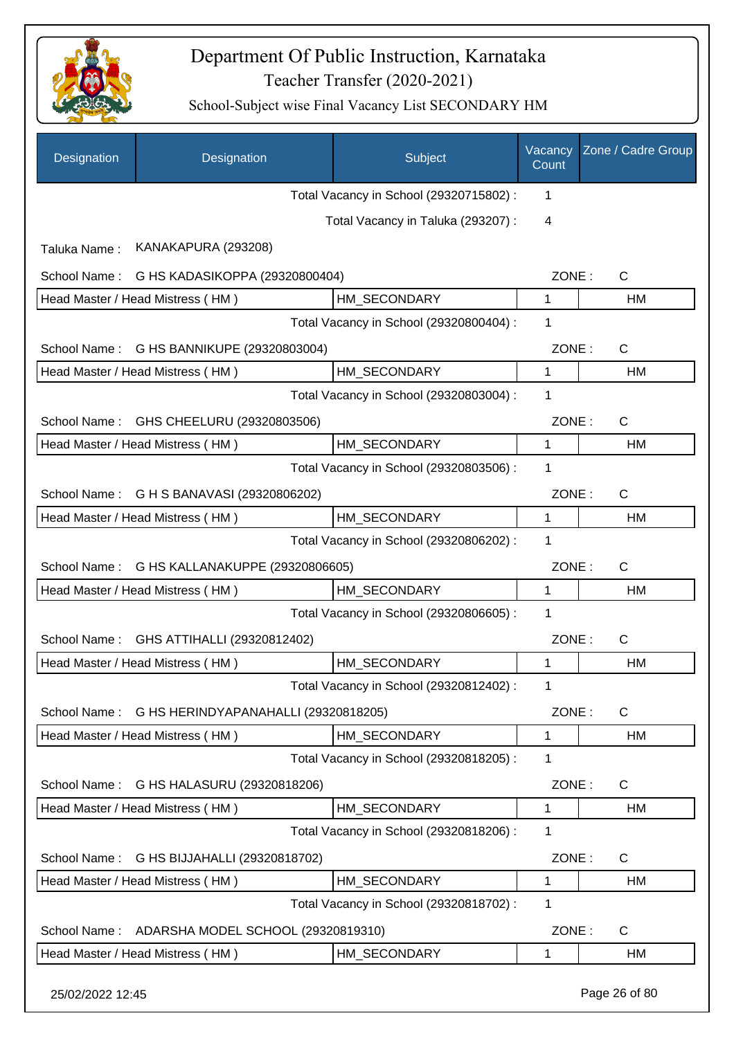

| Designation                                     | Designation                          | Subject                                 | Vacancy<br>Count | Zone / Cadre Group |
|-------------------------------------------------|--------------------------------------|-----------------------------------------|------------------|--------------------|
|                                                 |                                      | Total Vacancy in School (29320715802) : | 1                |                    |
|                                                 |                                      | Total Vacancy in Taluka (293207) :      | 4                |                    |
| Taluka Name:                                    | KANAKAPURA (293208)                  |                                         |                  |                    |
| School Name:                                    | G HS KADASIKOPPA (29320800404)       |                                         | ZONE:            | $\mathsf{C}$       |
|                                                 | Head Master / Head Mistress (HM)     | HM SECONDARY                            | 1                | HM                 |
|                                                 |                                      | Total Vacancy in School (29320800404) : | 1                |                    |
| School Name:                                    | G HS BANNIKUPE (29320803004)         |                                         | ZONE:            | $\mathsf{C}$       |
|                                                 | Head Master / Head Mistress (HM)     | HM_SECONDARY                            | 1                | HM                 |
|                                                 |                                      | Total Vacancy in School (29320803004) : | 1                |                    |
| School Name:                                    | GHS CHEELURU (29320803506)           |                                         |                  |                    |
|                                                 | Head Master / Head Mistress (HM)     | HM_SECONDARY                            | $\mathbf{1}$     | <b>HM</b>          |
|                                                 |                                      | Total Vacancy in School (29320803506) : | 1                |                    |
| School Name:                                    | G H S BANAVASI (29320806202)         |                                         | ZONE:            | C                  |
|                                                 | Head Master / Head Mistress (HM)     | HM_SECONDARY                            | $\mathbf{1}$     | HM                 |
|                                                 |                                      | Total Vacancy in School (29320806202) : | 1                |                    |
| School Name:<br>G HS KALLANAKUPPE (29320806605) |                                      |                                         | ZONE:            | $\mathsf{C}$       |
|                                                 | Head Master / Head Mistress (HM)     | HM SECONDARY                            | 1                | HM                 |
|                                                 |                                      | Total Vacancy in School (29320806605) : | 1                |                    |
| School Name:                                    | GHS ATTIHALLI (29320812402)          |                                         | ZONE:            | C                  |
|                                                 | Head Master / Head Mistress (HM)     | HM_SECONDARY                            | 1                | HM                 |
|                                                 |                                      | Total Vacancy in School (29320812402) : | 1                |                    |
| School Name:                                    | G HS HERINDYAPANAHALLI (29320818205) |                                         | ZONE:            | $\mathsf{C}$       |
|                                                 | Head Master / Head Mistress (HM)     | HM_SECONDARY                            | 1                | HM                 |
|                                                 |                                      | Total Vacancy in School (29320818205) : | 1                |                    |
| School Name:                                    | G HS HALASURU (29320818206)          |                                         | ZONE:            | $\mathsf{C}$       |
|                                                 | Head Master / Head Mistress (HM)     | HM_SECONDARY                            | 1                | HM                 |
|                                                 |                                      | Total Vacancy in School (29320818206) : | 1                |                    |
| School Name:                                    | G HS BIJJAHALLI (29320818702)        |                                         | ZONE:            | $\mathsf{C}$       |
|                                                 | Head Master / Head Mistress (HM)     | HM_SECONDARY                            | 1                | HM                 |
|                                                 |                                      | Total Vacancy in School (29320818702) : | 1                |                    |
| School Name:                                    | ADARSHA MODEL SCHOOL (29320819310)   |                                         | ZONE:            | C                  |
|                                                 | Head Master / Head Mistress (HM)     | HM_SECONDARY                            | 1                | HM                 |
|                                                 |                                      |                                         |                  |                    |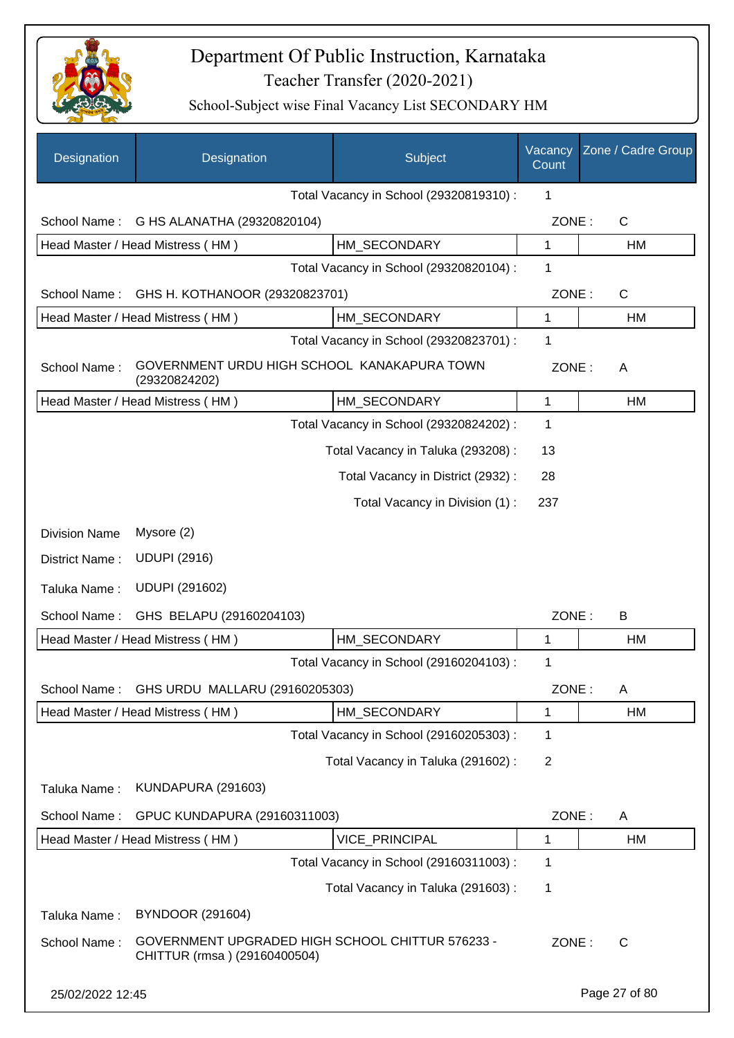

| Designation          | Designation                                                                      | Subject                                 | Vacancy<br>Count | Zone / Cadre Group |
|----------------------|----------------------------------------------------------------------------------|-----------------------------------------|------------------|--------------------|
|                      |                                                                                  | Total Vacancy in School (29320819310) : | 1                |                    |
| School Name:         | G HS ALANATHA (29320820104)                                                      |                                         | ZONE:            | $\mathsf{C}$       |
|                      | Head Master / Head Mistress (HM)                                                 | HM SECONDARY                            | $\mathbf{1}$     | <b>HM</b>          |
|                      |                                                                                  | Total Vacancy in School (29320820104) : | 1                |                    |
| School Name:         | GHS H. KOTHANOOR (29320823701)                                                   |                                         | ZONE:            | $\mathsf{C}$       |
|                      | Head Master / Head Mistress (HM)                                                 | HM_SECONDARY                            | 1                | HM                 |
|                      |                                                                                  | Total Vacancy in School (29320823701) : | 1                |                    |
| School Name:         | GOVERNMENT URDU HIGH SCHOOL KANAKAPURA TOWN<br>(29320824202)                     |                                         | ZONE:            | A                  |
|                      | Head Master / Head Mistress (HM)                                                 | HM_SECONDARY                            | 1                | HM                 |
|                      |                                                                                  | Total Vacancy in School (29320824202) : | $\mathbf 1$      |                    |
|                      |                                                                                  | Total Vacancy in Taluka (293208) :      | 13               |                    |
|                      |                                                                                  | Total Vacancy in District (2932):       | 28               |                    |
|                      |                                                                                  | Total Vacancy in Division (1):          | 237              |                    |
| <b>Division Name</b> | Mysore (2)                                                                       |                                         |                  |                    |
| District Name:       | <b>UDUPI (2916)</b>                                                              |                                         |                  |                    |
| Taluka Name:         | <b>UDUPI (291602)</b>                                                            |                                         |                  |                    |
| School Name:         | GHS BELAPU (29160204103)                                                         |                                         | ZONE:            | B                  |
|                      | Head Master / Head Mistress (HM)                                                 | HM_SECONDARY                            | 1                | HM                 |
|                      |                                                                                  | Total Vacancy in School (29160204103) : | 1                |                    |
| School Name:         | GHS URDU MALLARU (29160205303)                                                   |                                         | ZONE:            | A                  |
|                      | Head Master / Head Mistress (HM)                                                 | HM SECONDARY                            | 1                | HM                 |
|                      |                                                                                  | Total Vacancy in School (29160205303) : | $\mathbf 1$      |                    |
|                      |                                                                                  | Total Vacancy in Taluka (291602):       | $\overline{2}$   |                    |
| Taluka Name:         | KUNDAPURA (291603)                                                               |                                         |                  |                    |
| School Name:         | GPUC KUNDAPURA (29160311003)                                                     |                                         | ZONE:            | A                  |
|                      | Head Master / Head Mistress (HM)                                                 | <b>VICE PRINCIPAL</b>                   | 1                | HM                 |
|                      |                                                                                  | Total Vacancy in School (29160311003) : | 1                |                    |
|                      |                                                                                  | Total Vacancy in Taluka (291603):       | 1                |                    |
| Taluka Name:         | <b>BYNDOOR (291604)</b>                                                          |                                         |                  |                    |
| School Name:         | GOVERNMENT UPGRADED HIGH SCHOOL CHITTUR 576233 -<br>CHITTUR (rmsa) (29160400504) |                                         | ZONE:            | C                  |
| 25/02/2022 12:45     |                                                                                  |                                         |                  | Page 27 of 80      |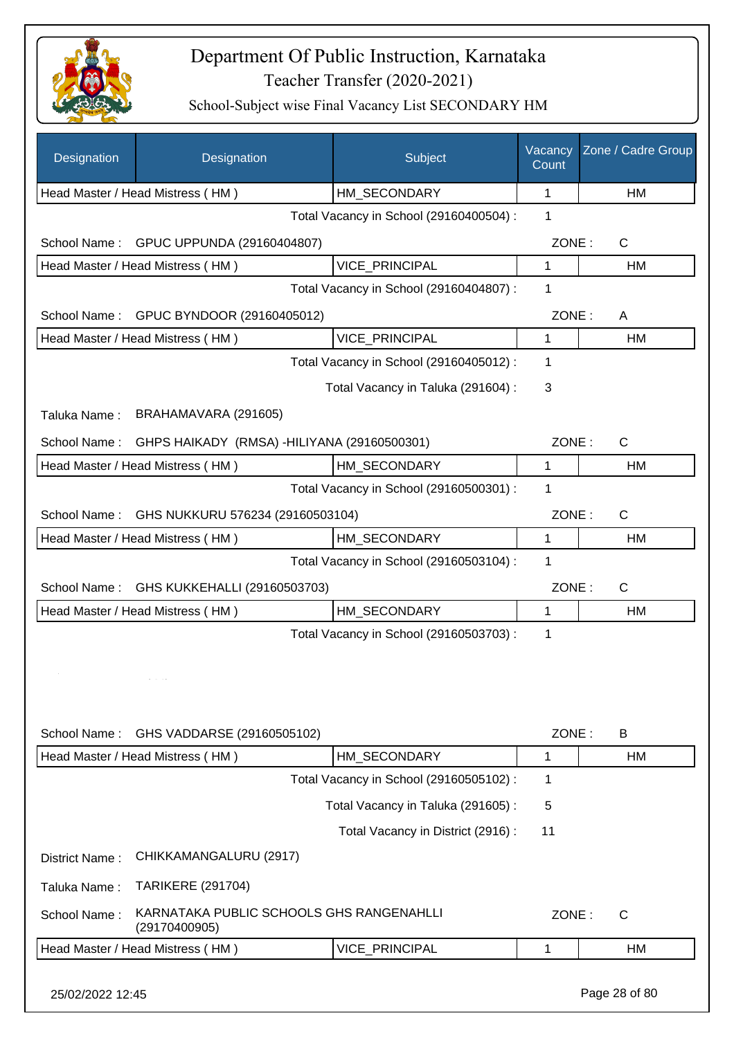

School-Subject wise Final Vacancy List SECONDARY HM

| Designation                                      | Designation                                               | Subject                                 | Vacancy<br>Count | Zone / Cadre Group |
|--------------------------------------------------|-----------------------------------------------------------|-----------------------------------------|------------------|--------------------|
|                                                  | Head Master / Head Mistress (HM)                          | HM_SECONDARY                            | 1                | НM                 |
|                                                  |                                                           | Total Vacancy in School (29160400504) : | 1                |                    |
| School Name:                                     | GPUC UPPUNDA (29160404807)                                |                                         | ZONE:            | C                  |
|                                                  | Head Master / Head Mistress (HM)                          | <b>VICE PRINCIPAL</b>                   | 1                | НM                 |
|                                                  |                                                           | Total Vacancy in School (29160404807) : | 1                |                    |
| School Name:<br>GPUC BYNDOOR (29160405012)       |                                                           |                                         | ZONE:            | A                  |
|                                                  | <b>VICE PRINCIPAL</b><br>Head Master / Head Mistress (HM) |                                         |                  | НM                 |
|                                                  | Total Vacancy in School (29160405012) :                   |                                         |                  |                    |
|                                                  | Total Vacancy in Taluka (291604) :                        | 3                                       |                  |                    |
| Taluka Name:                                     | BRAHAMAVARA (291605)                                      |                                         |                  |                    |
| School Name:                                     | GHPS HAIKADY (RMSA) - HILIYANA (29160500301)              |                                         | ZONE:            | C                  |
|                                                  | Head Master / Head Mistress (HM)                          | HM_SECONDARY                            | 1                | НM                 |
|                                                  |                                                           | Total Vacancy in School (29160500301) : | 1                |                    |
| GHS NUKKURU 576234 (29160503104)<br>School Name: |                                                           |                                         | ZONE:            | $\mathsf{C}$       |
|                                                  | Head Master / Head Mistress (HM)                          | HM_SECONDARY                            | 1                | <b>HM</b>          |
|                                                  |                                                           | Total Vacancy in School (29160503104) : | 1                |                    |
| School Name:                                     | GHS KUKKEHALLI (29160503703)                              |                                         | ZONE:            | $\mathsf{C}$       |
|                                                  | Head Master / Head Mistress (HM)                          | HM SECONDARY                            | 1                | НM                 |
|                                                  |                                                           | Total Vacancy in School (29160503703) : | 1                |                    |
| School Name:                                     | GHS VADDARSE (29160505102)                                |                                         | ZONE:            | B                  |
|                                                  | Head Master / Head Mistress (HM)                          | HM_SECONDARY                            | $\mathbf{1}$     | НM                 |
|                                                  |                                                           | Total Vacancy in School (29160505102) : | 1                |                    |
|                                                  |                                                           | Total Vacancy in Taluka (291605):       | 5                |                    |
|                                                  |                                                           | Total Vacancy in District (2916):       | 11               |                    |
| District Name:                                   | CHIKKAMANGALURU (2917)                                    |                                         |                  |                    |
| Taluka Name:                                     | <b>TARIKERE (291704)</b>                                  |                                         |                  |                    |
| School Name:                                     | KARNATAKA PUBLIC SCHOOLS GHS RANGENAHLLI<br>(29170400905) |                                         | ZONE:            | $\mathsf{C}$       |
|                                                  | Head Master / Head Mistress (HM)                          | VICE_PRINCIPAL                          | $\mathbf 1$      | НM                 |
|                                                  |                                                           |                                         |                  |                    |

25/02/2022 12:45 Page 28 of 80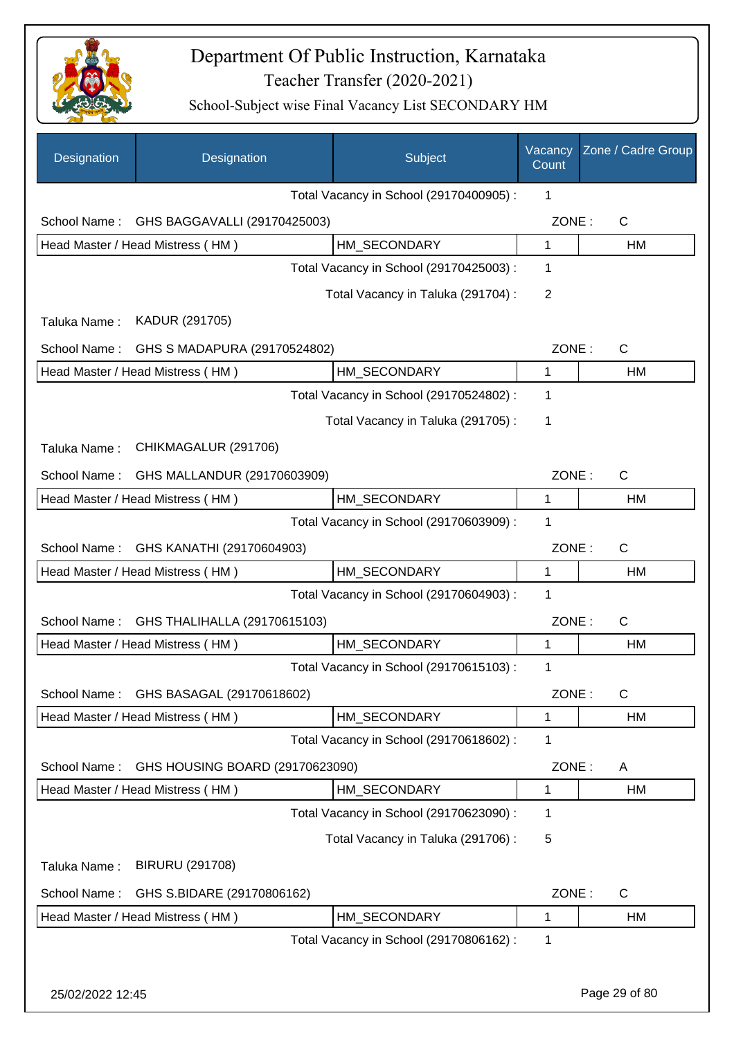

| Designation      | Designation                      | Subject                                 | Vacancy<br>Count | Zone / Cadre Group |
|------------------|----------------------------------|-----------------------------------------|------------------|--------------------|
|                  |                                  | Total Vacancy in School (29170400905) : | 1                |                    |
| School Name:     | GHS BAGGAVALLI (29170425003)     |                                         | ZONE:            | C                  |
|                  | Head Master / Head Mistress (HM) | HM SECONDARY                            | 1                | HM                 |
|                  |                                  | Total Vacancy in School (29170425003) : | 1                |                    |
|                  |                                  | Total Vacancy in Taluka (291704) :      | $\overline{2}$   |                    |
| Taluka Name:     | KADUR (291705)                   |                                         |                  |                    |
| School Name:     | GHS S MADAPURA (29170524802)     |                                         | ZONE:            | $\mathsf{C}$       |
|                  | Head Master / Head Mistress (HM) | HM_SECONDARY                            | 1                | HM                 |
|                  |                                  | Total Vacancy in School (29170524802) : | 1                |                    |
|                  |                                  | Total Vacancy in Taluka (291705):       | 1                |                    |
| Taluka Name:     | CHIKMAGALUR (291706)             |                                         |                  |                    |
| School Name:     | GHS MALLANDUR (29170603909)      |                                         | ZONE:            | C                  |
|                  | Head Master / Head Mistress (HM) | HM_SECONDARY                            | 1                | HM                 |
|                  |                                  | Total Vacancy in School (29170603909) : | 1                |                    |
| School Name:     | GHS KANATHI (29170604903)        |                                         | ZONE:            | $\mathsf{C}$       |
|                  | Head Master / Head Mistress (HM) | HM SECONDARY                            | 1                | HM                 |
|                  |                                  | Total Vacancy in School (29170604903) : | 1                |                    |
| School Name:     | GHS THALIHALLA (29170615103)     |                                         | ZONE:            | C                  |
|                  | Head Master / Head Mistress (HM) | HM SECONDARY                            | 1                | HM                 |
|                  |                                  | Total Vacancy in School (29170615103) : | 1                |                    |
| School Name:     | GHS BASAGAL (29170618602)        |                                         | ZONE:            | $\mathsf{C}$       |
|                  | Head Master / Head Mistress (HM) | HM_SECONDARY                            | 1                | HM                 |
|                  |                                  | Total Vacancy in School (29170618602) : | 1                |                    |
| School Name:     | GHS HOUSING BOARD (29170623090)  |                                         | ZONE:            | A                  |
|                  | Head Master / Head Mistress (HM) | HM SECONDARY                            | 1                | HM                 |
|                  |                                  | Total Vacancy in School (29170623090) : | 1                |                    |
|                  |                                  | Total Vacancy in Taluka (291706):       | 5                |                    |
| Taluka Name:     | <b>BIRURU (291708)</b>           |                                         |                  |                    |
| School Name:     | GHS S.BIDARE (29170806162)       |                                         | ZONE:            | C                  |
|                  | Head Master / Head Mistress (HM) | HM_SECONDARY                            | 1                | HM                 |
|                  |                                  | Total Vacancy in School (29170806162) : | 1                |                    |
|                  |                                  |                                         |                  |                    |
| 25/02/2022 12:45 |                                  |                                         |                  | Page 29 of 80      |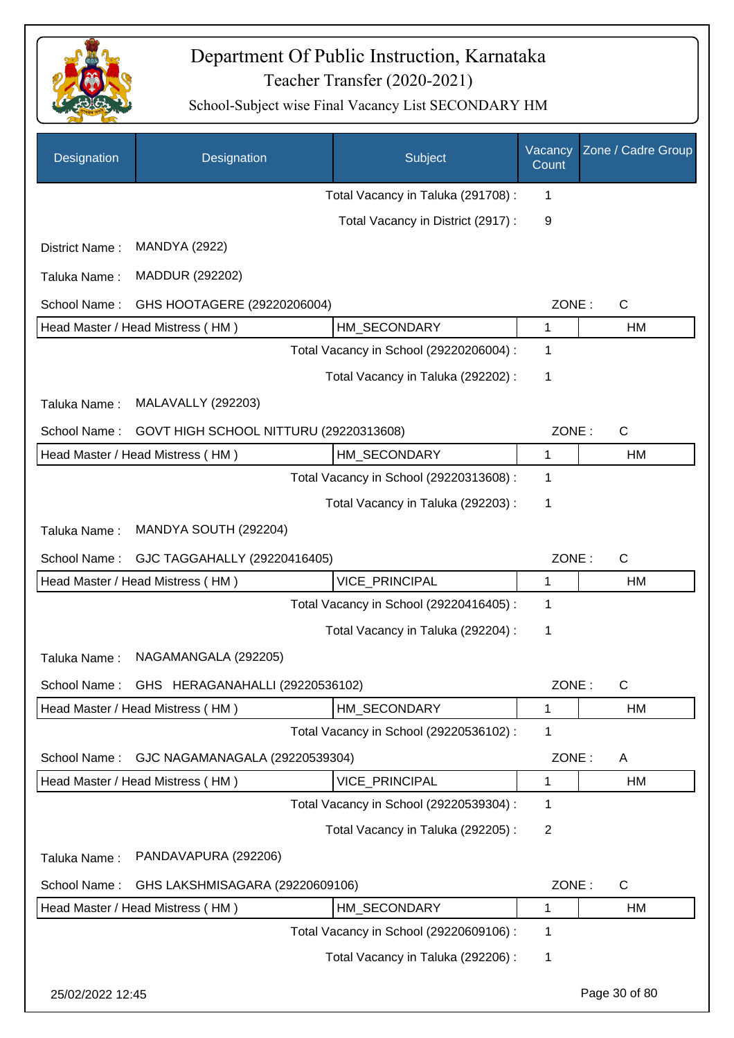

| Designation      | Designation                            | Subject                                 | Vacancy<br>Count | Zone / Cadre Group |
|------------------|----------------------------------------|-----------------------------------------|------------------|--------------------|
|                  |                                        | Total Vacancy in Taluka (291708) :      | 1                |                    |
|                  |                                        | Total Vacancy in District (2917) :      | 9                |                    |
| District Name:   | <b>MANDYA (2922)</b>                   |                                         |                  |                    |
| Taluka Name:     | MADDUR (292202)                        |                                         |                  |                    |
| School Name:     | GHS HOOTAGERE (29220206004)            |                                         | ZONE:            | $\mathsf{C}$       |
|                  | Head Master / Head Mistress (HM)       | HM_SECONDARY                            | 1                | HM                 |
|                  |                                        | Total Vacancy in School (29220206004) : | 1                |                    |
|                  |                                        | Total Vacancy in Taluka (292202) :      | 1                |                    |
| Taluka Name:     | <b>MALAVALLY (292203)</b>              |                                         |                  |                    |
| School Name:     | GOVT HIGH SCHOOL NITTURU (29220313608) |                                         | ZONE:            | $\mathsf{C}$       |
|                  | Head Master / Head Mistress (HM)       | HM SECONDARY                            | 1                | HM                 |
|                  |                                        | Total Vacancy in School (29220313608) : | 1                |                    |
|                  |                                        | Total Vacancy in Taluka (292203) :      | 1                |                    |
| Taluka Name:     | MANDYA SOUTH (292204)                  |                                         |                  |                    |
| School Name:     | GJC TAGGAHALLY (29220416405)           |                                         | ZONE:            | $\mathsf{C}$       |
|                  | Head Master / Head Mistress (HM)       | VICE_PRINCIPAL                          | 1                | HM                 |
|                  |                                        | Total Vacancy in School (29220416405) : | 1                |                    |
|                  |                                        | Total Vacancy in Taluka (292204) :      | 1                |                    |
| Taluka Name:     | NAGAMANGALA (292205)                   |                                         |                  |                    |
| School Name:     | GHS HERAGANAHALLI (29220536102)        |                                         | ZONE:            | C                  |
|                  | Head Master / Head Mistress (HM)       | HM_SECONDARY                            | 1                | HM                 |
|                  |                                        | Total Vacancy in School (29220536102) : | 1                |                    |
| School Name:     | GJC NAGAMANAGALA (29220539304)         |                                         | ZONE:            | A                  |
|                  | Head Master / Head Mistress (HM)       | VICE_PRINCIPAL                          | 1                | HM                 |
|                  |                                        | Total Vacancy in School (29220539304) : | 1                |                    |
|                  |                                        | Total Vacancy in Taluka (292205):       | $\overline{2}$   |                    |
| Taluka Name:     | PANDAVAPURA (292206)                   |                                         |                  |                    |
| School Name:     | GHS LAKSHMISAGARA (29220609106)        |                                         | ZONE:            | C                  |
|                  | Head Master / Head Mistress (HM)       | HM_SECONDARY                            | 1                | HM                 |
|                  |                                        | Total Vacancy in School (29220609106) : | 1                |                    |
|                  |                                        | Total Vacancy in Taluka (292206) :      | 1                |                    |
| 25/02/2022 12:45 |                                        |                                         |                  | Page 30 of 80      |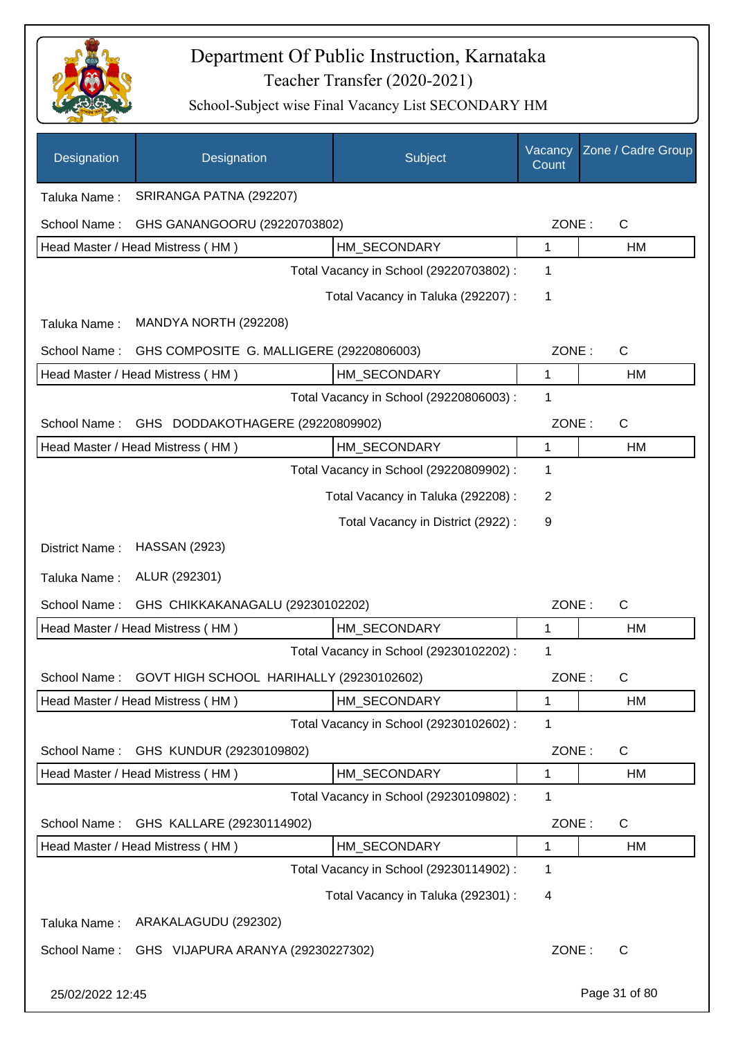

| Designation      | Designation                                           | Subject                                 | Vacancy<br>Count | Zone / Cadre Group |
|------------------|-------------------------------------------------------|-----------------------------------------|------------------|--------------------|
| Taluka Name:     | SRIRANGA PATNA (292207)                               |                                         |                  |                    |
| School Name:     | GHS GANANGOORU (29220703802)                          |                                         | ZONE:            | C                  |
|                  | Head Master / Head Mistress (HM)                      | HM_SECONDARY                            | 1                | HM                 |
|                  |                                                       | Total Vacancy in School (29220703802) : | 1                |                    |
|                  |                                                       | Total Vacancy in Taluka (292207) :      | 1                |                    |
| Taluka Name:     | MANDYA NORTH (292208)                                 |                                         |                  |                    |
| School Name:     | GHS COMPOSITE G. MALLIGERE (29220806003)              |                                         | ZONE:            | C                  |
|                  | Head Master / Head Mistress (HM)                      | HM_SECONDARY                            | 1                | HM                 |
|                  |                                                       | Total Vacancy in School (29220806003) : | 1                |                    |
| School Name:     | GHS DODDAKOTHAGERE (29220809902)                      |                                         | ZONE:            | $\mathsf C$        |
|                  | Head Master / Head Mistress (HM)                      | HM_SECONDARY                            | 1                | HM                 |
|                  |                                                       | Total Vacancy in School (29220809902) : | 1                |                    |
|                  |                                                       | Total Vacancy in Taluka (292208) :      | 2                |                    |
|                  |                                                       | Total Vacancy in District (2922):       | 9                |                    |
| District Name:   | <b>HASSAN (2923)</b>                                  |                                         |                  |                    |
| Taluka Name:     | ALUR (292301)                                         |                                         |                  |                    |
| School Name:     | GHS CHIKKAKANAGALU (29230102202)                      |                                         | ZONE:            | $\mathsf C$        |
|                  | Head Master / Head Mistress (HM)                      | HM_SECONDARY                            | 1                | HM                 |
|                  |                                                       | Total Vacancy in School (29230102202) : | 1                |                    |
|                  | School Name: GOVT HIGH SCHOOL HARIHALLY (29230102602) |                                         | ZONE:            | C                  |
|                  | Head Master / Head Mistress (HM)                      | HM_SECONDARY                            | 1                | HM                 |
|                  |                                                       | Total Vacancy in School (29230102602) : | 1                |                    |
| School Name:     | GHS KUNDUR (29230109802)                              |                                         | ZONE:            | C                  |
|                  | Head Master / Head Mistress (HM)                      | HM_SECONDARY                            | 1                | HM                 |
|                  |                                                       | Total Vacancy in School (29230109802) : | 1                |                    |
| School Name:     | GHS KALLARE (29230114902)                             |                                         | ZONE:            | C                  |
|                  | Head Master / Head Mistress (HM)                      | HM_SECONDARY                            | 1                | HM                 |
|                  |                                                       | Total Vacancy in School (29230114902) : | 1                |                    |
|                  |                                                       | Total Vacancy in Taluka (292301) :      | 4                |                    |
| Taluka Name:     | ARAKALAGUDU (292302)                                  |                                         |                  |                    |
| School Name:     | GHS VIJAPURA ARANYA (29230227302)                     |                                         | ZONE:            | C                  |
| 25/02/2022 12:45 |                                                       |                                         |                  | Page 31 of 80      |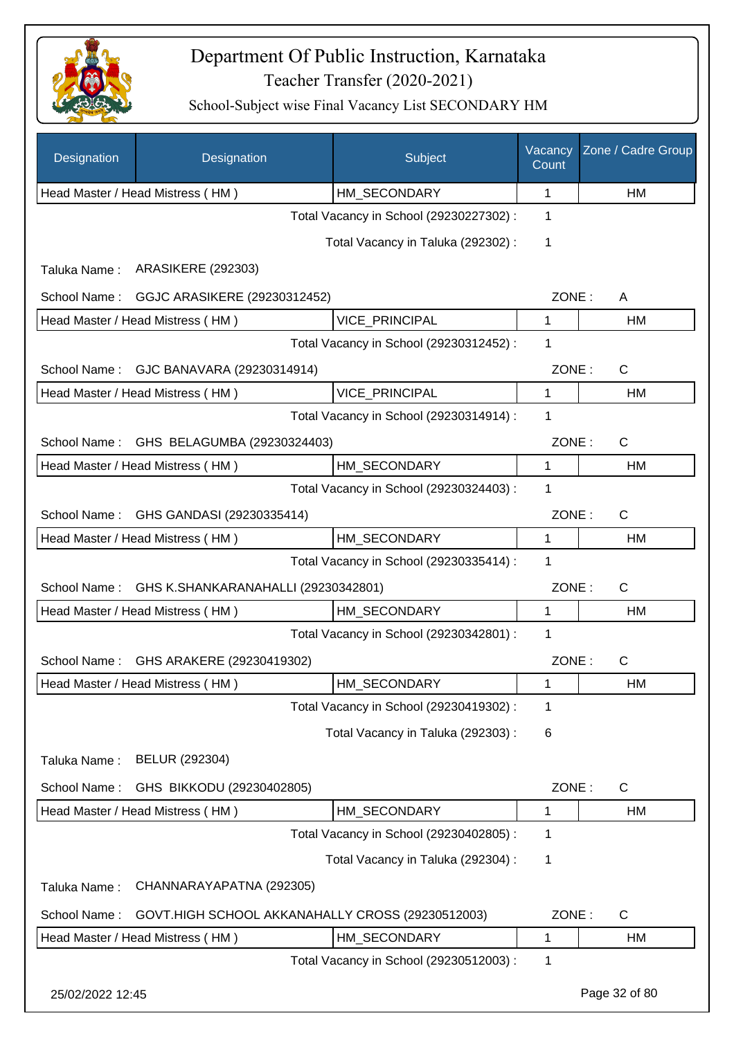

| Designation      | Designation                                      | Subject                                 | Vacancy<br>Count | Zone / Cadre Group |
|------------------|--------------------------------------------------|-----------------------------------------|------------------|--------------------|
|                  | Head Master / Head Mistress (HM)                 | HM_SECONDARY                            | 1                | НM                 |
|                  |                                                  | Total Vacancy in School (29230227302) : | 1                |                    |
|                  |                                                  | Total Vacancy in Taluka (292302) :      | 1                |                    |
| Taluka Name:     | <b>ARASIKERE (292303)</b>                        |                                         |                  |                    |
| School Name:     | GGJC ARASIKERE (29230312452)                     |                                         | ZONE:            | A                  |
|                  | Head Master / Head Mistress (HM)                 | VICE_PRINCIPAL                          | 1                | НM                 |
|                  |                                                  | Total Vacancy in School (29230312452) : | 1                |                    |
| School Name:     | GJC BANAVARA (29230314914)                       |                                         | ZONE:            | C                  |
|                  | Head Master / Head Mistress (HM)                 | VICE_PRINCIPAL                          | 1                | НM                 |
|                  |                                                  | Total Vacancy in School (29230314914) : | 1                |                    |
| School Name:     | GHS BELAGUMBA (29230324403)                      |                                         | ZONE:            | C                  |
|                  | Head Master / Head Mistress (HM)                 | HM_SECONDARY                            | 1                | НM                 |
|                  |                                                  | Total Vacancy in School (29230324403) : | 1                |                    |
| School Name:     | GHS GANDASI (29230335414)                        |                                         | ZONE:            | C                  |
|                  | Head Master / Head Mistress (HM)                 | HM_SECONDARY                            | 1                | HM                 |
|                  |                                                  | Total Vacancy in School (29230335414) : | 1                |                    |
| School Name:     | GHS K.SHANKARANAHALLI (29230342801)              |                                         | ZONE:            | $\mathsf C$        |
|                  | Head Master / Head Mistress (HM)                 | HM_SECONDARY                            | 1                | HM                 |
|                  |                                                  | Total Vacancy in School (29230342801) : | 1                |                    |
| School Name:     | GHS ARAKERE (29230419302)                        |                                         | ZONE:            | C                  |
|                  | Head Master / Head Mistress (HM)                 | HM_SECONDARY                            | 1                | HM                 |
|                  |                                                  | Total Vacancy in School (29230419302) : | 1                |                    |
|                  |                                                  | Total Vacancy in Taluka (292303):       | 6                |                    |
| Taluka Name:     | BELUR (292304)                                   |                                         |                  |                    |
| School Name:     | GHS BIKKODU (29230402805)                        |                                         | ZONE:            | $\mathsf{C}$       |
|                  | Head Master / Head Mistress (HM)                 | HM_SECONDARY                            | 1                | HM                 |
|                  |                                                  | Total Vacancy in School (29230402805) : | 1                |                    |
|                  |                                                  | Total Vacancy in Taluka (292304) :      | 1                |                    |
| Taluka Name:     | CHANNARAYAPATNA (292305)                         |                                         |                  |                    |
| School Name:     | GOVT.HIGH SCHOOL AKKANAHALLY CROSS (29230512003) |                                         | ZONE:            | $\mathsf C$        |
|                  | Head Master / Head Mistress (HM)                 | HM_SECONDARY                            | 1                | HM                 |
|                  |                                                  | Total Vacancy in School (29230512003) : | 1                |                    |
| 25/02/2022 12:45 |                                                  |                                         |                  | Page 32 of 80      |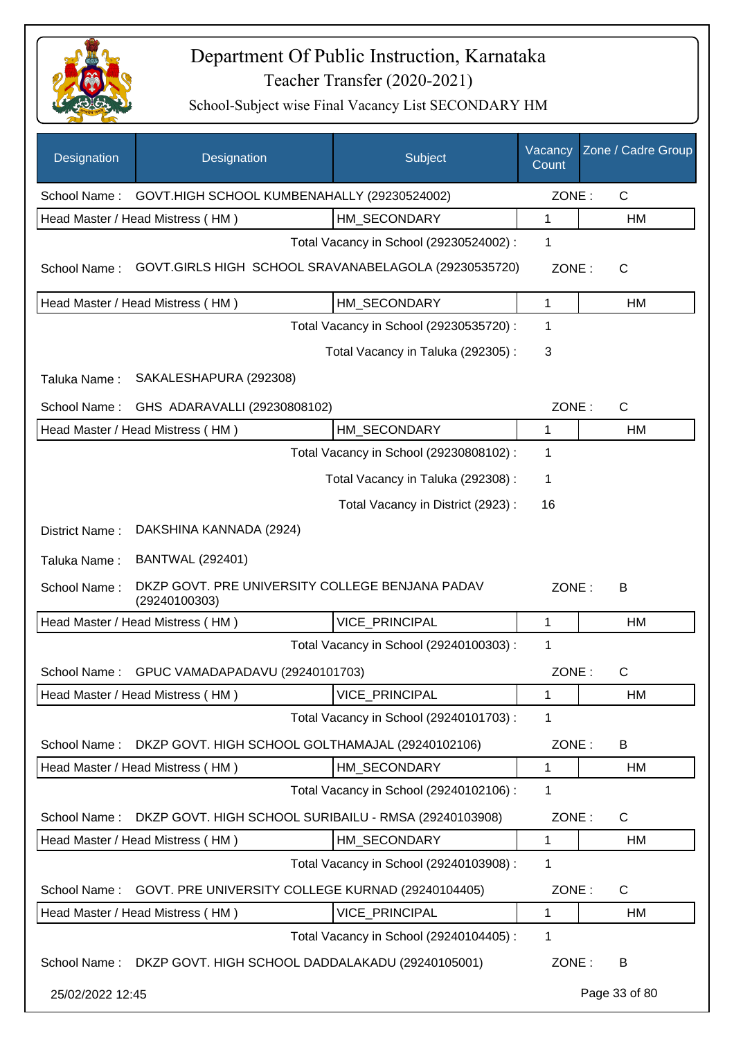

| Designation      | Designation                                                      | Subject                                 | Vacancy<br>Count | Zone / Cadre Group |
|------------------|------------------------------------------------------------------|-----------------------------------------|------------------|--------------------|
| School Name:     | GOVT.HIGH SCHOOL KUMBENAHALLY (29230524002)                      |                                         | ZONE:            | $\mathsf{C}$       |
|                  | Head Master / Head Mistress (HM)                                 | HM_SECONDARY                            | 1                | HM                 |
|                  |                                                                  | Total Vacancy in School (29230524002) : | 1                |                    |
| School Name:     | GOVT.GIRLS HIGH SCHOOL SRAVANABELAGOLA (29230535720)             |                                         | ZONE:            | C                  |
|                  | Head Master / Head Mistress (HM)                                 | HM SECONDARY                            | 1                | HM                 |
|                  |                                                                  | Total Vacancy in School (29230535720) : | 1                |                    |
|                  |                                                                  | Total Vacancy in Taluka (292305):       | 3                |                    |
| Taluka Name:     | SAKALESHAPURA (292308)                                           |                                         |                  |                    |
| School Name:     | GHS ADARAVALLI (29230808102)                                     |                                         | ZONE:            | C                  |
|                  | Head Master / Head Mistress (HM)                                 | HM SECONDARY                            | 1                | HM                 |
|                  |                                                                  | Total Vacancy in School (29230808102) : | 1                |                    |
|                  |                                                                  | Total Vacancy in Taluka (292308) :      | 1                |                    |
|                  |                                                                  | Total Vacancy in District (2923):       | 16               |                    |
| District Name:   | DAKSHINA KANNADA (2924)                                          |                                         |                  |                    |
| Taluka Name:     | <b>BANTWAL (292401)</b>                                          |                                         |                  |                    |
| School Name:     | DKZP GOVT. PRE UNIVERSITY COLLEGE BENJANA PADAV<br>(29240100303) |                                         | ZONE:            | B                  |
|                  | Head Master / Head Mistress (HM)                                 | VICE_PRINCIPAL                          | 1                | HM                 |
|                  |                                                                  | Total Vacancy in School (29240100303) : | 1                |                    |
| School Name:     | GPUC VAMADAPADAVU (29240101703)                                  |                                         | ZONE:            | C                  |
|                  | Head Master / Head Mistress (HM)                                 | VICE_PRINCIPAL                          | 1                | HM                 |
|                  |                                                                  | Total Vacancy in School (29240101703) : | 1                |                    |
| School Name:     | DKZP GOVT. HIGH SCHOOL GOLTHAMAJAL (29240102106)                 |                                         | ZONE:            | B                  |
|                  | Head Master / Head Mistress (HM)                                 | HM_SECONDARY                            | 1                | HM                 |
|                  |                                                                  | Total Vacancy in School (29240102106) : | 1                |                    |
| School Name:     | DKZP GOVT. HIGH SCHOOL SURIBAILU - RMSA (29240103908)            |                                         | ZONE:            | $\mathsf{C}$       |
|                  | Head Master / Head Mistress (HM)                                 | HM_SECONDARY                            | 1                | HM                 |
|                  |                                                                  | Total Vacancy in School (29240103908) : | 1                |                    |
| School Name:     | GOVT. PRE UNIVERSITY COLLEGE KURNAD (29240104405)                |                                         | ZONE:            | C                  |
|                  | Head Master / Head Mistress (HM)                                 | VICE_PRINCIPAL                          | 1                | HM                 |
|                  |                                                                  | Total Vacancy in School (29240104405) : | 1                |                    |
|                  | School Name: DKZP GOVT. HIGH SCHOOL DADDALAKADU (29240105001)    |                                         | ZONE:            | B                  |
| 25/02/2022 12:45 |                                                                  |                                         |                  | Page 33 of 80      |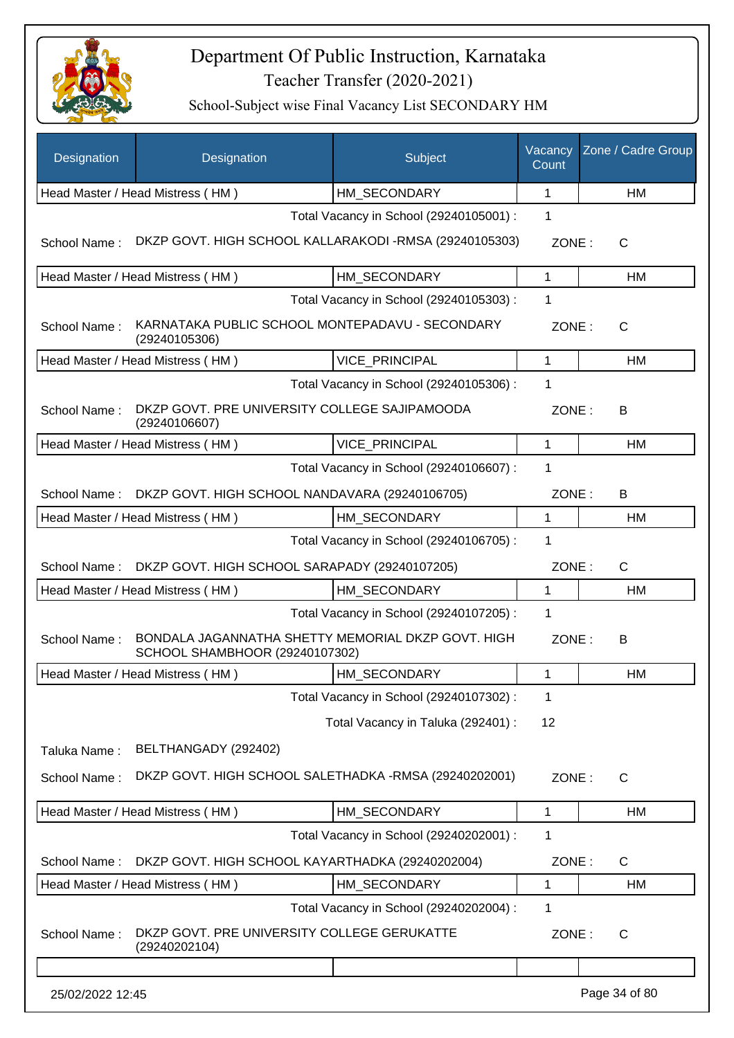

| <b>Designation</b> | Designation                                                                          | Subject                                 | Vacancy<br>Count | Zone / Cadre Group |
|--------------------|--------------------------------------------------------------------------------------|-----------------------------------------|------------------|--------------------|
|                    | Head Master / Head Mistress (HM)                                                     | HM_SECONDARY                            | 1                | <b>HM</b>          |
|                    |                                                                                      | Total Vacancy in School (29240105001) : | 1                |                    |
| School Name:       | DKZP GOVT. HIGH SCHOOL KALLARAKODI -RMSA (29240105303)                               |                                         | ZONE:            | C                  |
|                    | Head Master / Head Mistress (HM)                                                     | HM SECONDARY                            | 1                | HM                 |
|                    |                                                                                      | Total Vacancy in School (29240105303) : | 1                |                    |
| School Name:       | KARNATAKA PUBLIC SCHOOL MONTEPADAVU - SECONDARY<br>(29240105306)                     |                                         | ZONE:            | $\mathsf{C}$       |
|                    | Head Master / Head Mistress (HM)                                                     | <b>VICE PRINCIPAL</b>                   | $\mathbf 1$      | HM                 |
|                    |                                                                                      | Total Vacancy in School (29240105306) : | 1                |                    |
| School Name:       | DKZP GOVT. PRE UNIVERSITY COLLEGE SAJIPAMOODA<br>(29240106607)                       |                                         | ZONE:            | В                  |
|                    | Head Master / Head Mistress (HM)                                                     | <b>VICE PRINCIPAL</b>                   | $\mathbf{1}$     | <b>HM</b>          |
|                    |                                                                                      | Total Vacancy in School (29240106607) : | 1                |                    |
| School Name:       | DKZP GOVT. HIGH SCHOOL NANDAVARA (29240106705)                                       |                                         | ZONE:            | В                  |
|                    | Head Master / Head Mistress (HM)                                                     | HM SECONDARY                            | 1                | HM                 |
|                    |                                                                                      | Total Vacancy in School (29240106705) : | 1                |                    |
| School Name:       | DKZP GOVT. HIGH SCHOOL SARAPADY (29240107205)                                        |                                         | ZONE:            | $\mathsf{C}$       |
|                    | Head Master / Head Mistress (HM)                                                     | HM SECONDARY                            | 1                | HM                 |
|                    |                                                                                      | Total Vacancy in School (29240107205) : | 1                |                    |
| School Name:       | BONDALA JAGANNATHA SHETTY MEMORIAL DKZP GOVT. HIGH<br>SCHOOL SHAMBHOOR (29240107302) |                                         | ZONE:            | B                  |
|                    | Head Master / Head Mistress (HM)                                                     | HM SECONDARY                            | 1                | HM                 |
|                    |                                                                                      | Total Vacancy in School (29240107302) : | $\mathbf 1$      |                    |
|                    |                                                                                      | Total Vacancy in Taluka (292401) :      | 12               |                    |
| Taluka Name:       | BELTHANGADY (292402)                                                                 |                                         |                  |                    |
| School Name:       | DKZP GOVT. HIGH SCHOOL SALETHADKA -RMSA (29240202001)                                |                                         | ZONE:            | $\mathsf{C}$       |
|                    | Head Master / Head Mistress (HM)                                                     | HM_SECONDARY                            | 1                | HM                 |
|                    |                                                                                      | Total Vacancy in School (29240202001) : | 1                |                    |
| School Name:       | DKZP GOVT. HIGH SCHOOL KAYARTHADKA (29240202004)                                     |                                         | ZONE:            | C                  |
|                    | Head Master / Head Mistress (HM)                                                     | HM SECONDARY                            | 1                | HM                 |
|                    |                                                                                      | Total Vacancy in School (29240202004) : | 1                |                    |
| School Name:       | DKZP GOVT. PRE UNIVERSITY COLLEGE GERUKATTE<br>(29240202104)                         |                                         | ZONE:            | $\mathsf{C}$       |
|                    |                                                                                      |                                         |                  |                    |
| 25/02/2022 12:45   |                                                                                      |                                         |                  | Page 34 of 80      |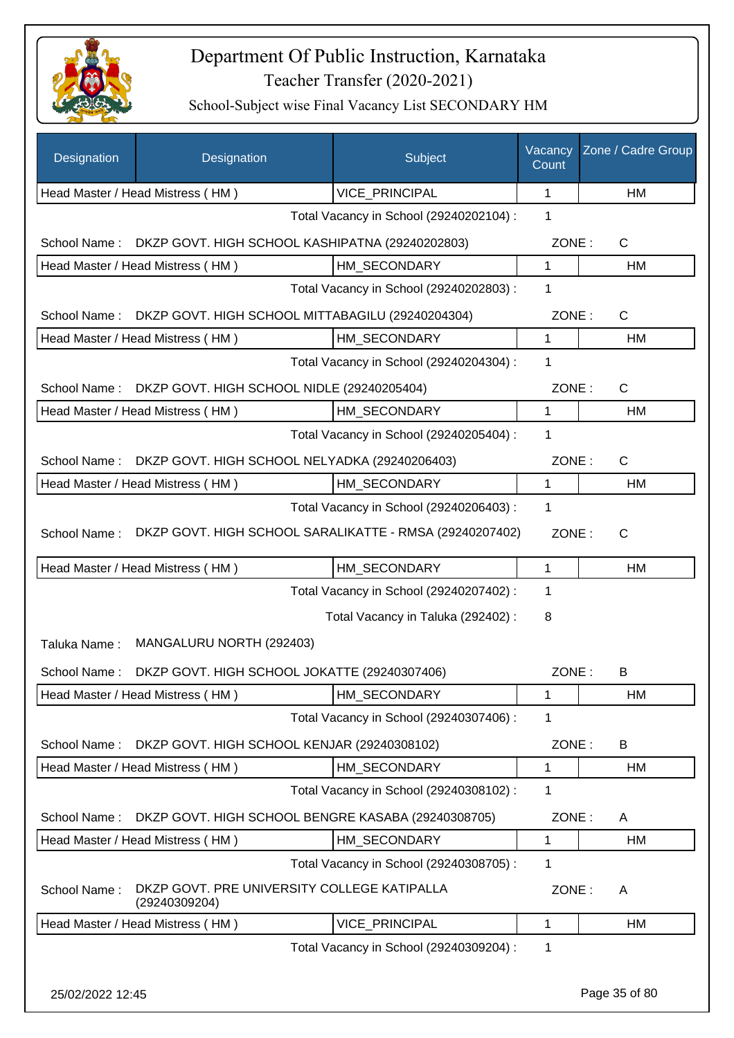

| Designation      | Designation                                                  | Subject                                 | Vacancy<br>Count | Zone / Cadre Group |
|------------------|--------------------------------------------------------------|-----------------------------------------|------------------|--------------------|
|                  | Head Master / Head Mistress (HM)                             | VICE_PRINCIPAL                          | 1                | НM                 |
|                  |                                                              | Total Vacancy in School (29240202104) : | 1                |                    |
| School Name:     | DKZP GOVT. HIGH SCHOOL KASHIPATNA (29240202803)              |                                         | ZONE:            | $\mathsf{C}$       |
|                  | Head Master / Head Mistress (HM)                             | HM_SECONDARY                            | 1                | НM                 |
|                  |                                                              | Total Vacancy in School (29240202803) : | 1                |                    |
| School Name:     | DKZP GOVT. HIGH SCHOOL MITTABAGILU (29240204304)             |                                         | ZONE:            | C                  |
|                  | Head Master / Head Mistress (HM)                             | HM SECONDARY                            | $\mathbf{1}$     | HM                 |
|                  |                                                              | Total Vacancy in School (29240204304) : | 1                |                    |
| School Name:     | DKZP GOVT. HIGH SCHOOL NIDLE (29240205404)                   |                                         | ZONE:            | $\mathsf{C}$       |
|                  | Head Master / Head Mistress (HM)                             | HM SECONDARY                            | 1                | НM                 |
|                  |                                                              | Total Vacancy in School (29240205404) : | 1                |                    |
| School Name:     | DKZP GOVT. HIGH SCHOOL NELYADKA (29240206403)                |                                         | ZONE:            | $\mathsf{C}$       |
|                  | Head Master / Head Mistress (HM)                             | HM_SECONDARY                            | $\mathbf{1}$     | HM                 |
|                  |                                                              | Total Vacancy in School (29240206403) : | 1                |                    |
| School Name:     | DKZP GOVT. HIGH SCHOOL SARALIKATTE - RMSA (29240207402)      |                                         | ZONE:            | $\mathsf{C}$       |
|                  | Head Master / Head Mistress (HM)                             | HM_SECONDARY                            | 1                | НM                 |
|                  |                                                              | Total Vacancy in School (29240207402) : | 1                |                    |
|                  |                                                              | Total Vacancy in Taluka (292402) :      | 8                |                    |
| Taluka Name:     | MANGALURU NORTH (292403)                                     |                                         |                  |                    |
| School Name:     | DKZP GOVT. HIGH SCHOOL JOKATTE (29240307406)                 |                                         | ZONE:            | B                  |
|                  | Head Master / Head Mistress (HM)                             | HM_SECONDARY                            | 1                | HM                 |
|                  |                                                              | Total Vacancy in School (29240307406) : | 1                |                    |
| School Name:     | DKZP GOVT. HIGH SCHOOL KENJAR (29240308102)                  |                                         | ZONE:            | B                  |
|                  | Head Master / Head Mistress (HM)                             | HM SECONDARY                            | 1                | HM                 |
|                  |                                                              | Total Vacancy in School (29240308102) : | 1                |                    |
| School Name:     | DKZP GOVT. HIGH SCHOOL BENGRE KASABA (29240308705)           |                                         | ZONE:            | A                  |
|                  | Head Master / Head Mistress (HM)                             | HM_SECONDARY                            | 1                | HM                 |
|                  |                                                              | Total Vacancy in School (29240308705) : | 1                |                    |
| School Name:     | DKZP GOVT. PRE UNIVERSITY COLLEGE KATIPALLA<br>(29240309204) |                                         | ZONE:            | A                  |
|                  | Head Master / Head Mistress (HM)                             | VICE_PRINCIPAL                          | 1                | HM                 |
|                  |                                                              | Total Vacancy in School (29240309204) : | 1                |                    |
| 25/02/2022 12:45 |                                                              |                                         |                  | Page 35 of 80      |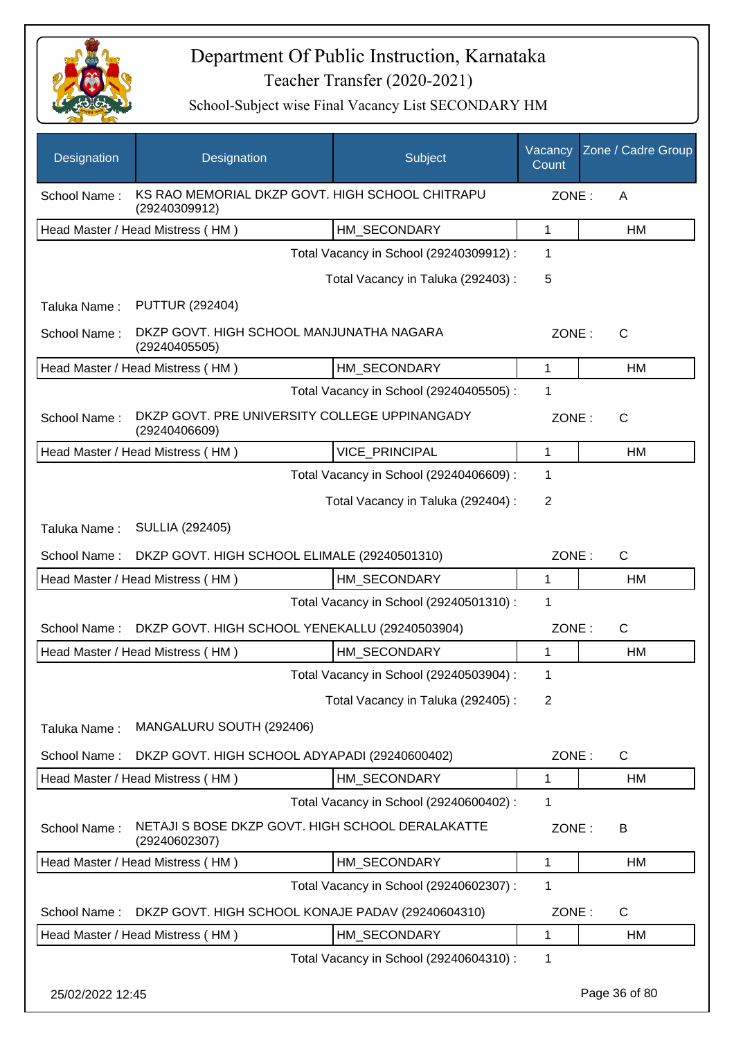

| Designation      | Designation                                                       | Subject                                 | Vacancy<br>Count | Zone / Cadre Group |
|------------------|-------------------------------------------------------------------|-----------------------------------------|------------------|--------------------|
| School Name:     | KS RAO MEMORIAL DKZP GOVT. HIGH SCHOOL CHITRAPU<br>(29240309912)  |                                         | ZONE:            | A                  |
|                  | Head Master / Head Mistress (HM)                                  | HM_SECONDARY                            | $\mathbf{1}$     | HM                 |
|                  |                                                                   | Total Vacancy in School (29240309912) : | 1                |                    |
|                  |                                                                   | Total Vacancy in Taluka (292403) :      | 5                |                    |
| Taluka Name:     | <b>PUTTUR (292404)</b>                                            |                                         |                  |                    |
| School Name:     | DKZP GOVT. HIGH SCHOOL MANJUNATHA NAGARA<br>(29240405505)         |                                         | ZONE:            | $\mathsf{C}$       |
|                  | Head Master / Head Mistress (HM)                                  | HM SECONDARY                            | $\mathbf{1}$     | HM                 |
|                  |                                                                   | Total Vacancy in School (29240405505) : | 1                |                    |
| School Name:     | DKZP GOVT. PRE UNIVERSITY COLLEGE UPPINANGADY<br>(29240406609)    |                                         | ZONE:            | C                  |
|                  | Head Master / Head Mistress (HM)                                  | VICE_PRINCIPAL                          | $\mathbf{1}$     | HM                 |
|                  |                                                                   | Total Vacancy in School (29240406609) : | 1                |                    |
|                  |                                                                   | Total Vacancy in Taluka (292404) :      | $\overline{2}$   |                    |
| Taluka Name:     | <b>SULLIA (292405)</b>                                            |                                         |                  |                    |
| School Name:     | DKZP GOVT. HIGH SCHOOL ELIMALE (29240501310)                      |                                         | ZONE:            | $\mathsf{C}$       |
|                  | Head Master / Head Mistress (HM)                                  | HM SECONDARY                            | 1                | HM                 |
|                  |                                                                   | Total Vacancy in School (29240501310) : | 1                |                    |
| School Name:     | DKZP GOVT. HIGH SCHOOL YENEKALLU (29240503904)                    |                                         | ZONE:            | C                  |
|                  | Head Master / Head Mistress (HM)                                  | HM SECONDARY                            | 1                | <b>HM</b>          |
|                  |                                                                   | Total Vacancy in School (29240503904) : | 1                |                    |
|                  |                                                                   | Total Vacancy in Taluka (292405) :      | 2                |                    |
| Taluka Name:     | MANGALURU SOUTH (292406)                                          |                                         |                  |                    |
| School Name:     | DKZP GOVT. HIGH SCHOOL ADYAPADI (29240600402)                     |                                         | ZONE:            | $\mathsf{C}$       |
|                  | Head Master / Head Mistress (HM)                                  | HM_SECONDARY                            | 1                | HM                 |
|                  |                                                                   | Total Vacancy in School (29240600402) : | 1                |                    |
| School Name:     | NETAJI S BOSE DKZP GOVT. HIGH SCHOOL DERALAKATTE<br>(29240602307) |                                         | ZONE:            | B                  |
|                  | Head Master / Head Mistress (HM)                                  | HM SECONDARY                            | $\mathbf 1$      | HM                 |
|                  |                                                                   | Total Vacancy in School (29240602307) : | 1                |                    |
| School Name:     | DKZP GOVT. HIGH SCHOOL KONAJE PADAV (29240604310)                 |                                         | ZONE:            | $\mathsf{C}$       |
|                  | Head Master / Head Mistress (HM)                                  | HM_SECONDARY                            | $\mathbf 1$      | HM                 |
|                  |                                                                   | Total Vacancy in School (29240604310) : | 1                |                    |
| 25/02/2022 12:45 |                                                                   |                                         |                  | Page 36 of 80      |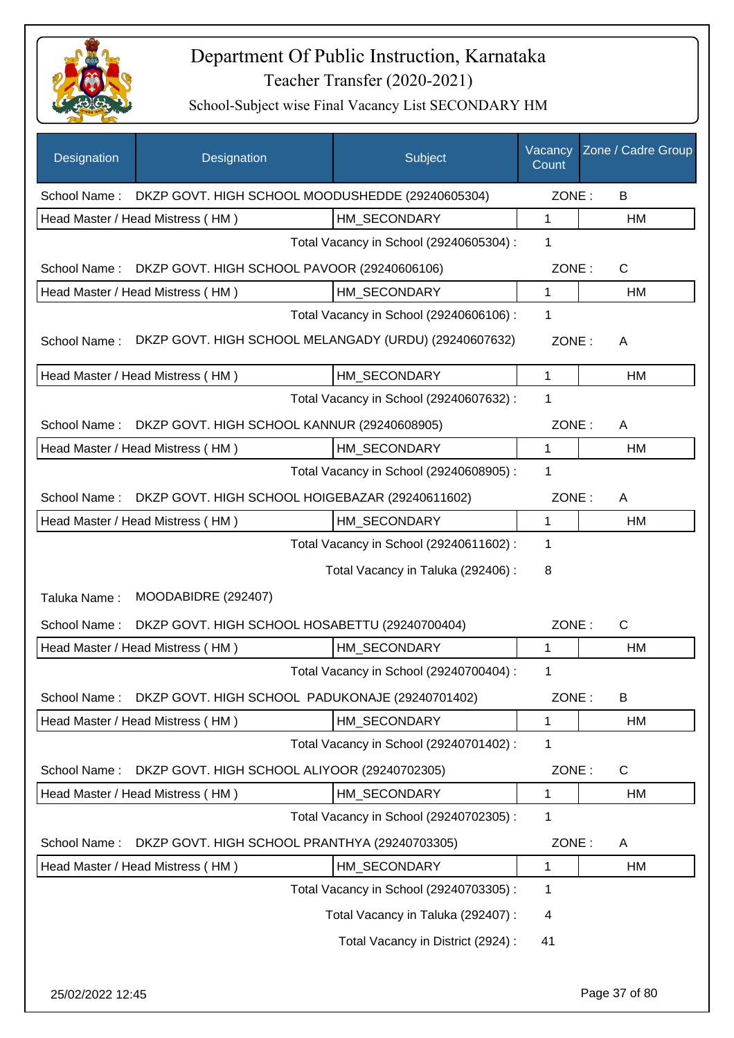

| Designation  | Designation                                                   | Subject                                 | Vacancy<br>Count | Zone / Cadre Group |
|--------------|---------------------------------------------------------------|-----------------------------------------|------------------|--------------------|
|              | School Name: DKZP GOVT. HIGH SCHOOL MOODUSHEDDE (29240605304) |                                         | ZONE:            | B                  |
|              | Head Master / Head Mistress (HM)                              | HM_SECONDARY                            | 1                | HM                 |
|              |                                                               | Total Vacancy in School (29240605304) : | 1                |                    |
| School Name: | DKZP GOVT. HIGH SCHOOL PAVOOR (29240606106)                   |                                         | ZONE:            | $\mathsf{C}$       |
|              | Head Master / Head Mistress (HM)                              | HM SECONDARY                            | $\mathbf{1}$     | HM                 |
|              |                                                               | Total Vacancy in School (29240606106) : | 1                |                    |
| School Name: | DKZP GOVT. HIGH SCHOOL MELANGADY (URDU) (29240607632)         |                                         | ZONE:            | A                  |
|              | Head Master / Head Mistress (HM)                              | HM SECONDARY                            | $\mathbf{1}$     | HM                 |
|              |                                                               | Total Vacancy in School (29240607632) : | 1                |                    |
| School Name: | DKZP GOVT. HIGH SCHOOL KANNUR (29240608905)                   |                                         | ZONE:            | A                  |
|              | Head Master / Head Mistress (HM)                              | HM_SECONDARY                            | 1                | HM                 |
|              |                                                               | Total Vacancy in School (29240608905) : | 1                |                    |
| School Name: | DKZP GOVT. HIGH SCHOOL HOIGEBAZAR (29240611602)               |                                         | ZONE:            | A                  |
|              | Head Master / Head Mistress (HM)                              | HM_SECONDARY                            | $\mathbf{1}$     | HM                 |
|              |                                                               | Total Vacancy in School (29240611602) : | 1                |                    |
|              |                                                               | Total Vacancy in Taluka (292406) :      | 8                |                    |
| Taluka Name: | MOODABIDRE (292407)                                           |                                         |                  |                    |
| School Name: | DKZP GOVT. HIGH SCHOOL HOSABETTU (29240700404)                |                                         | ZONE:            | $\mathsf{C}$       |
|              | Head Master / Head Mistress (HM)                              | HM_SECONDARY                            | 1                | HM                 |
|              |                                                               | Total Vacancy in School (29240700404) : | 1                |                    |
| School Name: | DKZP GOVT. HIGH SCHOOL PADUKONAJE (29240701402)               |                                         | ZONE:            | B                  |
|              | Head Master / Head Mistress (HM)                              | HM_SECONDARY                            | $\mathbf 1$      | HM                 |
|              |                                                               | Total Vacancy in School (29240701402) : | 1                |                    |
| School Name: | DKZP GOVT. HIGH SCHOOL ALIYOOR (29240702305)                  |                                         | ZONE:            | C                  |
|              | Head Master / Head Mistress (HM)                              | HM_SECONDARY                            | $\mathbf{1}$     | HM                 |
|              |                                                               | Total Vacancy in School (29240702305) : | $\mathbf 1$      |                    |
| School Name: | DKZP GOVT. HIGH SCHOOL PRANTHYA (29240703305)                 |                                         | ZONE:            | A                  |
|              | Head Master / Head Mistress (HM)                              | HM_SECONDARY                            | 1                | HM                 |
|              |                                                               | Total Vacancy in School (29240703305) : | 1                |                    |
|              |                                                               | Total Vacancy in Taluka (292407) :      | 4                |                    |
|              |                                                               | Total Vacancy in District (2924) :      | 41               |                    |
|              |                                                               |                                         |                  |                    |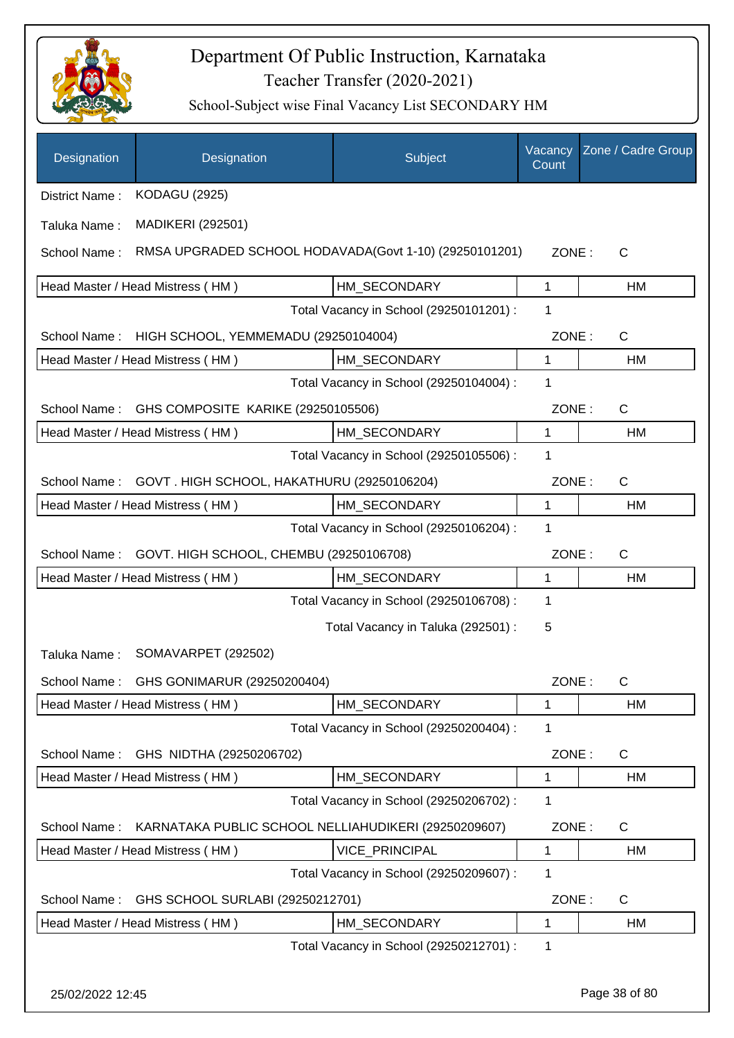

| Designation    | Designation                                            | Subject                                 | Vacancy<br>Count | Zone / Cadre Group |
|----------------|--------------------------------------------------------|-----------------------------------------|------------------|--------------------|
| District Name: | <b>KODAGU (2925)</b>                                   |                                         |                  |                    |
| Taluka Name:   | <b>MADIKERI (292501)</b>                               |                                         |                  |                    |
| School Name:   | RMSA UPGRADED SCHOOL HODAVADA(Govt 1-10) (29250101201) |                                         | ZONE:            | C                  |
|                | Head Master / Head Mistress (HM)                       | HM_SECONDARY                            | 1                | HM                 |
|                |                                                        | Total Vacancy in School (29250101201) : | 1                |                    |
| School Name:   | HIGH SCHOOL, YEMMEMADU (29250104004)                   |                                         | ZONE:            | $\mathsf{C}$       |
|                | Head Master / Head Mistress (HM)                       | HM_SECONDARY                            | 1                | HM                 |
|                |                                                        | Total Vacancy in School (29250104004) : | 1                |                    |
| School Name:   | GHS COMPOSITE KARIKE (29250105506)                     |                                         | ZONE:            | $\mathsf{C}$       |
|                | Head Master / Head Mistress (HM)                       | HM_SECONDARY                            | 1                | HM                 |
|                |                                                        | Total Vacancy in School (29250105506) : | 1                |                    |
| School Name:   | GOVT. HIGH SCHOOL, HAKATHURU (29250106204)             |                                         | ZONE:            | $\mathsf{C}$       |
|                | Head Master / Head Mistress (HM)                       | HM_SECONDARY                            | 1                | HM                 |
|                |                                                        | Total Vacancy in School (29250106204) : | 1                |                    |
| School Name:   | GOVT. HIGH SCHOOL, CHEMBU (29250106708)                |                                         | ZONE:            | $\mathsf{C}$       |
|                | Head Master / Head Mistress (HM)                       | HM_SECONDARY                            | 1                | HM                 |
|                |                                                        | Total Vacancy in School (29250106708) : | 1                |                    |
|                |                                                        | Total Vacancy in Taluka (292501) :      | 5                |                    |
| Taluka Name:   | SOMAVARPET (292502)                                    |                                         |                  |                    |
|                | School Name: GHS GONIMARUR (29250200404)               |                                         | ZONE:            | C                  |
|                | Head Master / Head Mistress (HM)                       | HM SECONDARY                            | 1                | HM                 |
|                |                                                        | Total Vacancy in School (29250200404) : | 1                |                    |
| School Name:   | GHS NIDTHA (29250206702)                               |                                         | ZONE:            | $\mathsf{C}$       |
|                | Head Master / Head Mistress (HM)                       | HM_SECONDARY                            | 1                | HM                 |
|                |                                                        | Total Vacancy in School (29250206702) : | 1                |                    |
| School Name:   | KARNATAKA PUBLIC SCHOOL NELLIAHUDIKERI (29250209607)   |                                         | ZONE:            | $\mathsf{C}$       |
|                | Head Master / Head Mistress (HM)                       | VICE_PRINCIPAL                          | 1                | HM                 |
|                |                                                        | Total Vacancy in School (29250209607) : | 1                |                    |
| School Name:   | GHS SCHOOL SURLABI (29250212701)                       |                                         | ZONE:            | C                  |
|                | Head Master / Head Mistress (HM)                       | HM_SECONDARY                            | 1                | HM                 |
|                |                                                        | Total Vacancy in School (29250212701) : | 1                |                    |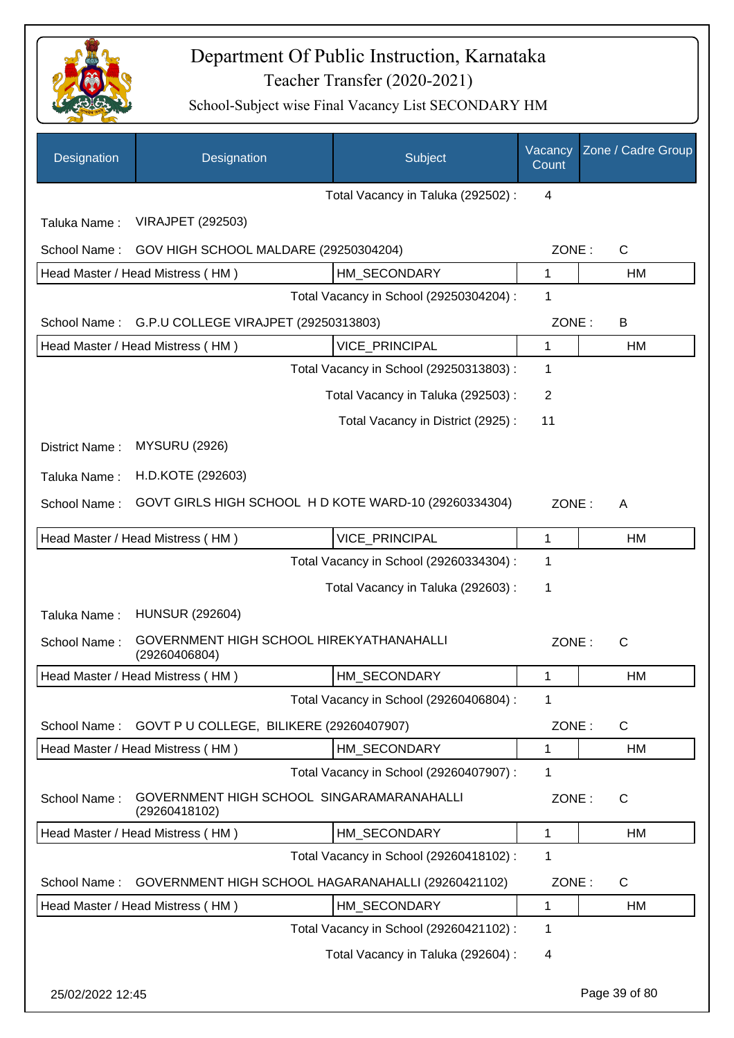

| Designation      | Designation                                                | Subject                                 | Vacancy<br>Count | Zone / Cadre Group |
|------------------|------------------------------------------------------------|-----------------------------------------|------------------|--------------------|
|                  |                                                            | Total Vacancy in Taluka (292502) :      | $\overline{4}$   |                    |
| Taluka Name:     | <b>VIRAJPET (292503)</b>                                   |                                         |                  |                    |
| School Name:     | GOV HIGH SCHOOL MALDARE (29250304204)                      |                                         | ZONE:            | C                  |
|                  | Head Master / Head Mistress (HM)                           | HM SECONDARY                            | 1                | HM                 |
|                  |                                                            | Total Vacancy in School (29250304204) : | 1                |                    |
| School Name:     | G.P.U COLLEGE VIRAJPET (29250313803)                       |                                         | ZONE:            | B                  |
|                  | Head Master / Head Mistress (HM)                           | VICE_PRINCIPAL                          | $\mathbf{1}$     | HM                 |
|                  |                                                            | Total Vacancy in School (29250313803) : | 1                |                    |
|                  |                                                            | Total Vacancy in Taluka (292503) :      | $\overline{2}$   |                    |
|                  |                                                            | Total Vacancy in District (2925):       | 11               |                    |
| District Name:   | <b>MYSURU (2926)</b>                                       |                                         |                  |                    |
| Taluka Name:     | H.D.KOTE (292603)                                          |                                         |                  |                    |
| School Name:     | GOVT GIRLS HIGH SCHOOL HD KOTE WARD-10 (29260334304)       |                                         | ZONE:            | A                  |
|                  |                                                            |                                         |                  |                    |
|                  | Head Master / Head Mistress (HM)                           | <b>VICE PRINCIPAL</b>                   | 1                | HM                 |
|                  |                                                            | Total Vacancy in School (29260334304) : | 1                |                    |
|                  |                                                            | Total Vacancy in Taluka (292603):       | 1                |                    |
| Taluka Name:     | <b>HUNSUR (292604)</b>                                     |                                         |                  |                    |
| School Name:     | GOVERNMENT HIGH SCHOOL HIREKYATHANAHALLI<br>(29260406804)  |                                         | ZONE:            | $\mathsf{C}$       |
|                  | Head Master / Head Mistress (HM)                           | HM_SECONDARY                            | $\mathbf{1}$     | HM                 |
|                  |                                                            | Total Vacancy in School (29260406804) : | 1                |                    |
| School Name:     | GOVT P U COLLEGE, BILIKERE (29260407907)                   |                                         | ZONE:            | C                  |
|                  | Head Master / Head Mistress (HM)                           | HM SECONDARY                            | 1                | HM                 |
|                  |                                                            | Total Vacancy in School (29260407907) : | 1                |                    |
| School Name:     | GOVERNMENT HIGH SCHOOL SINGARAMARANAHALLI<br>(29260418102) |                                         | ZONE:            | C                  |
|                  | Head Master / Head Mistress (HM)                           | HM SECONDARY                            | $\mathbf{1}$     | HM                 |
|                  |                                                            | Total Vacancy in School (29260418102) : | 1                |                    |
| School Name:     | GOVERNMENT HIGH SCHOOL HAGARANAHALLI (29260421102)         |                                         | ZONE:            | C                  |
|                  | Head Master / Head Mistress (HM)                           | HM_SECONDARY                            | 1                | HM                 |
|                  |                                                            | Total Vacancy in School (29260421102) : | 1                |                    |
|                  |                                                            | Total Vacancy in Taluka (292604) :      | 4                |                    |
| 25/02/2022 12:45 |                                                            |                                         |                  | Page 39 of 80      |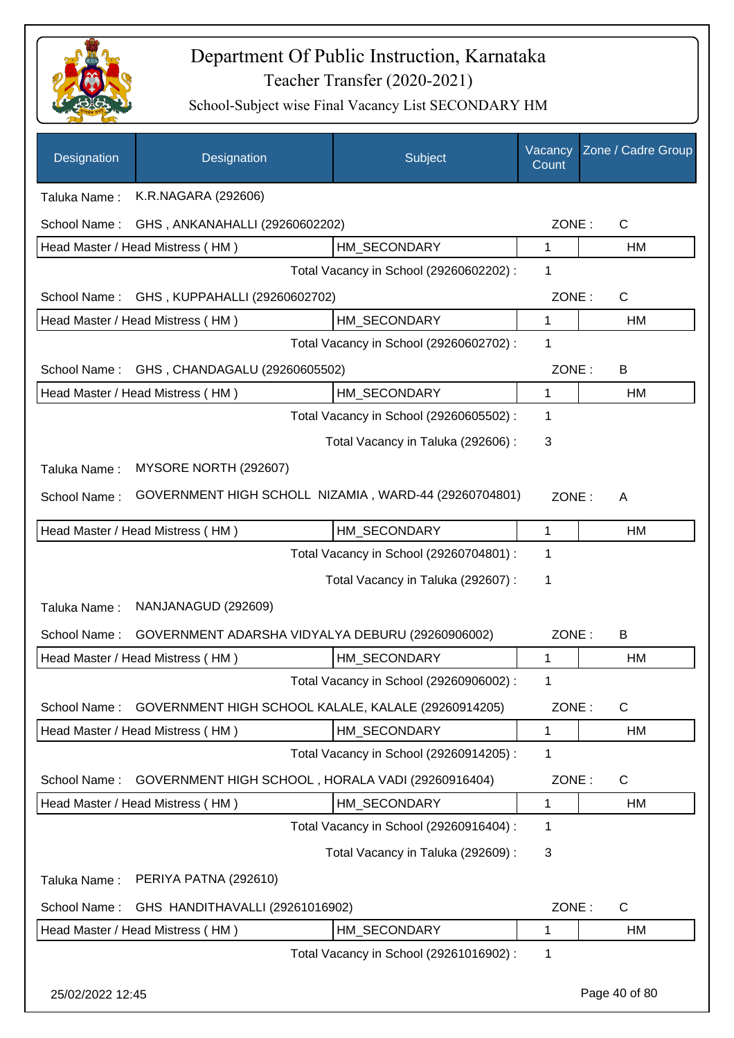

| Designation                             | Designation                                           | Subject                                 | Vacancy<br>Count | Zone / Cadre Group |
|-----------------------------------------|-------------------------------------------------------|-----------------------------------------|------------------|--------------------|
| Taluka Name:                            | K.R.NAGARA (292606)                                   |                                         |                  |                    |
| School Name:                            | GHS, ANKANAHALLI (29260602202)                        |                                         | ZONE:            | C                  |
|                                         | Head Master / Head Mistress (HM)                      | HM SECONDARY                            | 1                | HM                 |
|                                         |                                                       | Total Vacancy in School (29260602202) : | 1                |                    |
| School Name:                            | GHS, KUPPAHALLI (29260602702)                         |                                         | ZONE:            | C                  |
|                                         | Head Master / Head Mistress (HM)                      | HM_SECONDARY                            | 1                | HM                 |
| Total Vacancy in School (29260602702) : |                                                       |                                         | 1                |                    |
| School Name:                            | GHS, CHANDAGALU (29260605502)                         |                                         | ZONE:            | B                  |
|                                         | Head Master / Head Mistress (HM)                      | HM_SECONDARY                            | 1                | HM                 |
|                                         |                                                       | Total Vacancy in School (29260605502) : | 1                |                    |
|                                         |                                                       | Total Vacancy in Taluka (292606) :      | 3                |                    |
| Taluka Name:                            | MYSORE NORTH (292607)                                 |                                         |                  |                    |
| School Name:                            | GOVERNMENT HIGH SCHOLL NIZAMIA, WARD-44 (29260704801) |                                         | ZONE:            | A                  |
|                                         | Head Master / Head Mistress (HM)                      | HM_SECONDARY                            | 1                | HM                 |
|                                         |                                                       | Total Vacancy in School (29260704801) : | 1                |                    |
|                                         |                                                       | Total Vacancy in Taluka (292607) :      | 1                |                    |
| Taluka Name:                            | NANJANAGUD (292609)                                   |                                         |                  |                    |
| School Name:                            | GOVERNMENT ADARSHA VIDYALYA DEBURU (29260906002)      |                                         | ZONE:            | B                  |
|                                         | Head Master / Head Mistress (HM)                      | HM_SECONDARY                            | 1                | HM                 |
|                                         |                                                       | Total Vacancy in School (29260906002) : |                  |                    |
| School Name:                            | GOVERNMENT HIGH SCHOOL KALALE, KALALE (29260914205)   |                                         | ZONE:            | C                  |
|                                         | Head Master / Head Mistress (HM)                      | HM_SECONDARY                            | 1                | HM                 |
|                                         |                                                       | Total Vacancy in School (29260914205) : | 1                |                    |
| School Name:                            | GOVERNMENT HIGH SCHOOL, HORALA VADI (29260916404)     |                                         | ZONE:            | C                  |
|                                         | Head Master / Head Mistress (HM)                      | HM_SECONDARY                            | 1                | НM                 |
|                                         |                                                       | Total Vacancy in School (29260916404) : | 1                |                    |
|                                         |                                                       | Total Vacancy in Taluka (292609) :      | 3                |                    |
| Taluka Name:                            | PERIYA PATNA (292610)                                 |                                         |                  |                    |
| School Name:                            | GHS HANDITHAVALLI (29261016902)                       |                                         | ZONE:            | C                  |
|                                         | Head Master / Head Mistress (HM)                      | HM_SECONDARY                            | 1                | HM                 |
|                                         |                                                       | Total Vacancy in School (29261016902) : | 1                |                    |
| 25/02/2022 12:45                        |                                                       |                                         |                  | Page 40 of 80      |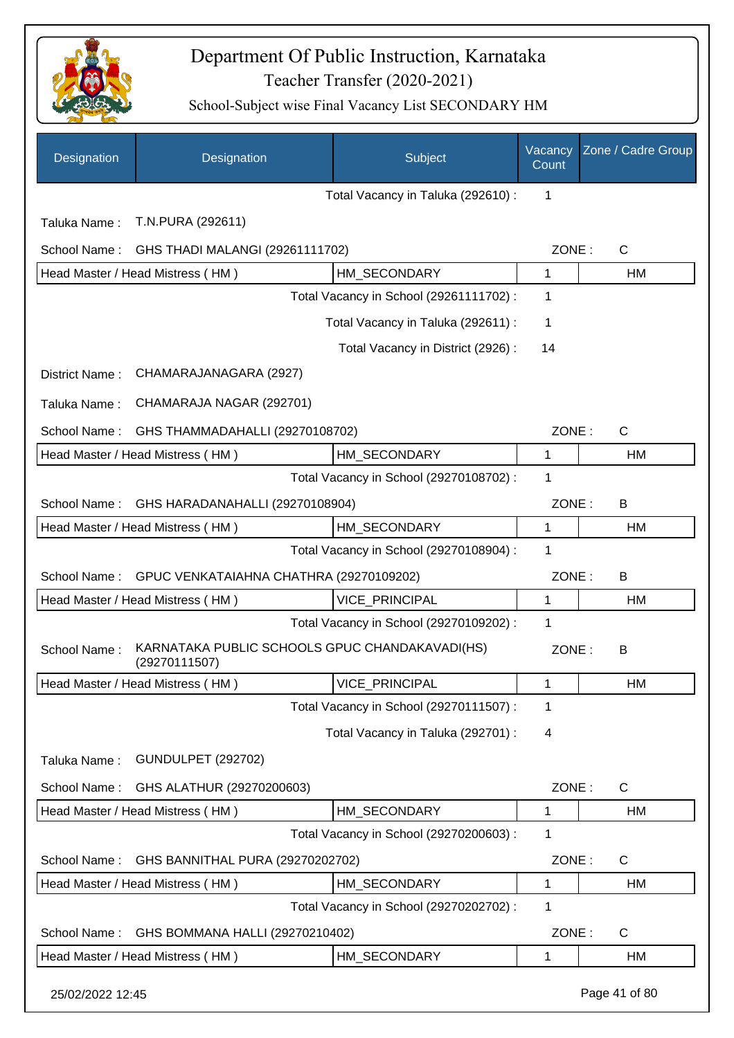

| Designation      | Designation                                                     | Subject                                 | Vacancy<br>Count | Zone / Cadre Group |
|------------------|-----------------------------------------------------------------|-----------------------------------------|------------------|--------------------|
|                  |                                                                 | Total Vacancy in Taluka (292610) :      | $\mathbf{1}$     |                    |
| Taluka Name:     | T.N.PURA (292611)                                               |                                         |                  |                    |
| School Name:     | GHS THADI MALANGI (29261111702)                                 |                                         | ZONE:            | $\mathsf{C}$       |
|                  | Head Master / Head Mistress (HM)                                | HM SECONDARY                            | 1                | HM                 |
|                  |                                                                 | Total Vacancy in School (29261111702) : | $\mathbf 1$      |                    |
|                  |                                                                 | Total Vacancy in Taluka (292611) :      | 1                |                    |
|                  |                                                                 | Total Vacancy in District (2926):       | 14               |                    |
| District Name:   | CHAMARAJANAGARA (2927)                                          |                                         |                  |                    |
| Taluka Name:     | CHAMARAJA NAGAR (292701)                                        |                                         |                  |                    |
| School Name:     | GHS THAMMADAHALLI (29270108702)                                 |                                         | ZONE:            | $\mathsf{C}$       |
|                  | Head Master / Head Mistress (HM)                                | HM_SECONDARY                            | 1                | HM                 |
|                  |                                                                 | Total Vacancy in School (29270108702) : | 1                |                    |
| School Name:     | GHS HARADANAHALLI (29270108904)                                 |                                         | ZONE:            | B                  |
|                  | Head Master / Head Mistress (HM)                                | HM_SECONDARY                            | 1                | HM                 |
|                  |                                                                 | Total Vacancy in School (29270108904) : | 1                |                    |
| School Name:     | GPUC VENKATAIAHNA CHATHRA (29270109202)                         |                                         | ZONE:            | B                  |
|                  | Head Master / Head Mistress (HM)                                | <b>VICE PRINCIPAL</b>                   | 1                | <b>HM</b>          |
|                  |                                                                 | Total Vacancy in School (29270109202) : | 1                |                    |
| School Name:     | KARNATAKA PUBLIC SCHOOLS GPUC CHANDAKAVADI(HS)<br>(29270111507) |                                         | ZONE:            | B                  |
|                  | Head Master / Head Mistress (HM)                                | VICE_PRINCIPAL                          | 1                | HM                 |
|                  |                                                                 | Total Vacancy in School (29270111507) : | 1                |                    |
|                  |                                                                 | Total Vacancy in Taluka (292701) :      | 4                |                    |
| Taluka Name:     | <b>GUNDULPET (292702)</b>                                       |                                         |                  |                    |
| School Name:     | GHS ALATHUR (29270200603)                                       |                                         | ZONE:            | C                  |
|                  | Head Master / Head Mistress (HM)                                | HM SECONDARY                            | 1                | HM                 |
|                  |                                                                 | Total Vacancy in School (29270200603) : | 1                |                    |
| School Name:     | GHS BANNITHAL PURA (29270202702)                                |                                         | ZONE:            | C                  |
|                  | Head Master / Head Mistress (HM)                                | HM_SECONDARY                            | 1                | HM                 |
|                  |                                                                 | Total Vacancy in School (29270202702) : | 1                |                    |
| School Name:     | GHS BOMMANA HALLI (29270210402)                                 |                                         | ZONE:            | C                  |
|                  | Head Master / Head Mistress (HM)                                | HM_SECONDARY                            | 1                | HM                 |
| 25/02/2022 12:45 |                                                                 |                                         |                  | Page 41 of 80      |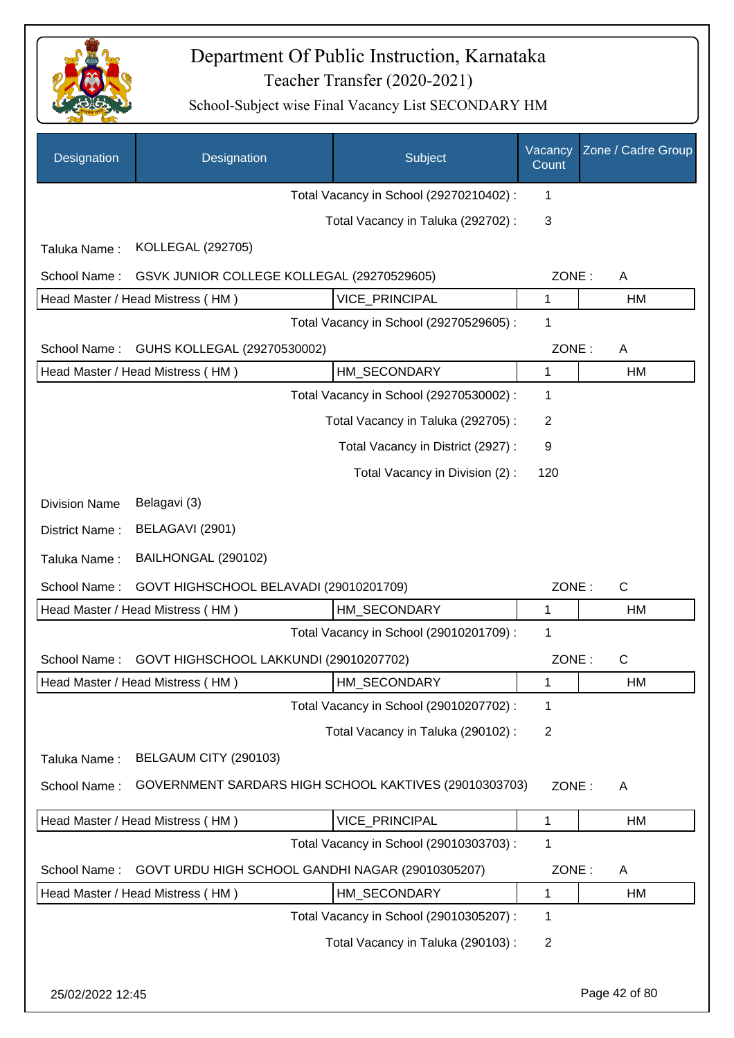

| Designation          | Designation                                           | Subject                                 | Vacancy<br>Count | Zone / Cadre Group |
|----------------------|-------------------------------------------------------|-----------------------------------------|------------------|--------------------|
|                      |                                                       | Total Vacancy in School (29270210402) : | 1                |                    |
|                      |                                                       | Total Vacancy in Taluka (292702) :      | 3                |                    |
| Taluka Name:         | KOLLEGAL (292705)                                     |                                         |                  |                    |
| School Name:         | GSVK JUNIOR COLLEGE KOLLEGAL (29270529605)            |                                         | ZONE:            | A                  |
|                      | Head Master / Head Mistress (HM)                      | <b>VICE PRINCIPAL</b>                   | 1                | HM                 |
|                      |                                                       | Total Vacancy in School (29270529605) : | 1                |                    |
| School Name:         | GUHS KOLLEGAL (29270530002)                           |                                         | ZONE:            | A                  |
|                      | Head Master / Head Mistress (HM)                      | HM_SECONDARY                            | 1                | HM                 |
|                      |                                                       | Total Vacancy in School (29270530002) : | 1                |                    |
|                      |                                                       | Total Vacancy in Taluka (292705) :      | 2                |                    |
|                      |                                                       | Total Vacancy in District (2927) :      | 9                |                    |
|                      |                                                       | Total Vacancy in Division (2):          | 120              |                    |
| <b>Division Name</b> | Belagavi (3)                                          |                                         |                  |                    |
| District Name:       | BELAGAVI (2901)                                       |                                         |                  |                    |
| Taluka Name:         | BAILHONGAL (290102)                                   |                                         |                  |                    |
| School Name:         | GOVT HIGHSCHOOL BELAVADI (29010201709)                |                                         | ZONE:            | $\mathsf{C}$       |
|                      | Head Master / Head Mistress (HM)                      | HM_SECONDARY                            | 1                | HM                 |
|                      |                                                       | Total Vacancy in School (29010201709) : | 1                |                    |
| School Name:         | GOVT HIGHSCHOOL LAKKUNDI (29010207702)                |                                         | ZONE:            | $\mathsf{C}$       |
|                      | Head Master / Head Mistress (HM)                      | HM_SECONDARY                            | 1                | HM                 |
|                      |                                                       | Total Vacancy in School (29010207702) : | 1                |                    |
|                      |                                                       | Total Vacancy in Taluka (290102):       | $\overline{2}$   |                    |
| Taluka Name:         | BELGAUM CITY (290103)                                 |                                         |                  |                    |
| School Name:         | GOVERNMENT SARDARS HIGH SCHOOL KAKTIVES (29010303703) |                                         | ZONE:            | A                  |
|                      | Head Master / Head Mistress (HM)                      | VICE_PRINCIPAL                          | 1                | HM                 |
|                      |                                                       | Total Vacancy in School (29010303703) : | 1                |                    |
| School Name:         | GOVT URDU HIGH SCHOOL GANDHI NAGAR (29010305207)      |                                         | ZONE:            | A                  |
|                      | Head Master / Head Mistress (HM)                      | HM_SECONDARY                            | 1                | HM                 |
|                      |                                                       | Total Vacancy in School (29010305207) : | 1                |                    |
|                      |                                                       | Total Vacancy in Taluka (290103):       | $\overline{2}$   |                    |
| 25/02/2022 12:45     |                                                       |                                         |                  | Page 42 of 80      |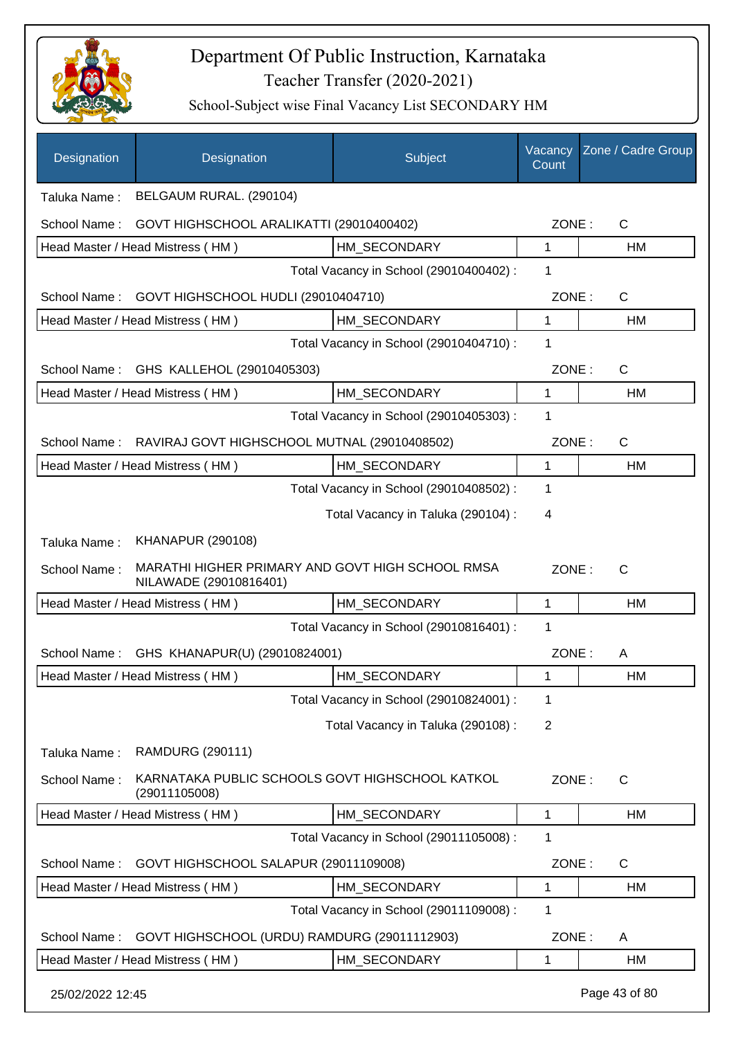

| Designation                             | Designation                                                                | Subject                                 | Vacancy<br>Count | Zone / Cadre Group |
|-----------------------------------------|----------------------------------------------------------------------------|-----------------------------------------|------------------|--------------------|
| Taluka Name:                            | BELGAUM RURAL. (290104)                                                    |                                         |                  |                    |
| School Name:                            | GOVT HIGHSCHOOL ARALIKATTI (29010400402)                                   |                                         | ZONE:            | C                  |
|                                         | Head Master / Head Mistress (HM)                                           | HM SECONDARY                            | 1                | HM                 |
|                                         |                                                                            | Total Vacancy in School (29010400402) : | 1                |                    |
| School Name:                            | GOVT HIGHSCHOOL HUDLI (29010404710)                                        |                                         | ZONE:            | C                  |
|                                         | Head Master / Head Mistress (HM)                                           | HM SECONDARY                            | 1                | HM                 |
| Total Vacancy in School (29010404710) : |                                                                            |                                         | 1                |                    |
| School Name:                            | GHS KALLEHOL (29010405303)                                                 |                                         | ZONE:            | C                  |
|                                         | Head Master / Head Mistress (HM)                                           | HM SECONDARY                            | 1                | HM                 |
|                                         |                                                                            | Total Vacancy in School (29010405303) : | 1                |                    |
| School Name:                            | RAVIRAJ GOVT HIGHSCHOOL MUTNAL (29010408502)                               |                                         | ZONE:            | C                  |
|                                         | Head Master / Head Mistress (HM)                                           | HM_SECONDARY                            | 1                | HM                 |
|                                         |                                                                            | Total Vacancy in School (29010408502) : | 1                |                    |
|                                         |                                                                            | Total Vacancy in Taluka (290104) :      | 4                |                    |
| Taluka Name:                            | <b>KHANAPUR (290108)</b>                                                   |                                         |                  |                    |
| School Name:                            | MARATHI HIGHER PRIMARY AND GOVT HIGH SCHOOL RMSA<br>NILAWADE (29010816401) |                                         | ZONE:            | $\mathsf{C}$       |
|                                         | Head Master / Head Mistress (HM)                                           | HM SECONDARY                            | 1                | HM                 |
|                                         |                                                                            | Total Vacancy in School (29010816401) : | 1                |                    |
| School Name:                            | GHS KHANAPUR(U) (29010824001)                                              |                                         | ZONE:            | A                  |
|                                         | Head Master / Head Mistress (HM)                                           | HM_SECONDARY                            | 1                | НM                 |
|                                         |                                                                            | Total Vacancy in School (29010824001) : | 1                |                    |
|                                         |                                                                            | Total Vacancy in Taluka (290108) :      | $\overline{2}$   |                    |
| Taluka Name:                            | <b>RAMDURG (290111)</b>                                                    |                                         |                  |                    |
| School Name:                            | KARNATAKA PUBLIC SCHOOLS GOVT HIGHSCHOOL KATKOL<br>(29011105008)           |                                         | ZONE:            | C                  |
|                                         | Head Master / Head Mistress (HM)                                           | HM_SECONDARY                            | 1                | HM                 |
|                                         |                                                                            | Total Vacancy in School (29011105008) : | 1                |                    |
| School Name:                            | GOVT HIGHSCHOOL SALAPUR (29011109008)                                      |                                         | ZONE:            | C                  |
|                                         | Head Master / Head Mistress (HM)                                           | HM_SECONDARY                            | 1                | HM                 |
|                                         |                                                                            | Total Vacancy in School (29011109008) : | 1                |                    |
| School Name:                            | GOVT HIGHSCHOOL (URDU) RAMDURG (29011112903)                               |                                         | ZONE:            | A                  |
|                                         | Head Master / Head Mistress (HM)                                           | HM_SECONDARY                            | 1                | HM                 |
| 25/02/2022 12:45                        |                                                                            |                                         |                  | Page 43 of 80      |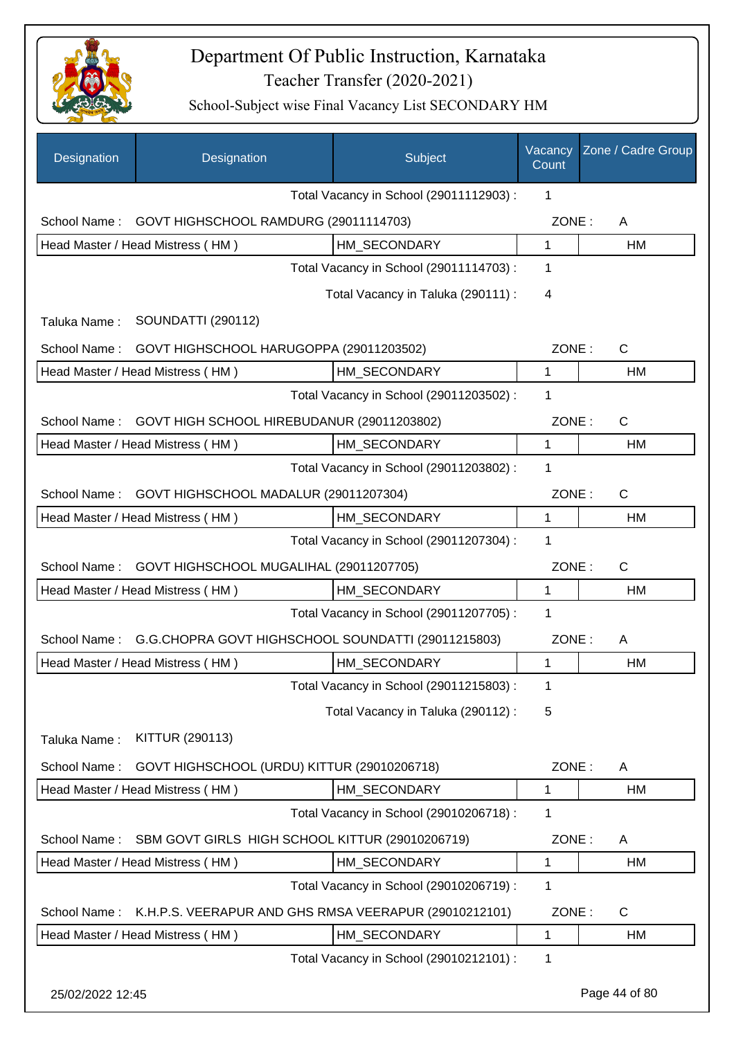

| Designation                                                | Designation                                           | Subject                                 | Vacancy<br>Count | Zone / Cadre Group |
|------------------------------------------------------------|-------------------------------------------------------|-----------------------------------------|------------------|--------------------|
|                                                            |                                                       | Total Vacancy in School (29011112903) : | 1                |                    |
| School Name:                                               | GOVT HIGHSCHOOL RAMDURG (29011114703)                 |                                         | ZONE:            | A                  |
|                                                            | Head Master / Head Mistress (HM)                      | HM SECONDARY                            | $\mathbf{1}$     | HM                 |
|                                                            |                                                       | Total Vacancy in School (29011114703) : | 1                |                    |
|                                                            |                                                       | Total Vacancy in Taluka (290111) :      | 4                |                    |
| Taluka Name:                                               | <b>SOUNDATTI (290112)</b>                             |                                         |                  |                    |
| School Name:                                               | GOVT HIGHSCHOOL HARUGOPPA (29011203502)               |                                         | ZONE:            | $\mathsf{C}$       |
|                                                            | Head Master / Head Mistress (HM)                      | HM_SECONDARY                            | $\mathbf 1$      | HM                 |
|                                                            |                                                       | Total Vacancy in School (29011203502) : | 1                |                    |
| GOVT HIGH SCHOOL HIREBUDANUR (29011203802)<br>School Name: |                                                       |                                         | ZONE:            | $\mathsf{C}$       |
|                                                            | Head Master / Head Mistress (HM)                      | HM SECONDARY                            | $\mathbf{1}$     | <b>HM</b>          |
|                                                            |                                                       | Total Vacancy in School (29011203802) : | 1                |                    |
| School Name:                                               | GOVT HIGHSCHOOL MADALUR (29011207304)                 |                                         | ZONE:            | $\mathsf{C}$       |
|                                                            | Head Master / Head Mistress (HM)                      | HM SECONDARY                            | $\mathbf{1}$     | HM                 |
|                                                            |                                                       | Total Vacancy in School (29011207304) : | 1                |                    |
| School Name:                                               | GOVT HIGHSCHOOL MUGALIHAL (29011207705)               |                                         | ZONE:            | $\mathsf{C}$       |
|                                                            | Head Master / Head Mistress (HM)                      | HM_SECONDARY                            | $\mathbf{1}$     | HM                 |
|                                                            |                                                       | Total Vacancy in School (29011207705) : | 1                |                    |
| School Name:                                               | G.G.CHOPRA GOVT HIGHSCHOOL SOUNDATTI (29011215803)    |                                         | ZONE:            | A                  |
|                                                            | Head Master / Head Mistress (HM)                      | HM_SECONDARY                            | 1                | <b>HM</b>          |
|                                                            |                                                       | Total Vacancy in School (29011215803) : | 1                |                    |
|                                                            |                                                       | Total Vacancy in Taluka (290112):       | 5                |                    |
| Taluka Name:                                               | <b>KITTUR (290113)</b>                                |                                         |                  |                    |
| School Name:                                               | GOVT HIGHSCHOOL (URDU) KITTUR (29010206718)           |                                         | ZONE:            | A                  |
|                                                            | Head Master / Head Mistress (HM)                      | HM SECONDARY                            | 1                | HM                 |
|                                                            |                                                       | Total Vacancy in School (29010206718) : | 1                |                    |
| School Name:                                               | SBM GOVT GIRLS HIGH SCHOOL KITTUR (29010206719)       |                                         | ZONE:            | A                  |
|                                                            | Head Master / Head Mistress (HM)                      | HM_SECONDARY                            | $\mathbf 1$      | HM                 |
|                                                            |                                                       | Total Vacancy in School (29010206719) : | 1                |                    |
| School Name:                                               | K.H.P.S. VEERAPUR AND GHS RMSA VEERAPUR (29010212101) |                                         | ZONE:            | $\mathsf{C}$       |
|                                                            | Head Master / Head Mistress (HM)                      | HM_SECONDARY                            | 1                | HM                 |
|                                                            |                                                       | Total Vacancy in School (29010212101) : | 1                |                    |
| 25/02/2022 12:45                                           |                                                       |                                         |                  | Page 44 of 80      |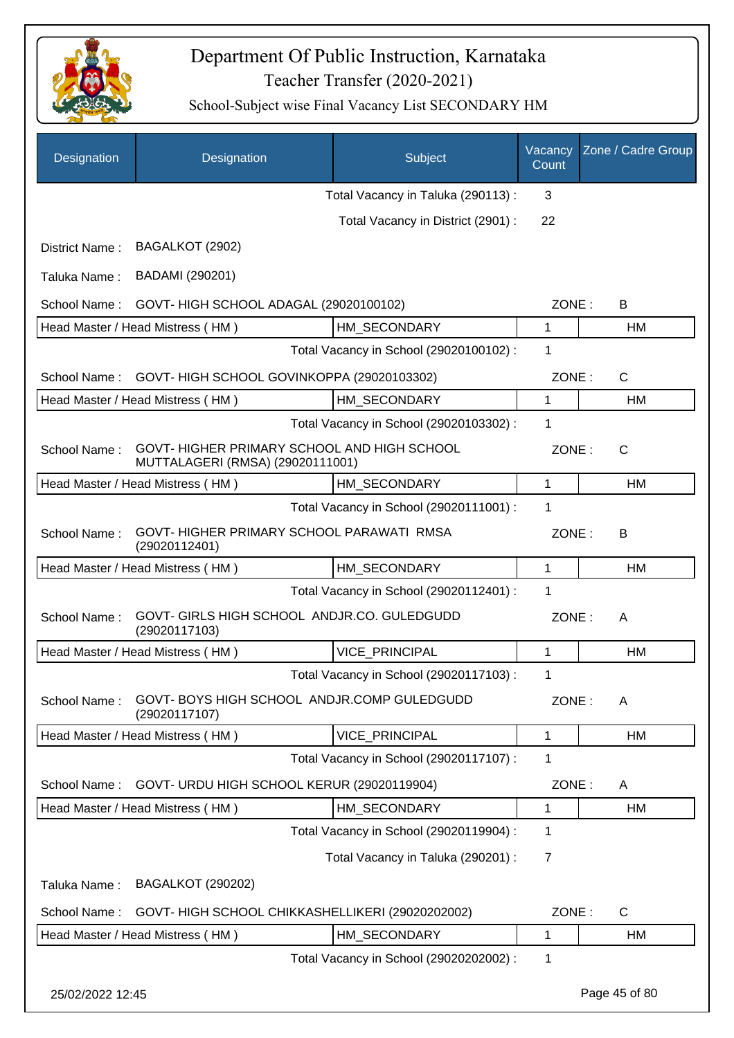

| Designation      | Designation                                                                     | Subject                                 | Vacancy<br>Count | Zone / Cadre Group |
|------------------|---------------------------------------------------------------------------------|-----------------------------------------|------------------|--------------------|
|                  |                                                                                 | Total Vacancy in Taluka (290113):       | 3                |                    |
|                  |                                                                                 | Total Vacancy in District (2901) :      | 22               |                    |
| District Name:   | BAGALKOT (2902)                                                                 |                                         |                  |                    |
| Taluka Name:     | BADAMI (290201)                                                                 |                                         |                  |                    |
| School Name:     | GOVT-HIGH SCHOOL ADAGAL (29020100102)                                           |                                         | ZONE:            | B                  |
|                  | Head Master / Head Mistress (HM)                                                | HM_SECONDARY                            | 1                | HM                 |
|                  |                                                                                 | Total Vacancy in School (29020100102) : | 1                |                    |
| School Name:     | GOVT-HIGH SCHOOL GOVINKOPPA (29020103302)                                       |                                         | ZONE:            | $\mathsf{C}$       |
|                  | Head Master / Head Mistress (HM)                                                | HM SECONDARY                            | 1                | HM                 |
|                  |                                                                                 | Total Vacancy in School (29020103302) : | 1                |                    |
| School Name:     | GOVT- HIGHER PRIMARY SCHOOL AND HIGH SCHOOL<br>MUTTALAGERI (RMSA) (29020111001) |                                         | ZONE:            | $\mathsf{C}$       |
|                  | Head Master / Head Mistress (HM)                                                | HM SECONDARY                            | 1                | HM                 |
|                  |                                                                                 | Total Vacancy in School (29020111001) : | 1                |                    |
| School Name:     | GOVT-HIGHER PRIMARY SCHOOL PARAWATI RMSA<br>(29020112401)                       |                                         | ZONE:            | B                  |
|                  | Head Master / Head Mistress (HM)                                                | HM_SECONDARY                            | 1                | HM                 |
|                  |                                                                                 | Total Vacancy in School (29020112401) : | 1                |                    |
| School Name:     | GOVT- GIRLS HIGH SCHOOL ANDJR.CO. GULEDGUDD<br>(29020117103)                    |                                         | ZONE:            | A                  |
|                  | Head Master / Head Mistress (HM)                                                | VICE_PRINCIPAL                          | 1                | HM                 |
|                  |                                                                                 | Total Vacancy in School (29020117103) : | 1                |                    |
| School Name:     | GOVT-BOYS HIGH SCHOOL ANDJR.COMP GULEDGUDD<br>(29020117107)                     |                                         | ZONE:            | A                  |
|                  | Head Master / Head Mistress (HM)                                                | VICE_PRINCIPAL                          | 1                | НM                 |
|                  |                                                                                 | Total Vacancy in School (29020117107) : | 1                |                    |
| School Name:     | GOVT- URDU HIGH SCHOOL KERUR (29020119904)                                      |                                         | ZONE:            | A                  |
|                  | Head Master / Head Mistress (HM)                                                | HM_SECONDARY                            | 1                | HM                 |
|                  |                                                                                 | Total Vacancy in School (29020119904) : | 1                |                    |
|                  |                                                                                 | Total Vacancy in Taluka (290201) :      | 7                |                    |
| Taluka Name:     | <b>BAGALKOT (290202)</b>                                                        |                                         |                  |                    |
| School Name:     | GOVT- HIGH SCHOOL CHIKKASHELLIKERI (29020202002)                                |                                         | ZONE:            | $\mathsf{C}$       |
|                  | Head Master / Head Mistress (HM)                                                | HM_SECONDARY                            | 1                | HM                 |
|                  |                                                                                 | Total Vacancy in School (29020202002) : | 1                |                    |
| 25/02/2022 12:45 |                                                                                 |                                         |                  | Page 45 of 80      |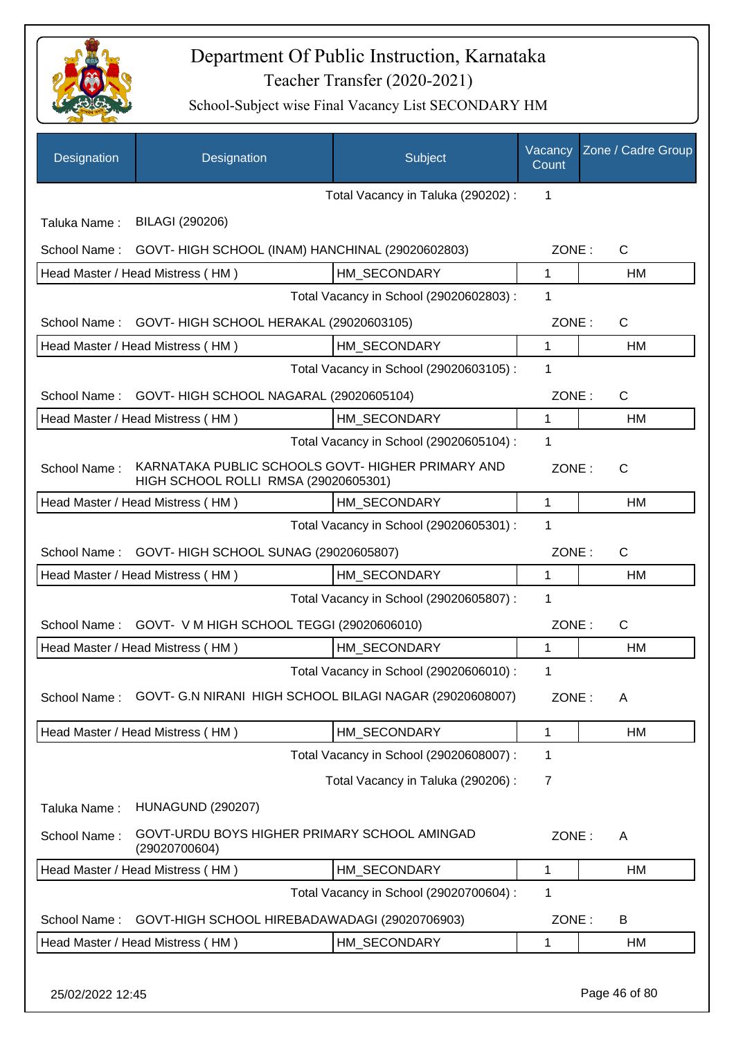

| Designation      | Designation                                                                               | Subject                                 | Vacancy<br>Count | Zone / Cadre Group |
|------------------|-------------------------------------------------------------------------------------------|-----------------------------------------|------------------|--------------------|
|                  |                                                                                           | Total Vacancy in Taluka (290202):       | 1                |                    |
| Taluka Name:     | BILAGI (290206)                                                                           |                                         |                  |                    |
| School Name:     | GOVT- HIGH SCHOOL (INAM) HANCHINAL (29020602803)                                          |                                         | ZONE:            | $\mathsf{C}$       |
|                  | Head Master / Head Mistress (HM)                                                          | HM SECONDARY                            | 1                | HM                 |
|                  |                                                                                           | Total Vacancy in School (29020602803) : | 1                |                    |
| School Name:     | GOVT- HIGH SCHOOL HERAKAL (29020603105)                                                   |                                         | ZONE:            | $\mathsf{C}$       |
|                  | Head Master / Head Mistress (HM)                                                          | HM_SECONDARY                            | 1                | HM                 |
|                  |                                                                                           | Total Vacancy in School (29020603105) : | 1                |                    |
| School Name:     | GOVT- HIGH SCHOOL NAGARAL (29020605104)                                                   |                                         | ZONE:            | $\mathsf{C}$       |
|                  | Head Master / Head Mistress (HM)                                                          | HM_SECONDARY                            | $\mathbf{1}$     | <b>HM</b>          |
|                  |                                                                                           | Total Vacancy in School (29020605104) : | 1                |                    |
| School Name:     | KARNATAKA PUBLIC SCHOOLS GOVT- HIGHER PRIMARY AND<br>HIGH SCHOOL ROLLI RMSA (29020605301) |                                         | ZONE:            | C                  |
|                  | Head Master / Head Mistress (HM)                                                          | HM SECONDARY                            | 1                | HM                 |
|                  |                                                                                           | Total Vacancy in School (29020605301) : | 1                |                    |
| School Name:     | GOVT- HIGH SCHOOL SUNAG (29020605807)                                                     |                                         | ZONE:            | $\mathsf{C}$       |
|                  | Head Master / Head Mistress (HM)                                                          | HM SECONDARY                            | 1                | HM                 |
|                  |                                                                                           | Total Vacancy in School (29020605807) : | 1                |                    |
| School Name:     | GOVT- V M HIGH SCHOOL TEGGI (29020606010)                                                 |                                         | ZONE:            | $\mathsf{C}$       |
|                  | Head Master / Head Mistress (HM)                                                          | HM SECONDARY                            | 1                | <b>HM</b>          |
|                  |                                                                                           | Total Vacancy in School (29020606010) : | 1                |                    |
| School Name:     | GOVT- G.N NIRANI HIGH SCHOOL BILAGI NAGAR (29020608007)                                   |                                         | ZONE:            | A                  |
|                  | Head Master / Head Mistress (HM)                                                          | HM SECONDARY                            | 1                | HM                 |
|                  |                                                                                           | Total Vacancy in School (29020608007) : | 1                |                    |
|                  |                                                                                           | Total Vacancy in Taluka (290206) :      | 7                |                    |
| Taluka Name:     | <b>HUNAGUND (290207)</b>                                                                  |                                         |                  |                    |
| School Name:     | GOVT-URDU BOYS HIGHER PRIMARY SCHOOL AMINGAD<br>(29020700604)                             |                                         | ZONE:            | A                  |
|                  | Head Master / Head Mistress (HM)                                                          | HM_SECONDARY                            | 1                | HM                 |
|                  |                                                                                           | Total Vacancy in School (29020700604) : | 1                |                    |
| School Name:     | GOVT-HIGH SCHOOL HIREBADAWADAGI (29020706903)                                             |                                         | ZONE:            | B                  |
|                  | Head Master / Head Mistress (HM)                                                          | HM_SECONDARY                            | 1                | HM                 |
| 25/02/2022 12:45 |                                                                                           |                                         |                  | Page 46 of 80      |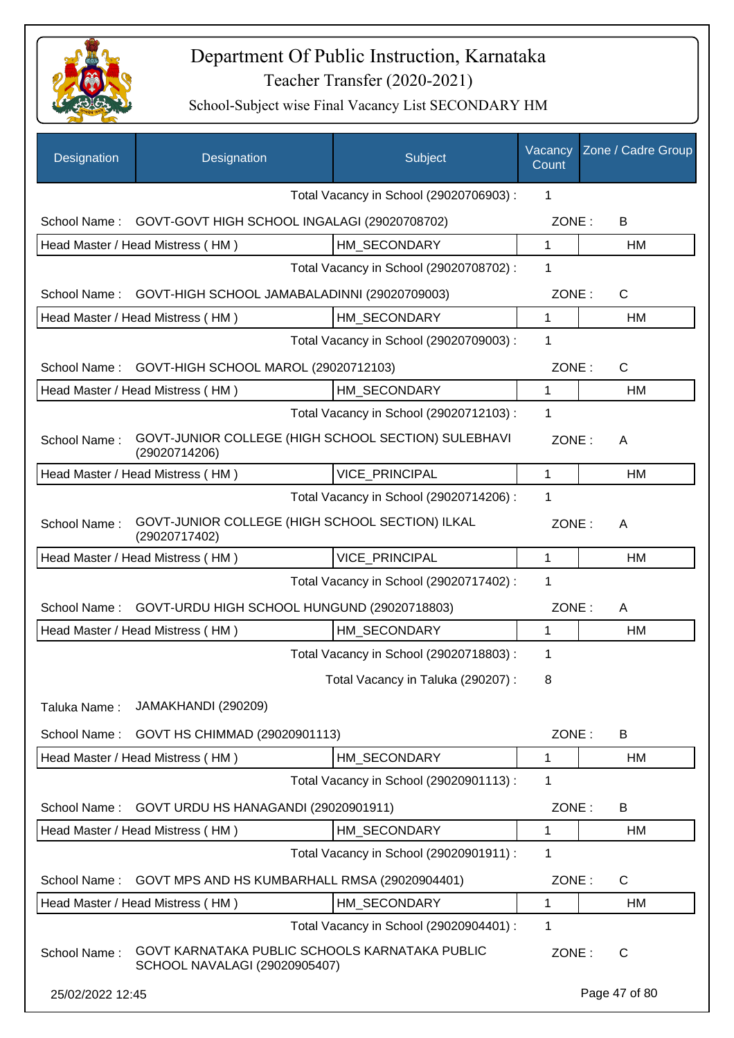

| Designation      | Designation                                                                     | Subject                                 | Vacancy<br>Count | Zone / Cadre Group |
|------------------|---------------------------------------------------------------------------------|-----------------------------------------|------------------|--------------------|
|                  |                                                                                 | Total Vacancy in School (29020706903) : | 1                |                    |
| School Name:     | GOVT-GOVT HIGH SCHOOL INGALAGI (29020708702)                                    |                                         | ZONE:            | B                  |
|                  | Head Master / Head Mistress (HM)                                                | HM SECONDARY                            | 1                | HM                 |
|                  |                                                                                 | Total Vacancy in School (29020708702) : | 1                |                    |
| School Name:     | GOVT-HIGH SCHOOL JAMABALADINNI (29020709003)                                    |                                         | ZONE:            | $\mathsf{C}$       |
|                  | Head Master / Head Mistress (HM)                                                | HM SECONDARY                            | 1                | HM                 |
|                  |                                                                                 | Total Vacancy in School (29020709003) : | 1                |                    |
| School Name:     | GOVT-HIGH SCHOOL MAROL (29020712103)                                            |                                         | ZONE:            | $\mathsf{C}$       |
|                  | Head Master / Head Mistress (HM)                                                | HM SECONDARY                            | 1                | HM                 |
|                  |                                                                                 | Total Vacancy in School (29020712103) : | 1                |                    |
| School Name:     | GOVT-JUNIOR COLLEGE (HIGH SCHOOL SECTION) SULEBHAVI<br>(29020714206)            |                                         | ZONE:            | A                  |
|                  | Head Master / Head Mistress (HM)                                                | VICE_PRINCIPAL                          | 1                | HM                 |
|                  |                                                                                 | Total Vacancy in School (29020714206) : | 1                |                    |
| School Name:     | GOVT-JUNIOR COLLEGE (HIGH SCHOOL SECTION) ILKAL<br>(29020717402)                |                                         | ZONE:            | A                  |
|                  | Head Master / Head Mistress (HM)                                                | <b>VICE PRINCIPAL</b>                   | 1                | HM                 |
|                  |                                                                                 | Total Vacancy in School (29020717402) : | 1                |                    |
| School Name:     | GOVT-URDU HIGH SCHOOL HUNGUND (29020718803)                                     |                                         | ZONE:            | A                  |
|                  | Head Master / Head Mistress (HM)                                                | HM_SECONDARY                            | 1                | HM                 |
|                  |                                                                                 | Total Vacancy in School (29020718803) : | 1                |                    |
|                  |                                                                                 | Total Vacancy in Taluka (290207) :      | 8                |                    |
| Taluka Name:     | JAMAKHANDI (290209)                                                             |                                         |                  |                    |
| School Name:     | GOVT HS CHIMMAD (29020901113)                                                   |                                         | ZONE:            | B                  |
|                  | Head Master / Head Mistress (HM)                                                | HM SECONDARY                            | 1                | HM                 |
|                  |                                                                                 | Total Vacancy in School (29020901113) : | 1                |                    |
| School Name:     | GOVT URDU HS HANAGANDI (29020901911)                                            |                                         | ZONE:            | B                  |
|                  | Head Master / Head Mistress (HM)                                                | HM SECONDARY                            | 1                | HM                 |
|                  |                                                                                 | Total Vacancy in School (29020901911) : | 1                |                    |
| School Name:     | GOVT MPS AND HS KUMBARHALL RMSA (29020904401)                                   |                                         | ZONE:            | $\mathsf{C}$       |
|                  | Head Master / Head Mistress (HM)                                                | HM_SECONDARY                            | 1                | HM                 |
|                  |                                                                                 | Total Vacancy in School (29020904401) : | 1                |                    |
| School Name:     | GOVT KARNATAKA PUBLIC SCHOOLS KARNATAKA PUBLIC<br>SCHOOL NAVALAGI (29020905407) |                                         | ZONE:            | $\mathsf{C}$       |
| 25/02/2022 12:45 |                                                                                 |                                         |                  | Page 47 of 80      |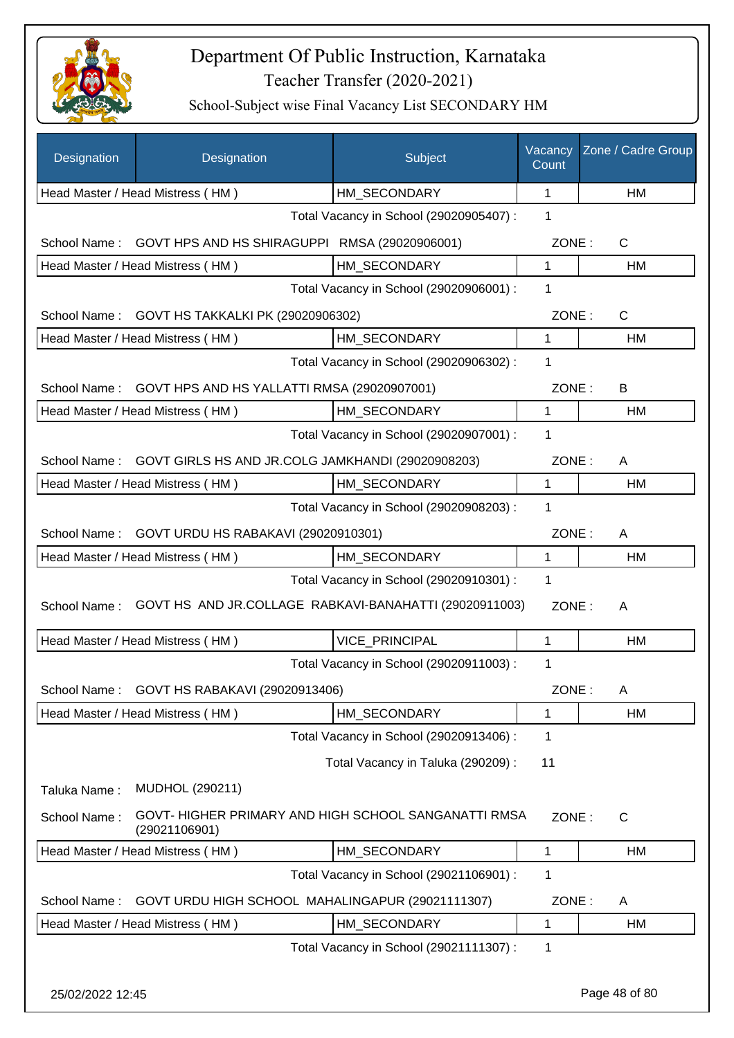

| <b>Designation</b> | Designation                                                           | Subject                                 | Vacancy<br>Count | Zone / Cadre Group |
|--------------------|-----------------------------------------------------------------------|-----------------------------------------|------------------|--------------------|
|                    | Head Master / Head Mistress (HM)                                      | HM_SECONDARY                            | 1                | HM                 |
|                    |                                                                       | Total Vacancy in School (29020905407) : | 1                |                    |
| School Name:       | GOVT HPS AND HS SHIRAGUPPI RMSA (29020906001)                         |                                         | ZONE:            | $\mathsf{C}$       |
|                    | Head Master / Head Mistress (HM)                                      | HM SECONDARY                            | $\mathbf 1$      | HM                 |
|                    |                                                                       | Total Vacancy in School (29020906001) : | 1                |                    |
|                    | School Name: GOVT HS TAKKALKI PK (29020906302)                        |                                         | ZONE:            | $\mathsf{C}$       |
|                    | Head Master / Head Mistress (HM)                                      | HM SECONDARY                            | $\mathbf{1}$     | HM                 |
|                    |                                                                       | Total Vacancy in School (29020906302) : | 1                |                    |
|                    | School Name: GOVT HPS AND HS YALLATTI RMSA (29020907001)              |                                         | ZONE:            | В                  |
|                    | Head Master / Head Mistress (HM)                                      | HM SECONDARY                            | $\mathbf{1}$     | HM                 |
|                    |                                                                       | Total Vacancy in School (29020907001) : | 1                |                    |
|                    | School Name: GOVT GIRLS HS AND JR.COLG JAMKHANDI (29020908203)        |                                         | ZONE:            | A                  |
|                    | Head Master / Head Mistress (HM)                                      | HM_SECONDARY                            | $\mathbf{1}$     | <b>HM</b>          |
|                    |                                                                       | Total Vacancy in School (29020908203) : | 1                |                    |
|                    | School Name: GOVT URDU HS RABAKAVI (29020910301)                      |                                         | ZONE:            | A                  |
|                    | Head Master / Head Mistress (HM)                                      | HM_SECONDARY                            | $\mathbf 1$      | <b>HM</b>          |
|                    |                                                                       | Total Vacancy in School (29020910301) : | 1                |                    |
| School Name:       | GOVT HS AND JR.COLLAGE RABKAVI-BANAHATTI (29020911003)                |                                         | ZONE:            | A                  |
|                    | Head Master / Head Mistress (HM)                                      | <b>VICE PRINCIPAL</b>                   | 1                | HM                 |
|                    |                                                                       | Total Vacancy in School (29020911003) : | 1                |                    |
| School Name:       | GOVT HS RABAKAVI (29020913406)                                        |                                         | ZONE:            | A                  |
|                    | Head Master / Head Mistress (HM)                                      | HM SECONDARY                            | 1                | HM                 |
|                    |                                                                       | Total Vacancy in School (29020913406) : | 1                |                    |
|                    |                                                                       | Total Vacancy in Taluka (290209) :      | 11               |                    |
| Taluka Name:       | MUDHOL (290211)                                                       |                                         |                  |                    |
| School Name:       | GOVT- HIGHER PRIMARY AND HIGH SCHOOL SANGANATTI RMSA<br>(29021106901) |                                         | ZONE:            | C                  |
|                    | Head Master / Head Mistress (HM)                                      | HM_SECONDARY                            | 1                | HM                 |
|                    |                                                                       | Total Vacancy in School (29021106901) : | 1                |                    |
| School Name:       | GOVT URDU HIGH SCHOOL MAHALINGAPUR (29021111307)                      |                                         | ZONE:            | A                  |
|                    | Head Master / Head Mistress (HM)                                      | HM SECONDARY                            | 1                | HM                 |
|                    |                                                                       | Total Vacancy in School (29021111307) : | 1                |                    |
| 25/02/2022 12:45   |                                                                       |                                         |                  | Page 48 of 80      |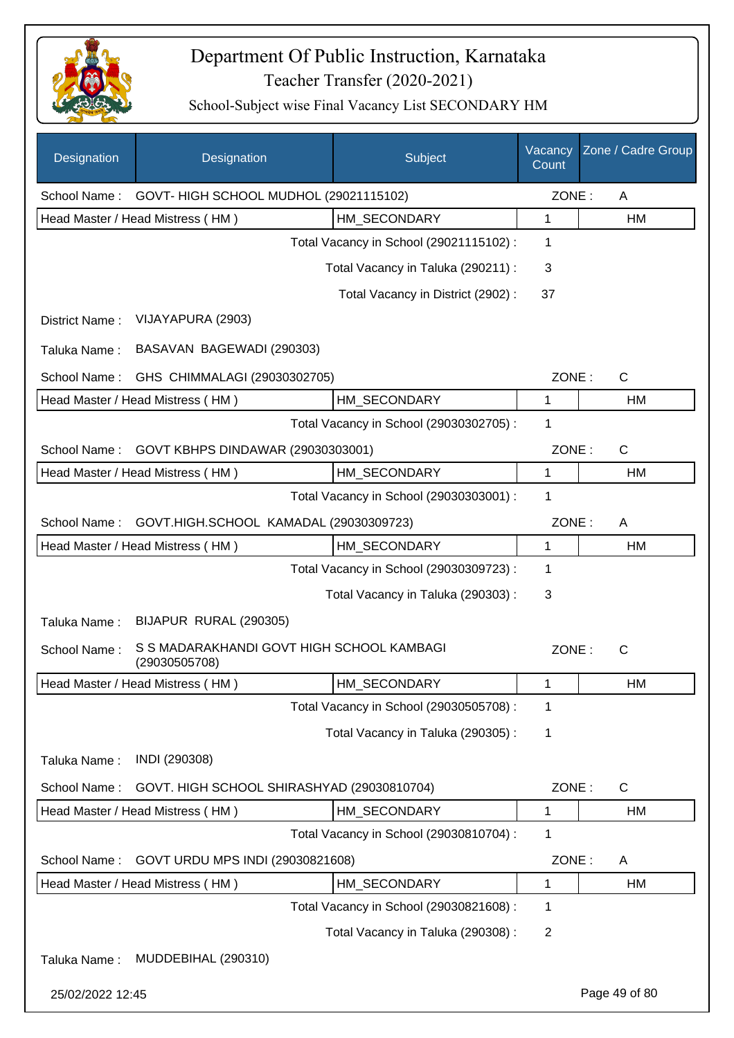

| Designation      | Designation                                                | Subject                                 | Vacancy<br>Count | Zone / Cadre Group |
|------------------|------------------------------------------------------------|-----------------------------------------|------------------|--------------------|
| School Name:     | GOVT- HIGH SCHOOL MUDHOL (29021115102)                     |                                         | ZONE:            | A                  |
|                  | Head Master / Head Mistress (HM)                           | HM SECONDARY                            | 1                | HM                 |
|                  |                                                            | Total Vacancy in School (29021115102) : | 1                |                    |
|                  |                                                            | Total Vacancy in Taluka (290211) :      | 3                |                    |
|                  |                                                            | Total Vacancy in District (2902):       | 37               |                    |
| District Name:   | VIJAYAPURA (2903)                                          |                                         |                  |                    |
| Taluka Name:     | BASAVAN BAGEWADI (290303)                                  |                                         |                  |                    |
| School Name:     | GHS CHIMMALAGI (29030302705)                               |                                         | ZONE:            | $\mathsf{C}$       |
|                  | Head Master / Head Mistress (HM)                           | HM SECONDARY                            | 1                | <b>HM</b>          |
|                  |                                                            | Total Vacancy in School (29030302705) : | 1                |                    |
| School Name:     | GOVT KBHPS DINDAWAR (29030303001)                          |                                         | ZONE:            | $\mathsf{C}$       |
|                  | Head Master / Head Mistress (HM)                           | HM_SECONDARY                            | 1                | HM                 |
|                  |                                                            | Total Vacancy in School (29030303001) : | 1                |                    |
| School Name:     | GOVT.HIGH.SCHOOL KAMADAL (29030309723)                     |                                         | ZONE:            | A                  |
|                  | Head Master / Head Mistress (HM)                           | HM_SECONDARY                            | 1                | HM                 |
|                  |                                                            | Total Vacancy in School (29030309723) : | 1                |                    |
|                  |                                                            | Total Vacancy in Taluka (290303):       | 3                |                    |
| Taluka Name:     | BIJAPUR RURAL (290305)                                     |                                         |                  |                    |
| School Name:     | S S MADARAKHANDI GOVT HIGH SCHOOL KAMBAGI<br>(29030505708) |                                         | ZONE:            | $\mathsf{C}$       |
|                  | Head Master / Head Mistress (HM)                           | HM_SECONDARY                            | 1                | HМ                 |
|                  |                                                            | Total Vacancy in School (29030505708) : | 1                |                    |
|                  |                                                            | Total Vacancy in Taluka (290305):       | 1                |                    |
| Taluka Name:     | INDI (290308)                                              |                                         |                  |                    |
| School Name:     | GOVT. HIGH SCHOOL SHIRASHYAD (29030810704)                 |                                         | ZONE:            | C                  |
|                  | Head Master / Head Mistress (HM)                           | HM_SECONDARY                            | 1                | HM                 |
|                  |                                                            | Total Vacancy in School (29030810704) : | 1                |                    |
| School Name:     | GOVT URDU MPS INDI (29030821608)                           |                                         | ZONE:            | A                  |
|                  | Head Master / Head Mistress (HM)                           | HM_SECONDARY                            | 1                | HM                 |
|                  |                                                            | Total Vacancy in School (29030821608) : | 1                |                    |
|                  |                                                            | Total Vacancy in Taluka (290308) :      | 2                |                    |
| Taluka Name:     | MUDDEBIHAL (290310)                                        |                                         |                  |                    |
| 25/02/2022 12:45 |                                                            |                                         |                  | Page 49 of 80      |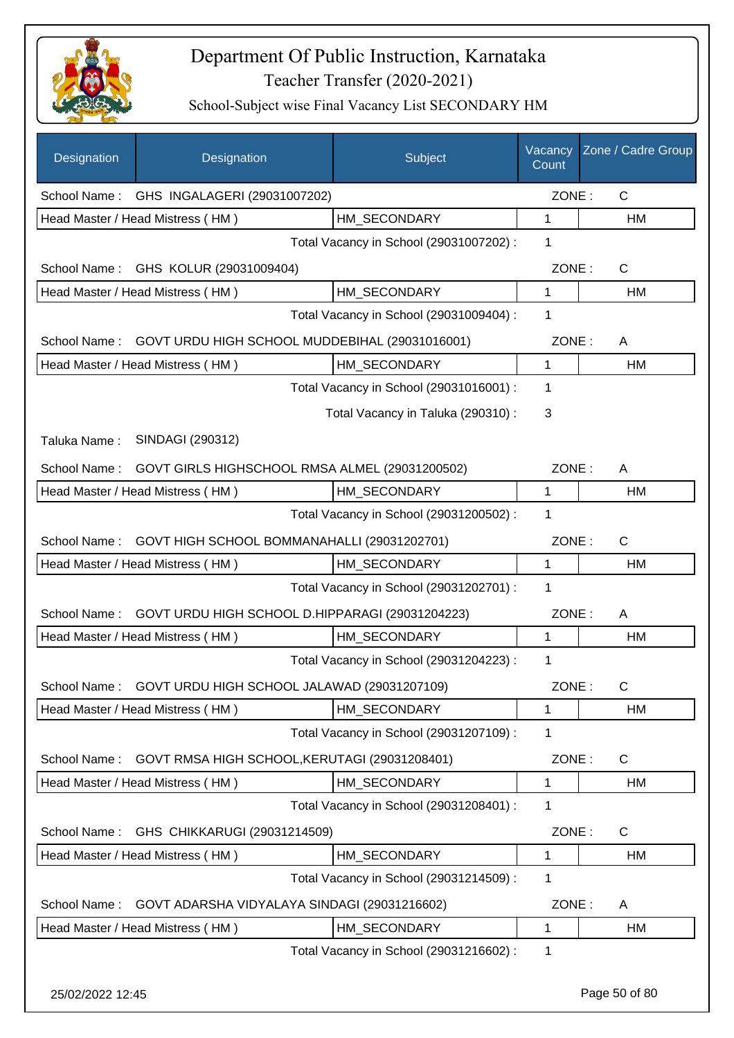

| Designation  | Designation                                     | Subject                                 | Vacancy<br>Count | Zone / Cadre Group |
|--------------|-------------------------------------------------|-----------------------------------------|------------------|--------------------|
|              | School Name: GHS INGALAGERI (29031007202)       |                                         | ZONE:            | C                  |
|              | Head Master / Head Mistress (HM)                | HM SECONDARY                            | 1                | HM                 |
|              |                                                 | Total Vacancy in School (29031007202) : | 1                |                    |
|              | School Name: GHS KOLUR (29031009404)            |                                         | ZONE:            | $\mathsf{C}$       |
|              | Head Master / Head Mistress (HM)                | HM SECONDARY                            | 1                | HM                 |
|              |                                                 | Total Vacancy in School (29031009404) : | 1                |                    |
| School Name: | GOVT URDU HIGH SCHOOL MUDDEBIHAL (29031016001)  |                                         | ZONE:            | A                  |
|              | Head Master / Head Mistress (HM)                | HM SECONDARY                            | $\mathbf{1}$     | HM                 |
|              |                                                 | Total Vacancy in School (29031016001) : | 1                |                    |
|              |                                                 | Total Vacancy in Taluka (290310):       | 3                |                    |
| Taluka Name: | SINDAGI (290312)                                |                                         |                  |                    |
| School Name: | GOVT GIRLS HIGHSCHOOL RMSA ALMEL (29031200502)  |                                         | ZONE:            | A                  |
|              | Head Master / Head Mistress (HM)                | HM SECONDARY                            | 1                | HM                 |
|              |                                                 | Total Vacancy in School (29031200502) : | 1                |                    |
| School Name: | GOVT HIGH SCHOOL BOMMANAHALLI (29031202701)     |                                         | ZONE:            | $\mathsf{C}$       |
|              | Head Master / Head Mistress (HM)                | HM SECONDARY                            | 1                | <b>HM</b>          |
|              |                                                 | Total Vacancy in School (29031202701) : | 1                |                    |
| School Name: | GOVT URDU HIGH SCHOOL D.HIPPARAGI (29031204223) |                                         | ZONE:            | A                  |
|              | Head Master / Head Mistress (HM)                | HM_SECONDARY                            | 1                | HM                 |
|              |                                                 | Total Vacancy in School (29031204223) : | 1                |                    |
| School Name: | GOVT URDU HIGH SCHOOL JALAWAD (29031207109)     |                                         | ZONE:            | $\mathsf{C}$       |
|              | Head Master / Head Mistress (HM)                | HM_SECONDARY                            | 1                | HM                 |
|              |                                                 | Total Vacancy in School (29031207109) : | 1                |                    |
| School Name: | GOVT RMSA HIGH SCHOOL, KERUTAGI (29031208401)   |                                         | ZONE:            | $\mathsf{C}$       |
|              | Head Master / Head Mistress (HM)                | HM_SECONDARY                            | 1                | HM                 |
|              |                                                 | Total Vacancy in School (29031208401) : | 1                |                    |
| School Name: | GHS CHIKKARUGI (29031214509)                    |                                         | ZONE:            | $\mathsf{C}$       |
|              | Head Master / Head Mistress (HM)                | HM_SECONDARY                            | 1                | HM                 |
|              |                                                 | Total Vacancy in School (29031214509) : | 1                |                    |
| School Name: | GOVT ADARSHA VIDYALAYA SINDAGI (29031216602)    |                                         | ZONE:            | A                  |
|              | Head Master / Head Mistress (HM)                | HM SECONDARY                            | 1                | HM                 |
|              |                                                 | Total Vacancy in School (29031216602) : | 1                |                    |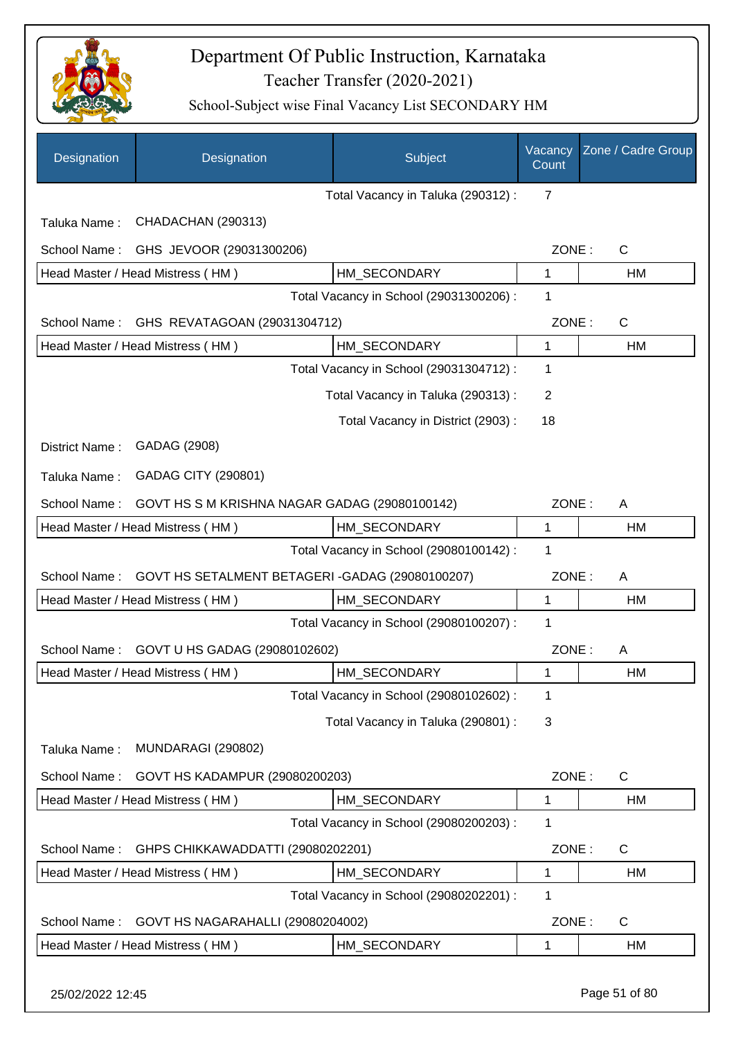

| Designation      | Designation                                    | Subject                                 | Vacancy<br>Count | Zone / Cadre Group |
|------------------|------------------------------------------------|-----------------------------------------|------------------|--------------------|
|                  |                                                | Total Vacancy in Taluka (290312) :      | $\overline{7}$   |                    |
| Taluka Name:     | CHADACHAN (290313)                             |                                         |                  |                    |
| School Name:     | GHS JEVOOR (29031300206)                       |                                         | ZONE:            | $\mathsf C$        |
|                  | Head Master / Head Mistress (HM)               | HM SECONDARY                            | 1                | HM                 |
|                  |                                                | Total Vacancy in School (29031300206) : | 1                |                    |
| School Name:     | GHS REVATAGOAN (29031304712)                   |                                         | ZONE:            | C                  |
|                  | Head Master / Head Mistress (HM)               | HM SECONDARY                            | 1                | HM                 |
|                  |                                                | Total Vacancy in School (29031304712) : | $\mathbf 1$      |                    |
|                  |                                                | Total Vacancy in Taluka (290313):       | $\overline{2}$   |                    |
|                  |                                                | Total Vacancy in District (2903):       | 18               |                    |
| District Name:   | GADAG (2908)                                   |                                         |                  |                    |
| Taluka Name:     | GADAG CITY (290801)                            |                                         |                  |                    |
| School Name:     | GOVT HS S M KRISHNA NAGAR GADAG (29080100142)  |                                         | ZONE:            | A                  |
|                  | Head Master / Head Mistress (HM)               | HM_SECONDARY                            | $\mathbf{1}$     | HM                 |
|                  |                                                | Total Vacancy in School (29080100142) : | 1                |                    |
| School Name:     | GOVT HS SETALMENT BETAGERI-GADAG (29080100207) |                                         | ZONE:            | A                  |
|                  | Head Master / Head Mistress (HM)               | HM_SECONDARY                            | 1                | HM                 |
|                  |                                                | Total Vacancy in School (29080100207) : | 1                |                    |
| School Name:     | GOVT U HS GADAG (29080102602)                  |                                         | ZONE:            | A                  |
|                  | Head Master / Head Mistress (HM)               | HM_SECONDARY                            | 1                | НM                 |
|                  |                                                | Total Vacancy in School (29080102602) : | 1                |                    |
|                  |                                                | Total Vacancy in Taluka (290801) :      | 3                |                    |
| Taluka Name:     | MUNDARAGI (290802)                             |                                         |                  |                    |
| School Name:     | GOVT HS KADAMPUR (29080200203)                 |                                         | ZONE:            | C                  |
|                  | Head Master / Head Mistress (HM)               | HM_SECONDARY                            | 1                | HM                 |
|                  |                                                | Total Vacancy in School (29080200203) : | 1                |                    |
| School Name:     | GHPS CHIKKAWADDATTI (29080202201)              |                                         | ZONE:            | C                  |
|                  | Head Master / Head Mistress (HM)               | HM_SECONDARY                            | 1                | HM                 |
|                  |                                                | Total Vacancy in School (29080202201) : | 1                |                    |
| School Name:     | GOVT HS NAGARAHALLI (29080204002)              |                                         | ZONE:            | C                  |
|                  | Head Master / Head Mistress (HM)               | HM_SECONDARY                            | 1                | HM                 |
| 25/02/2022 12:45 |                                                |                                         |                  | Page 51 of 80      |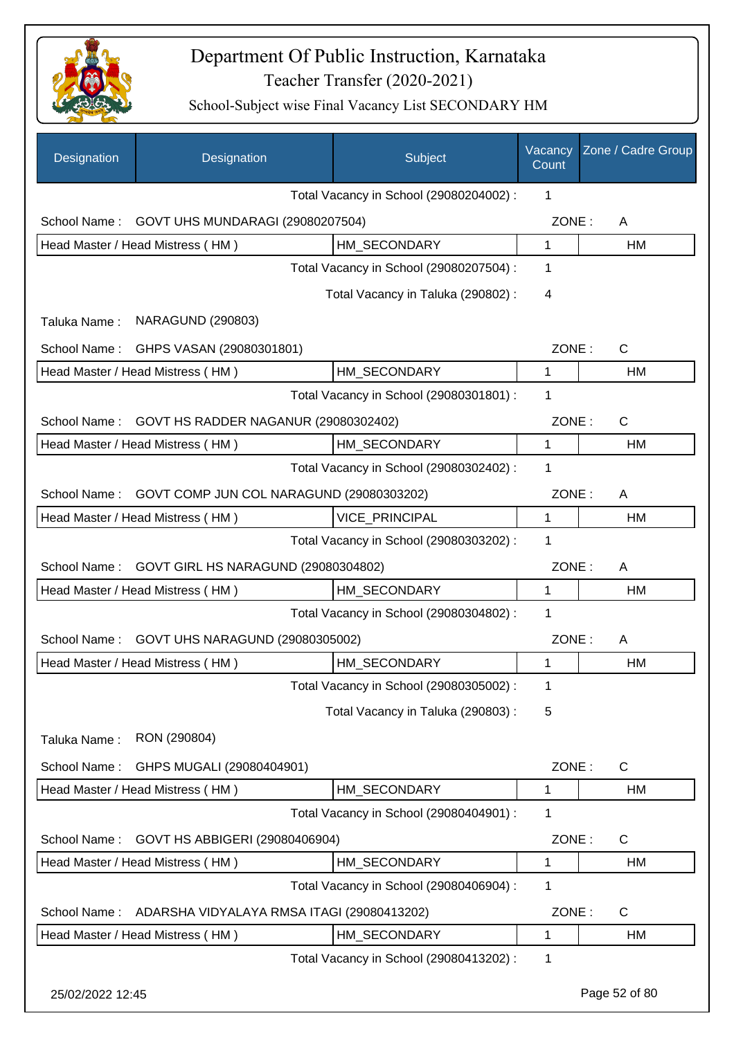

| Designation      | Designation                                | Subject                                 | Vacancy<br>Count | Zone / Cadre Group |
|------------------|--------------------------------------------|-----------------------------------------|------------------|--------------------|
|                  |                                            | Total Vacancy in School (29080204002) : | 1                |                    |
| School Name:     | GOVT UHS MUNDARAGI (29080207504)           |                                         | ZONE:            | A                  |
|                  | Head Master / Head Mistress (HM)           | HM SECONDARY                            | $\mathbf{1}$     | HM                 |
|                  |                                            | Total Vacancy in School (29080207504) : | 1                |                    |
|                  |                                            | Total Vacancy in Taluka (290802):       | 4                |                    |
| Taluka Name:     | <b>NARAGUND (290803)</b>                   |                                         |                  |                    |
| School Name:     | GHPS VASAN (29080301801)                   |                                         | ZONE:            | $\mathsf{C}$       |
|                  | Head Master / Head Mistress (HM)           | HM_SECONDARY                            | 1                | HM                 |
|                  |                                            | Total Vacancy in School (29080301801) : | 1                |                    |
| School Name:     | GOVT HS RADDER NAGANUR (29080302402)       |                                         | ZONE:            | $\mathsf{C}$       |
|                  | Head Master / Head Mistress (HM)           | HM SECONDARY                            | 1                | HM                 |
|                  |                                            | Total Vacancy in School (29080302402) : | 1                |                    |
| School Name:     | GOVT COMP JUN COL NARAGUND (29080303202)   |                                         | ZONE:            | A                  |
|                  | Head Master / Head Mistress (HM)           | <b>VICE PRINCIPAL</b>                   | 1                | HM                 |
|                  |                                            | Total Vacancy in School (29080303202) : | 1                |                    |
| School Name:     | GOVT GIRL HS NARAGUND (29080304802)        |                                         | ZONE:            | A                  |
|                  | Head Master / Head Mistress (HM)           | HM_SECONDARY                            | $\mathbf{1}$     | HM                 |
|                  |                                            | Total Vacancy in School (29080304802) : | $\mathbf{1}$     |                    |
| School Name:     | GOVT UHS NARAGUND (29080305002)            |                                         | ZONE:            | A                  |
|                  | Head Master / Head Mistress (HM)           | HM SECONDARY                            | 1                | <b>HM</b>          |
|                  |                                            | Total Vacancy in School (29080305002) : | 1                |                    |
|                  |                                            | Total Vacancy in Taluka (290803) :      | 5                |                    |
| Taluka Name:     | RON (290804)                               |                                         |                  |                    |
| School Name:     | GHPS MUGALI (29080404901)                  |                                         | ZONE:            | $\mathsf{C}$       |
|                  | Head Master / Head Mistress (HM)           | HM_SECONDARY                            | 1                | HM                 |
|                  |                                            | Total Vacancy in School (29080404901) : | $\mathbf{1}$     |                    |
| School Name:     | GOVT HS ABBIGERI (29080406904)             |                                         | ZONE:            | C                  |
|                  | Head Master / Head Mistress (HM)           | HM_SECONDARY                            | 1                | HM                 |
|                  |                                            | Total Vacancy in School (29080406904) : | 1                |                    |
| School Name:     | ADARSHA VIDYALAYA RMSA ITAGI (29080413202) |                                         | ZONE:            | C                  |
|                  | Head Master / Head Mistress (HM)           | HM_SECONDARY                            | 1                | HM                 |
|                  |                                            | Total Vacancy in School (29080413202) : | 1                |                    |
| 25/02/2022 12:45 |                                            |                                         |                  | Page 52 of 80      |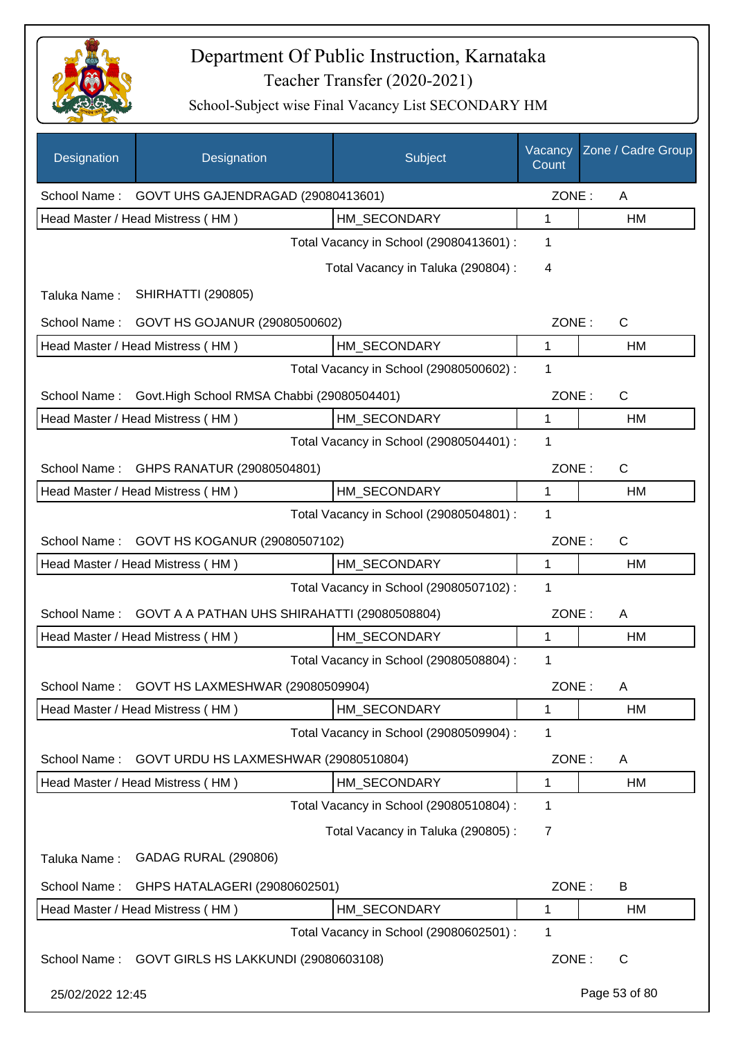

| Designation      | Designation                                     | Subject                                 | Vacancy<br>Count | Zone / Cadre Group |
|------------------|-------------------------------------------------|-----------------------------------------|------------------|--------------------|
|                  | School Name: GOVT UHS GAJENDRAGAD (29080413601) |                                         | ZONE:            | A                  |
|                  | Head Master / Head Mistress (HM)                | HM SECONDARY                            | 1                | HM                 |
|                  |                                                 | Total Vacancy in School (29080413601) : | 1                |                    |
|                  |                                                 | Total Vacancy in Taluka (290804) :      | 4                |                    |
| Taluka Name:     | <b>SHIRHATTI (290805)</b>                       |                                         |                  |                    |
| School Name:     | GOVT HS GOJANUR (29080500602)                   |                                         | ZONE:            | C                  |
|                  | Head Master / Head Mistress (HM)                | HM_SECONDARY                            | 1                | HM                 |
|                  |                                                 | Total Vacancy in School (29080500602) : | 1                |                    |
| School Name:     | Govt.High School RMSA Chabbi (29080504401)      |                                         | ZONE:            | C                  |
|                  | Head Master / Head Mistress (HM)                | HM_SECONDARY                            | 1                | HM                 |
|                  |                                                 | Total Vacancy in School (29080504401) : | 1                |                    |
| School Name:     | GHPS RANATUR (29080504801)                      |                                         | ZONE:            | C                  |
|                  | Head Master / Head Mistress (HM)                | HM_SECONDARY                            | $\mathbf 1$      | HM                 |
|                  |                                                 | Total Vacancy in School (29080504801) : | 1                |                    |
| School Name:     | GOVT HS KOGANUR (29080507102)                   |                                         | ZONE:            | C                  |
|                  | Head Master / Head Mistress (HM)                | HM_SECONDARY                            | 1                | HM                 |
|                  |                                                 | Total Vacancy in School (29080507102) : | 1                |                    |
| School Name:     | GOVT A A PATHAN UHS SHIRAHATTI (29080508804)    |                                         | ZONE:            | A                  |
|                  | Head Master / Head Mistress (HM)                | HM_SECONDARY                            | 1                | HM                 |
|                  |                                                 | Total Vacancy in School (29080508804) : | 1                |                    |
| School Name:     | GOVT HS LAXMESHWAR (29080509904)                |                                         | ZONE:            | Α                  |
|                  | Head Master / Head Mistress (HM)                | HM SECONDARY                            | 1                | HM                 |
|                  |                                                 | Total Vacancy in School (29080509904) : | 1                |                    |
| School Name:     | GOVT URDU HS LAXMESHWAR (29080510804)           |                                         | ZONE:            | A                  |
|                  | Head Master / Head Mistress (HM)                | HM_SECONDARY                            | 1                | HM                 |
|                  |                                                 | Total Vacancy in School (29080510804) : | 1                |                    |
|                  |                                                 | Total Vacancy in Taluka (290805):       | 7                |                    |
| Taluka Name:     | GADAG RURAL (290806)                            |                                         |                  |                    |
| School Name:     | GHPS HATALAGERI (29080602501)                   |                                         | ZONE:            | B                  |
|                  | Head Master / Head Mistress (HM)                | HM_SECONDARY                            | 1                | HM                 |
|                  |                                                 | Total Vacancy in School (29080602501) : | 1                |                    |
| School Name:     | GOVT GIRLS HS LAKKUNDI (29080603108)            |                                         | ZONE:            | C                  |
| 25/02/2022 12:45 |                                                 |                                         |                  | Page 53 of 80      |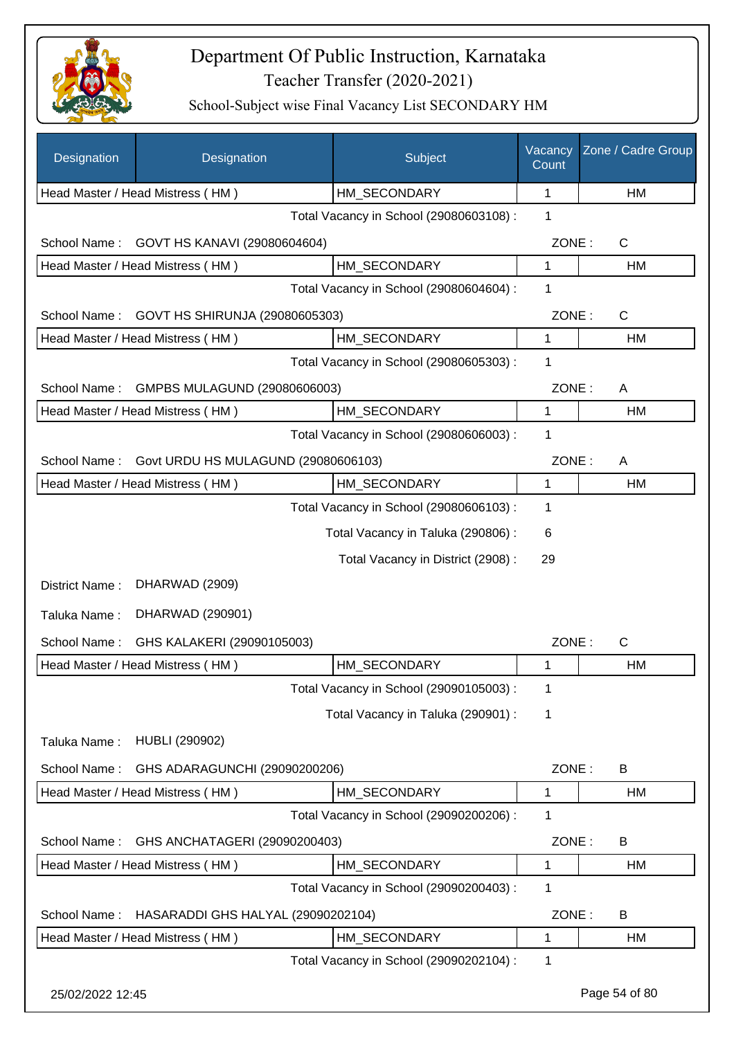

| Designation      | Designation                                                    | Subject                                 | Vacancy<br>Count | Zone / Cadre Group |
|------------------|----------------------------------------------------------------|-----------------------------------------|------------------|--------------------|
|                  | Head Master / Head Mistress (HM)                               | HM_SECONDARY                            | 1                | HM                 |
|                  |                                                                | Total Vacancy in School (29080603108) : | 1                |                    |
| School Name:     | GOVT HS KANAVI (29080604604)                                   |                                         | ZONE:            | $\mathsf{C}$       |
|                  | Head Master / Head Mistress (HM)                               | HM SECONDARY                            | 1                | HM                 |
|                  |                                                                | Total Vacancy in School (29080604604) : | 1                |                    |
| School Name:     | GOVT HS SHIRUNJA (29080605303)                                 |                                         | ZONE:            | $\mathsf{C}$       |
|                  | Head Master / Head Mistress (HM)                               | HM SECONDARY                            | 1                | HM                 |
|                  |                                                                | Total Vacancy in School (29080605303) : | 1                |                    |
| School Name:     | GMPBS MULAGUND (29080606003)                                   |                                         | ZONE:            | A                  |
|                  | Head Master / Head Mistress (HM)                               | HM_SECONDARY                            | 1                | HM                 |
|                  |                                                                | Total Vacancy in School (29080606003) : | 1                |                    |
| School Name:     | Govt URDU HS MULAGUND (29080606103)                            |                                         | ZONE:            | A                  |
|                  | Head Master / Head Mistress (HM)                               | HM_SECONDARY                            | $\mathbf{1}$     | HM                 |
|                  |                                                                | Total Vacancy in School (29080606103) : | 1                |                    |
|                  |                                                                | Total Vacancy in Taluka (290806) :      | 6                |                    |
|                  |                                                                | Total Vacancy in District (2908) :      | 29               |                    |
| District Name:   | DHARWAD (2909)                                                 |                                         |                  |                    |
| Taluka Name:     | DHARWAD (290901)                                               |                                         |                  |                    |
| School Name:     |                                                                |                                         | ZONE:            | $\mathsf{C}$       |
|                  | GHS KALAKERI (29090105003)<br>Head Master / Head Mistress (HM) | HM_SECONDARY                            | 1                | HM                 |
|                  |                                                                | Total Vacancy in School (29090105003) : | 1                |                    |
|                  |                                                                | Total Vacancy in Taluka (290901) :      | 1                |                    |
|                  |                                                                |                                         |                  |                    |
| Taluka Name:     | <b>HUBLI (290902)</b>                                          |                                         |                  |                    |
| School Name:     | GHS ADARAGUNCHI (29090200206)                                  |                                         | ZONE:            | B                  |
|                  | Head Master / Head Mistress (HM)                               | HM SECONDARY                            | 1                | HM                 |
|                  |                                                                | Total Vacancy in School (29090200206) : | 1                |                    |
| School Name:     | GHS ANCHATAGERI (29090200403)                                  |                                         | ZONE:            | B                  |
|                  | Head Master / Head Mistress (HM)                               | HM_SECONDARY                            | 1                | HM                 |
|                  |                                                                | Total Vacancy in School (29090200403) : | 1                |                    |
| School Name:     | HASARADDI GHS HALYAL (29090202104)                             |                                         | ZONE:            | B                  |
|                  | Head Master / Head Mistress (HM)                               | HM SECONDARY                            | 1                | HM                 |
|                  |                                                                | Total Vacancy in School (29090202104) : | 1                |                    |
| 25/02/2022 12:45 |                                                                |                                         |                  | Page 54 of 80      |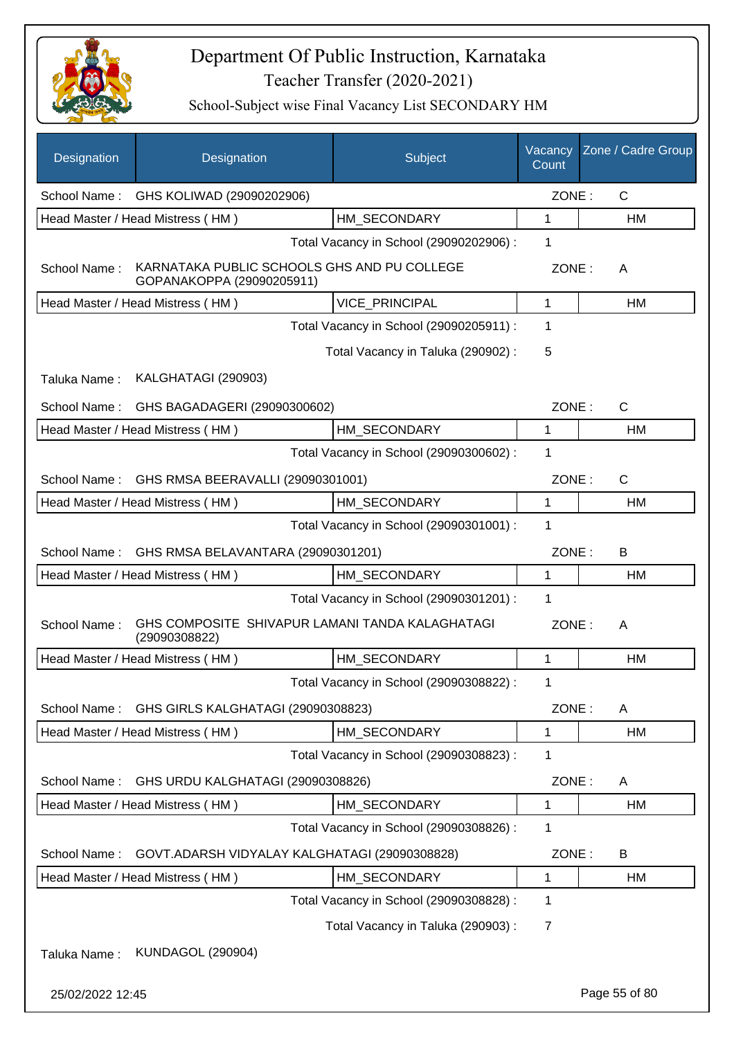

| Designation      | Designation                                                              | Subject                                 | Vacancy<br>Count | Zone / Cadre Group |
|------------------|--------------------------------------------------------------------------|-----------------------------------------|------------------|--------------------|
| School Name:     | GHS KOLIWAD (29090202906)                                                |                                         | ZONE:            | $\mathsf{C}$       |
|                  | Head Master / Head Mistress (HM)                                         | HM SECONDARY                            | 1                | HM                 |
|                  |                                                                          | Total Vacancy in School (29090202906) : | 1                |                    |
| School Name:     | KARNATAKA PUBLIC SCHOOLS GHS AND PU COLLEGE<br>GOPANAKOPPA (29090205911) |                                         | ZONE:            | A                  |
|                  | Head Master / Head Mistress (HM)                                         | VICE_PRINCIPAL                          | 1                | <b>HM</b>          |
|                  |                                                                          | Total Vacancy in School (29090205911) : | 1                |                    |
|                  |                                                                          | Total Vacancy in Taluka (290902) :      | 5                |                    |
| Taluka Name:     | KALGHATAGI (290903)                                                      |                                         |                  |                    |
| School Name:     | GHS BAGADAGERI (29090300602)                                             |                                         | ZONE:            | $\mathsf{C}$       |
|                  | Head Master / Head Mistress (HM)                                         | HM_SECONDARY                            | 1                | HM                 |
|                  |                                                                          | Total Vacancy in School (29090300602) : | 1                |                    |
| School Name:     | GHS RMSA BEERAVALLI (29090301001)                                        |                                         | ZONE:            | $\mathsf{C}$       |
|                  | Head Master / Head Mistress (HM)                                         | HM_SECONDARY                            | 1                | HM                 |
|                  |                                                                          | Total Vacancy in School (29090301001) : | 1                |                    |
| School Name:     | GHS RMSA BELAVANTARA (29090301201)                                       |                                         | ZONE:            | B                  |
|                  | Head Master / Head Mistress (HM)                                         | HM SECONDARY                            | 1                | HM                 |
|                  |                                                                          | Total Vacancy in School (29090301201) : | 1                |                    |
| School Name:     | GHS COMPOSITE SHIVAPUR LAMANI TANDA KALAGHATAGI<br>(29090308822)         |                                         | ZONE:            | A                  |
|                  | Head Master / Head Mistress (HM)                                         | HM_SECONDARY                            | 1                | HM                 |
|                  |                                                                          | Total Vacancy in School (29090308822) : | $\mathbf 1$      |                    |
| School Name:     | GHS GIRLS KALGHATAGI (29090308823)                                       |                                         | ZONE:            | A                  |
|                  | Head Master / Head Mistress (HM)                                         | HM SECONDARY                            | 1                | <b>HM</b>          |
|                  |                                                                          | Total Vacancy in School (29090308823) : | 1                |                    |
| School Name:     | GHS URDU KALGHATAGI (29090308826)                                        |                                         | ZONE:            | A                  |
|                  | Head Master / Head Mistress (HM)                                         | HM_SECONDARY                            | 1                | HM                 |
|                  |                                                                          | Total Vacancy in School (29090308826) : | 1                |                    |
| School Name:     | GOVT.ADARSH VIDYALAY KALGHATAGI (29090308828)                            |                                         | ZONE:            | B                  |
|                  | Head Master / Head Mistress (HM)                                         | HM_SECONDARY                            | 1                | HM                 |
|                  |                                                                          | Total Vacancy in School (29090308828) : | 1                |                    |
|                  |                                                                          | Total Vacancy in Taluka (290903) :      | 7                |                    |
| Taluka Name:     | <b>KUNDAGOL (290904)</b>                                                 |                                         |                  |                    |
| 25/02/2022 12:45 |                                                                          |                                         |                  | Page 55 of 80      |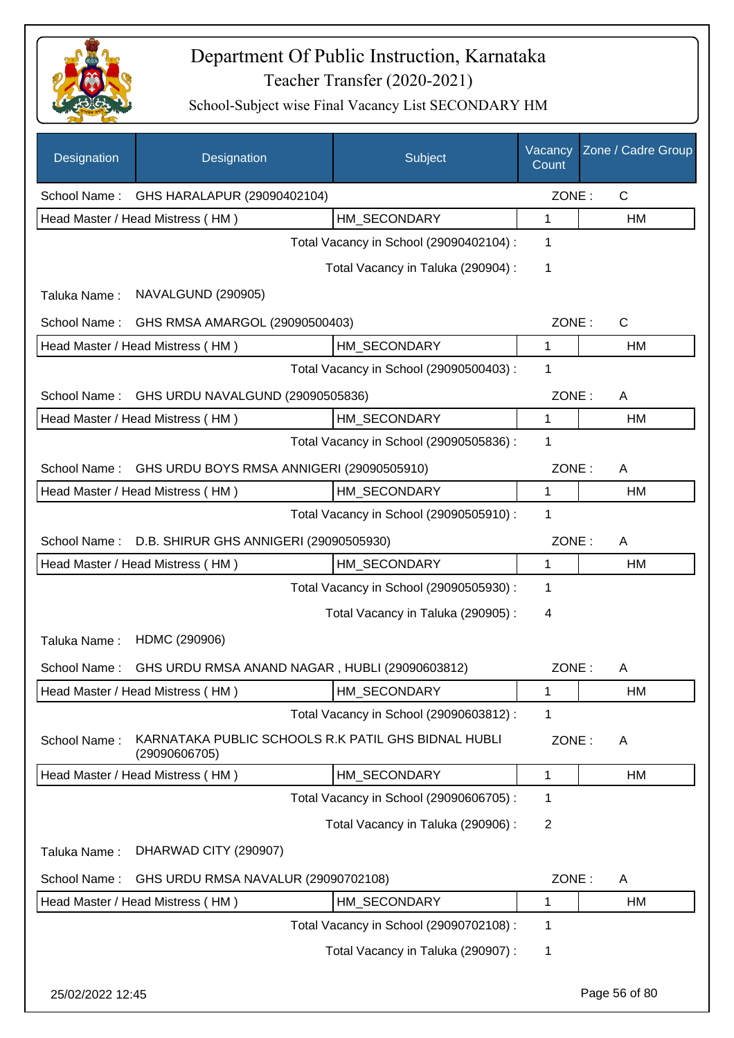

| Designation      | Designation                                                          | Subject                                 | Vacancy<br>Count | Zone / Cadre Group |
|------------------|----------------------------------------------------------------------|-----------------------------------------|------------------|--------------------|
| School Name:     | GHS HARALAPUR (29090402104)                                          |                                         | ZONE:            | $\mathsf{C}$       |
|                  | Head Master / Head Mistress (HM)                                     | HM SECONDARY                            | 1                | HM                 |
|                  |                                                                      | Total Vacancy in School (29090402104) : | 1                |                    |
|                  |                                                                      | Total Vacancy in Taluka (290904) :      | 1                |                    |
| Taluka Name:     | NAVALGUND (290905)                                                   |                                         |                  |                    |
| School Name:     | GHS RMSA AMARGOL (29090500403)                                       |                                         | ZONE:            | $\mathsf{C}$       |
|                  | Head Master / Head Mistress (HM)                                     | HM_SECONDARY                            | 1                | HM                 |
|                  |                                                                      | Total Vacancy in School (29090500403) : | 1                |                    |
| School Name:     | GHS URDU NAVALGUND (29090505836)                                     |                                         | ZONE:            | A                  |
|                  | Head Master / Head Mistress (HM)                                     | HM SECONDARY                            | 1                | <b>HM</b>          |
|                  |                                                                      | Total Vacancy in School (29090505836) : | 1                |                    |
| School Name:     | GHS URDU BOYS RMSA ANNIGERI (29090505910)                            |                                         | ZONE:            | A                  |
|                  | Head Master / Head Mistress (HM)                                     | HM_SECONDARY                            | 1                | HM                 |
|                  |                                                                      | Total Vacancy in School (29090505910) : | 1                |                    |
| School Name:     | D.B. SHIRUR GHS ANNIGERI (29090505930)                               |                                         | ZONE:            | A                  |
|                  | Head Master / Head Mistress (HM)                                     | HM_SECONDARY                            | 1                | HM                 |
|                  |                                                                      | Total Vacancy in School (29090505930) : | 1                |                    |
|                  |                                                                      | Total Vacancy in Taluka (290905):       | 4                |                    |
| Taluka Name:     | HDMC (290906)                                                        |                                         |                  |                    |
| School Name:     | GHS URDU RMSA ANAND NAGAR, HUBLI (29090603812)                       |                                         | ZONE:            | A                  |
|                  | Head Master / Head Mistress (HM)                                     | HM SECONDARY                            | 1                | HM                 |
|                  |                                                                      | Total Vacancy in School (29090603812) : | 1                |                    |
| School Name:     | KARNATAKA PUBLIC SCHOOLS R.K PATIL GHS BIDNAL HUBLI<br>(29090606705) |                                         | ZONE:            | A                  |
|                  | Head Master / Head Mistress (HM)                                     | HM SECONDARY                            | 1                | HM                 |
|                  |                                                                      | Total Vacancy in School (29090606705) : | $\mathbf 1$      |                    |
|                  |                                                                      | Total Vacancy in Taluka (290906) :      | $\overline{2}$   |                    |
| Taluka Name:     | DHARWAD CITY (290907)                                                |                                         |                  |                    |
| School Name:     | GHS URDU RMSA NAVALUR (29090702108)                                  |                                         | ZONE:            | A                  |
|                  | Head Master / Head Mistress (HM)                                     | HM_SECONDARY                            | 1                | HM                 |
|                  |                                                                      | Total Vacancy in School (29090702108) : | 1                |                    |
|                  |                                                                      | Total Vacancy in Taluka (290907) :      | 1                |                    |
| 25/02/2022 12:45 |                                                                      |                                         |                  | Page 56 of 80      |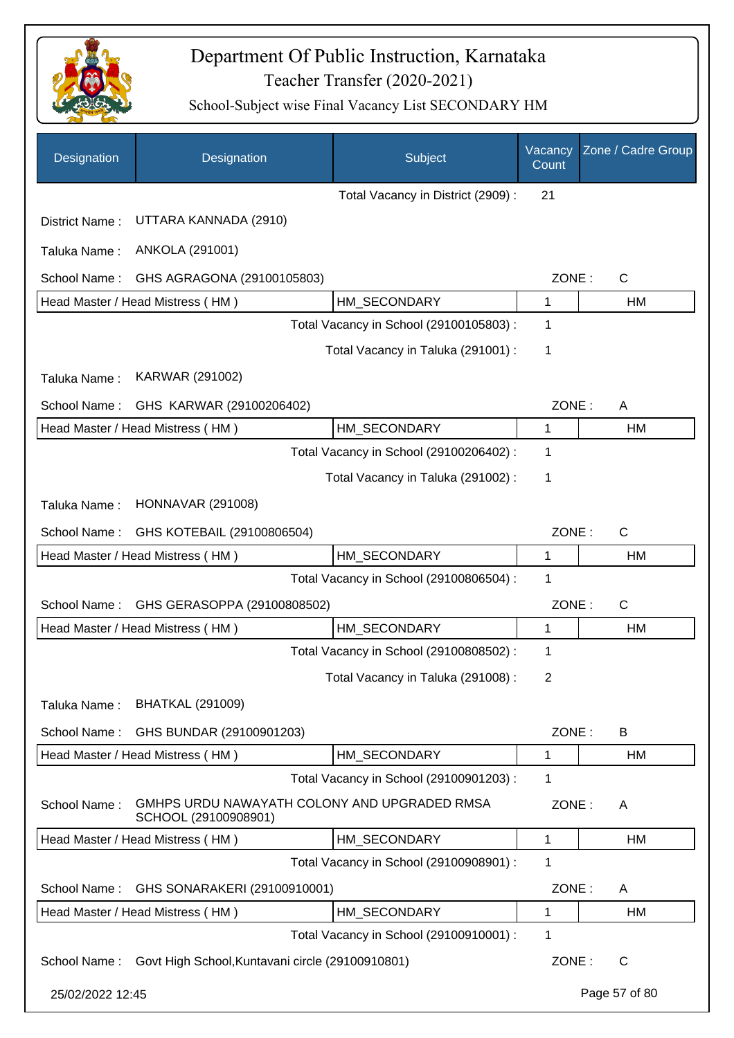

| Designation      | Designation                                                          | Subject                                 | Vacancy<br>Count | Zone / Cadre Group |
|------------------|----------------------------------------------------------------------|-----------------------------------------|------------------|--------------------|
|                  |                                                                      | Total Vacancy in District (2909) :      | 21               |                    |
| District Name:   | UTTARA KANNADA (2910)                                                |                                         |                  |                    |
| Taluka Name:     | ANKOLA (291001)                                                      |                                         |                  |                    |
| School Name:     | GHS AGRAGONA (29100105803)                                           |                                         | ZONE:            | $\mathsf{C}$       |
|                  | Head Master / Head Mistress (HM)                                     | HM_SECONDARY                            | 1                | HM                 |
|                  |                                                                      | Total Vacancy in School (29100105803) : | 1                |                    |
|                  |                                                                      | Total Vacancy in Taluka (291001) :      | 1                |                    |
| Taluka Name:     | KARWAR (291002)                                                      |                                         |                  |                    |
| School Name:     | GHS KARWAR (29100206402)                                             |                                         | ZONE:            | A                  |
|                  | Head Master / Head Mistress (HM)                                     | HM SECONDARY                            | 1                | HM                 |
|                  |                                                                      | Total Vacancy in School (29100206402) : | 1                |                    |
|                  |                                                                      | Total Vacancy in Taluka (291002):       | 1                |                    |
| Taluka Name:     | <b>HONNAVAR (291008)</b>                                             |                                         |                  |                    |
| School Name:     | GHS KOTEBAIL (29100806504)                                           |                                         | ZONE:            | $\mathsf{C}$       |
|                  | Head Master / Head Mistress (HM)                                     | HM SECONDARY                            | 1                | HM                 |
|                  |                                                                      | Total Vacancy in School (29100806504) : | 1                |                    |
| School Name:     | GHS GERASOPPA (29100808502)                                          |                                         | ZONE:            | $\mathsf{C}$       |
|                  | Head Master / Head Mistress (HM)                                     | HM_SECONDARY                            | 1                | HM                 |
|                  |                                                                      | Total Vacancy in School (29100808502) : | 1                |                    |
|                  |                                                                      | Total Vacancy in Taluka (291008) :      | 2                |                    |
| Taluka Name:     | <b>BHATKAL (291009)</b>                                              |                                         |                  |                    |
| School Name:     | GHS BUNDAR (29100901203)                                             |                                         | ZONE:            | B                  |
|                  | Head Master / Head Mistress (HM)                                     | HM SECONDARY                            | 1                | HM                 |
|                  |                                                                      | Total Vacancy in School (29100901203) : | 1                |                    |
| School Name:     | GMHPS URDU NAWAYATH COLONY AND UPGRADED RMSA<br>SCHOOL (29100908901) |                                         | ZONE:            | A                  |
|                  | Head Master / Head Mistress (HM)                                     | HM_SECONDARY                            | 1                | HM                 |
|                  |                                                                      | Total Vacancy in School (29100908901) : | 1                |                    |
| School Name:     | GHS SONARAKERI (29100910001)                                         |                                         | ZONE:            | A                  |
|                  | Head Master / Head Mistress (HM)                                     | HM_SECONDARY                            | 1                | НM                 |
|                  |                                                                      | Total Vacancy in School (29100910001) : | 1                |                    |
| School Name:     | Govt High School, Kuntavani circle (29100910801)                     |                                         | ZONE:            | $\mathsf{C}$       |
| 25/02/2022 12:45 |                                                                      |                                         |                  | Page 57 of 80      |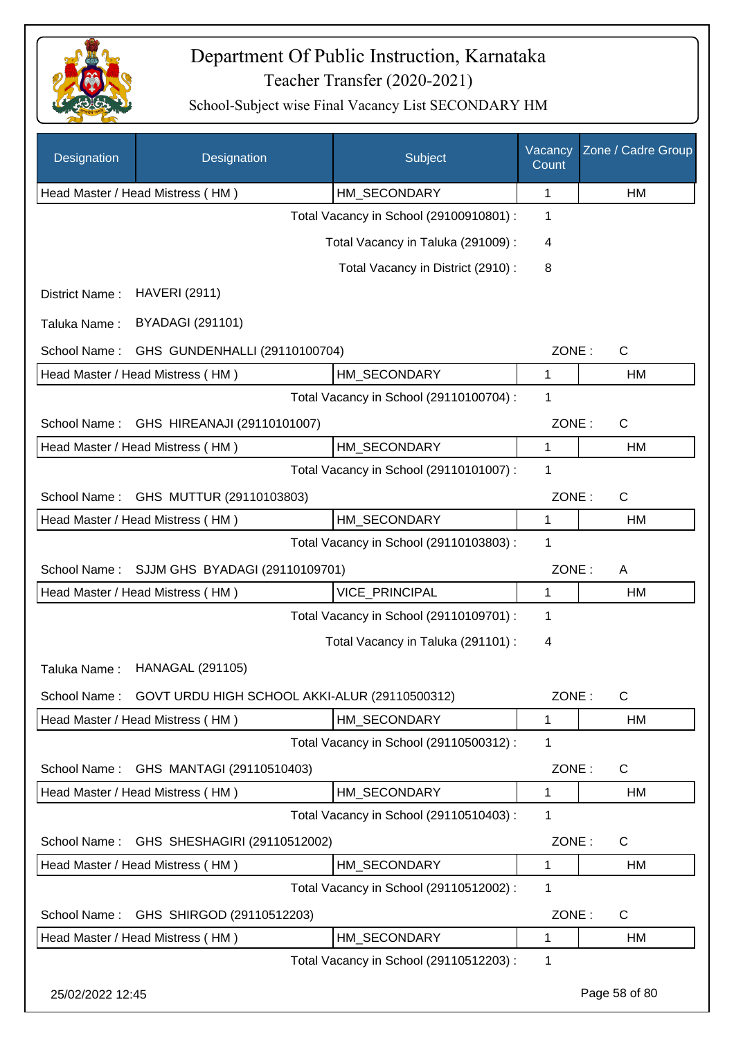

| Designation      | Designation                                   | Subject                                 | Vacancy<br>Count | Zone / Cadre Group |
|------------------|-----------------------------------------------|-----------------------------------------|------------------|--------------------|
|                  | Head Master / Head Mistress (HM)              | HM_SECONDARY                            | 1                | HM                 |
|                  |                                               | Total Vacancy in School (29100910801) : | 1                |                    |
|                  |                                               | Total Vacancy in Taluka (291009) :      | 4                |                    |
|                  |                                               | Total Vacancy in District (2910) :      | 8                |                    |
| District Name:   | <b>HAVERI (2911)</b>                          |                                         |                  |                    |
| Taluka Name:     | <b>BYADAGI (291101)</b>                       |                                         |                  |                    |
| School Name:     | GHS GUNDENHALLI (29110100704)                 |                                         | ZONE:            | $\mathsf{C}$       |
|                  | Head Master / Head Mistress (HM)              | HM_SECONDARY                            | 1                | HM                 |
|                  |                                               | Total Vacancy in School (29110100704) : | 1                |                    |
| School Name:     | GHS HIREANAJI (29110101007)                   |                                         | ZONE:            | $\mathsf{C}$       |
|                  | Head Master / Head Mistress (HM)              | HM_SECONDARY                            | 1                | HM                 |
|                  |                                               | Total Vacancy in School (29110101007) : | 1                |                    |
| School Name:     | GHS MUTTUR (29110103803)                      |                                         | ZONE:            | $\mathsf{C}$       |
|                  | Head Master / Head Mistress (HM)              | HM_SECONDARY                            | $\mathbf{1}$     | HM                 |
|                  |                                               | Total Vacancy in School (29110103803) : | $\mathbf{1}$     |                    |
| School Name:     | SJJM GHS BYADAGI (29110109701)                |                                         | ZONE:            | A                  |
|                  | Head Master / Head Mistress (HM)              | VICE_PRINCIPAL                          | 1                | HM                 |
|                  |                                               | Total Vacancy in School (29110109701) : | 1                |                    |
|                  |                                               | Total Vacancy in Taluka (291101) :      | 4                |                    |
| Taluka Name:     | <b>HANAGAL (291105)</b>                       |                                         |                  |                    |
| School Name:     | GOVT URDU HIGH SCHOOL AKKI-ALUR (29110500312) |                                         | ZONE:            | C                  |
|                  | Head Master / Head Mistress (HM)              | HM_SECONDARY                            | 1                | HM                 |
|                  |                                               | Total Vacancy in School (29110500312) : | 1                |                    |
| School Name:     | GHS MANTAGI (29110510403)                     |                                         | ZONE:            | C                  |
|                  | Head Master / Head Mistress (HM)              | HM_SECONDARY                            | $\mathbf{1}$     | HM                 |
|                  |                                               | Total Vacancy in School (29110510403) : | 1                |                    |
| School Name:     | GHS SHESHAGIRI (29110512002)                  |                                         | ZONE:            | C                  |
|                  | Head Master / Head Mistress (HM)              | HM_SECONDARY                            | 1                | HM                 |
|                  |                                               | Total Vacancy in School (29110512002) : | 1                |                    |
| School Name:     | GHS SHIRGOD (29110512203)                     |                                         | ZONE:            | C                  |
|                  | Head Master / Head Mistress (HM)              | HM SECONDARY                            | 1                | HM                 |
|                  |                                               | Total Vacancy in School (29110512203) : | $\mathbf{1}$     |                    |
| 25/02/2022 12:45 |                                               |                                         |                  | Page 58 of 80      |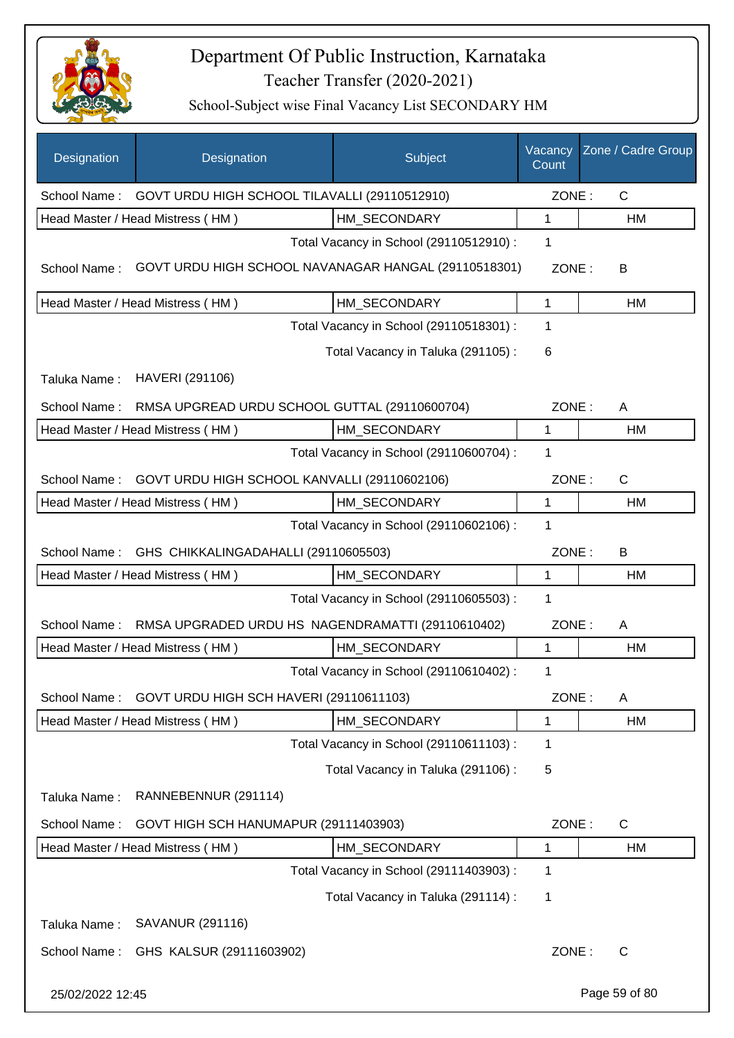

| Designation      | Designation                                          | Subject                                 | Vacancy<br>Count | Zone / Cadre Group |
|------------------|------------------------------------------------------|-----------------------------------------|------------------|--------------------|
| School Name:     | GOVT URDU HIGH SCHOOL TILAVALLI (29110512910)        |                                         | ZONE:            | $\mathsf{C}$       |
|                  | Head Master / Head Mistress (HM)                     | HM SECONDARY                            | 1                | НM                 |
|                  |                                                      | Total Vacancy in School (29110512910) : | 1                |                    |
| School Name:     | GOVT URDU HIGH SCHOOL NAVANAGAR HANGAL (29110518301) |                                         | ZONE:            | В                  |
|                  | Head Master / Head Mistress (HM)                     | HM SECONDARY                            | 1                | HM                 |
|                  |                                                      | Total Vacancy in School (29110518301) : | 1                |                    |
|                  |                                                      | Total Vacancy in Taluka (291105):       | 6                |                    |
| Taluka Name:     | HAVERI (291106)                                      |                                         |                  |                    |
| School Name:     | RMSA UPGREAD URDU SCHOOL GUTTAL (29110600704)        |                                         | ZONE:            | A                  |
|                  | Head Master / Head Mistress (HM)                     | HM SECONDARY                            | 1                | НM                 |
|                  |                                                      | Total Vacancy in School (29110600704) : | 1                |                    |
| School Name:     | GOVT URDU HIGH SCHOOL KANVALLI (29110602106)         |                                         | ZONE:            | $\mathsf{C}$       |
|                  | Head Master / Head Mistress (HM)                     | HM SECONDARY                            | 1                | НM                 |
|                  |                                                      | Total Vacancy in School (29110602106) : | 1                |                    |
| School Name:     | GHS CHIKKALINGADAHALLI (29110605503)                 |                                         | ZONE:            | B                  |
|                  | Head Master / Head Mistress (HM)                     | HM SECONDARY                            | 1                | HM                 |
|                  |                                                      | Total Vacancy in School (29110605503) : | 1                |                    |
| School Name:     | RMSA UPGRADED URDU HS NAGENDRAMATTI (29110610402)    |                                         | ZONE:            | A                  |
|                  | Head Master / Head Mistress (HM)                     | HM_SECONDARY                            | 1                | НM                 |
|                  |                                                      | Total Vacancy in School (29110610402) : | 1                |                    |
| School Name:     | GOVT URDU HIGH SCH HAVERI (29110611103)              |                                         | ZONE:            | A                  |
|                  | Head Master / Head Mistress (HM)                     | HM_SECONDARY                            | 1                | HM                 |
|                  |                                                      | Total Vacancy in School (29110611103):  | 1                |                    |
|                  |                                                      | Total Vacancy in Taluka (291106):       | 5                |                    |
| Taluka Name:     | RANNEBENNUR (291114)                                 |                                         |                  |                    |
| School Name:     | GOVT HIGH SCH HANUMAPUR (29111403903)                |                                         | ZONE:            | $\mathsf{C}$       |
|                  | Head Master / Head Mistress (HM)                     | HM_SECONDARY                            | 1                | HM                 |
|                  |                                                      | Total Vacancy in School (29111403903) : | 1                |                    |
|                  |                                                      | Total Vacancy in Taluka (291114) :      | 1                |                    |
| Taluka Name:     | SAVANUR (291116)                                     |                                         |                  |                    |
| School Name:     | GHS KALSUR (29111603902)                             |                                         | ZONE:            | C                  |
| 25/02/2022 12:45 |                                                      |                                         |                  | Page 59 of 80      |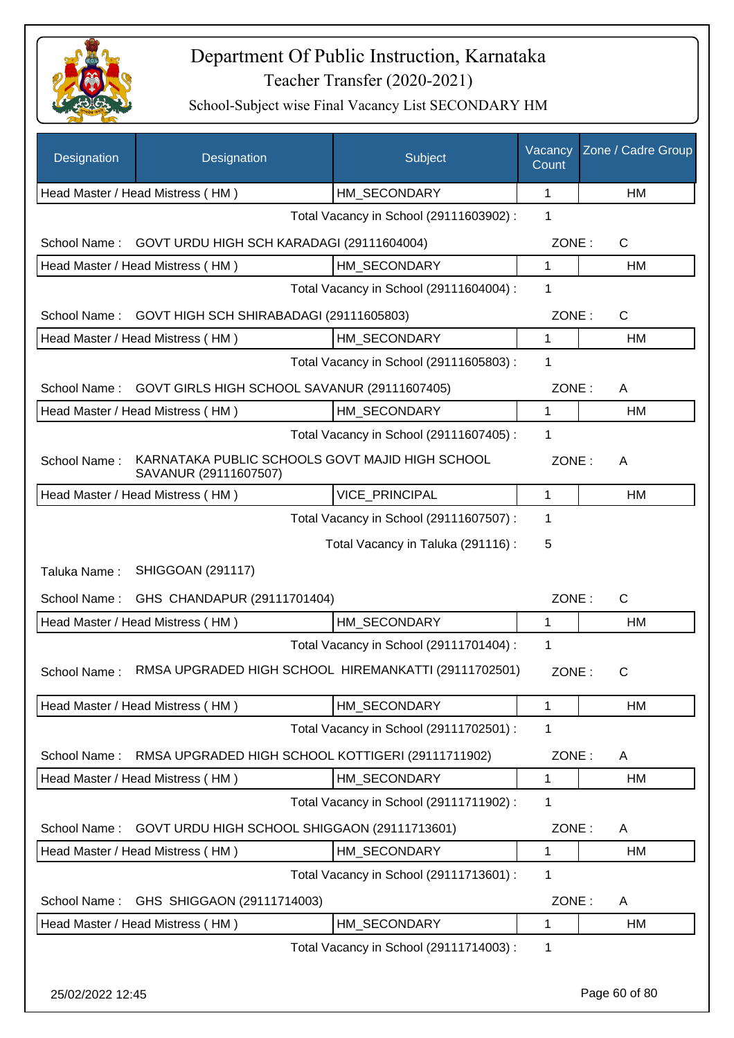

| Designation      | Designation                                                              | Subject                                 | Vacancy<br>Count | Zone / Cadre Group |
|------------------|--------------------------------------------------------------------------|-----------------------------------------|------------------|--------------------|
|                  | Head Master / Head Mistress (HM)                                         | HM_SECONDARY                            | 1                | <b>HM</b>          |
|                  |                                                                          | Total Vacancy in School (29111603902) : | 1                |                    |
| School Name:     | GOVT URDU HIGH SCH KARADAGI (29111604004)                                |                                         | ZONE:            | $\mathsf{C}$       |
|                  | Head Master / Head Mistress (HM)                                         | HM SECONDARY                            | 1                | HM                 |
|                  |                                                                          | Total Vacancy in School (29111604004) : | 1                |                    |
| School Name:     | GOVT HIGH SCH SHIRABADAGI (29111605803)                                  |                                         | ZONE:            | $\mathsf{C}$       |
|                  | Head Master / Head Mistress (HM)                                         | HM SECONDARY                            | 1                | HM                 |
|                  |                                                                          | Total Vacancy in School (29111605803) : | 1                |                    |
| School Name:     | GOVT GIRLS HIGH SCHOOL SAVANUR (29111607405)                             |                                         | ZONE:            | A                  |
|                  | Head Master / Head Mistress (HM)                                         | HM SECONDARY                            | $\mathbf{1}$     | HM                 |
|                  |                                                                          | Total Vacancy in School (29111607405) : | 1                |                    |
| School Name:     | KARNATAKA PUBLIC SCHOOLS GOVT MAJID HIGH SCHOOL<br>SAVANUR (29111607507) |                                         | ZONE:            | A                  |
|                  | Head Master / Head Mistress (HM)                                         | VICE_PRINCIPAL                          | $\mathbf{1}$     | HM                 |
|                  |                                                                          | Total Vacancy in School (29111607507) : | 1                |                    |
|                  |                                                                          | Total Vacancy in Taluka (291116) :      | 5                |                    |
| Taluka Name:     | <b>SHIGGOAN (291117)</b>                                                 |                                         |                  |                    |
| School Name:     | GHS CHANDAPUR (29111701404)                                              |                                         | ZONE:            | C                  |
|                  | Head Master / Head Mistress (HM)                                         | HM_SECONDARY                            | $\mathbf{1}$     | <b>HM</b>          |
|                  |                                                                          | Total Vacancy in School (29111701404) : | 1                |                    |
| School Name:     | RMSA UPGRADED HIGH SCHOOL HIREMANKATTI (29111702501)                     |                                         | ZONE:            | С                  |
|                  | Head Master / Head Mistress (HM)                                         | HM_SECONDARY                            | 1                | HM                 |
|                  |                                                                          | Total Vacancy in School (29111702501) : | 1                |                    |
| School Name:     | RMSA UPGRADED HIGH SCHOOL KOTTIGERI (29111711902)                        |                                         | ZONE:            | A                  |
|                  | Head Master / Head Mistress (HM)                                         | HM_SECONDARY                            | $\mathbf{1}$     | <b>HM</b>          |
|                  |                                                                          | Total Vacancy in School (29111711902):  | 1                |                    |
| School Name:     | GOVT URDU HIGH SCHOOL SHIGGAON (29111713601)                             |                                         | ZONE:            | A                  |
|                  | Head Master / Head Mistress (HM)                                         | HM_SECONDARY                            | 1                | HM                 |
|                  |                                                                          | Total Vacancy in School (29111713601) : | 1                |                    |
| School Name:     | GHS SHIGGAON (29111714003)                                               |                                         | ZONE:            | A                  |
|                  | Head Master / Head Mistress (HM)                                         | HM_SECONDARY                            | 1                | HM                 |
|                  |                                                                          | Total Vacancy in School (29111714003) : | 1                |                    |
| 25/02/2022 12:45 |                                                                          |                                         |                  | Page 60 of 80      |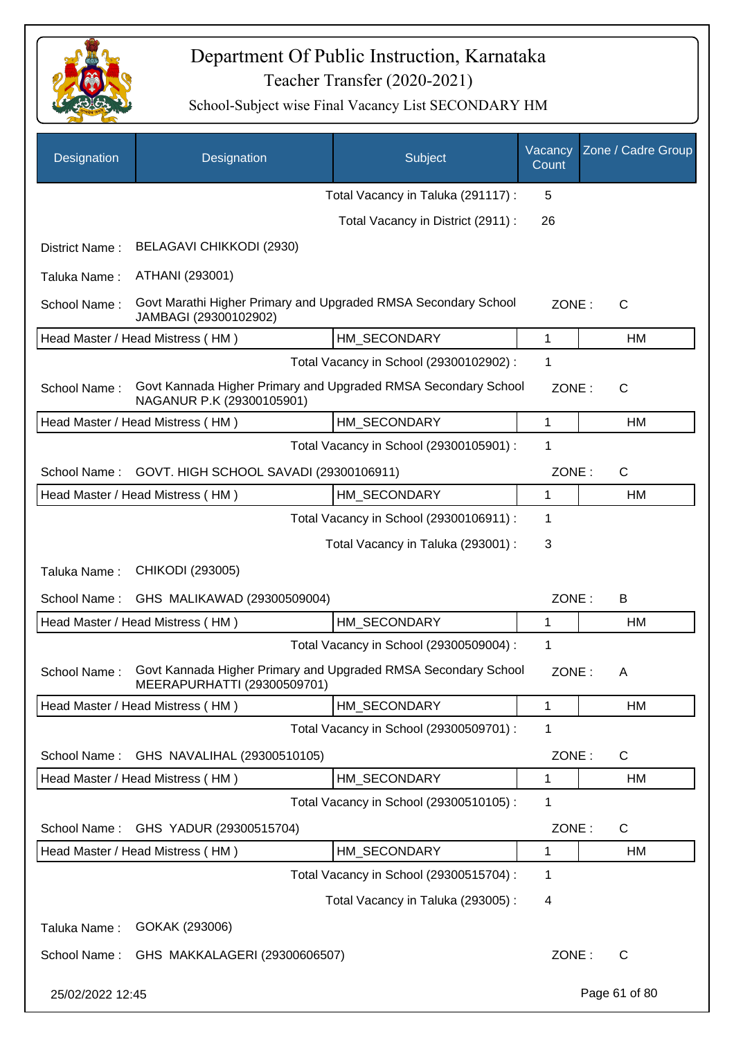

| Designation      | Designation                                                                                   | Subject                                 | Vacancy<br>Count | Zone / Cadre Group |
|------------------|-----------------------------------------------------------------------------------------------|-----------------------------------------|------------------|--------------------|
|                  |                                                                                               | Total Vacancy in Taluka (291117) :      | 5                |                    |
|                  |                                                                                               | Total Vacancy in District (2911) :      | 26               |                    |
| District Name:   | BELAGAVI CHIKKODI (2930)                                                                      |                                         |                  |                    |
| Taluka Name:     | ATHANI (293001)                                                                               |                                         |                  |                    |
| School Name:     | Govt Marathi Higher Primary and Upgraded RMSA Secondary School<br>JAMBAGI (29300102902)       |                                         | ZONE:            | $\mathsf{C}$       |
|                  | Head Master / Head Mistress (HM)                                                              | HM_SECONDARY                            | 1                | HM                 |
|                  |                                                                                               | Total Vacancy in School (29300102902) : | 1                |                    |
| School Name:     | Govt Kannada Higher Primary and Upgraded RMSA Secondary School<br>NAGANUR P.K (29300105901)   |                                         | ZONE:            | C                  |
|                  | Head Master / Head Mistress (HM)                                                              | HM SECONDARY                            | 1                | HM                 |
|                  |                                                                                               | Total Vacancy in School (29300105901) : | 1                |                    |
| School Name:     | GOVT. HIGH SCHOOL SAVADI (29300106911)                                                        |                                         | ZONE:            | $\mathsf{C}$       |
|                  | Head Master / Head Mistress (HM)                                                              | HM_SECONDARY                            | 1                | HM                 |
|                  |                                                                                               | Total Vacancy in School (29300106911) : | 1                |                    |
|                  |                                                                                               | Total Vacancy in Taluka (293001) :      | 3                |                    |
| Taluka Name:     | CHIKODI (293005)                                                                              |                                         |                  |                    |
| School Name:     | GHS MALIKAWAD (29300509004)                                                                   |                                         | ZONE:            | B                  |
|                  | Head Master / Head Mistress (HM)                                                              | HM_SECONDARY                            | 1                | HM                 |
|                  |                                                                                               | Total Vacancy in School (29300509004) : | 1                |                    |
| School Name:     | Govt Kannada Higher Primary and Upgraded RMSA Secondary School<br>MEERAPURHATTI (29300509701) |                                         | ZONE:            | Α                  |
|                  | Head Master / Head Mistress (HM)                                                              | HM_SECONDARY                            | 1                | HM                 |
|                  |                                                                                               | Total Vacancy in School (29300509701) : | 1                |                    |
| School Name:     | GHS NAVALIHAL (29300510105)                                                                   |                                         | ZONE:            | $\mathsf{C}$       |
|                  | Head Master / Head Mistress (HM)                                                              | HM SECONDARY                            | 1                | HM                 |
|                  |                                                                                               | Total Vacancy in School (29300510105) : | 1                |                    |
| School Name:     | GHS YADUR (29300515704)                                                                       |                                         | ZONE:            | $\mathsf{C}$       |
|                  | Head Master / Head Mistress (HM)                                                              | HM_SECONDARY                            | 1                | HM                 |
|                  |                                                                                               | Total Vacancy in School (29300515704) : | 1                |                    |
|                  |                                                                                               | Total Vacancy in Taluka (293005):       | 4                |                    |
| Taluka Name:     | GOKAK (293006)                                                                                |                                         |                  |                    |
| School Name:     | GHS MAKKALAGERI (29300606507)                                                                 |                                         | ZONE:            | C                  |
| 25/02/2022 12:45 |                                                                                               |                                         |                  | Page 61 of 80      |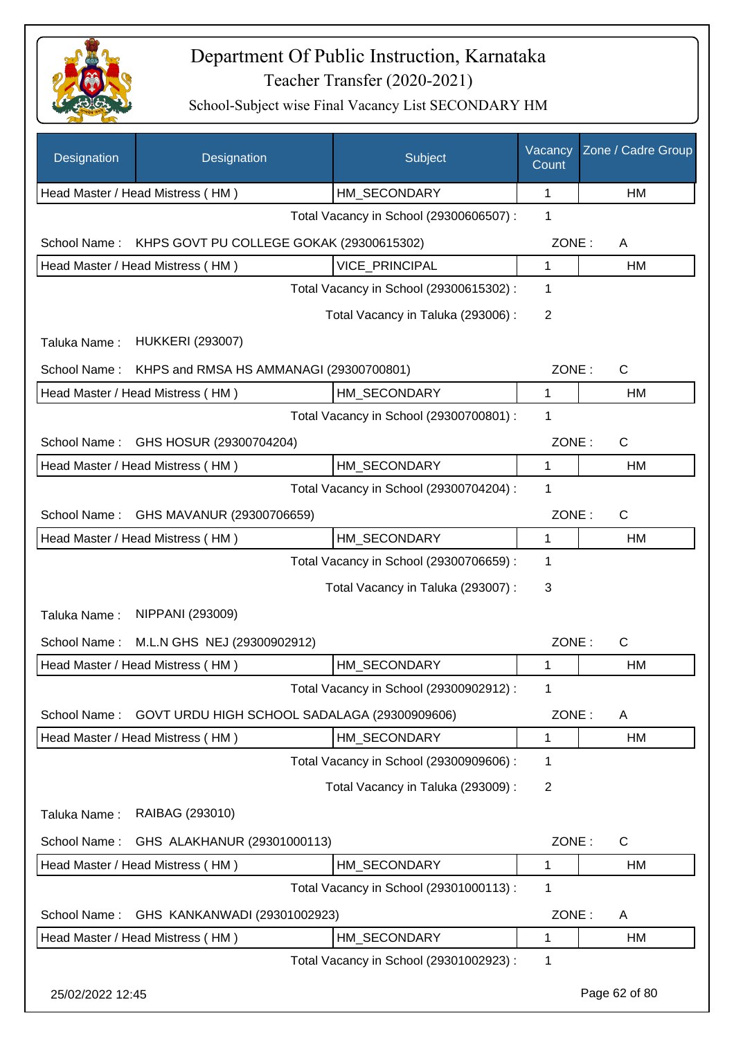

| Designation      | Designation                                  | Subject                                 | Vacancy<br>Count | Zone / Cadre Group |
|------------------|----------------------------------------------|-----------------------------------------|------------------|--------------------|
|                  | Head Master / Head Mistress (HM)             | HM_SECONDARY                            | 1                | HM                 |
|                  |                                              | Total Vacancy in School (29300606507) : | 1                |                    |
| School Name:     | KHPS GOVT PU COLLEGE GOKAK (29300615302)     |                                         | ZONE:            | A                  |
|                  | Head Master / Head Mistress (HM)             | <b>VICE PRINCIPAL</b>                   | 1                | HM                 |
|                  |                                              | Total Vacancy in School (29300615302) : | 1                |                    |
|                  |                                              | Total Vacancy in Taluka (293006) :      | $\overline{2}$   |                    |
| Taluka Name:     | <b>HUKKERI (293007)</b>                      |                                         |                  |                    |
| School Name:     | KHPS and RMSA HS AMMANAGI (29300700801)      |                                         | ZONE:            | $\mathsf{C}$       |
|                  | Head Master / Head Mistress (HM)             | HM_SECONDARY                            | 1                | HM                 |
|                  |                                              | Total Vacancy in School (29300700801) : | 1                |                    |
| School Name:     | GHS HOSUR (29300704204)                      |                                         | ZONE:            | $\mathsf{C}$       |
|                  | Head Master / Head Mistress (HM)             | HM_SECONDARY                            | 1                | HM                 |
|                  |                                              | Total Vacancy in School (29300704204) : | 1                |                    |
| School Name:     | GHS MAVANUR (29300706659)                    |                                         | ZONE:            | $\mathsf{C}$       |
|                  | Head Master / Head Mistress (HM)             | HM_SECONDARY                            | 1                | HM                 |
|                  |                                              | Total Vacancy in School (29300706659) : | 1                |                    |
|                  |                                              | Total Vacancy in Taluka (293007) :      | 3                |                    |
| Taluka Name:     | NIPPANI (293009)                             |                                         |                  |                    |
| School Name:     | M.L.N GHS NEJ (29300902912)                  |                                         | ZONE:            | $\mathsf{C}$       |
|                  | Head Master / Head Mistress (HM)             | HM SECONDARY                            | 1                | HM                 |
|                  |                                              | Total Vacancy in School (29300902912) : | 1                |                    |
| School Name:     | GOVT URDU HIGH SCHOOL SADALAGA (29300909606) |                                         | ZONE:            | A                  |
|                  | Head Master / Head Mistress (HM)             | HM_SECONDARY                            | 1                | <b>HM</b>          |
|                  |                                              | Total Vacancy in School (29300909606) : | 1                |                    |
|                  |                                              | Total Vacancy in Taluka (293009):       | $\overline{2}$   |                    |
| Taluka Name:     | RAIBAG (293010)                              |                                         |                  |                    |
| School Name:     | GHS ALAKHANUR (29301000113)                  |                                         | ZONE:            | C                  |
|                  | Head Master / Head Mistress (HM)             | HM SECONDARY                            | 1                | HM                 |
|                  |                                              | Total Vacancy in School (29301000113) : | 1                |                    |
| School Name:     | GHS KANKANWADI (29301002923)                 |                                         | ZONE:            | A                  |
|                  | Head Master / Head Mistress (HM)             | HM_SECONDARY                            | $\mathbf 1$      | HM                 |
|                  |                                              | Total Vacancy in School (29301002923) : | 1                |                    |
| 25/02/2022 12:45 |                                              |                                         |                  | Page 62 of 80      |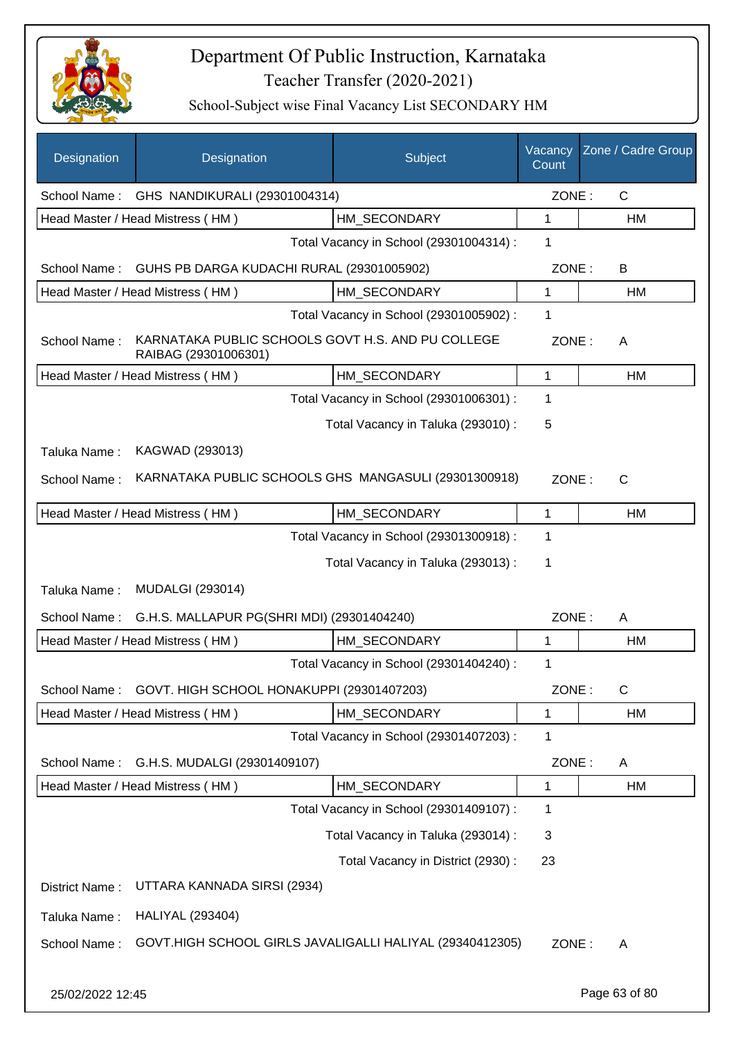

| Designation      | Designation                                                               | Subject                                 | Vacancy<br>Count | Zone / Cadre Group |
|------------------|---------------------------------------------------------------------------|-----------------------------------------|------------------|--------------------|
| School Name:     | GHS NANDIKURALI (29301004314)                                             |                                         | ZONE:            | $\mathsf{C}$       |
|                  | Head Master / Head Mistress (HM)                                          | HM SECONDARY                            | 1                | HM                 |
|                  |                                                                           | Total Vacancy in School (29301004314) : | 1                |                    |
| School Name:     | GUHS PB DARGA KUDACHI RURAL (29301005902)                                 |                                         | ZONE:            | B                  |
|                  | Head Master / Head Mistress (HM)                                          | HM SECONDARY                            | 1                | HM                 |
|                  |                                                                           | Total Vacancy in School (29301005902) : | 1                |                    |
| School Name:     | KARNATAKA PUBLIC SCHOOLS GOVT H.S. AND PU COLLEGE<br>RAIBAG (29301006301) |                                         | ZONE:            | A                  |
|                  | Head Master / Head Mistress (HM)                                          | HM_SECONDARY                            | 1                | HM                 |
|                  |                                                                           | Total Vacancy in School (29301006301) : | 1                |                    |
|                  |                                                                           | Total Vacancy in Taluka (293010) :      | 5                |                    |
| Taluka Name:     | KAGWAD (293013)                                                           |                                         |                  |                    |
| School Name:     | KARNATAKA PUBLIC SCHOOLS GHS MANGASULI (29301300918)                      |                                         | ZONE:            | $\mathsf{C}$       |
|                  | Head Master / Head Mistress (HM)                                          | HM SECONDARY                            | 1                | HM                 |
|                  |                                                                           | Total Vacancy in School (29301300918) : | 1                |                    |
|                  |                                                                           | Total Vacancy in Taluka (293013):       | 1                |                    |
| Taluka Name:     | <b>MUDALGI (293014)</b>                                                   |                                         |                  |                    |
| School Name:     | G.H.S. MALLAPUR PG(SHRI MDI) (29301404240)                                |                                         | ZONE:            | A                  |
|                  | Head Master / Head Mistress (HM)                                          | HM_SECONDARY                            | 1                | HM                 |
|                  |                                                                           | Total Vacancy in School (29301404240) : | 1                |                    |
| School Name:     | GOVT. HIGH SCHOOL HONAKUPPI (29301407203)                                 |                                         | ZONE:            | C                  |
|                  | Head Master / Head Mistress (HM)                                          | HM SECONDARY                            | 1                | HM                 |
|                  |                                                                           | Total Vacancy in School (29301407203) : | 1                |                    |
| School Name:     | G.H.S. MUDALGI (29301409107)                                              |                                         | ZONE:            | A                  |
|                  | Head Master / Head Mistress (HM)                                          | HM_SECONDARY                            | 1                | HM                 |
|                  |                                                                           | Total Vacancy in School (29301409107) : | 1                |                    |
|                  |                                                                           | Total Vacancy in Taluka (293014) :      | 3                |                    |
|                  |                                                                           | Total Vacancy in District (2930):       | 23               |                    |
| District Name:   | UTTARA KANNADA SIRSI (2934)                                               |                                         |                  |                    |
| Taluka Name:     | <b>HALIYAL (293404)</b>                                                   |                                         |                  |                    |
| School Name:     | GOVT.HIGH SCHOOL GIRLS JAVALIGALLI HALIYAL (29340412305)                  |                                         | ZONE:            | A                  |
| 25/02/2022 12:45 |                                                                           |                                         |                  | Page 63 of 80      |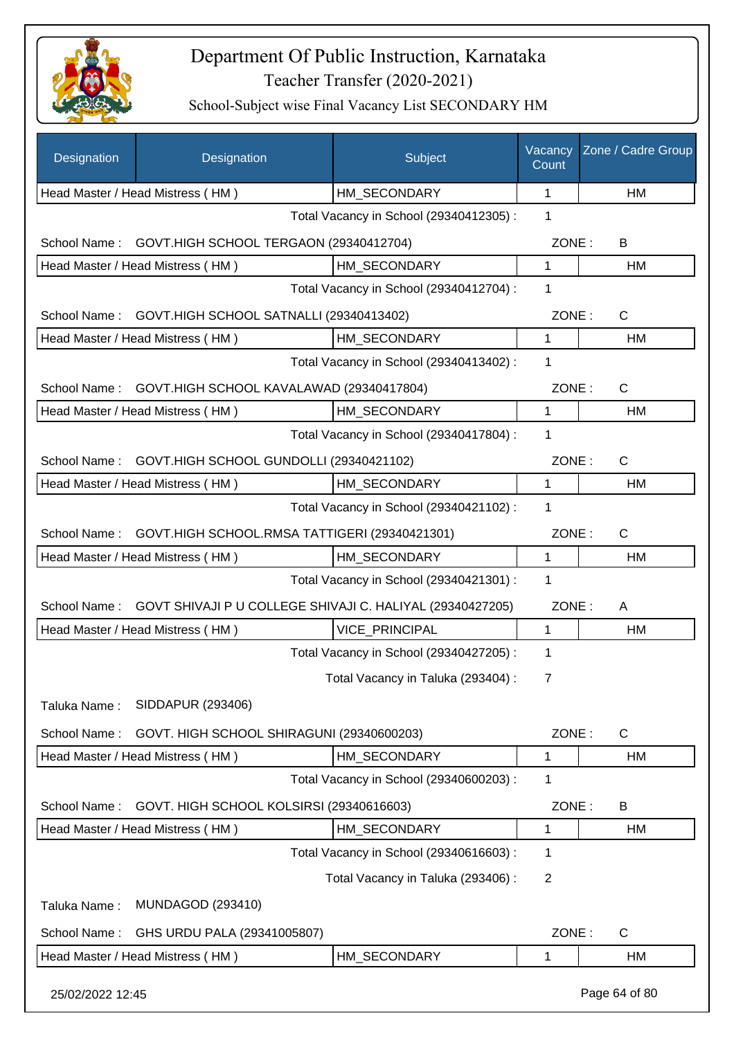

| Designation      | Designation                                               | Subject                                 | Vacancy<br>Count | Zone / Cadre Group |
|------------------|-----------------------------------------------------------|-----------------------------------------|------------------|--------------------|
|                  | Head Master / Head Mistress (HM)                          | HM SECONDARY                            | 1                | HM                 |
|                  |                                                           | Total Vacancy in School (29340412305) : | 1                |                    |
| School Name:     | GOVT.HIGH SCHOOL TERGAON (29340412704)                    |                                         | ZONE:            | B                  |
|                  | Head Master / Head Mistress (HM)                          | HM SECONDARY                            | $\mathbf{1}$     | HM                 |
|                  |                                                           | Total Vacancy in School (29340412704) : | 1                |                    |
| School Name:     | GOVT.HIGH SCHOOL SATNALLI (29340413402)                   |                                         | ZONE:            | $\mathsf{C}$       |
|                  | Head Master / Head Mistress (HM)                          | HM_SECONDARY                            | $\mathbf{1}$     | HM                 |
|                  |                                                           | Total Vacancy in School (29340413402) : | 1                |                    |
| School Name:     | GOVT.HIGH SCHOOL KAVALAWAD (29340417804)                  |                                         | ZONE:            | $\mathsf{C}$       |
|                  | Head Master / Head Mistress (HM)                          | HM_SECONDARY                            | $\mathbf{1}$     | HM                 |
|                  |                                                           | Total Vacancy in School (29340417804) : | 1                |                    |
| School Name:     | GOVT.HIGH SCHOOL GUNDOLLI (29340421102)                   |                                         | ZONE:            | $\mathsf{C}$       |
|                  | Head Master / Head Mistress (HM)                          | HM_SECONDARY                            | $\mathbf{1}$     | HM                 |
|                  |                                                           | Total Vacancy in School (29340421102) : | 1                |                    |
| School Name:     | GOVT.HIGH SCHOOL.RMSA TATTIGERI (29340421301)             |                                         | ZONE:            | $\mathsf{C}$       |
|                  | Head Master / Head Mistress (HM)                          | HM_SECONDARY                            | 1                | HM                 |
|                  |                                                           | Total Vacancy in School (29340421301) : | $\mathbf{1}$     |                    |
| School Name:     | GOVT SHIVAJI P U COLLEGE SHIVAJI C. HALIYAL (29340427205) |                                         | ZONE:            | A                  |
|                  | Head Master / Head Mistress (HM)                          | <b>VICE PRINCIPAL</b>                   | $\mathbf{1}$     | HM                 |
|                  |                                                           | Total Vacancy in School (29340427205) : | 1                |                    |
|                  |                                                           | Total Vacancy in Taluka (293404) :      | 7                |                    |
| Taluka Name:     | SIDDAPUR (293406)                                         |                                         |                  |                    |
| School Name:     | GOVT. HIGH SCHOOL SHIRAGUNI (29340600203)                 |                                         | ZONE:            | C                  |
|                  | Head Master / Head Mistress (HM)                          | HM SECONDARY                            | 1                | HM                 |
|                  |                                                           | Total Vacancy in School (29340600203) : | 1                |                    |
| School Name:     | GOVT. HIGH SCHOOL KOLSIRSI (29340616603)                  |                                         | ZONE:            | B                  |
|                  | Head Master / Head Mistress (HM)                          | HM_SECONDARY                            | 1                | HM                 |
|                  |                                                           | Total Vacancy in School (29340616603) : | 1                |                    |
|                  |                                                           | Total Vacancy in Taluka (293406) :      | $\overline{2}$   |                    |
| Taluka Name:     | <b>MUNDAGOD (293410)</b>                                  |                                         |                  |                    |
|                  |                                                           |                                         |                  |                    |
| School Name:     | GHS URDU PALA (29341005807)                               |                                         | ZONE:            | C                  |
|                  | Head Master / Head Mistress (HM)                          | HM_SECONDARY                            | 1                | HM                 |
| 25/02/2022 12:45 |                                                           |                                         |                  | Page 64 of 80      |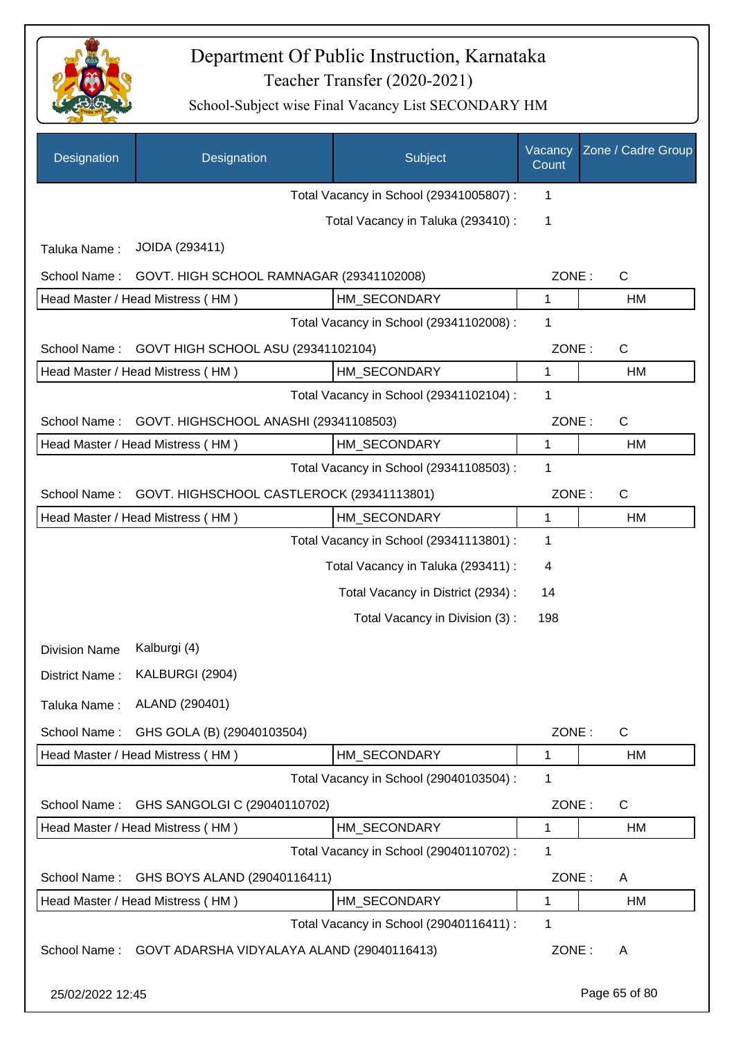

| Designation          | Designation                                | Subject                                 | Vacancy<br>Count | Zone / Cadre Group |
|----------------------|--------------------------------------------|-----------------------------------------|------------------|--------------------|
|                      |                                            | Total Vacancy in School (29341005807) : | 1                |                    |
|                      |                                            | Total Vacancy in Taluka (293410) :      | 1                |                    |
| Taluka Name:         | JOIDA (293411)                             |                                         |                  |                    |
| School Name:         | GOVT. HIGH SCHOOL RAMNAGAR (29341102008)   |                                         | ZONE:            | $\mathsf{C}$       |
|                      | Head Master / Head Mistress (HM)           | HM_SECONDARY                            | 1                | HM                 |
|                      |                                            | Total Vacancy in School (29341102008) : | 1                |                    |
| School Name:         | GOVT HIGH SCHOOL ASU (29341102104)         |                                         | ZONE:            | $\mathsf{C}$       |
|                      | Head Master / Head Mistress (HM)           | HM_SECONDARY                            | 1                | HM                 |
|                      |                                            | Total Vacancy in School (29341102104) : | 1                |                    |
| School Name:         | GOVT. HIGHSCHOOL ANASHI (29341108503)      |                                         | ZONE:            | $\mathsf{C}$       |
|                      | Head Master / Head Mistress (HM)           | HM_SECONDARY                            | 1                | HM                 |
|                      |                                            | Total Vacancy in School (29341108503) : | 1                |                    |
| School Name:         | GOVT. HIGHSCHOOL CASTLEROCK (29341113801)  |                                         | ZONE:            | $\mathsf{C}$       |
|                      | Head Master / Head Mistress (HM)           | HM_SECONDARY                            | 1                | HM                 |
|                      |                                            | Total Vacancy in School (29341113801) : | $\mathbf 1$      |                    |
|                      |                                            | Total Vacancy in Taluka (293411) :      | 4                |                    |
|                      |                                            | Total Vacancy in District (2934) :      | 14               |                    |
|                      |                                            | Total Vacancy in Division (3):          | 198              |                    |
| <b>Division Name</b> | Kalburgi (4)                               |                                         |                  |                    |
| District Name:       | KALBURGI (2904)                            |                                         |                  |                    |
| Taluka Name:         | ALAND (290401)                             |                                         |                  |                    |
| School Name:         | GHS GOLA (B) (29040103504)                 |                                         | ZONE:            | $\mathsf{C}$       |
|                      | Head Master / Head Mistress (HM)           | HM_SECONDARY                            | 1                | HM                 |
|                      |                                            | Total Vacancy in School (29040103504) : | 1                |                    |
| School Name:         | GHS SANGOLGI C (29040110702)               |                                         | ZONE:            | $\mathsf{C}$       |
|                      | Head Master / Head Mistress (HM)           | HM SECONDARY                            | 1                | HM                 |
|                      |                                            | Total Vacancy in School (29040110702) : | 1                |                    |
| School Name:         | GHS BOYS ALAND (29040116411)               |                                         | ZONE:            | A                  |
|                      | Head Master / Head Mistress (HM)           | HM_SECONDARY                            | 1                | HM                 |
|                      |                                            | Total Vacancy in School (29040116411) : | 1                |                    |
| School Name:         | GOVT ADARSHA VIDYALAYA ALAND (29040116413) |                                         | ZONE:            | A                  |
| 25/02/2022 12:45     |                                            |                                         |                  | Page 65 of 80      |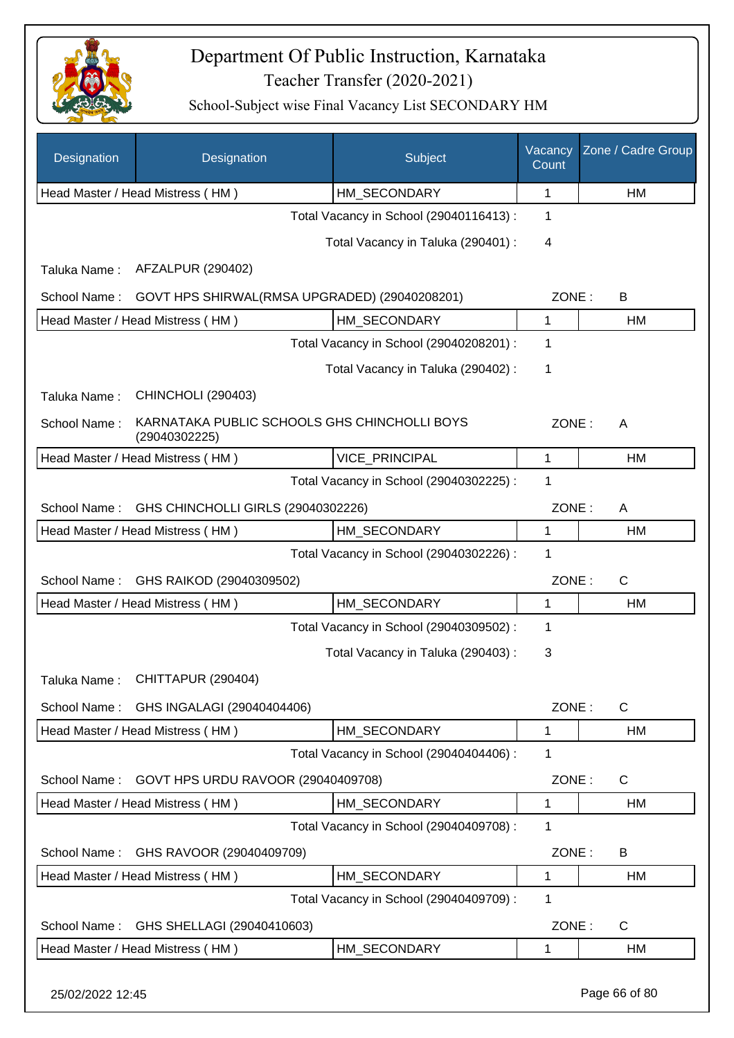

| Designation                                        | Designation                                                   | Subject                                 | Vacancy<br>Count | Zone / Cadre Group |
|----------------------------------------------------|---------------------------------------------------------------|-----------------------------------------|------------------|--------------------|
|                                                    | Head Master / Head Mistress (HM)                              | HM_SECONDARY                            | 1                | HM                 |
|                                                    |                                                               | Total Vacancy in School (29040116413) : | 1                |                    |
|                                                    |                                                               | Total Vacancy in Taluka (290401) :      | 4                |                    |
| Taluka Name:                                       | AFZALPUR (290402)                                             |                                         |                  |                    |
| School Name:                                       | GOVT HPS SHIRWAL(RMSA UPGRADED) (29040208201)                 |                                         | ZONE:            | B                  |
|                                                    | Head Master / Head Mistress (HM)                              | HM_SECONDARY                            | 1                | HM                 |
|                                                    |                                                               | Total Vacancy in School (29040208201) : | 1                |                    |
|                                                    |                                                               | Total Vacancy in Taluka (290402) :      | 1                |                    |
| Taluka Name:                                       | <b>CHINCHOLI (290403)</b>                                     |                                         |                  |                    |
| School Name:                                       | KARNATAKA PUBLIC SCHOOLS GHS CHINCHOLLI BOYS<br>(29040302225) |                                         | ZONE:            | A                  |
|                                                    | Head Master / Head Mistress (HM)                              | <b>VICE PRINCIPAL</b>                   | $\mathbf 1$      | HM                 |
|                                                    |                                                               | Total Vacancy in School (29040302225) : | 1                |                    |
| GHS CHINCHOLLI GIRLS (29040302226)<br>School Name: |                                                               |                                         | ZONE:            | A                  |
|                                                    | Head Master / Head Mistress (HM)                              | HM_SECONDARY                            | 1                | HM                 |
|                                                    |                                                               | Total Vacancy in School (29040302226) : | 1                |                    |
| School Name:                                       | GHS RAIKOD (29040309502)                                      |                                         | ZONE:            | $\mathsf C$        |
|                                                    | Head Master / Head Mistress (HM)                              | HM_SECONDARY                            | 1                | HM                 |
|                                                    |                                                               | Total Vacancy in School (29040309502) : | 1                |                    |
|                                                    |                                                               | Total Vacancy in Taluka (290403) :      | 3                |                    |
|                                                    | Taluka Name: CHITTAPUR (290404)                               |                                         |                  |                    |
| School Name:                                       | GHS INGALAGI (29040404406)                                    |                                         | ZONE:            | C                  |
|                                                    | Head Master / Head Mistress (HM)                              | HM SECONDARY                            | 1                | HM                 |
|                                                    |                                                               | Total Vacancy in School (29040404406) : | 1                |                    |
| School Name:                                       | GOVT HPS URDU RAVOOR (29040409708)                            |                                         | ZONE:            | C                  |
|                                                    | Head Master / Head Mistress (HM)                              | HM_SECONDARY                            | 1                | HM                 |
|                                                    |                                                               | Total Vacancy in School (29040409708) : | 1                |                    |
| School Name:                                       | GHS RAVOOR (29040409709)                                      |                                         | ZONE:            | B                  |
|                                                    | Head Master / Head Mistress (HM)                              | HM_SECONDARY                            | 1                | HM                 |
|                                                    |                                                               | Total Vacancy in School (29040409709) : | 1                |                    |
| School Name:                                       | GHS SHELLAGI (29040410603)                                    |                                         | ZONE:            | C                  |
|                                                    | Head Master / Head Mistress (HM)                              | HM_SECONDARY                            | 1                | HM                 |
|                                                    |                                                               |                                         |                  |                    |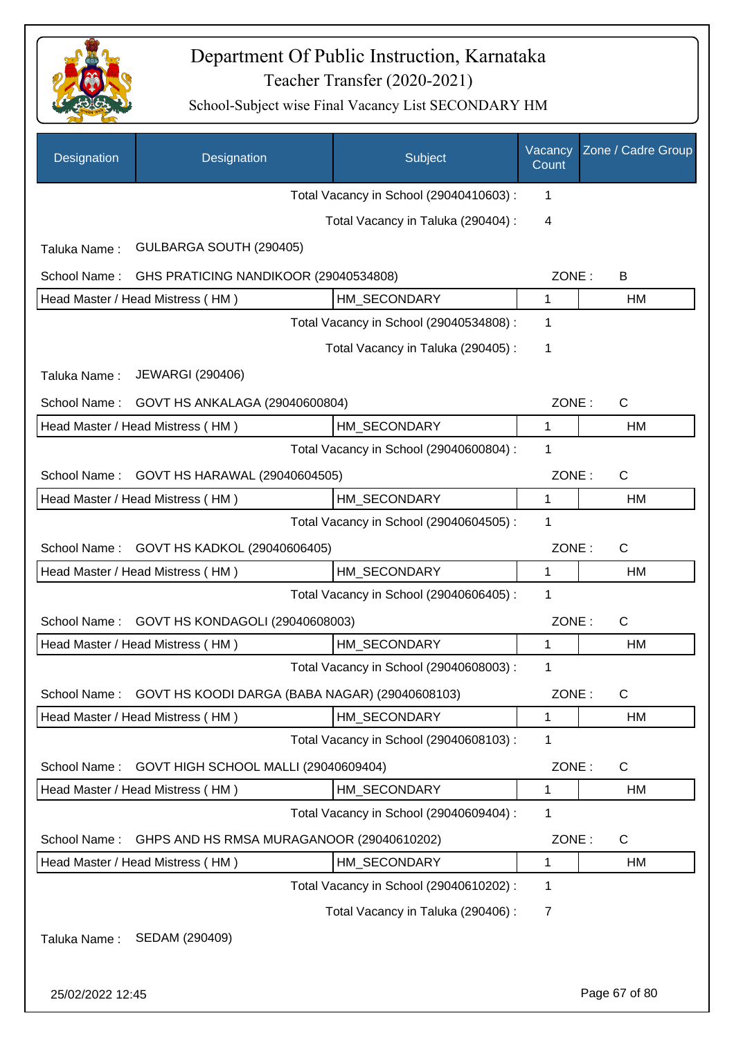

| Designation  | Designation                                    | Subject                                 | Vacancy<br>Count | Zone / Cadre Group |
|--------------|------------------------------------------------|-----------------------------------------|------------------|--------------------|
|              |                                                | Total Vacancy in School (29040410603) : | 1                |                    |
|              |                                                | Total Vacancy in Taluka (290404) :      | 4                |                    |
| Taluka Name: | GULBARGA SOUTH (290405)                        |                                         |                  |                    |
| School Name: | GHS PRATICING NANDIKOOR (29040534808)          |                                         | ZONE:            | B                  |
|              | Head Master / Head Mistress (HM)               | HM SECONDARY                            | 1                | HM                 |
|              |                                                | Total Vacancy in School (29040534808) : | 1                |                    |
|              |                                                | Total Vacancy in Taluka (290405) :      | 1                |                    |
| Taluka Name: | <b>JEWARGI (290406)</b>                        |                                         |                  |                    |
| School Name: | GOVT HS ANKALAGA (29040600804)                 |                                         | ZONE:            | $\mathsf{C}$       |
|              | Head Master / Head Mistress (HM)               | HM SECONDARY                            | $\mathbf{1}$     | HM                 |
|              |                                                | Total Vacancy in School (29040600804) : | 1                |                    |
| School Name: | GOVT HS HARAWAL (29040604505)                  |                                         | ZONE:            | $\mathsf{C}$       |
|              | Head Master / Head Mistress (HM)               | HM_SECONDARY                            | 1                | HM                 |
|              |                                                | Total Vacancy in School (29040604505) : | 1                |                    |
| School Name: | GOVT HS KADKOL (29040606405)                   |                                         | ZONE:            | $\mathsf{C}$       |
|              | Head Master / Head Mistress (HM)               | HM_SECONDARY                            | $\mathbf{1}$     | HM                 |
|              |                                                | Total Vacancy in School (29040606405) : | 1                |                    |
| School Name: | GOVT HS KONDAGOLI (29040608003)                |                                         | ZONE:            | $\mathsf{C}$       |
|              | Head Master / Head Mistress (HM)               | HM SECONDARY                            | $\mathbf{1}$     | <b>HM</b>          |
|              |                                                | Total Vacancy in School (29040608003) : | 1                |                    |
| School Name: | GOVT HS KOODI DARGA (BABA NAGAR) (29040608103) |                                         | ZONE:            | $\mathsf{C}$       |
|              | Head Master / Head Mistress (HM)               | HM SECONDARY                            | $\mathbf 1$      | HM                 |
|              |                                                | Total Vacancy in School (29040608103) : | 1                |                    |
| School Name: | GOVT HIGH SCHOOL MALLI (29040609404)           |                                         | ZONE:            | $\mathsf{C}$       |
|              | Head Master / Head Mistress (HM)               | HM_SECONDARY                            | 1                | HM                 |
|              |                                                | Total Vacancy in School (29040609404) : | 1                |                    |
| School Name: | GHPS AND HS RMSA MURAGANOOR (29040610202)      |                                         | ZONE:            | $\mathsf{C}$       |
|              | Head Master / Head Mistress (HM)               | HM SECONDARY                            | 1                | HM                 |
|              |                                                | Total Vacancy in School (29040610202) : | 1                |                    |
|              |                                                | Total Vacancy in Taluka (290406) :      | $\overline{7}$   |                    |
| Taluka Name: | SEDAM (290409)                                 |                                         |                  |                    |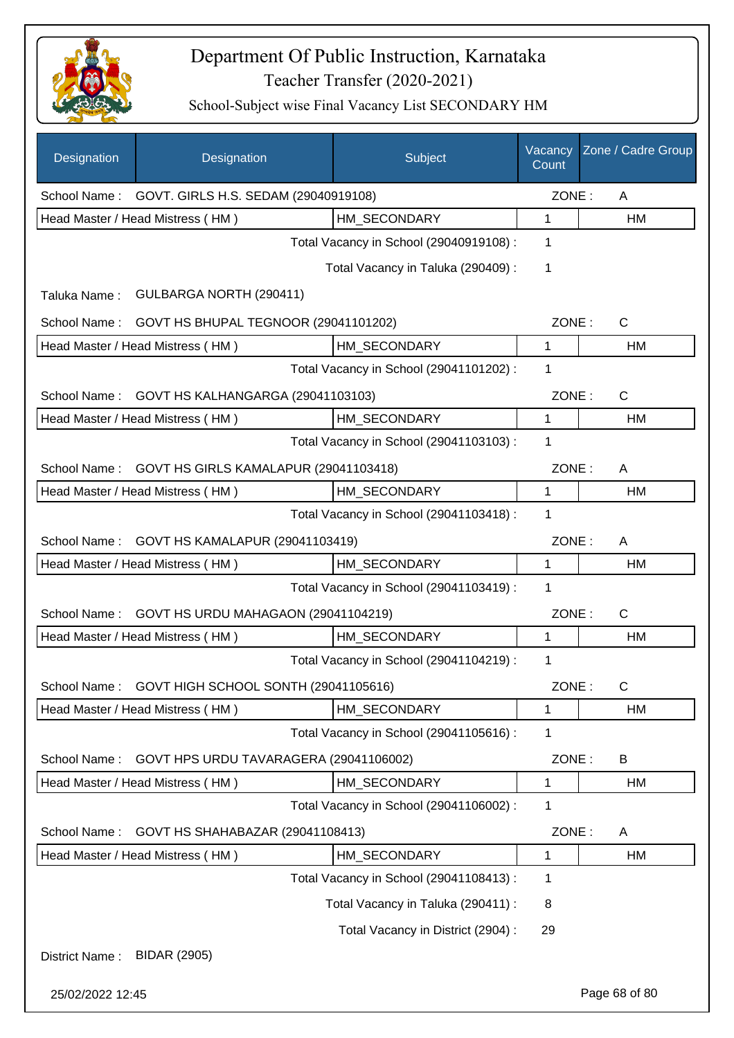

| Designation      | Designation                                       | Subject                                 | Vacancy<br>Count | Zone / Cadre Group |
|------------------|---------------------------------------------------|-----------------------------------------|------------------|--------------------|
|                  | School Name: GOVT. GIRLS H.S. SEDAM (29040919108) |                                         | ZONE:            | Α                  |
|                  | Head Master / Head Mistress (HM)                  | HM SECONDARY                            | $\mathbf{1}$     | HM                 |
|                  |                                                   | Total Vacancy in School (29040919108) : | 1                |                    |
|                  |                                                   | Total Vacancy in Taluka (290409):       | 1                |                    |
| Taluka Name:     | GULBARGA NORTH (290411)                           |                                         |                  |                    |
| School Name:     | GOVT HS BHUPAL TEGNOOR (29041101202)              |                                         | ZONE:            | C                  |
|                  | Head Master / Head Mistress (HM)                  | HM_SECONDARY                            | $\mathbf{1}$     | HM                 |
|                  |                                                   | Total Vacancy in School (29041101202) : | 1                |                    |
| School Name:     | GOVT HS KALHANGARGA (29041103103)                 |                                         | ZONE:            | C                  |
|                  | Head Master / Head Mistress (HM)                  | HM_SECONDARY                            | 1                | HM                 |
|                  |                                                   | Total Vacancy in School (29041103103) : | 1                |                    |
| School Name:     | GOVT HS GIRLS KAMALAPUR (29041103418)             |                                         | ZONE:            | A                  |
|                  | Head Master / Head Mistress (HM)                  | HM_SECONDARY                            | $\mathbf{1}$     | HM                 |
|                  |                                                   | Total Vacancy in School (29041103418) : | 1                |                    |
| School Name:     | GOVT HS KAMALAPUR (29041103419)                   |                                         | ZONE:            | A                  |
|                  | Head Master / Head Mistress (HM)                  | HM_SECONDARY                            | $\mathbf{1}$     | <b>HM</b>          |
|                  |                                                   | Total Vacancy in School (29041103419) : | 1                |                    |
| School Name:     | GOVT HS URDU MAHAGAON (29041104219)               |                                         | ZONE:            | C                  |
|                  | Head Master / Head Mistress (HM)                  | HM_SECONDARY                            | 1                | HM                 |
|                  |                                                   | Total Vacancy in School (29041104219) : | 1                |                    |
| School Name:     | GOVT HIGH SCHOOL SONTH (29041105616)              |                                         | ZONE :           | С                  |
|                  | Head Master / Head Mistress (HM)                  | HM_SECONDARY                            | 1                | HM                 |
|                  |                                                   | Total Vacancy in School (29041105616) : | 1                |                    |
| School Name:     | GOVT HPS URDU TAVARAGERA (29041106002)            |                                         | ZONE:            | B                  |
|                  | Head Master / Head Mistress (HM)                  | HM_SECONDARY                            | 1                | HM                 |
|                  |                                                   | Total Vacancy in School (29041106002) : | 1                |                    |
| School Name:     | GOVT HS SHAHABAZAR (29041108413)                  |                                         | ZONE:            | A                  |
|                  | Head Master / Head Mistress (HM)                  | HM_SECONDARY                            | 1                | HM                 |
|                  |                                                   | Total Vacancy in School (29041108413) : | 1                |                    |
|                  |                                                   | Total Vacancy in Taluka (290411) :      | 8                |                    |
|                  |                                                   | Total Vacancy in District (2904) :      | 29               |                    |
| District Name:   | <b>BIDAR (2905)</b>                               |                                         |                  |                    |
| 25/02/2022 12:45 |                                                   |                                         |                  | Page 68 of 80      |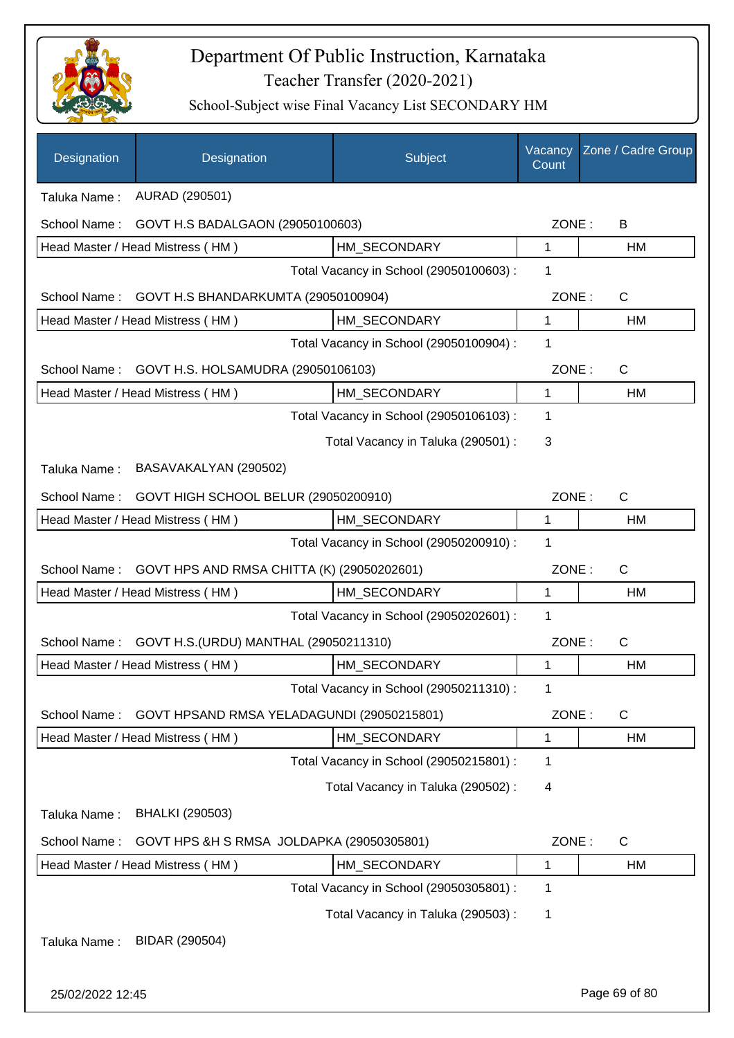

| Designation                                                | Designation                                                              | Subject                                 | Vacancy<br>Count | Zone / Cadre Group |  |  |
|------------------------------------------------------------|--------------------------------------------------------------------------|-----------------------------------------|------------------|--------------------|--|--|
| AURAD (290501)<br>Taluka Name:                             |                                                                          |                                         |                  |                    |  |  |
| School Name:                                               | GOVT H.S BADALGAON (29050100603)                                         |                                         | ZONE:            | B                  |  |  |
|                                                            | Head Master / Head Mistress (HM)                                         | HM SECONDARY                            | 1                | HM                 |  |  |
|                                                            |                                                                          | Total Vacancy in School (29050100603) : | 1                |                    |  |  |
| School Name:                                               | GOVT H.S BHANDARKUMTA (29050100904)                                      |                                         | ZONE:            | $\mathsf{C}$       |  |  |
|                                                            | Head Master / Head Mistress (HM)                                         | HM_SECONDARY                            | $\mathbf{1}$     | HM                 |  |  |
|                                                            |                                                                          | Total Vacancy in School (29050100904) : | 1                |                    |  |  |
| School Name:                                               | GOVT H.S. HOLSAMUDRA (29050106103)                                       |                                         | ZONE:            | $\mathsf{C}$       |  |  |
|                                                            | Head Master / Head Mistress (HM)                                         | HM_SECONDARY                            | $\mathbf{1}$     | HM                 |  |  |
|                                                            |                                                                          | Total Vacancy in School (29050106103) : | 1                |                    |  |  |
|                                                            |                                                                          | Total Vacancy in Taluka (290501) :      | 3                |                    |  |  |
| Taluka Name:                                               | BASAVAKALYAN (290502)                                                    |                                         |                  |                    |  |  |
| School Name:                                               | ZONE:                                                                    | $\mathsf{C}$                            |                  |                    |  |  |
|                                                            | GOVT HIGH SCHOOL BELUR (29050200910)<br>Head Master / Head Mistress (HM) | HM_SECONDARY                            | $\mathbf 1$      | HM                 |  |  |
|                                                            |                                                                          | Total Vacancy in School (29050200910) : | 1                |                    |  |  |
| GOVT HPS AND RMSA CHITTA (K) (29050202601)<br>School Name: |                                                                          |                                         |                  | ZONE:<br>C         |  |  |
|                                                            | Head Master / Head Mistress (HM)                                         | HM SECONDARY                            | 1                | <b>HM</b>          |  |  |
|                                                            |                                                                          | Total Vacancy in School (29050202601) : | 1                |                    |  |  |
| School Name:                                               | GOVT H.S. (URDU) MANTHAL (29050211310)                                   |                                         | ZONE:            | $\mathsf{C}$       |  |  |
|                                                            | Head Master / Head Mistress (HM)                                         | HM_SECONDARY                            | 1                | HM                 |  |  |
|                                                            |                                                                          | Total Vacancy in School (29050211310) : | 1                |                    |  |  |
| School Name:                                               | GOVT HPSAND RMSA YELADAGUNDI (29050215801)                               |                                         | ZONE:            | C                  |  |  |
|                                                            | Head Master / Head Mistress (HM)                                         | HM SECONDARY                            | 1                | HM                 |  |  |
|                                                            |                                                                          | Total Vacancy in School (29050215801) : | 1                |                    |  |  |
|                                                            |                                                                          | Total Vacancy in Taluka (290502) :      | 4                |                    |  |  |
| Taluka Name:                                               | <b>BHALKI (290503)</b>                                                   |                                         |                  |                    |  |  |
| School Name:                                               | GOVT HPS &H S RMSA JOLDAPKA (29050305801)                                |                                         | ZONE:            | $\mathsf{C}$       |  |  |
|                                                            | Head Master / Head Mistress (HM)                                         | HM_SECONDARY                            | 1                | HM                 |  |  |
|                                                            |                                                                          | Total Vacancy in School (29050305801) : | $\mathbf 1$      |                    |  |  |
|                                                            |                                                                          | Total Vacancy in Taluka (290503) :      | 1                |                    |  |  |
| Taluka Name:                                               | BIDAR (290504)                                                           |                                         |                  |                    |  |  |
| 25/02/2022 12:45                                           |                                                                          |                                         |                  | Page 69 of 80      |  |  |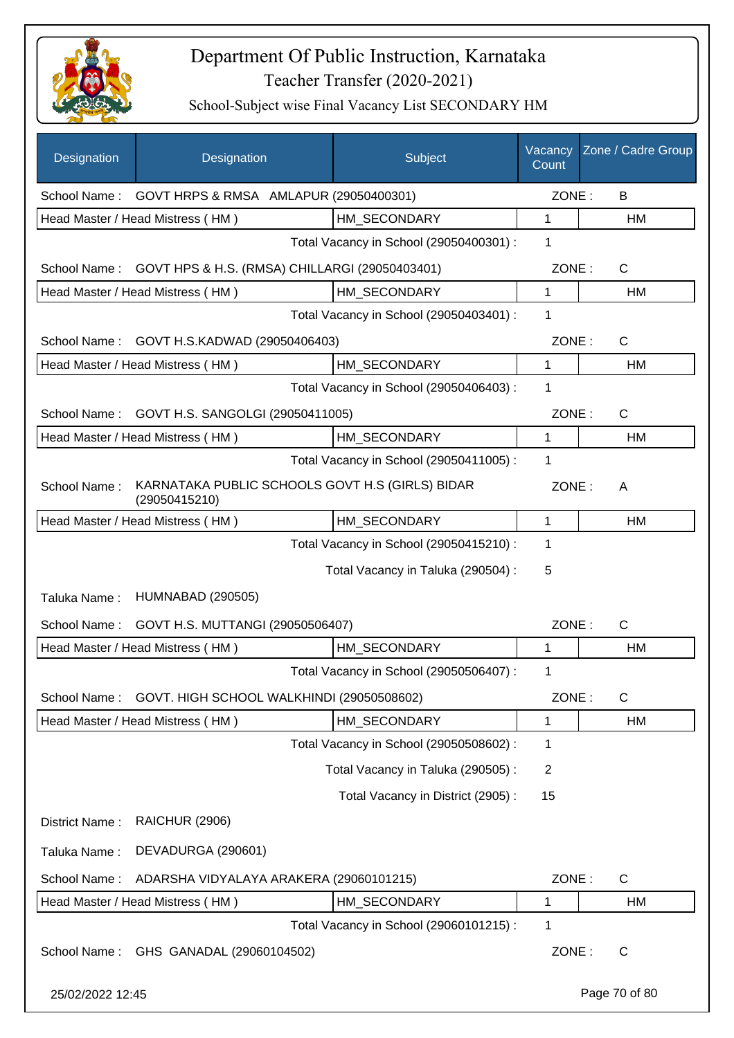

| Designation      | Designation                                                      | Subject                                 | Vacancy<br>Count | Zone / Cadre Group |
|------------------|------------------------------------------------------------------|-----------------------------------------|------------------|--------------------|
| School Name:     | GOVT HRPS & RMSA AMLAPUR (29050400301)                           |                                         | ZONE:            | B                  |
|                  | Head Master / Head Mistress (HM)                                 | HM SECONDARY                            | 1                | HM                 |
|                  |                                                                  | Total Vacancy in School (29050400301) : | 1                |                    |
| School Name:     | GOVT HPS & H.S. (RMSA) CHILLARGI (29050403401)                   |                                         | ZONE:            | $\mathsf{C}$       |
|                  | Head Master / Head Mistress (HM)                                 | HM SECONDARY                            | 1                | HM                 |
|                  |                                                                  | Total Vacancy in School (29050403401) : | 1                |                    |
| School Name:     | GOVT H.S.KADWAD (29050406403)                                    |                                         | ZONE:            | $\mathsf{C}$       |
|                  | Head Master / Head Mistress (HM)                                 | HM_SECONDARY                            | $\mathbf{1}$     | <b>HM</b>          |
|                  |                                                                  | Total Vacancy in School (29050406403) : | 1                |                    |
| School Name:     | GOVT H.S. SANGOLGI (29050411005)                                 |                                         | ZONE:            | $\mathsf{C}$       |
|                  | Head Master / Head Mistress (HM)                                 | HM SECONDARY                            | $\mathbf{1}$     | HM                 |
|                  |                                                                  | Total Vacancy in School (29050411005) : | 1                |                    |
| School Name:     | KARNATAKA PUBLIC SCHOOLS GOVT H.S (GIRLS) BIDAR<br>(29050415210) |                                         | ZONE:            | A                  |
|                  | Head Master / Head Mistress (HM)                                 | HM_SECONDARY                            | 1                | HM                 |
|                  |                                                                  | Total Vacancy in School (29050415210) : | 1                |                    |
|                  |                                                                  | Total Vacancy in Taluka (290504) :      | 5                |                    |
| Taluka Name:     | <b>HUMNABAD (290505)</b>                                         |                                         |                  |                    |
| School Name:     | GOVT H.S. MUTTANGI (29050506407)                                 |                                         | ZONE:            | $\mathsf{C}$       |
|                  | Head Master / Head Mistress (HM)                                 | HM SECONDARY                            | 1                | HM                 |
|                  |                                                                  | Total Vacancy in School (29050506407) : | 1                |                    |
| School Name:     | GOVT. HIGH SCHOOL WALKHINDI (29050508602)                        |                                         | ZONE:            | $\mathsf{C}$       |
|                  | Head Master / Head Mistress (HM)                                 | HM SECONDARY                            | 1                | HM                 |
|                  |                                                                  | Total Vacancy in School (29050508602) : | 1                |                    |
|                  |                                                                  | Total Vacancy in Taluka (290505) :      | $\overline{2}$   |                    |
|                  |                                                                  | Total Vacancy in District (2905):       | 15               |                    |
| District Name:   | <b>RAICHUR (2906)</b>                                            |                                         |                  |                    |
| Taluka Name:     | DEVADURGA (290601)                                               |                                         |                  |                    |
| School Name:     | ADARSHA VIDYALAYA ARAKERA (29060101215)                          |                                         | ZONE:            | $\mathsf{C}$       |
|                  | Head Master / Head Mistress (HM)                                 | HM_SECONDARY                            | 1                | HM                 |
|                  |                                                                  | Total Vacancy in School (29060101215) : | 1                |                    |
| School Name:     | GHS GANADAL (29060104502)                                        |                                         | ZONE:            | $\mathsf{C}$       |
| 25/02/2022 12:45 |                                                                  |                                         |                  | Page 70 of 80      |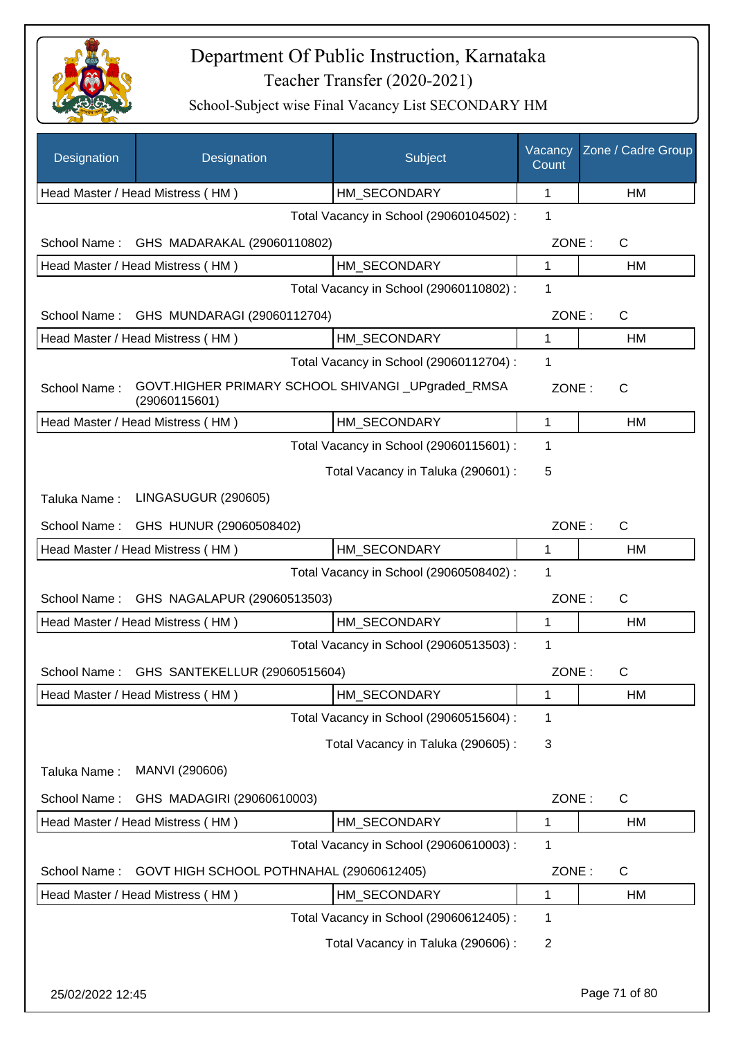

| Designation      | Designation                                                        | Subject                                 | Vacancy<br>Count | Zone / Cadre Group |
|------------------|--------------------------------------------------------------------|-----------------------------------------|------------------|--------------------|
|                  | Head Master / Head Mistress (HM)                                   | HM_SECONDARY                            | 1                | HM                 |
|                  |                                                                    | Total Vacancy in School (29060104502) : | 1                |                    |
| School Name:     | GHS MADARAKAL (29060110802)                                        |                                         | ZONE:            | $\mathsf{C}$       |
|                  | Head Master / Head Mistress (HM)                                   | HM SECONDARY                            | 1                | HM                 |
|                  |                                                                    | Total Vacancy in School (29060110802) : | 1                |                    |
| School Name:     | GHS MUNDARAGI (29060112704)                                        |                                         | ZONE:            | $\mathsf{C}$       |
|                  | Head Master / Head Mistress (HM)                                   | HM SECONDARY                            | 1                | HM                 |
|                  |                                                                    | Total Vacancy in School (29060112704) : | 1                |                    |
| School Name:     | GOVT.HIGHER PRIMARY SCHOOL SHIVANGI_UPgraded_RMSA<br>(29060115601) |                                         | ZONE:            | $\mathsf{C}$       |
|                  | Head Master / Head Mistress (HM)                                   | HM SECONDARY                            | $\mathbf{1}$     | HM                 |
|                  |                                                                    | Total Vacancy in School (29060115601) : | 1                |                    |
|                  |                                                                    | Total Vacancy in Taluka (290601) :      | 5                |                    |
| Taluka Name:     | LINGASUGUR (290605)                                                |                                         |                  |                    |
| School Name:     | GHS HUNUR (29060508402)                                            |                                         | ZONE:            | $\mathsf{C}$       |
|                  | Head Master / Head Mistress (HM)                                   | HM_SECONDARY                            | $\mathbf{1}$     | HM                 |
|                  |                                                                    | Total Vacancy in School (29060508402) : | 1                |                    |
| School Name:     | GHS NAGALAPUR (29060513503)                                        |                                         | ZONE:            | $\mathsf{C}$       |
|                  | Head Master / Head Mistress (HM)                                   | HM_SECONDARY                            | $\mathbf{1}$     | HM                 |
|                  |                                                                    | Total Vacancy in School (29060513503) : | 1                |                    |
| School Name:     | GHS SANTEKELLUR (29060515604)                                      |                                         | ZONE:            | С                  |
|                  | Head Master / Head Mistress (HM)                                   | HM_SECONDARY                            | 1                | HM                 |
|                  |                                                                    | Total Vacancy in School (29060515604) : | 1                |                    |
|                  |                                                                    | Total Vacancy in Taluka (290605):       | 3                |                    |
| Taluka Name:     | MANVI (290606)                                                     |                                         |                  |                    |
| School Name:     | GHS MADAGIRI (29060610003)                                         |                                         | ZONE:            | C                  |
|                  | Head Master / Head Mistress (HM)                                   | HM_SECONDARY                            | 1                | HM                 |
|                  |                                                                    | Total Vacancy in School (29060610003) : | 1                |                    |
| School Name:     | GOVT HIGH SCHOOL POTHNAHAL (29060612405)                           |                                         | ZONE:            | C                  |
|                  | Head Master / Head Mistress (HM)                                   | HM_SECONDARY                            | 1                | HM                 |
|                  |                                                                    | Total Vacancy in School (29060612405) : | 1                |                    |
|                  |                                                                    | Total Vacancy in Taluka (290606) :      | $\overline{2}$   |                    |
| 25/02/2022 12:45 |                                                                    |                                         |                  | Page 71 of 80      |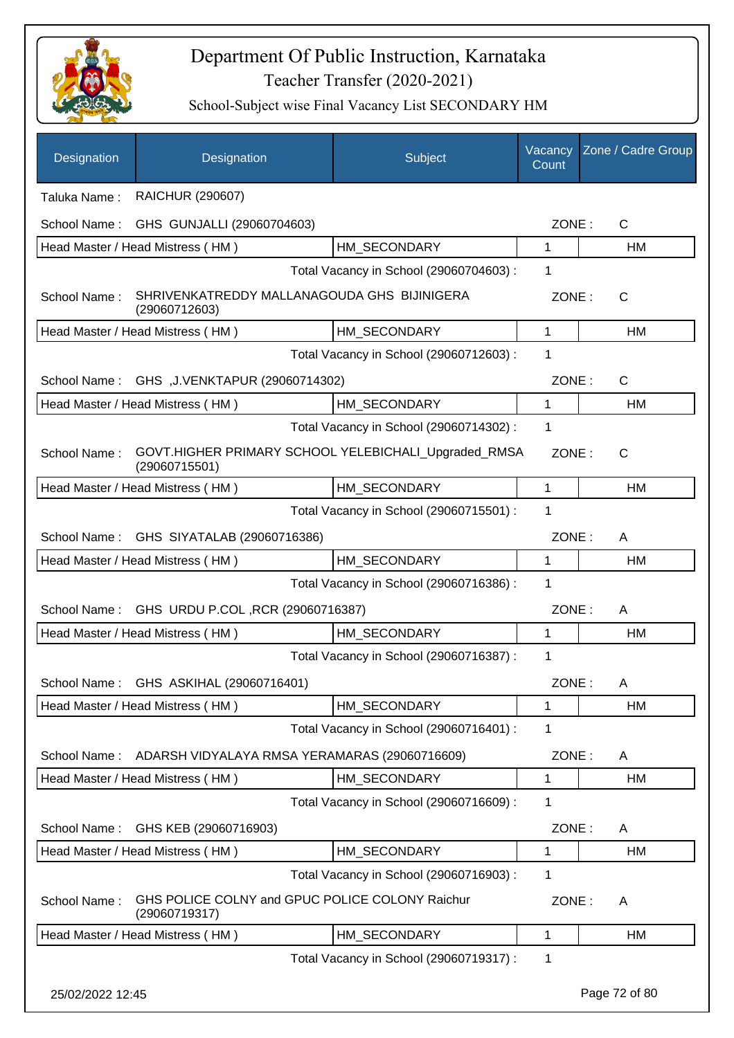

| Designation      | Designation                                                           | Subject                                 | Vacancy<br>Count | Zone / Cadre Group |
|------------------|-----------------------------------------------------------------------|-----------------------------------------|------------------|--------------------|
| Taluka Name:     | <b>RAICHUR (290607)</b>                                               |                                         |                  |                    |
| School Name:     | GHS GUNJALLI (29060704603)                                            |                                         | ZONE:            | C                  |
|                  | Head Master / Head Mistress (HM)                                      | HM SECONDARY                            | 1                | HM                 |
|                  |                                                                       | Total Vacancy in School (29060704603) : | 1                |                    |
| School Name:     | SHRIVENKATREDDY MALLANAGOUDA GHS BIJINIGERA<br>(29060712603)          |                                         | ZONE:            | $\mathsf{C}$       |
|                  | Head Master / Head Mistress (HM)                                      | HM_SECONDARY                            | 1                | HM                 |
|                  |                                                                       | Total Vacancy in School (29060712603) : | 1                |                    |
| School Name:     | GHS, J.VENKTAPUR (29060714302)                                        |                                         | ZONE:            | C                  |
|                  | Head Master / Head Mistress (HM)                                      | HM_SECONDARY                            | 1                | HM                 |
|                  |                                                                       | Total Vacancy in School (29060714302) : | 1                |                    |
| School Name:     | GOVT.HIGHER PRIMARY SCHOOL YELEBICHALI_Upgraded_RMSA<br>(29060715501) |                                         | ZONE:            | C                  |
|                  | Head Master / Head Mistress (HM)                                      | HM_SECONDARY                            | 1                | HM                 |
|                  |                                                                       | Total Vacancy in School (29060715501) : | 1                |                    |
| School Name:     | GHS SIYATALAB (29060716386)                                           |                                         | ZONE:            | A                  |
|                  | Head Master / Head Mistress (HM)                                      | HM_SECONDARY                            | 1                | HM                 |
|                  |                                                                       | Total Vacancy in School (29060716386) : | 1                |                    |
| School Name:     | GHS URDU P.COL, RCR (29060716387)                                     |                                         | ZONE:            | A                  |
|                  | Head Master / Head Mistress (HM)                                      | HM_SECONDARY                            | 1                | HM                 |
|                  |                                                                       | Total Vacancy in School (29060716387) : | 1                |                    |
|                  | School Name: GHS ASKIHAL (29060716401)                                |                                         | ZONE:            | A                  |
|                  | Head Master / Head Mistress (HM)                                      | HM_SECONDARY                            | 1                | HM                 |
|                  |                                                                       | Total Vacancy in School (29060716401) : | 1                |                    |
| School Name:     | ADARSH VIDYALAYA RMSA YERAMARAS (29060716609)                         |                                         | ZONE:            | A                  |
|                  | Head Master / Head Mistress (HM)                                      | HM SECONDARY                            | 1                | HM                 |
|                  |                                                                       | Total Vacancy in School (29060716609) : | 1                |                    |
| School Name:     | GHS KEB (29060716903)                                                 |                                         | ZONE:            | A                  |
|                  | Head Master / Head Mistress (HM)                                      | HM_SECONDARY                            | 1                | HM                 |
|                  |                                                                       | Total Vacancy in School (29060716903) : | 1                |                    |
| School Name:     | GHS POLICE COLNY and GPUC POLICE COLONY Raichur<br>(29060719317)      |                                         | ZONE:            | A                  |
|                  | Head Master / Head Mistress (HM)                                      | HM_SECONDARY                            | 1                | HM                 |
|                  |                                                                       | Total Vacancy in School (29060719317) : | 1                |                    |
| 25/02/2022 12:45 |                                                                       |                                         |                  | Page 72 of 80      |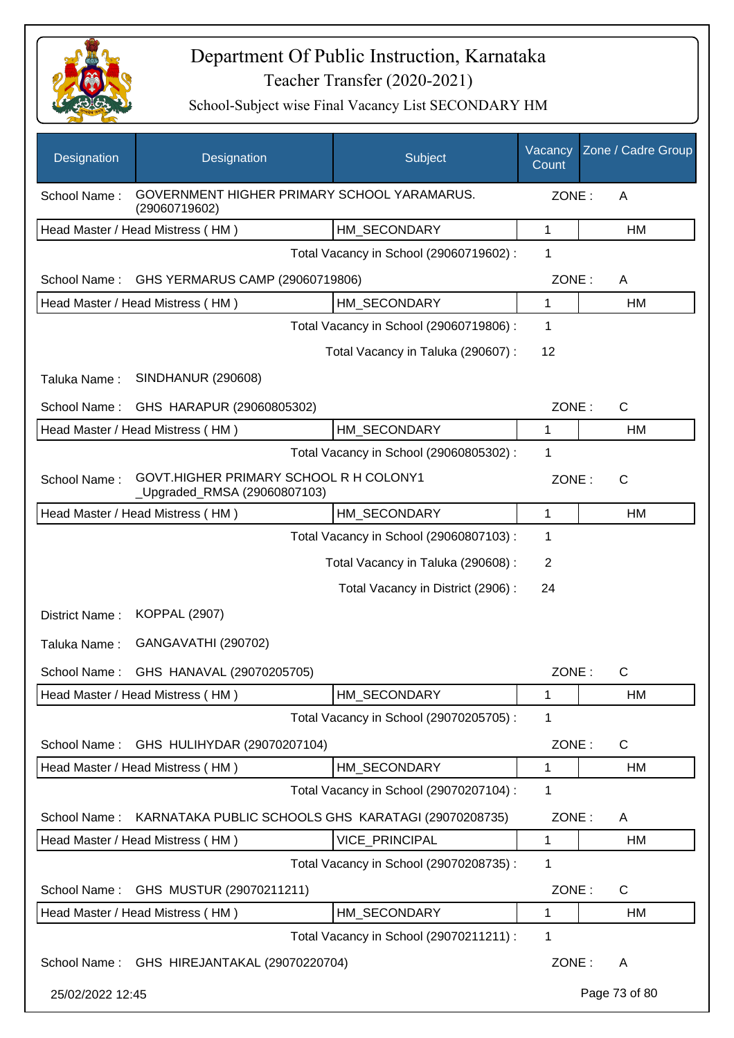

| Designation                                                                  | Designation                                                            | Subject                                 | Vacancy<br>Count | Zone / Cadre Group |  |  |
|------------------------------------------------------------------------------|------------------------------------------------------------------------|-----------------------------------------|------------------|--------------------|--|--|
| GOVERNMENT HIGHER PRIMARY SCHOOL YARAMARUS.<br>School Name:<br>(29060719602) |                                                                        |                                         |                  | ZONE:<br>A         |  |  |
|                                                                              | Head Master / Head Mistress (HM)                                       | HM_SECONDARY                            | 1                | HM                 |  |  |
|                                                                              |                                                                        | Total Vacancy in School (29060719602) : | 1                |                    |  |  |
| School Name:                                                                 | GHS YERMARUS CAMP (29060719806)                                        |                                         | ZONE:            | A                  |  |  |
|                                                                              | Head Master / Head Mistress (HM)                                       | HM_SECONDARY                            | 1                | HM                 |  |  |
|                                                                              |                                                                        | Total Vacancy in School (29060719806) : | 1                |                    |  |  |
|                                                                              |                                                                        | Total Vacancy in Taluka (290607) :      | 12               |                    |  |  |
| Taluka Name:                                                                 | <b>SINDHANUR (290608)</b>                                              |                                         |                  |                    |  |  |
| School Name:                                                                 | GHS HARAPUR (29060805302)                                              |                                         | ZONE:            | $\mathsf{C}$       |  |  |
|                                                                              | Head Master / Head Mistress (HM)                                       | HM_SECONDARY                            | 1                | HM                 |  |  |
|                                                                              |                                                                        | Total Vacancy in School (29060805302) : | 1                |                    |  |  |
| School Name:                                                                 | GOVT.HIGHER PRIMARY SCHOOL R H COLONY1<br>_Upgraded_RMSA (29060807103) |                                         | ZONE:            | $\mathsf{C}$       |  |  |
|                                                                              | Head Master / Head Mistress (HM)                                       | HM SECONDARY                            | 1                | HM                 |  |  |
|                                                                              |                                                                        | Total Vacancy in School (29060807103) : | 1                |                    |  |  |
|                                                                              |                                                                        | Total Vacancy in Taluka (290608) :      | 2                |                    |  |  |
|                                                                              |                                                                        | Total Vacancy in District (2906):       | 24               |                    |  |  |
| District Name:                                                               | <b>KOPPAL (2907)</b>                                                   |                                         |                  |                    |  |  |
| Taluka Name:                                                                 | GANGAVATHI (290702)                                                    |                                         |                  |                    |  |  |
| School Name:                                                                 | GHS HANAVAL (29070205705)                                              |                                         | ZONE:            | С                  |  |  |
|                                                                              | Head Master / Head Mistress (HM)                                       | HM_SECONDARY                            | 1                | HM                 |  |  |
|                                                                              |                                                                        | Total Vacancy in School (29070205705) : | 1                |                    |  |  |
| School Name:                                                                 | GHS HULIHYDAR (29070207104)                                            |                                         | ZONE:            | C                  |  |  |
|                                                                              | Head Master / Head Mistress (HM)                                       | HM_SECONDARY                            | 1                | HM                 |  |  |
|                                                                              |                                                                        | Total Vacancy in School (29070207104) : | 1                |                    |  |  |
| School Name:                                                                 | KARNATAKA PUBLIC SCHOOLS GHS KARATAGI (29070208735)                    |                                         | ZONE:            | A                  |  |  |
|                                                                              | Head Master / Head Mistress (HM)                                       | VICE_PRINCIPAL                          | 1                | НM                 |  |  |
|                                                                              |                                                                        | Total Vacancy in School (29070208735) : | 1                |                    |  |  |
| School Name:                                                                 | GHS MUSTUR (29070211211)                                               |                                         | ZONE:            | C                  |  |  |
|                                                                              | Head Master / Head Mistress (HM)                                       | HM_SECONDARY                            | 1                | HM                 |  |  |
|                                                                              |                                                                        | Total Vacancy in School (29070211211) : | 1                |                    |  |  |
|                                                                              | School Name: GHS HIREJANTAKAL (29070220704)                            |                                         | ZONE:            | A                  |  |  |
| 25/02/2022 12:45                                                             |                                                                        |                                         |                  | Page 73 of 80      |  |  |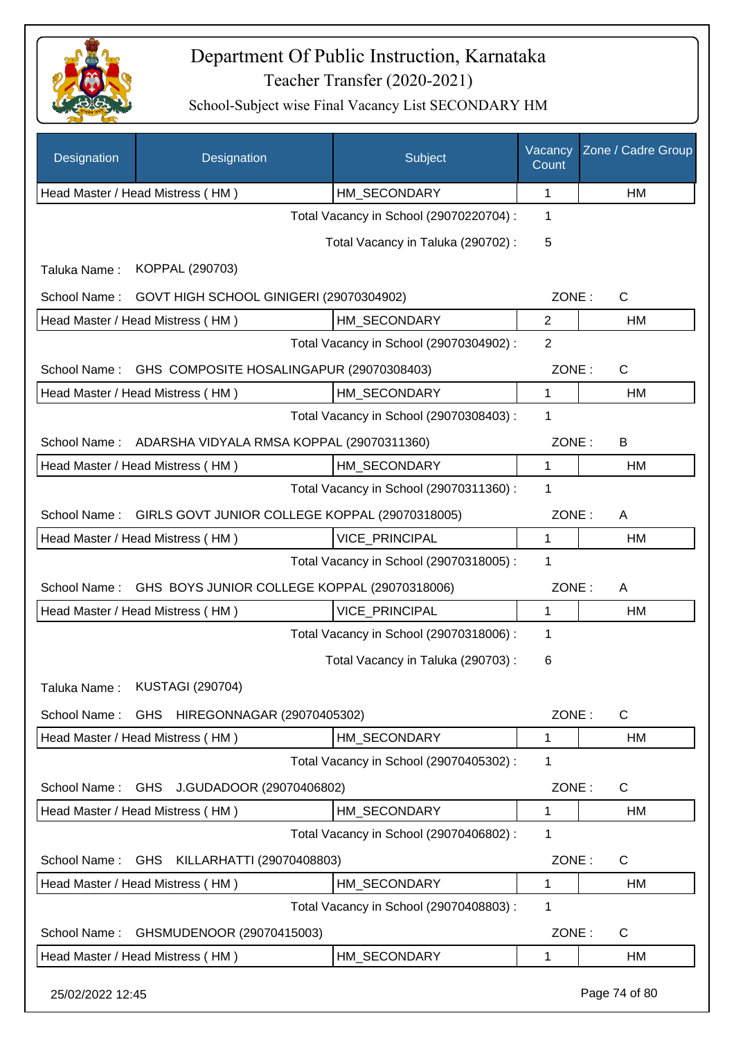

| Designation      | Designation                                            | Subject                                 | Vacancy<br>Count | Zone / Cadre Group |
|------------------|--------------------------------------------------------|-----------------------------------------|------------------|--------------------|
|                  | Head Master / Head Mistress (HM)                       | HM_SECONDARY                            | 1                | HM                 |
|                  |                                                        | Total Vacancy in School (29070220704) : | 1                |                    |
|                  |                                                        | Total Vacancy in Taluka (290702) :      | 5                |                    |
| Taluka Name:     | KOPPAL (290703)                                        |                                         |                  |                    |
| School Name:     | GOVT HIGH SCHOOL GINIGERI (29070304902)                |                                         | ZONE:            | $\mathsf{C}$       |
|                  | Head Master / Head Mistress (HM)                       | HM_SECONDARY                            | $\overline{2}$   | HM                 |
|                  |                                                        | Total Vacancy in School (29070304902) : | 2                |                    |
| School Name:     | GHS COMPOSITE HOSALINGAPUR (29070308403)               |                                         | ZONE:            | $\mathsf{C}$       |
|                  | Head Master / Head Mistress (HM)                       | HM_SECONDARY                            | $\mathbf{1}$     | HM                 |
|                  |                                                        | Total Vacancy in School (29070308403) : | 1                |                    |
|                  | School Name: ADARSHA VIDYALA RMSA KOPPAL (29070311360) |                                         | ZONE:            | B                  |
|                  | Head Master / Head Mistress (HM)                       | HM_SECONDARY                            | $\mathbf{1}$     | <b>HM</b>          |
|                  |                                                        | Total Vacancy in School (29070311360) : | 1                |                    |
| School Name:     | GIRLS GOVT JUNIOR COLLEGE KOPPAL (29070318005)         |                                         | ZONE:            | A                  |
|                  | Head Master / Head Mistress (HM)                       | VICE_PRINCIPAL                          | $\mathbf{1}$     | HM                 |
|                  |                                                        | Total Vacancy in School (29070318005) : | 1                |                    |
| School Name:     | GHS BOYS JUNIOR COLLEGE KOPPAL (29070318006)           |                                         | ZONE:            | A                  |
|                  | Head Master / Head Mistress (HM)                       | VICE_PRINCIPAL                          | 1                | HM                 |
|                  |                                                        | Total Vacancy in School (29070318006) : | 1                |                    |
|                  |                                                        | Total Vacancy in Taluka (290703):       | 6                |                    |
| Taluka Name:     | <b>KUSTAGI (290704)</b>                                |                                         |                  |                    |
| School Name:     | GHS HIREGONNAGAR (29070405302)                         |                                         | ZONE:            | $\mathsf{C}$       |
|                  | Head Master / Head Mistress (HM)                       | HM SECONDARY                            | 1                | HM                 |
|                  |                                                        | Total Vacancy in School (29070405302) : | 1                |                    |
| School Name:     | GHS J.GUDADOOR (29070406802)                           |                                         | ZONE:            | $\mathsf{C}$       |
|                  | Head Master / Head Mistress (HM)                       | HM_SECONDARY                            | 1                | HM                 |
|                  |                                                        | Total Vacancy in School (29070406802) : | 1                |                    |
|                  | School Name: GHS KILLARHATTI (29070408803)             |                                         | ZONE:            | $\mathsf{C}$       |
|                  | Head Master / Head Mistress (HM)                       | HM_SECONDARY                            | 1                | <b>HM</b>          |
|                  |                                                        | Total Vacancy in School (29070408803) : | 1                |                    |
| School Name:     | GHSMUDENOOR (29070415003)                              |                                         | ZONE:            | C                  |
|                  | Head Master / Head Mistress (HM)                       | HM_SECONDARY                            | 1                | HM                 |
| 25/02/2022 12:45 |                                                        |                                         |                  | Page 74 of 80      |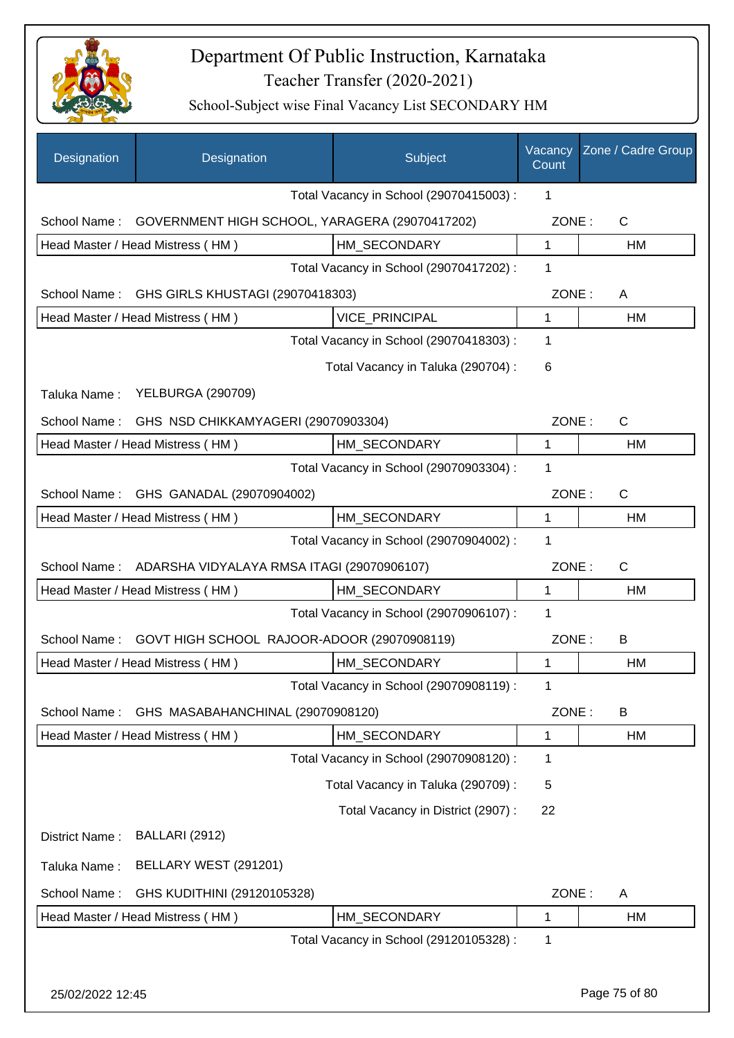

| Designation                                        | Designation                                      |  | Subject                                 | Vacancy<br>Count | Zone / Cadre Group |
|----------------------------------------------------|--------------------------------------------------|--|-----------------------------------------|------------------|--------------------|
|                                                    |                                                  |  | Total Vacancy in School (29070415003) : | 1                |                    |
| School Name:                                       | GOVERNMENT HIGH SCHOOL, YARAGERA (29070417202)   |  |                                         | ZONE:            | $\mathsf{C}$       |
|                                                    | Head Master / Head Mistress (HM)                 |  | HM SECONDARY                            | $\mathbf{1}$     | HM                 |
|                                                    |                                                  |  | Total Vacancy in School (29070417202) : | 1                |                    |
| School Name:                                       | GHS GIRLS KHUSTAGI (29070418303)                 |  |                                         | ZONE:            | A                  |
| VICE_PRINCIPAL<br>Head Master / Head Mistress (HM) |                                                  |  | $\mathbf{1}$                            | HM               |                    |
|                                                    |                                                  |  | Total Vacancy in School (29070418303) : | 1                |                    |
|                                                    |                                                  |  | Total Vacancy in Taluka (290704) :      | 6                |                    |
| Taluka Name:                                       | <b>YELBURGA (290709)</b>                         |  |                                         |                  |                    |
|                                                    | School Name: GHS NSD CHIKKAMYAGERI (29070903304) |  |                                         | ZONE:            | C                  |
|                                                    | Head Master / Head Mistress (HM)                 |  | HM_SECONDARY                            | 1                | HM                 |
|                                                    |                                                  |  | Total Vacancy in School (29070903304) : | 1                |                    |
| School Name:                                       | GHS GANADAL (29070904002)                        |  |                                         | ZONE:            | $\mathsf{C}$       |
|                                                    | Head Master / Head Mistress (HM)                 |  | HM_SECONDARY                            | $\mathbf{1}$     | HM                 |
|                                                    |                                                  |  | Total Vacancy in School (29070904002) : | 1                |                    |
| School Name:                                       | ADARSHA VIDYALAYA RMSA ITAGI (29070906107)       |  |                                         | ZONE:            | C                  |
|                                                    | Head Master / Head Mistress (HM)                 |  | HM SECONDARY                            | $\mathbf 1$      | <b>HM</b>          |
|                                                    |                                                  |  | Total Vacancy in School (29070906107) : | 1                |                    |
| School Name:                                       | GOVT HIGH SCHOOL RAJOOR-ADOOR (29070908119)      |  |                                         | ZONE:            | B                  |
|                                                    | Head Master / Head Mistress (HM)                 |  | HM_SECONDARY                            | 1                | HM                 |
|                                                    |                                                  |  | Total Vacancy in School (29070908119) : | 1                |                    |
| School Name:                                       | GHS MASABAHANCHINAL (29070908120)                |  |                                         | ZONE:            | B                  |
|                                                    | Head Master / Head Mistress (HM)                 |  | HM_SECONDARY                            | 1                | HM                 |
|                                                    |                                                  |  | Total Vacancy in School (29070908120) : | 1                |                    |
|                                                    |                                                  |  | Total Vacancy in Taluka (290709) :      | 5                |                    |
|                                                    |                                                  |  | Total Vacancy in District (2907):       | 22               |                    |
| District Name:                                     | <b>BALLARI (2912)</b>                            |  |                                         |                  |                    |
| Taluka Name:                                       | BELLARY WEST (291201)                            |  |                                         |                  |                    |
| School Name:                                       | GHS KUDITHINI (29120105328)                      |  |                                         | ZONE:            | A                  |
|                                                    | Head Master / Head Mistress (HM)                 |  | HM_SECONDARY                            | $\mathbf 1$      | HM                 |
|                                                    |                                                  |  | Total Vacancy in School (29120105328) : | 1                |                    |
|                                                    |                                                  |  |                                         |                  |                    |
| 25/02/2022 12:45                                   |                                                  |  |                                         |                  | Page 75 of 80      |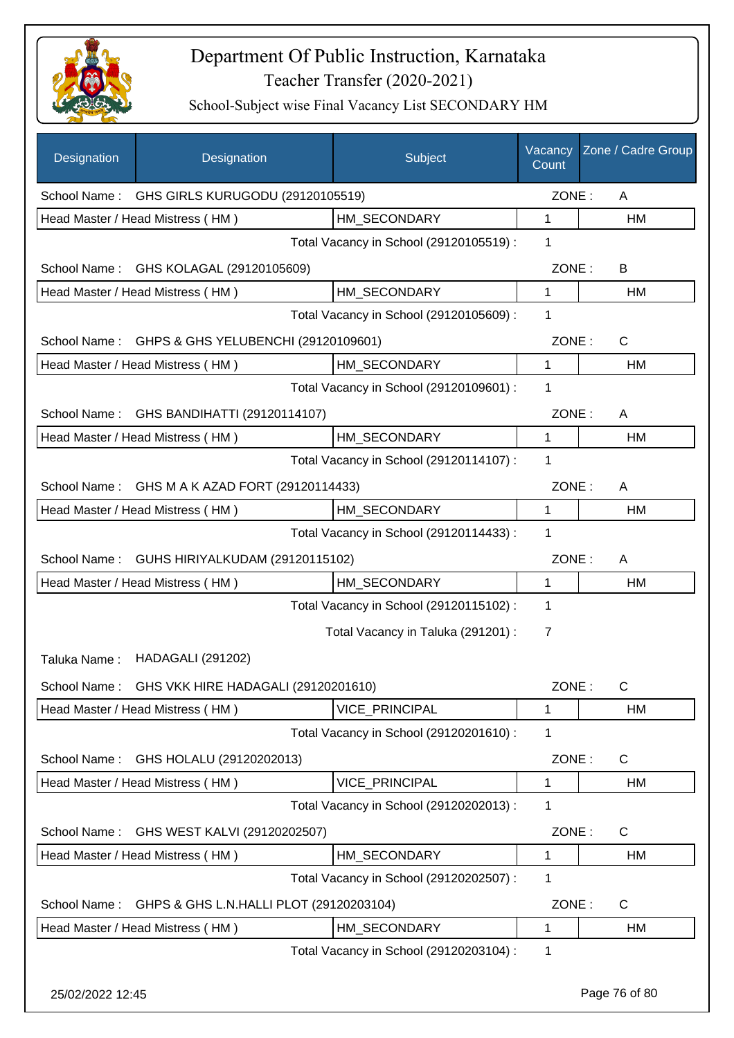

| Designation                                   | Designation                                      | Subject                                 | Vacancy<br>Count | Zone / Cadre Group |
|-----------------------------------------------|--------------------------------------------------|-----------------------------------------|------------------|--------------------|
| School Name: GHS GIRLS KURUGODU (29120105519) |                                                  |                                         | ZONE:            | A                  |
|                                               | Head Master / Head Mistress (HM)                 | HM SECONDARY                            | 1                | HM                 |
|                                               |                                                  | Total Vacancy in School (29120105519) : | 1                |                    |
|                                               | School Name: GHS KOLAGAL (29120105609)           |                                         | ZONE:            | B                  |
|                                               | Head Master / Head Mistress (HM)                 | HM_SECONDARY                            | $\mathbf{1}$     | <b>HM</b>          |
|                                               |                                                  | Total Vacancy in School (29120105609) : | 1                |                    |
|                                               | School Name: GHPS & GHS YELUBENCHI (29120109601) |                                         | ZONE:            | $\mathsf{C}$       |
|                                               | Head Master / Head Mistress (HM)                 | HM_SECONDARY                            | 1                | HM                 |
|                                               |                                                  | Total Vacancy in School (29120109601) : | 1                |                    |
| School Name:                                  | GHS BANDIHATTI (29120114107)                     |                                         | ZONE:            | A                  |
|                                               | Head Master / Head Mistress (HM)                 | HM_SECONDARY                            | $\mathbf{1}$     | <b>HM</b>          |
|                                               |                                                  | Total Vacancy in School (29120114107) : | 1                |                    |
|                                               | School Name: GHS M A K AZAD FORT (29120114433)   |                                         | ZONE:            | A                  |
|                                               | Head Master / Head Mistress (HM)                 | HM_SECONDARY                            | 1                | <b>HM</b>          |
|                                               |                                                  | Total Vacancy in School (29120114433) : | 1                |                    |
| School Name:                                  | GUHS HIRIYALKUDAM (29120115102)                  |                                         | ZONE:            | A                  |
|                                               | Head Master / Head Mistress (HM)                 | HM_SECONDARY                            | 1                | HM                 |
|                                               |                                                  | Total Vacancy in School (29120115102) : | 1                |                    |
|                                               |                                                  | Total Vacancy in Taluka (291201) :      | 7                |                    |
| Taluka Name:                                  | <b>HADAGALI (291202)</b>                         |                                         |                  |                    |
|                                               | School Name: GHS VKK HIRE HADAGALI (29120201610) |                                         | ZONE:            | C                  |
|                                               | Head Master / Head Mistress (HM)                 | VICE_PRINCIPAL                          | 1                | HM                 |
|                                               |                                                  | Total Vacancy in School (29120201610) : | 1                |                    |
| School Name:                                  | GHS HOLALU (29120202013)                         |                                         | ZONE:            | C                  |
|                                               | Head Master / Head Mistress (HM)                 | VICE_PRINCIPAL                          | 1                | HM                 |
|                                               |                                                  | Total Vacancy in School (29120202013) : | 1                |                    |
| School Name:                                  | GHS WEST KALVI (29120202507)                     |                                         | ZONE:            | $\mathsf{C}$       |
|                                               | Head Master / Head Mistress (HM)                 | HM_SECONDARY                            | 1                | HM                 |
|                                               |                                                  | Total Vacancy in School (29120202507) : | 1                |                    |
| School Name:                                  | GHPS & GHS L.N.HALLI PLOT (29120203104)          |                                         | ZONE:            | $\mathsf{C}$       |
|                                               | Head Master / Head Mistress (HM)                 | HM_SECONDARY                            | 1                | HM                 |
|                                               |                                                  | Total Vacancy in School (29120203104) : | 1                |                    |
| 25/02/2022 12:45                              |                                                  |                                         |                  | Page 76 of 80      |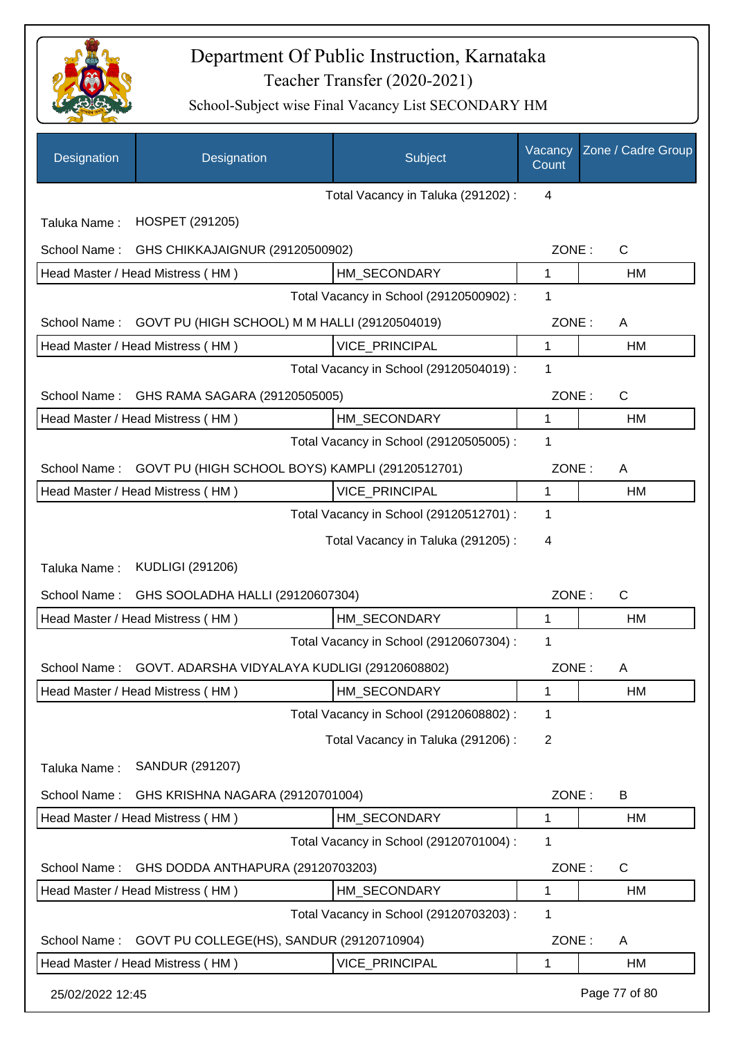

| Designation      | Designation                                     | Subject                                 | Vacancy<br>Count | Zone / Cadre Group |
|------------------|-------------------------------------------------|-----------------------------------------|------------------|--------------------|
|                  |                                                 | Total Vacancy in Taluka (291202) :      | 4                |                    |
| Taluka Name:     | <b>HOSPET (291205)</b>                          |                                         |                  |                    |
| School Name:     | GHS CHIKKAJAIGNUR (29120500902)                 |                                         | ZONE:            | C                  |
|                  | Head Master / Head Mistress (HM)                | HM SECONDARY                            | 1                | HM                 |
|                  |                                                 | Total Vacancy in School (29120500902) : | 1                |                    |
| School Name:     | GOVT PU (HIGH SCHOOL) M M HALLI (29120504019)   |                                         | ZONE:            | A                  |
|                  | Head Master / Head Mistress (HM)                | <b>VICE PRINCIPAL</b>                   | 1                | HM                 |
|                  |                                                 | Total Vacancy in School (29120504019) : | 1                |                    |
| School Name:     | GHS RAMA SAGARA (29120505005)                   |                                         | ZONE:            | C                  |
|                  | Head Master / Head Mistress (HM)                | HM SECONDARY                            | 1                | <b>HM</b>          |
|                  |                                                 | Total Vacancy in School (29120505005) : | 1                |                    |
| School Name:     | GOVT PU (HIGH SCHOOL BOYS) KAMPLI (29120512701) |                                         | ZONE:            | A                  |
|                  | Head Master / Head Mistress (HM)                | <b>VICE PRINCIPAL</b>                   | 1                | <b>HM</b>          |
|                  |                                                 | Total Vacancy in School (29120512701) : | 1                |                    |
|                  |                                                 | Total Vacancy in Taluka (291205):       | 4                |                    |
| Taluka Name:     | <b>KUDLIGI (291206)</b>                         |                                         |                  |                    |
| School Name:     | GHS SOOLADHA HALLI (29120607304)                |                                         | ZONE:            | $\mathsf{C}$       |
|                  | Head Master / Head Mistress (HM)                | HM_SECONDARY                            | 1                | <b>HM</b>          |
|                  |                                                 | Total Vacancy in School (29120607304) : | 1                |                    |
| School Name:     | GOVT. ADARSHA VIDYALAYA KUDLIGI (29120608802)   |                                         | ZONE:            | A                  |
|                  | Head Master / Head Mistress (HM)                | HM_SECONDARY                            | 1                | HM                 |
|                  |                                                 | Total Vacancy in School (29120608802) : | 1                |                    |
|                  |                                                 | Total Vacancy in Taluka (291206) :      | 2                |                    |
| Taluka Name:     | SANDUR (291207)                                 |                                         |                  |                    |
| School Name:     | GHS KRISHNA NAGARA (29120701004)                |                                         | ZONE:            | B                  |
|                  | Head Master / Head Mistress (HM)                | HM_SECONDARY                            | 1                | HM                 |
|                  |                                                 | Total Vacancy in School (29120701004) : | 1                |                    |
| School Name:     | GHS DODDA ANTHAPURA (29120703203)               |                                         | ZONE:            | $\mathsf{C}$       |
|                  | Head Master / Head Mistress (HM)                | HM_SECONDARY                            | 1                | HM                 |
|                  |                                                 | Total Vacancy in School (29120703203) : | 1                |                    |
| School Name:     | GOVT PU COLLEGE(HS), SANDUR (29120710904)       |                                         | ZONE:            | A                  |
|                  | Head Master / Head Mistress (HM)                | VICE_PRINCIPAL                          | 1                | <b>HM</b>          |
| 25/02/2022 12:45 |                                                 |                                         |                  | Page 77 of 80      |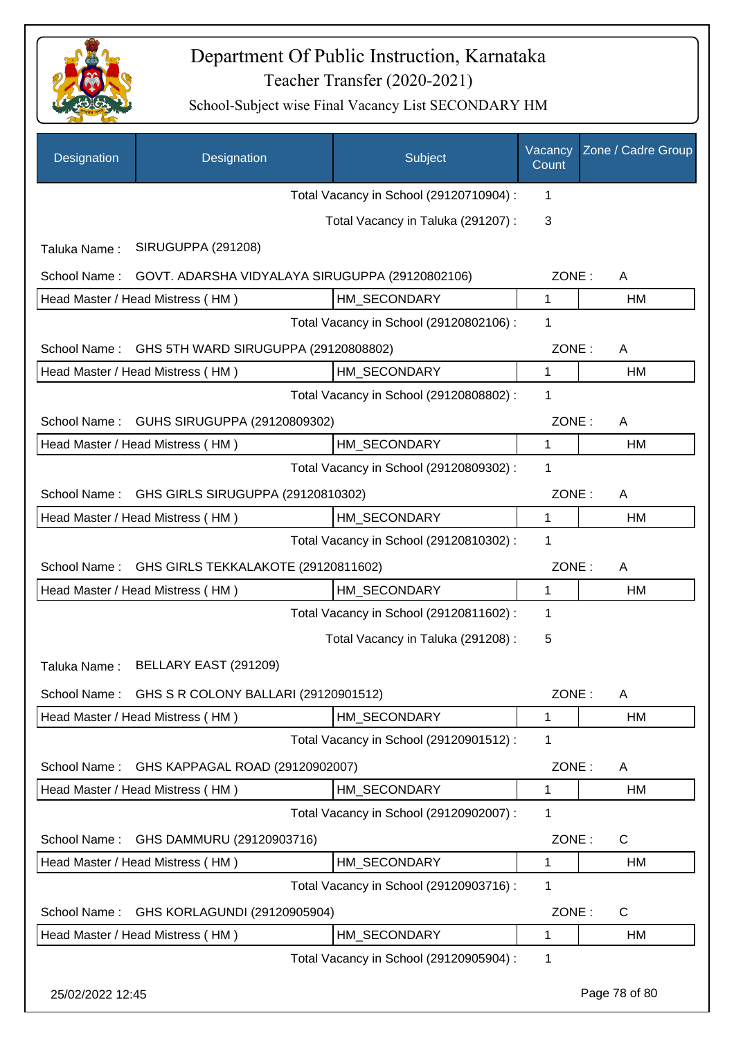

| Designation      | Designation                                     | Subject                                 | Vacancy<br>Count | Zone / Cadre Group |
|------------------|-------------------------------------------------|-----------------------------------------|------------------|--------------------|
|                  |                                                 | Total Vacancy in School (29120710904) : | 1                |                    |
|                  |                                                 | Total Vacancy in Taluka (291207):       | 3                |                    |
| Taluka Name:     | SIRUGUPPA (291208)                              |                                         |                  |                    |
| School Name:     | GOVT. ADARSHA VIDYALAYA SIRUGUPPA (29120802106) |                                         | ZONE:            | A                  |
|                  | Head Master / Head Mistress (HM)                | HM_SECONDARY                            | 1                | HM                 |
|                  |                                                 | Total Vacancy in School (29120802106) : | 1                |                    |
| School Name:     | GHS 5TH WARD SIRUGUPPA (29120808802)            |                                         | ZONE:            | A                  |
|                  | Head Master / Head Mistress (HM)                | HM_SECONDARY                            | 1                | HM                 |
|                  |                                                 | Total Vacancy in School (29120808802) : | 1                |                    |
| School Name:     | GUHS SIRUGUPPA (29120809302)                    |                                         | ZONE:            | A                  |
|                  | Head Master / Head Mistress (HM)                | HM SECONDARY                            | $\mathbf{1}$     | <b>HM</b>          |
|                  |                                                 | Total Vacancy in School (29120809302) : | 1                |                    |
| School Name:     | GHS GIRLS SIRUGUPPA (29120810302)               |                                         | ZONE:            | A                  |
|                  | Head Master / Head Mistress (HM)                | HM SECONDARY                            | 1                | HM                 |
|                  |                                                 | Total Vacancy in School (29120810302) : | $\mathbf 1$      |                    |
| School Name:     | GHS GIRLS TEKKALAKOTE (29120811602)             |                                         | ZONE:            | A                  |
|                  | Head Master / Head Mistress (HM)                | HM SECONDARY                            | 1                | HM                 |
|                  |                                                 | Total Vacancy in School (29120811602) : | $\mathbf 1$      |                    |
|                  |                                                 | Total Vacancy in Taluka (291208):       | 5                |                    |
| Taluka Name:     | BELLARY EAST (291209)                           |                                         |                  |                    |
| School Name:     | GHS S R COLONY BALLARI (29120901512)            |                                         | ZONE:            | A                  |
|                  | Head Master / Head Mistress (HM)                | HM_SECONDARY                            | 1                | HM                 |
|                  |                                                 | Total Vacancy in School (29120901512) : | $\mathbf 1$      |                    |
| School Name:     | GHS KAPPAGAL ROAD (29120902007)                 |                                         | ZONE:            | A                  |
|                  | Head Master / Head Mistress (HM)                | HM SECONDARY                            | 1                | HM                 |
|                  |                                                 | Total Vacancy in School (29120902007) : | 1                |                    |
| School Name:     | GHS DAMMURU (29120903716)                       |                                         | ZONE:            | C                  |
|                  | Head Master / Head Mistress (HM)                | HM SECONDARY                            | 1                | HM                 |
|                  |                                                 | Total Vacancy in School (29120903716) : | 1                |                    |
| School Name:     | GHS KORLAGUNDI (29120905904)                    |                                         | ZONE:            | $\mathsf{C}$       |
|                  | Head Master / Head Mistress (HM)                | HM_SECONDARY                            | 1                | HM                 |
|                  |                                                 | Total Vacancy in School (29120905904) : | 1                |                    |
| 25/02/2022 12:45 |                                                 |                                         |                  | Page 78 of 80      |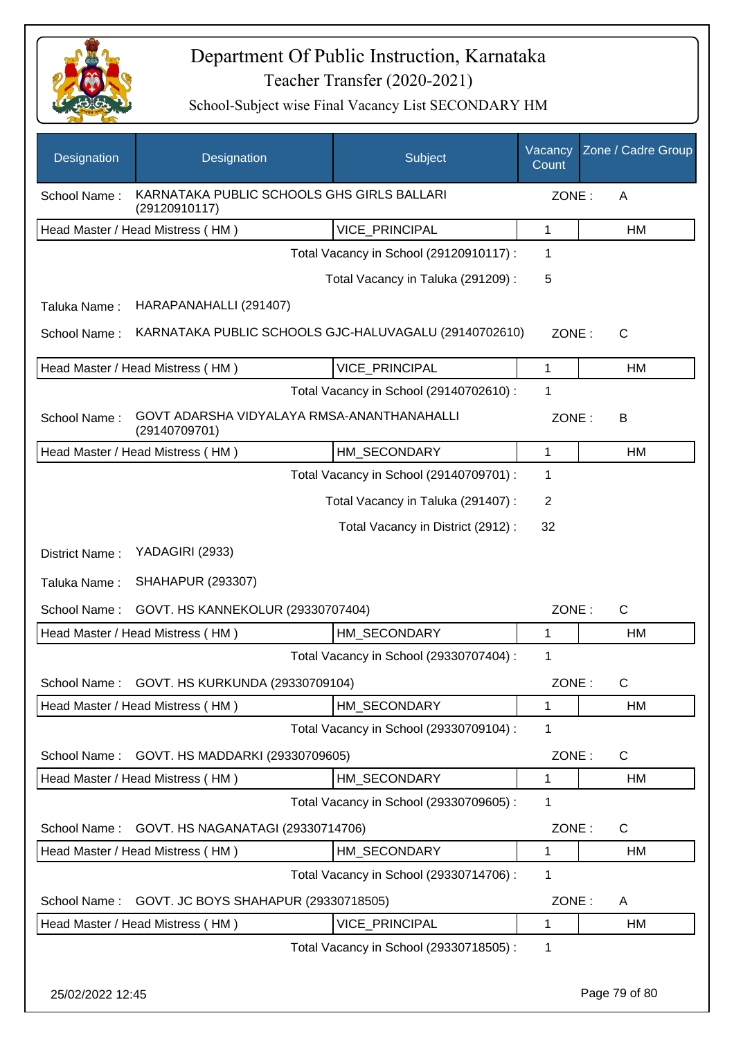

School-Subject wise Final Vacancy List SECONDARY HM

| Designation                                                                 | Designation                                                 | Subject                                 | Vacancy<br>Count | Zone / Cadre Group |  |
|-----------------------------------------------------------------------------|-------------------------------------------------------------|-----------------------------------------|------------------|--------------------|--|
| KARNATAKA PUBLIC SCHOOLS GHS GIRLS BALLARI<br>School Name:<br>(29120910117) |                                                             |                                         |                  | ZONE:<br>A         |  |
|                                                                             | Head Master / Head Mistress (HM)                            | VICE_PRINCIPAL                          | $\mathbf{1}$     | HM                 |  |
|                                                                             |                                                             | Total Vacancy in School (29120910117) : | 1                |                    |  |
|                                                                             |                                                             | Total Vacancy in Taluka (291209):       | 5                |                    |  |
| Taluka Name:                                                                | HARAPANAHALLI (291407)                                      |                                         |                  |                    |  |
| School Name:                                                                | KARNATAKA PUBLIC SCHOOLS GJC-HALUVAGALU (29140702610)       |                                         | ZONE:            | $\mathsf{C}$       |  |
|                                                                             | Head Master / Head Mistress (HM)                            | VICE_PRINCIPAL                          | 1                | HM                 |  |
|                                                                             |                                                             | Total Vacancy in School (29140702610) : | 1                |                    |  |
| School Name:                                                                | GOVT ADARSHA VIDYALAYA RMSA-ANANTHANAHALLI<br>(29140709701) |                                         | ZONE:            | В                  |  |
|                                                                             | Head Master / Head Mistress (HM)                            | HM SECONDARY                            | $\mathbf{1}$     | HM                 |  |
|                                                                             |                                                             | Total Vacancy in School (29140709701) : | 1                |                    |  |
|                                                                             |                                                             | Total Vacancy in Taluka (291407) :      | $\overline{2}$   |                    |  |
|                                                                             |                                                             | Total Vacancy in District (2912) :      | 32               |                    |  |
| District Name:                                                              | YADAGIRI (2933)                                             |                                         |                  |                    |  |
| Taluka Name:                                                                | <b>SHAHAPUR (293307)</b>                                    |                                         |                  |                    |  |
| School Name:                                                                | GOVT. HS KANNEKOLUR (29330707404)                           |                                         | ZONE:            | $\mathsf{C}$       |  |
|                                                                             | Head Master / Head Mistress (HM)                            | HM SECONDARY                            | 1                | HM                 |  |
|                                                                             |                                                             | Total Vacancy in School (29330707404) : | 1                |                    |  |
|                                                                             | School Name: GOVT. HS KURKUNDA (29330709104)                |                                         | ZONE:            | С                  |  |
|                                                                             | Head Master / Head Mistress (HM)                            | HM_SECONDARY                            | 1                | HM                 |  |
|                                                                             |                                                             | Total Vacancy in School (29330709104) : | 1                |                    |  |
| School Name:                                                                | GOVT. HS MADDARKI (29330709605)                             |                                         | ZONE:            | C                  |  |
|                                                                             | Head Master / Head Mistress (HM)                            | HM_SECONDARY                            | 1                | HM                 |  |
|                                                                             |                                                             | Total Vacancy in School (29330709605) : | 1                |                    |  |
| School Name:                                                                | GOVT. HS NAGANATAGI (29330714706)                           |                                         | ZONE:            | $\mathsf{C}$       |  |
|                                                                             | Head Master / Head Mistress (HM)                            | HM_SECONDARY                            | 1                | HM                 |  |
|                                                                             |                                                             | Total Vacancy in School (29330714706) : | 1                |                    |  |
| School Name:                                                                | GOVT. JC BOYS SHAHAPUR (29330718505)                        |                                         | ZONE:            | A                  |  |
|                                                                             | Head Master / Head Mistress (HM)                            | VICE_PRINCIPAL                          | 1                | HM                 |  |
|                                                                             |                                                             | Total Vacancy in School (29330718505) : | 1                |                    |  |

25/02/2022 12:45 Page 79 of 80